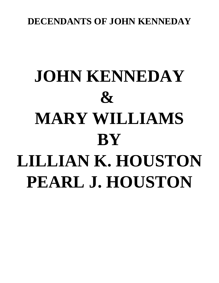## **DECENDANTS OF JOHN KENNEDAY**

# **JOHN KENNEDAY & MARY WILLIAMS BY LILLIAN K. HOUSTON PEARL J. HOUSTON**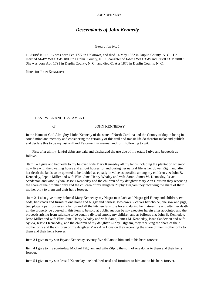#### *Descendants of John Kennedy*

#### *Generation No. 1*

1. JOHN<sup>1</sup> KENNEDY was born Feb 1777 in Unknown, and died 14 May 1862 in Duplin County, N. C.. He married MARY WILLIAMS 1809 in Duplin County, N. C., daughter of JAMES WILLIAMS and PRICILLA MERRILL. She was born Abt. 1791 in Duplin County, N. C., and died 01 Apr 1870 in Duplin County, N. C..

Notes for JOHN KENNEDY:

#### LAST WILL AND TESTAMENT

#### of JOHN KENNEDAY

In the Name of God Almighty I John Kennedy of the state of North Carolina and the County of duplin being in sound mind and memory and considering the certainly of this frail and transit life do therefor make and publish and declare this to be my last will and Testament in manner and form following to wit:

First after all my lawful debts are paid and discharged the use due of my estate I give and bequeath as follows.

 Item 1-- I give and bequeath to my beloved wife Mary Kenneday all my lands including the plantation whereon I now live with the dwelling house and all out houses for and during her natural life as her dower Right and after her death the lands so be quested to be divided as equally in value as possible among my children viz: John B. Kenneday, Jephie Miller and wife Eliza Jane, Henry Whaley and wife Sarah, James W. Kenneday, Isaac Sanderson and wife, Sylvia, Jesse I Kenneday and the children of my daughter Mary Ann Houston they receiving the share of their mother only and the children of my daughter Zilphy Tilgham they receiving the share of their mother only to them and their heirs forever.

 Item 2- I also give to my beloved Mary Kenneday my Negro man Jack and Negro girl Fanny and children, two beds, bedsteads and furniture one horse and buggy and harness, two cows, 2 calves her choice, one sow and pigs, two plows 2 pair four eves, 2 lambs and all the kitchen furniture for and during her natural life and after her death all the property be quested in this item to be sold at public auction by my executor herein after appointed and the proceeds arising from said sale to be equally divided among my children and as follows viz: John B. Kenneday, Jesse Miller and wife Eliza Jane, Henry Whaley and wife Sarah, James M. Kenneday, Isaac Sanderson and wife Sylvia, Jessie I Kenneday, and the children of my daughter Zilphy Tilgham, they receiving the share of their mother only and the children of my daughter Mary Ann Houston they receiving the share of their mother only to them and their heirs forever.

Item 3 I give to my son Bryant Kenneday seventy five dollars to him and to his heirs forever.

Item 4 I give to my son-in-law Michael Tilgham and wife Zilphy the sum of one dollar to them and their heirs forever.

Item 5 I give to my son Jesse I Kenneday one bed, bedstead and furniture to him and to his heirs forever.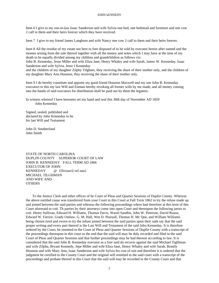Item 6 I give to my son-in-law Isaac Sanderson and wife Sylvia one bed, one bedstead and furniture and one cow 2 calf to them and their heirs forever which they have received.

Item 7 I give to my friend James Langhorn and wife Nancy one cow 2 calf to them and their heirs forever.

Item 8 All the residue of my estate not here to fore disposed of to be sold by executor herein after named and the monies arising from the sale thereof together with all the money and notes which I may have at the time of my death to be equally divided among my children and grandchildren as follows viz:

John B. Kenneday, Jesse Miller and wife Eliza Jane, Henry Whaley and wife Sarah, James W. Kenneday, Isaac Sanderson and wife Sylvia, Jesse I Kenneday

and the children of my daughter Zilphy Tilgham, they receiving the share of their mother only, and the children of my daughter Mary Ann Houston, they receiving the share of their mother only.

Item 9 I do hereby constitute and appoint my good friend Houston Maxwell and my son John B. Kenneday executors to this my last Will and Estman hereby revoking all former wills by me made, and all money coming into the hands of said executors for distribution shall be paid out by them the legatees.

In witness whereof I have hereunto set my hand and seal this 30th day of November AD 1859 John Kenneday

Signed, sealed, published and declared by John Kenneday to be his last Will and Testament

John D. Southerland John Smith

STATE OF NORTH CAROLINA DUPLIN COUNTY SUPERIOR COURT OF LAW JOHN B. KENNEDAY FALL TERM AD 1866 EXECUTOR OF JOHN KENNEDAY @ {Divisavil vel nan} MICHAEL TILGHMAN AND WIFE AND **OTHERS** 

To the Justice Clerk and other offices of he Court of Pleas and Quarter Sessions of Duplin County. Whereas the above entitled cause was transferred from your Court to this Court at Fall Term 1862 to try the infuse made up and joined between the said parties and whereas the following proceedings where had therefore at this term of this Court aforesaid to coit. Th parties by their attorneys come into open Court and thereupon the following jurors to coit. Henry Sullivan, Edward H. Williams, Thomas Davis, Waxel Sandlin, John W. Peterson, David Rouse, Edward W. Farrior, Grady Outlaw, G. M. Hall, Wm D. Pearsall, Thomas H. Mc Que, and William Williams being chosen tired and sworn to try the infuse joined between the said parties upon their oath say that the said proper writing and every part thereof is the Last Will and Testament of the said John Kenneday. It is therefore ordered by the Court, be remitted to the Court of Pleas and Quarter Sessions of Duplin County with a transcript of the proceedings thereupon in this court to the end that the said will may be duly recorded and filed in the said Court of Pleas and Quarter Sessions and that further proceedings may be had thereon according to law. It is considered that the said John B. Kenneday executor as a fore said do recover against the said Michael Tighlman and wife Zilpha, Bryant Kennedy, Jepe Miller and wife Eliza Jane, Henry Whaley and wife Sarah, Brantly Houston and wife Mary Ann, Isaac Sanderson and wife Sylvia his cost of suit and therefore it is ordered that the judgment be certified to the County Court and the original will remitted to the said court with a transcript of the proceedings and probate thereof in this Court that the said will may be recorded in the County Court and that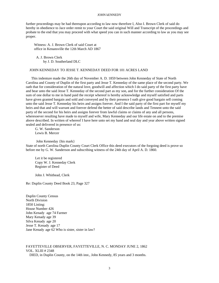further proceedings may be had thereupon according to law now therefore I, Also I. Brown Clerk of said do hereby in obedience to Jace order remit to your Court the said original Will and Transcript of the proceedings and probate to the end that you may proceed with what speed you can in such manner according to law as you may see proper.

Witness: A. J. Brown Clerk of said Court at office in Kenansville the 12th March AD 1867

A. J. Brown Clerk by J. D. Southerland DLC

#### JOHN KENNEDAY TO JESSE T. KENNEDAY DEED FOR 101 ACRES LAND

 This indenture made the 26th day of November A. D. 1859 between John Kenneday of State of North Carolina and County of Duplin of the first party and Jesse T. Kenneday of the same place of the second party. We oath that for consideration of the natural love, goodwill and affection which I do said party of the first party have and bear unto the said Jesse T. Kenneday of the second part as my son, and for the further consideration Of the sum of one dollar to me in hand paid the receipt whereof is hereby acknowledge and myself satisfied and parts have given granted bargain and sold and conveyed and by their presence I oath give good bargain sell coming unto the said Jesse T. Kenneday his heirs and assigns forever. And I the said party of the first part for myself my heirs and that and will warrant and forever defend the better of said describe lands and Tennent unto the said party of the second for his heirs and assigns forever from lawful claims or claims of any and all persons, wheresoever resulting have made to myself and wife, Mary Kenneday and our life estate on and to the premise above described. In written of whereof I have here unto set my hand and seal day and year above written signed sealed and delivered in presence of us:

G. W. Sanderson Lewis B. Mercer

John Kenneday {his mark} State of north Carolina Duplin County Court Clerk Office this deed executors of the forgoing deed is prove so before me by G. W. Sanderson and subscribing witness of the 24th day of April A. D. 1860.

Let it be registered Copy W. J. Kenneday Clerk Register of Deed

John J. Whithead, Clerk

Re: Duplin County Deed Book 23, Page 327

Duplin County Census North Division 1850 Listing: House Number 426 John Kenady age 74 Farmer Mary Kenady age 39 Silva Kenady age 20 Jesse T. Kenady age 17 Jane Kenady age 62 Who is sister, sister in law?

### FAYETTEVILLE OBSERVER, FAYETTEVILLE, N. C. MONDAY JUNE 2, 1862 VOL. XLIII # 2348

DIED, in Duplin County, on the 14th inst., John Kennedy, 85 years and 3 months.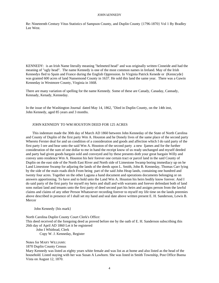Re: Nineteenth Century Vitus Statistics of Sampson County, and Duplin County {1796-1870} Vol 1 By Bradley Lee West.

KENNEDY: is an Irish Name literally meaning "helmeted head" and was originally written Cinneide and had the meaning of "ugly head". The name Kennedy is one of the most common names in Ireland. May of the Irish Kennedys fled to Spain and France during the English Oppression. In Virginia Patrick Kenede or (Kenncyde} was granted 600 acres of land Nansemond County in 1637. He sold this land the same year. There was a Gawin Kenneday in Westmore County, Virginia in 1668.

There are many variation of spelling for the name Kennedy. Some of these are Canady, Canaday, Cannady, Kennady, Kenady, Kenneday.

In the issue of the Washington Journal dated May 14, 1862, "Died in Duplin County, on the 14th inst, John Kennedy, aged 85 years and 3 months.

#### JOHN KENNEDY TO WM HOUSTON DEED FOR 125 ACRES

This indenture made the 30th day of March AD 1860 between John Kenneday of the State of North Carolina and County of Duplin of the first party Wm A. Houston and he Donely lives of the same place of the second party Whereto Ferster deal for and un condition of a consideration and goods and affection which I do said party of the first party I ore and bear unto the said Wm A. Houston of the second party a new Ijames and for the further consideration of the sum of one dollar to me in hand the receipt know of us ready unchanged and myself deeded and party had given goods bargain sold and conveyed and by these presents doth your great bargain Willy and convey unto residence Wm A. Houston his heir forever one certain tract or parcel land in the said County of Duplin on the east side of the North East River and North side of Limestone Swamp boring immediacy up on he Land Limestone Swamp for adjuring the lands of the deeds upon L. Smith, John B. Kenneday, Thomas Carr lying by the side of the main roads ditch From being part of the said John Heap lands, containing one hundred and twenty four acres. Together on the other Laguna a hand document and operations documents belonging or on answers apportioning. To have and to hold unto the Land Wm A. Houston his heirs bodily know forever. And I do said party of the first party for myself my heirs and shall and with warrants and forever defendant both of land sons outlast land and tenants unto the first party of deed second part his heirs and assigns person from the lawful claims and claims of any other Person Whatsoever recording forever to myself my life time on the lands preemies above described in presence of I shall set my hand and seal date above written present E. H. Sanderson, Lewis B. Mercer

John Kennedy {his mark}

North Carolina Duplin County Court Clerk's Office: This deed received of the foregoing deed as proved before me by the oath of E. H. Sanderson subscribing this 26th day of April AD 1860 Let it be registered John I Whitbrad, Clerk

Copy W. J. Kenneday, Register

Notes for MARY WILLIAMS:

1870 Duplin County Census

Mary Kennedy was listed as eighty years white female and was list as at home and also listed as the head of the household. Listed staying with her was Susan A Lawhorn. She was listed in Smith Township, Post Office Buena Vista on August 12, 1870.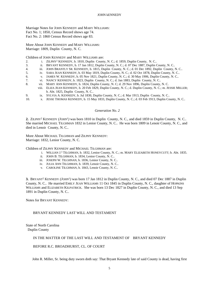Marriage Notes for JOHN KENNEDY and MARY WILLIAMS: Fact No. 1; 1850, Census Record shows age 74. Fact No. 2: 1860 Census Record shows age 83.

More About JOHN KENNEDY and MARY WILLIAMS: Marriage: 1809, Duplin County, N. C.

Children of JOHN KENNEDY and MARY WILLIAMS are:

- 2. i. ZILPHY<sup>2</sup> KENNEDY, b. 1810, Duplin County, N. C.; d. 1859, Duplin County, N. C..
- 3. ii. BRYANT KENNEDY, b. 17 Jan 1812, Duplin County, N. C.; d. 07 Dec 1887, Duplin County, N. C..
- 4. iii. JOHN BRANTLY SR. KENNEDY, b. 1815, Duplin County, N. C.; d. 01 Dec 1892, Duplin County, N. C..
- 5. iv. SARA JEAN KENNEDY, b. 03 May 1819, Duplin County, N. C.; d. 02 Oct 1878, Duplin County, N. C..
- 6. v. JAMES W. KENNEDY, b. 05 Nov 1821, Duplin County, N. C.; d. 30 May 1906, Duplin County, N. C..
- 7. vi. NANCY KENNEDY, b. 1823, Duplin County, N. C.; d. Jan 1883, Duplin County, N. C..
- 8. vii. MARY ANN KENNEDY, b. 1824, Duplin County, N. C; d. 29 Nov 1896, Duplin County, N. C.
	- viii. ELIZA JEAN KENNEDY, b. 20 Feb 1829, Duplin County, N. C.; d. Duplin County, N. C.; m. JESSIE MILLER; b. Abt. 1825, Duplin County, N. C..
- 9. ix. SYLVIA A. KENNEDY, b. Jul 1830, Duplin County, N. C.; d. Mar 1913, Duplin County, N. C..
- 10. x. JESSE THOMAS KENNEDY, b. 15 May 1833, Duplin County, N. C.; d. 03 Feb 1913, Duplin County, N. C..

#### *Generation No. 2*

**2.** ZILPHY<sup>2</sup> KENNEDY *(JOHN*<sup>1</sup> *)* was born 1810 in Duplin County, N. C., and died 1859 in Duplin County, N. C.. She married MICHAEL TILGHMAN 1832 in Lenior County, N. C.. He was born 1809 in Lenoir County, N. C., and died in Lenoir County, N. C..

More About MICHAEL TILGHMAN and ZILPHY KENNEDY: Marriage: 1832, Lenior County, N. C.

Children of ZILPHY KENNEDY and MICHAEL TILGHMAN are:

- i. WILLIAN J. 3 TILGHMAN, b. 1832, Lenior County, N. C.; m. MARY ELIZABETH HONEYCUTT; b. Abt. 1835.
- ii. JOHN B. TILGHMAN, b. 1834, Lenior County, N. C..
- iii. JOSEPH W. TILGHNAN, b. 1836, Lenior County, N. C..
- iv. JULIA ANN TILGHMAN, b. 1839, Lenoir County, N. C..
- v. CAROLINE TILGHMAN, b. 1843, Lenoir County, N. C..

**3.** BRYANT<sup>2</sup> KENNEDY *(JOHN*<sup>1</sup> *)* was born 17 Jan 1812 in Duplin County, N. C., and died 07 Dec 1887 in Duplin County, N. C.. He married EMILY JEAN WILLIAMS 11 Oct 1845 in Duplin County, N. C., daughter of HOPKINS WILLIAMS and ELIZABETH KILPATRICK. She was born 13 Dec 1827 in Duplin County, N. C., and died 13 Sep 1891 in Duplin County, N. C..

Notes for BRYANT KENNEDY:

BRYANT KENNEDY LAST WILL AND TESTAMENT

State of North Carolina Duplin County

#### IN THE MATTER OF THE LAST WILL AND TESTAMENT OF BRYANT KENNEDY

BEFORE R.C. BROADHURST, CL. OF COURT

John R. Miller, Sr. being duty sworn doth say: That Bryant Kennedy late of said County is dead, having first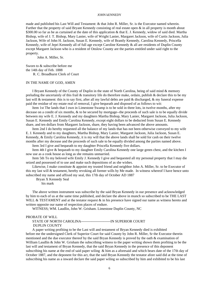made and published his Last Will and Testament: & that John R. Miller, Sr. is the Executor named wherein. Further that the property of said Bryant Kennedy consisting of real estate open & in all property is month about \$300.00 so far as be as curtained at the date of this application & that E. J. Kennedy, widow of said died. Martha Bishop, wife of J. T. Bishop, Mary Lanier, wife of Wright Lanier, Margaret Jackson, wife of Curtis Jackson, Julia Jackson, Wife of John H. Jackson, Susan E. Kennedy, wife of Brantly Kennedy, Carolina Kennedy, Priscella Kennedy, wife of Jepri Kennedy all of full age except Caroline Kennedy & all are residents of Duplin County except Margaret Jackson who is a resident of Onslow County are the parties entitled under said right to the property.

John A. Miller, Sr.

Sworn to & subscribe before me the 14th day of Feb. 1888 R. C. Broadhurst Clerk of Court

#### IN THE NAME OF GOD, AMEN

I Bryant Kennedy of the County of Duplin in the state of North Carolina, being of said mind & memory preluding the uncertainly of this frail & transitory life do therefore make, ordain, publish & declare this to be my last will & testament: this is to say first, after all my lawful debts are paid & discharged, & my funeral expense paid the residue of my estate real of removal, I give bequeath and disposed of as follows to wit:

Item 1st The lands that I own in Limestone Swamp is to be sold in three lots, in twelve months, after my decease on a condit of six months, & to be secured by mortgage--the proceeds of such sale is to be equally divide between my wife E. J. Kennedy and my daughters Martha Bishop, Mary Lanier, Margaret Jackson, Julia Jackson, Susan E. Kennedy and Emily Carolina Kennedy, except eight dollars to be deducted from Susan E. Kennedy share, and ten dollars from Margaret Jackson, share, they having been advanced the above amounts.

Item 2nd I do hereby requested all the balance of my lands that has not been otherwise conveyed to my wife E. J. Kennedy and to my daughters, Martha Bishop, Mary Lanier, Margaret Jackson, Julia Jackson, Susan E. Kennedy, & Emily Carolina Kennedy, it is my will that the above lands shall be sold for cash on their twelve months after my decease and the proceeds of such sale to be equally divided among the parties named above.

Item 3rd I give and bequeath to my daughter Priscella Kennedy five dollars.

Item 4th I give & bequeath to my daughter Emily Carolina Kennedy one large green chest, and the kitchen I now use as a cook house as long as she remains unmarried.

Item 5th To my beloved wife Emily J. Kennedy I give and bequested all my personal property that I may die seized and possessed of to use and make such depositions of as she wishes.

Likewise, I make constitute & appoint my trusted friend and neighbor John A. Miller, Sr. to be Executor of this my last will & testament, hereby revoking all former wills by Me made. In witness whereof I have hence unto subscribed my name and affixed my seal, this 17th day of October AD 1887

Bryan X Kennedy Seal

his mark

The above written instrument was subscribe by the said Bryan Kennedy in our presence and acknowledged by him to each of us at the same time published, and declare the above in munch so subscribed to be THE LAST WILL  $& TESTAMENT$  and at the testator request  $&$  in his presence have signed our name as witness hereto and written opposite our name of respection places of endure.

WITNESS; WM. Laudlin, John W. Grisham. Limestone Duplin County, NC

#### PROBATE OF WILL

#### STATE OF NORTH CAROLINA-------------------------IN SUPERIOR COURT DUPLIN COUNTY

A paper writing profiting to be the Last will and testament of Bryan Kennedy died is exhibited before me the undersigned Clerk of Superior Court for said County by John R. Miller, Sr the Executor therein mentioned and the due executor thereof by the said Bryan Kennedy is proved by the oath & examination of William Laudlin & John W. Grisham the subscribing witness to the paper writing shown them profiting to be the last will and testament of Bryan Kennedy, that the said Bryan Kennedy in the presence of this deponent subscribing his name at the end of said paper wiling & him as a aforesaid and which bears date of the 17th day of October 1887, and the deponent for this act, that the said Bryan Kennedy the testator afore said did at the time of subscribing his name as a inward declare the said paper wiling so subscribed by him and exhibited to be his last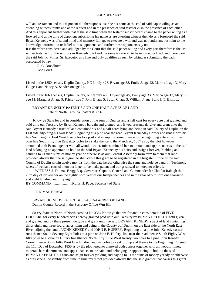will and testament and this deponent did thereupon subscribe his name at the end of said paper wiling as an attending witness thinks and at the request and in the presence of said testator & in the presence of each other. And this deponent further with that at the said time when the testator subscribed his name to the paper wiling as a forward and at the time of deponent subscribing his name as are attesting witness then do as a foreword the said Bryan Kennedy was of sound mind and memory full age to execute a will and was not under any restraint to the knowledge information or belief ot this opponents and further these opponents say not.

It is therefore considered and adjudged by the Court that the said paper wiling and every part therefore is the last will & testament of the said Bryan Kennedy died and the same is ordered to be recorded & filed, and thereupon the said John R. Miller, Sr. Executor as a fine and duly qualifies as such by taking & submitting the oath persecuted by law.

R. C. Broadhurst Mc Court

Listed in the 1850 census, Duplin County, NC family 428. Bryan age 38, Emily J. age 22, Martha J. age 3, Mary E. age 1 and Nancy A. Sanderson age 21.

Listed in the 1860 census, Duplin County, NC family 408. Bryant age 45, Emily age 33, Martha age 12, Mary E. age 11, Margaret A. age 9, Prissey age 7, John B. age 5, Susan C. age 3, William J. age 1 and I. T. Bishop..

#### BRYANT KENNEDY PATENT 6 AND ONE HALF ACRES OF LAND State of North Carolina patent # 3396

 Know ye State for and in consideration of the sum of Quarter and a half cent for every acre that granted and paid unto our Treasury by Bryan Kennedy bargain and granted and if you presents do give and grant unto the said Bryant Kennedy a tract of land contained six and a half acres lying and being in said County of Duplin on the East side adjoining his own lands. Beginning at a pine near the road Bryant Kenneday Corner and runs North his line South eighty East West five poles to a post and stump his corner thence to the beginning entered with his own line South fifty five East sixty poles to a stake thence to the March 26, 1857 as by the plot however amounted doth Pears together with all woods--water, mines, mineral hereto amount and appurtenances to the said land belonging an appertain to hold to the said Bryant Kenneday his heirs and assigns forever, Yielding and handing to us such sums of money year or otherwise as our General Assembly form term to them mar land provided always that the said grantee shall cause this grant to be registered in the Register Office of the said County of Duplin within twelve months from the date hereof otherwise the same and hole be band. In Testimony whereof we have caused them our Leter to be make patent and our great seal to hereunto offered.

WITNESS J. Thomas Bragg Esq. Governor, Captain, General and Commander fer Chief at Raleigh the 23rd day of November on the eighty Lord year of our Independences and in the year of our Lord one thousand and eight hundred and fifty eight

BY COMMAND........................Rufus H. Page, Secretary of State

#### THOMAS BRAGG

#### BRYANT KENEDY PATENT # 3354 383/4 ACRES OF LAND Duplin County Record in the Secretary Office Wm Hill

So cry State of North of North carolina No 3354 Know ye that we for and in consideration of FIVE DOLLARS for every hundred acres hereby granted paid unto our Treasury by BRYANT KENEDY hath given and granted and by these present do give and grant unto the said BRYANT KENEDY a tract of land containing thirty eight and three-fourth acres lying and being in the County oof Duplin on the East side of the North East River adjoing the land of JOHN KENEDY and JOHN E. HUFERY. Beginning on a pine John Kenedy corner runs thence South Seventy Eight Poles to a pine on John E. Hufery line near the road thence South Eighty West fifty poles to a stake on Hufery line tthence North Fifty fFive West twenty two poles to a pine John Kenedy Corner thence South Fifty West One hundred and six poles to a ask Stump and thence to the Beginning. Entered the 11th Day of December 1850 as by the plot hereunto annexed doth appear together with all woods, mines, minerals here determents, and appertinances to the said land belonging or appectaeing to hold to the said BRYANT KENEDY his hsirs and asign forever yielding and paying to us the sums of money yeeady or otherwise as our General Assembly from time to time my direct provided always that the said grantee that causes this grant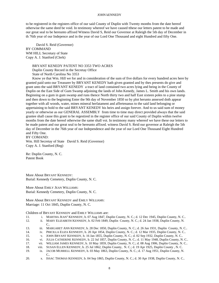to be registered in the registers office of our said County of Duplin with Twenty months from the date hereof otherwise the same deed be void. In testimony whereof we have caused tthese our letters patent to be made and our great seal to be hereunto affixed Witness David S, Reid our Governor at Raleigh the 5th day of December in th 76th year of our Indepence and in the year of our Lord One Thousand and eight Hundred and fifty One.

David S. Reid (Governor) BY COMMAND WM HILL Secretary of State Copy A. J. Stanford (Clerk)

> BRYANT KENEDY PATENT NO 3353 TWO ACRES Duplin County Record in the Secretay Office

State of North Carolina No 3353

Know ye that Wm. Hill we for and in consideration of the sum of five dollars for every hundred acres here by granted paid unto our Treasurer by BRYANT KENEDY hath given granted and by thes presents do give and grant unto the said BRYANT KENEDY a tract of land contained two acres lying and being in the County of Duplin on the East Side of Gum Swamp adjoining the lands of John Kenedy, James L. Smith and his own lands. Beginning on a gum in gum swamp and runs thence North thirty two and half East sixteen poles to a pine stump and then down to the beginning Enter the 9th day of November 1850 so by plot herunto annexed doth appear together with all woods, water, mines mineral herfatament and affertenanus to the said land belonging or appertaining to hold to the said BRYANT KENEDY his heirs and assign forever. And to us said sum of money yearly or otherwise as our GENERAL ASSEMBLY from time to time may direct provided always that the said grantee shall cause this grant to be regestired in the register office of our said County of Duplin within twelve months from the date hereof otherwise the same shall voi. In testimony many whereof we have these our letters to be made patent and our great seal to be hereunto affixed. witness David S. Reid our governor at Raleigh the 5th day of December in the 76th year of our Independence and the year of our Lord One Thousand Eight Hundred and Fifty One.

BY COMAND: Wm. Hill Secretay of State David S. Reid (Governor) Copy A. J. Stanford (Reg)

Re: Duplin County, N. C. Patent Book

More About BRYANT KENNEDY: Burial: Kennedy Cemetery, Duplin County, N. C.

More About EMILY JEAN WILLIAMS: Burial: Kennedy Cemetery, Duplin County, N. C.

More About BRYANT KENNEDY and EMILY WILLIAMS: Marriage: 11 Oct 1845, Duplin County, N. C.

Children of BRYANT KENNEDY and EMILY WILLIAMS are:

- 11. i. MARTHA JEAN<sup>3</sup> KENNEDY, b. 07 Aug 1847, Duplin County, N. C.; d. 12 Dec 1945, Duplin County, N. C..
- 12. ii. MARY ELIZABETH KENNEDY, b. 02 Feb 1849, Duplin County, N. C.; d. 24 Jan 1938, Duplin County, N. C..
- 13. iii. MARGARET ANN KENNEDY, b. 28 Dec 1850, Duplin County, N. C.; d. 26 Jan 1931, Duplin County, N. C..
- 14. iv. PRICILLA ELIZA KENNEDY, b. 20 Apr 1854, Duplin County, N. C.; d. 12 Mar 1935, Duplin County, N. C..
- 15. v. JOHN BRYANT KENNEDY, b. 16 Jan 1855, Duplin County, N. C.; d. 02 Sep 1932, Duplin County, N. C..
- 16. vi. JULIA CATHERINE KENNEDY, b. 22 Jul 1857, Duplin County, N. C.; d. 11 May 1948, Duplin County, N. C..
- 17. vii. WILLIAM JAMES KENNEDY, b. 10 May 1859, Duplin County, N. C.; d. 08 Aug 1906, Duplin County, N. C..
- 18. viii. SUSAN ELLEN KENNEDY, b. 25 Jul 1862, Duplin County, N. C.; d. 19 Apr 1925, Duplin County , N. C.
- 19. ix. JACOB MURRELL KENNEDY, b. 03 May 1863, Duplin County, N. C.; d. 17 Aug 1951, Duplin County, N.  $C_{\cdot}$
- 20. x. ISSAC THOMAS KENNEDY, b. 04 Sep 1865, Duplin County, N. C.; d. 30 Apr 1938, Duplin County, N. C..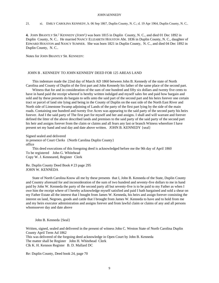#### 21. xi. EMILY CAROLINA KENNEDY, b. 06 Sep 1867, Duplin County, N. C.; d. 19 Apr 1964, Duplin County, N. C..

4. JOHN BRANTLY SR.<sup>2</sup> KENNEDY (*JOHN*<sup>1</sup>) was born 1815 in Duplin County, N. C., and died 01 Dec 1892 in Duplin County, N. C.. He married NANCY ELIZABETH HOUSTON Abt. 1836 in Duplin County, N. C., daughter of EDWARD HOUSTON and NANCY SUMNER. She was born 1821 in Duplin County, N. C., and died 04 Dec 1892 in Duplin County, N. C..

Notes for JOHN BRANTLY SR. KENNEDY:

#### JOHN B . KENNEDY TO JOHN KENNEDY DEED FOR 125 AREAS LAND

This indenture made the 22nd day of March AD 1860 between John B. Kennedy of the state of North Carolina and County of Duplin of the first part and John Kennedy his father of the same place of the second part.

Witness that for and in consideration of the sum of one hundred and fifty six dollars and twenty five cents to have in hand paid the receipt whereof is hereby written indulged and myself sales fee and paid how bargain and sold and by these presents do bargain to sells unto the said part of the second part and his heirs forever one certain tract or parcel of land site lying and being in the County of Duplin on the east side of the North East River and North side of Limestone Swamp adjoining of Lands of the party of the first part lying by the side of the main roads. Containing one hundred and twenty five Acres was appearing to the said party of the second party his heirs forever. And I the said party of The first part for myself and her and assigns. I shall and will warrant and forever defined the litter of the above described lands and premises to the said party of the said party of the second part his heir and assigns forever from the claim or claims and all fears any last or branch Witness wherefore I have present set my hand and seal day and date above written. JOHN B. KENNEDY {seal}

Signed sealed and delivered in presence of Court Clerks {North Carolina Duplin County} office

This deed executions of this foregoing deed is acknowledged before me the 9th day of April 1860 To be registered John G. Whitehead Copy W. J. Kenneared, Register Clerk

Re. Duplin County Deed Book # 23 page 295 JOHN W. KENNEDA

State of North Carolina Know all me by these presents that I, John B. Kenneda of the State, Duplin County and Country aforesaid for and inconsideration of the sum of two hundred and seventy-five dollars to me in hand paid by John W. Kenneda the party of the second party all but seventy-five is to be paid to my Father as when I owe him the receipt where of I hereby acknowledge myself satisfied and paid I hath bargained and sold a shear on my Father Estate all the interest that I bought from James W. Kenneda, his heirs and assign forever consisting the interest on land, Negroes, goods and cattle that I brought from James W. Kenneda to have and to hold from me and my heirs executor administration and assigns forever and from lawful claim or claims of any and all persons whomsoever day and date above

John B. Kenneda {Seal}

Written, signed, sealed and delivered in the present of witness John C. Weston State of North Carolina Duplin County April Term Ad 1862 This was delivered of the forgoing deed acknowledge in Open Court by John B. Kenneda The matter shall be Register John H. Whitehead Clerk Clk K. H. Kennon Register B. D. Mallard DC

Re: Duplin County, Deed book 24, page 70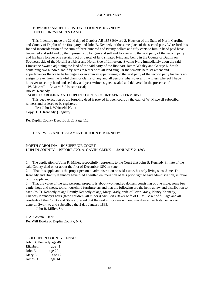#### EDWARD SAMUEL HOUSTON TO JOHN B. KENNEDY DEED FOR 250 ACRES LAND

This Indenture made the 22nd day of October AB 1858 Edward S. Houston of the State of North Carolina and County of Duplin of the first party and John B. Kennedy of the same place of the second party Were ford this for and inconsideration of the sum of three hundred and twenty dollars and fifty cents to him in hand paid have bargained and sold and by them presents do bargain and sell and forever unto the said party of the second party and his heirs forever one certain tract or parcel of land situated lying and being in the County of Duplin on Southeast side of the North East River and North Side of Limestone Swamp lying immediately upon the said Limestone Swamp adjoining the land of the said party of the first part. James Whaley and George L. Smith containing two hundred and fifty acres together with all land singular the tements here set ament and appurtenances thence to be belonging or in anyway appertaining to the said party of the second party his heirs and assign forever from the lawful claim or claims of any and all persons what so ever. In witness whereof I have however to set my hand and seal day and year written signed, sealed and delivered in the presence of;

W. Maxwell Edward S. Houston (seal)

Jno W. Kennedy

NORTH CAROLINA AND DUPLIN COUNTY COURT APRIL TERM 1859

This deed execution of the forgoing deed is proved in open court by the oath of W. Maxwell subscriber witness and ordered to be registered

Test John J. Whitfield {Clk} Copy H. J. Kennedy {Registry}

Re: Duplin County Deed Book 23 Page 112

#### LAST WILL AND TESTAMENT OF JOHN B. KENNEDY

#### NORTH CAROLINA IN SUPERIOR COURT DUPLIN COUNTY BEFORE JNO. A. GAVIN, CLERK JANUARY 2, 1893

1. The application of John R. Miller, respectfully represents to the Court that John B. Kennedy Sr. late of the said County died on or about the first of December 1892 in state.

2. That this applicant is the proper person to administration on said estate, his only living sons, James D. Kennedy and Brantly Kennedy have filed a written enumeration of this prior right to said administration, in favor of this applicant.

3. That the value of the said personal property is about two hundred dollars, consisting of one mule, some few cattle, hogs and sheep, tools, household furniture etc and that the following are the heirs at law and distribution to each Jas. D. Kennedy of age Brantly Kennedy of age, Mary Grady, wife of Peter Grady, Nancy Kennedy, Chancey Kennedy's heirs (three children, all minors) Mrs Perfs Baker wife of G. M. Baker of full age and all residents of the County and State aforesaid that the said minors are without guardian either testamentary or general, Sworn to and subscribed the 2 day January 1893.

John R. Miller, Sr.

J. A. Gavinn, Clerk Re: Will Books of Duplin County, N. C.

1860 DUPLIN COUNTY CENSUS John B. Kennedy age 46 Elizabeth age 41 John E. age 20 Mary E. age 17 James D. age 14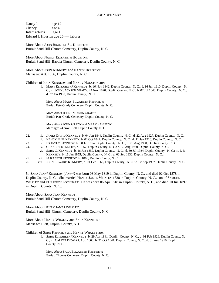Nancy J. age 12 Chancy age 4 Infant (child) age 1 Edward J. Houston age 25----- laborer

More About JOHN BRANTLY SR. KENNEDY: Burial: Sand Hill Church Cemetery, Duplin County, N. C.

More About NANCY ELIZABETH HOUSTON: Burial: Sand Hill Baptist Church Cemetery, Duplin County, N. C.

More About JOHN KENNEDY and NANCY HOUSTON: Marriage: Abt. 1836, Duplin County, N. C.

Children of JOHN KENNEDY and NANCY HOUSTON are:

i. MARY ELIZABETH<sup>3</sup> KENNEDY, b. 16 Nov 1842, Duplin County, N. C.; d. 16 Jun 1910, Duplin County, N. C.; m. JOHN JACKSON GRADY, 24 Nov 1870, Duplin County, N. C.; b. 07 Jul 1848, Duplin County, N. C.; d. 27 Jan 1933, Duplin County, N. C..

More About MARY ELIZABETH KENNEDY: Burial: Pete Grady Cemetery, Duplin County, N. C.

More About JOHN JACKSON GRADY: Burial: Pete Grady Cemetery, Duplin County, N. C.

More About JOHN GRADY and MARY KENNEDY: Marriage: 24 Nov 1870, Duplin County, N. C.

- 22. ii. JAMES DAVID KENNEDY, b. 04 Jun 1844, Duplin County, N. C.; d. 22 Aug 1927, Duplin County, N. C..
- iii. NANCY JANE KENNEDY, b. 02 Oct 1847, Duplin County, N. C.; d. 11 Jan 1910, Duplin County, N. C..
- 23. iv. BRANTLY KENNEDY, b. 08 Jul 1854, Duplin County, N. C.; d. 23 Aug 1930, Duplin County, N. C..
- 24. v. CHANCEY KENNEDY, b. 1857, Duplin County, N. C.; d. 30 Aug 1930, Duplin County, N. C..
- vi. SARA C. KENNEDY, b. 26 Jun 1859, Duplin County, N. C.; d. 30 Jul 1934, Duplin County, N. C.; m. J. B. KENNEDY; b. 16 Jan 1855, Duplin County, N. C.; d. 02 Sep 1932, Duplin County, N. C..
- 25. vii. ELIZABETH KENNEDY, b. 1860, Duplin County, N. C..
- 26. viii. JOHN EDWARD KENNEDY, b. 01 Dec 1866, Duplin County, N. C.; d. 08 Sep 1937, Duplin County, N. C..

5. SARA JEAN<sup>2</sup> KENNEDY (*JOHN*<sup>1</sup>) was born 03 May 1819 in Duplin County, N. C., and died 02 Oct 1878 in Duplin County, N. C.. She married HENRY JAMES WHALEY 1838 in Duplin County, N. C., son of SAMUEL WHALEY and ELIZABETH LOCKHART. He was born 06 Apr 1818 in Duplin County, N. C., and died 10 Jun 1897 in Duplin County, N. C..

More About SARA JEAN KENNEDY: Burial: Sand Hill Church Cemetery, Duplin County, N. C.

More About HENRY JAMES WHALEY: Burial: Sand Hill Church Cemetery, Duplin County, N. C.

More About HENRY WHALEY and SARA KENNEDY: Marriage: 1838, Duplin County, N. C.

Children of SARA KENNEDY and HENRY WHALEY are:

i. SARA ELIZABETH<sup>3</sup> KENNEDY, b. 29 Apr 1841, Duplin County, N. C.; d. 01 Feb 1926, Duplin County, N. C.; m. CALVIN THOMAS, Abt. 1860; b. 31 Oct 1841, Duplin County, N. C.; d. 01 Aug 1910, Duplin County, N. C..

More About SARA ELIZABETH KENNEDY: Burial: Thomas Cemetery, Duplin County, N. C.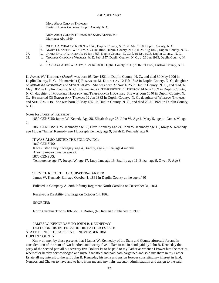More About CALVIN THOMAS: Burial: Thomas Cemetery, Duplin County, N. C.

More About CALVIN THOMAS and SARA KENNEDY: Marriage: Abt. 1860

- ii. ZILPHA A. WHALEY, b. 08 Nov 1846, Duplin County, N. C.; d. Abt. 1910, Duplin County, N. C..
- iii. MARY ELIZABETH WHALEY, b. 24 Jul 1848, Duplin County, N. C.; d. 28 Aug 1860, Duplin County, N. C..
- 27. iv. JAMES DAVID WHALEY, b. 10 Jan 1853, Duplin County, N. C.; d. 19 Dec 1935, Duplin County, N. C..
- 
- 28. v. THOMAS GREGORY WHALEY, b. 22 Feb 1857, Duplin County, N. C.; d. 26 Jun 1933, Duplin County, N. C..
	- vi. BARBARA ALICE WHALEY, b. 29 Jul 1860, Duplin County, N. C.; d. 07 Jul 1922, Onslow County, N. C..

**6.** JAMES W.<sup>2</sup> KENNEDY (*JOHN*<sup>1</sup>) was born 05 Nov 1821 in Duplin County, N. C., and died 30 May 1906 in Duplin County, N. C.. He married (1) ELIZABETH M. KORNEGAY 12 Feb 1843 in Duplin County, N. C., daughter of ABRAHAM KORNEGAY and SUSAN GRADY. She was born 27 Nov 1825 in Duplin County, N. C., and died 02 May 1864 in Duplin County, N. C.. He married (2) TEMPERENCE E. HOUSTON 14 Nov 1869 in Duplin County, N. C., daughter of MAXWELL HOUSTON and TEMPERANCE HOUSTON. She was born 1840 in Duplin County, N. C.. He married (3) SARAH ANN THOMAS 12 Jan 1882 in Duplin County, N. C., daughter of WILLIAM THOMAS and SETH SANDLIN. She was born 05 May 1851 in Duplin County, N. C., and died 29 Jul 1921 in Duplin County, N. C..

Notes for JAMES W. KENNEDY:

1850 CENSUS:James W. Kenedy Age 28, Elizabeth age 25, John W. Age 6, Mary S. age 4, James M. age 2.

1860 CENSUS: J. W. Kennedy age 38, Eliza Kennedy age 24, John W. Kennedy age 16, Mary S. Kennedy age 13, Jas "James' Kennedy age 11, Joseph Kennedy age 9, Sarah E. Kennedy age 6.

IT WAS ALSO LISTED THE FOLLOWING: 1860 CENSUS: It was listed Lucy Kornegay, age 4, Brantly, age 2, Eliza, age 4 months. Alson Sampson Pearce age 22. 1870 CENSUS: Temperence age 47, Joesph W. age 17, Lucy Jane age 13, Brantly age 11, Eliza age 9, Owen F. Age 8.

SERVICE RECORD OCCUPATER--FARMER

James W. Kennedy Enlisted October 1, 1861 in Duplin County at the age of 40

Enlisted in Company A, 38th Infantry Regiment North Carolina on December 31, 1861

Received a Disability discharge on October 14, 1862.

SOURCES;

North Carolina Troops 1861-65. A Roster, (NCRosterC Published in 1996

JAMES W. KENNEDAY TO JOHN B. KENNEDAY DEED FOR HIS INTEREST IN HIS FATHER ESTATE STATE OF NORTH CAROLINA NOVEMBER 1861 DUPLIN COUNTY

#### Know all men by these presents that I James W. Kenneday of the State and County aforesaid for and in consideration of the sum of two hundred and twenty-five dollars to me in hand paid by John B. Kenneday the party of the second part all but seventy five Dollars Ist to be paid to my Father as whence I Power him the receipt whereof or hereby acknowledged and myself satisfied and paid hath bargained and sold my share in my Father Estate all my interest to the said John B. Kenneday his heirs and assign forever consisting my interest in land, Negroes and Chatter to have and to hold from me and my heirs executor administration and assign to the said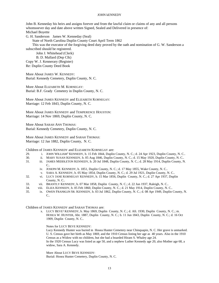John B. Kenneday his heirs and assigns forever and from the lawful claim or claims of any and all persons whomsoever day and date above written Signed, Sealed and Delivered in presence of: Michael Boyette

G. H. Sanderson James W. Kenneday (Seal)

State of North Carolina Duplin County Court April Term 1862

This was the executor of the forgiving deed duty proved by the oath and nomination of G. W. Sanderson a subscribed should be registered.

John J. Whitehead (Clerk)

B. D. Mallard (Dep Clk)

Copy W. J. Kennerary (Register) Re: Duplin County Deed Book

More About JAMES W. KENNEDY:

Burial: Kennedy Cemetery, Duplin County, N. C.

More About ELIZABETH M. KORNEGAY: Burial: B.F. Grady Cemetery in Duplin County, N. C.

More About JAMES KENNEDY and ELIZABETH KORNEGAY: Marriage: 12 Feb 1843, Duplin County, N. C.

More About JAMES KENNEDY and TEMPERENCE HOUSTON: Marriage: 14 Nov 1869, Duplin County, N. C.

More About SARAH ANN THOMAS: Burial: Kennedy Cemetery, Duplin County, N. C.

More About JAMES KENNEDY and SARAH THOMAS: Marriage: 12 Jan 1882, Duplin County, N. C.

Children of JAMES KENNEDY and ELIZABETH KORNEGAY are:

- 29. i. JOHN WILLIAM<sup>3</sup> KENNEDY, b. 15 Feb 1844, Duplin County, N. C.; d. 24 Apr 1923, Duplin County, N. C..
- 30. ii. MARY SUSAN KENNEDY, b. 05 Aug 1846, Duplin County, N. C.; d. 15 May 1920, Duplin County, N. C..
- 31. iii. JAMES MIDDLETON KENNEDY, b. 20 Jul 1848, Duplin County, N. C.; d. 28 May 1914, Duplin County, N.  $\mathcal{C}$ 
	- iv. JOSEPH M. KENNEDY, b. 1851, Duplin County, N. C.; d. 17 May 1855, Wake County, N. C..
	- v. SARA A. KENNEDY, b. 05 May 1854, Duplin County, N. C.; d. 29 Jul 1921, Duplin County, N. C..
- 32. vi. LUCY JANE KORNEGAY KENNEDY, b. 15 Mar 1856, Duplin County, N. C.; d. 27 Apr 1937, Duplin County, N. C..
- 33. vii. BRANTLY KENNEDY, b. 07 Mar 1858, Duplin County, N. C.; d. 22 Jun 1937, Raleigh, N. C..
- 34. viii. ELIZA KENNEDY, b. 05 Feb 1860, Duplin County, N. C.; d. 21 May 1914, Duplin County, N. C..
- 35. ix. OWEN FRANKLIN SR. KENNEDY, b. 03 Jul 1862, Duplin County, N. C.; d. 08 Apr 1949, Duplin County, N. C..

Children of JAMES KENNEDY and SARAH THOMAS are:

x. LUCY BEVE<sup>3</sup> KENNEDY, b. May 1869, Duplin County, N. C.; d. Aft. 1930, Duplin County, N. C.; m. HOSEA W. HUNTER, Abt. 1887, Duplin County, N. C.; b. 11 Jun 1843, Duplin County, N. C.; d. 16 Oct 1909, Duplin County, N. C..

Notes for LUCY BEVE KENNEDY:

Lucy Kennedy Hunter was buried in Hosea Hunter Cemetery near Chinquapin, N. C. Her grave is unmarked. U. S. Census gave her birth as May 1869, and the 1910 Census listing her age as 40 years. Also in the 1910 Census as a Widow with no children, but she had a boarded Hiram S. Whaley age 24. In the 1920 Census Lucy was listed as age 50, and a nephew Luther Kennedy age 20, also Mother age 68, a widow, Sara A. Kennedy.

More About LUCY BEVE KENNEDY: Burial: Hosea Hunter Cemetery, Duplin County, N. C.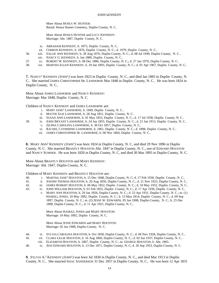More About HOSEA W. HUNTER: Burial: Hosea Hunter Cemetery, Duplin County, N. C.

More About HOSEA HUNTER and LUCY KENNEDY: Marriage: Abt. 1887, Duplin County, N. C.

- xi. ABRAHAM KENNEDY, b. 1875, Duplin County, N. C..
- xii. CEBRON KENNEDY, b. 1876, Duplin County, N. C.; d. 1979, Duplin County, N. C..
- 36. xiii. SALLIE ANN KENNEDY, b. 28 Aug 1876, Duplin County, N. C.; d. 08 Jul 1949, Duplin County, N. C..
- xiv. NANCY G. KENNEDY, b. Jan 1880, Duplin County, N. C..
- 37. xv. ROBERT W. KENNEDY, b. 08 Dec 1886, Duplin County, N. C.; d. 27 Jan 1970, Duplin County, N. C..
- 38. xvi. MARTHA ELLEN KENNEDY, b. 29 Jan 1893, Duplin County, N. C.; d. 01 Apr 1967, Duplin County, N. C..

**7.** NANCY<sup>2</sup> KENNEDY *(JOHN*<sup>1</sup> *)* was born 1823 in Duplin County, N. C., and died Jan 1883 in Duplin County, N. C.. She married JAMES CHRISTOPHER SR. LAWHORNE Mar 1848 in Duplin County, N. C.. He was born 1824 in Duplin County, N. C..

More About JAMES LAWHORNE and NANCY KENNEDY: Marriage: Mar 1848, Duplin County, N. C.

Children of NANCY KENNEDY and JAMES LAWHORNE are:

- i. MARY JANE<sup>3</sup> LAWHORNE, b. 1849, Duplin County, N. C..
- ii. MATTIE ELIZ LAWHORNE, b. 28 Aug 1851, Duplin County, N. C..
- iii. SUSAN ANN LAWHORNE, b. 01 May 1853, Duplin County, N. C.; d. 17 Jul 1938, Duplin County, N. C..
- 39. iv. JOHN BRYANT LAWHORNE, b. 24 Jun 1855, Duplin County, N. C.; d. 21 Jan 1913, Duplin County, N. C..
	- v. ZILPHA CAROLINA LAWHORNE, b. 30 Oct 1857, Duplin County, N. C..
	- vi. RACHEL CATHERINE LAWHORNE, b. 1861, Duplin County, N. C.; d. 1898, Duplin County, N. C..
	- vii. JAMES CHRISTOPHER JR. LAWHORNE, b. 06 Nov 1864, Duplin County, N. C..

**8.** MARY ANN<sup>2</sup> KENNEDY (*JOHN*<sup>1</sup>) was born 1824 in Duplin County, N. C, and died 29 Nov 1896 in Duplin County, N. C. She married BRANTLY HOUSTON Abt. 1847 in Duplin County, N. C., son of EDWARD HOUSTON and NANCY SUMNER. He was born 1820 in Duplin County, N. C, and died 30 Mar 1895 in Duplin County, N. C.

More About BRANTLY HOUSTON and MARY KENNEDY: Marriage: Abt. 1847, Duplin County, N. C.

Children of MARY KENNEDY and BRANTLY HOUSTON are:

- 40. i. MARTHA JANE<sup>3</sup> HOUSTON, b. 15 Dec 1848, Duplin County, N. C; d. 17 Feb 1930, Duplin County, N. C..
- 41. ii. JOESPH THOMAS HOUSTON, b. 20 Aug 1850, Duplin County, N. C.; d. 21 Nov 1923, Duplin County, N. C..
- 42. iii. JAMES ROBERT HOUSTON, b. 06 May 1852, Duplin County, N. C.; d. 10 May 1932, Duplin County, N. C..
- 43. iv. JOHN WILLIAM HOUSTON, b. 01 Feb 1855, Duplin County, N. C.; d. 17 Apr 1936, Duplin County, N. C..
	- v. MARY ANN HOUSTON, b. 29 Jan 1856, Duplin County, N. C.; d. 23 Apr 1931, Duplin County, N. C.; m. (1) HASKILL JONES, 10 May 1892, Duplin County, N. C.; b. 15 May 1814, Duplin County, N. C.; d. 09 Sep 1897, Duplin County, N. C.; m. (2) JESSE W. EDWARDS, 05 Jan 1908, Duplin County, N. C.; b. 25 Dec 1898, Duplin County, N. C.; d. 11 Apr 1921, Duplin County, N. C..

More About HASKILL JONES and MARY HOUSTON: Marriage: 10 May 1892, Duplin County, N. C.

More About JESSE EDWARDS and MARY HOUSTON: Marriage: 05 Jan 1908, Duplin County, N. C.

- 44. vi. SYLVIA CAROLINA HOUSTON, b. Oct 1858, Duplin County, N. C.; d. 06 Nov 1928, Duplin County, N. C..
- 45. vii. CLARA LILLIE HOUSTON, b. 16 Aug 1860, Duplin County, N. C.; d. 02 Jun 1937, Duplin County, N. C..
- viii. ELIZABETH HOUSTON, b. 1867, Duplin County, N. C.; m. GEORGE HOUSTON; b. Abt. 1865.
- 46. ix. JESS EDWARD HOUSTON, b. 13 Dec 1871, Duplin County, N. C; d. 26 Sep 1953, Duplin County, N. C.

**9.** SYLVIA A.<sup>2</sup> KENNEDY (*JOHN*<sup>1</sup>) was born Jul 1830 in Duplin County, N. C., and died Mar 1913 in Duplin County, N. C.. She married ISSAC SANDERSON 31 Dec 1857 in Duplin County, N. C.. He was born 12 Apr 1831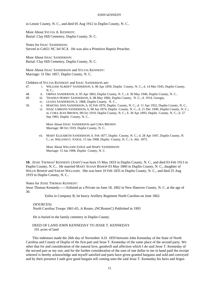in Lenoir County, N. C., and died 05 Aug 1912 in Duplin County, N. C..

More About SYLVIA A. KENNEDY: Burial: Clay Hill Cemetery, Duplin County, N. C.

Notes for ISSAC SANDERSON: Served in Cob51 NC Inf SCA He was also a Primitive Baptist Preacher.

More About ISSAC SANDERSON: Burial: Clay Hill Cemetery, Duplin County, N. C.

More About ISSAC SANDERSON and SYLVIA KENNEDY: Marriage: 31 Dec 1857, Duplin County, N. C.

Children of SYLVIA KENNEDY and ISSAC SANDERSON are:

- 47. i. WILLIAM ALBERT<sup>3</sup> SANDERSON, b. 06 Apr 1859, Duplin County, N. C.; d. 14 Mar 1945, Duplin County, N. C..
- 48. ii. ORPHA SANDERSON, b. 05 Apr 1863, Duplin County, N. C.; d. 30 May 1940, Duplin County, N. C..
- 49. iii. THADIUS HORRY SANDERSON, b. 08 May 1866, Duplin County, N. C.; d. 1914, Georgia.
	- iv. LEANA SANDERSON, b. 1868, Duplin County, N. C..
- 50. v. MARTHA ANN SANDERSON, b. 02 Feb 1870, Duplin County, N. C.; d. 11 Apr 1952, Duplin County, N. C..
	- vi. ISSAC LIBBANS SANDERSON, b. 08 Jun 1874, Duplin County, N. C.; d. 21 Dec 1949, Duplin County, N. C.; m. CORA JEAN BROWN, 08 Oct 1919, Duplin County, N. C.; b. 30 Apr 1893, Duplin County, N. C.; d. 27 Sep 1983, Duplin County, N. C..

More About ISSAC SANDERSON and CORA BROWN: Marriage: 08 Oct 1919, Duplin County, N. C.

vii. MARY ELIZABETH SANDERSON, b. Feb 1877, Duplin County, N. C.; d. 28 Apr 1947, Duplin County, N. C.; m. WILLIAM G. JUDGE, 15 Jan 1908, Duplin County, N. C.; b. Abt. 1875.

More About WILLIAM JUDGE and MARY SANDERSON: Marriage: 15 Jan 1908, Duplin County, N. C.

**10.** JESSE THOMAS<sup>2</sup> KENNEDY *(JOHN*<sup>1</sup> *)* was born 15 May 1833 in Duplin County, N. C., and died 03 Feb 1913 in Duplin County, N. C.. He married MARY SUSAN BISHOP 03 May 1860 in Duplin County, N. C., daughter of WILLIS BISHOP and SARAH WILLIAMS. She was born 10 Feb 1835 in Duplin County, N. C., and died 25 Aug 1919 in Duplin County, N. C..

Notes for JESSE THOMAS KENNEDY:

Jesse Thomas Kennedy------Enlisted as a Private on June 18, 1862 in New Hanover County, N. C. at the age of 30.

Enlist in Company B, Ist heavy Artillery Regiment North Carolina on June 1862.

#### (SOURCES)

North Carolina Troops 1861-65, A Roster, (NCRosterC) Published in 1993

He is buried in the family cemetery in Duplin County.

#### DEED OF LAND JOHN KENNEDAY TO JESSE T. KENNEDAY 101 acres of land

This indenture made the 26th day of November A.D. 1859 between John Kenneday of the State of North Carolina and County of Duplin of the first part and Jesse T. Kenneday of the same place of the second party. We other that for and consideration of the natural love, goodwill and affection which I do said Jesse T. Kenneday of the second part as my son, and for the further consideration of the sum of one dollar to me in hand paid the receipt whereof is hereby acknowledge and myself satisfied and parts have given granted bargains and sold and conveyed and by their presence I oath give good bargain sell coming unto the said Jesse T. Kenneday his heirs and feigns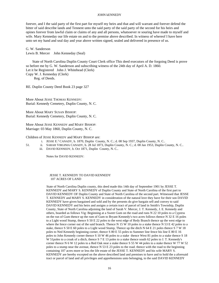forever, and I the said party of the first part for myself my heirs and that and will warrant and forever defend the bitter of said describe lands and Tennent unto the said party of the said party of the second for his heirs and opines forever from lawful claim or claims of any and all persons, whatsoever re souring have made to myself and wife. Mary Kenneday our life estate on and to the premise above described. In witness of whereof I have here unto set my hand and seal day and year above written signed, sealed and delivered in presence of us.

G. W. Sanderson Lewis B. Mercer John Kenneday (Seal)

State of North Carolina Duplin County Court Clerk office This deed executors of the forgoing Deed is prove so before me by G. W. Sanderson and subscribing witness of the 24th day of April A. D. 1860. Let it be Registered John J. Whitehead (Clerk) Copy W. J. Kenneday (Clerk) Reg. of Deeds.

RE. Duplin County Deed Book 23 page 327

More About JESSE THOMAS KENNEDY: Burial: Kennedy Cemetery, Duplin County, N. C.

More About MARY SUSAN BISHOP: Burial: Kennedy Cemetery, Duplin County, N. C.

More About JESSE KENNEDY and MARY BISHOP: Marriage: 03 May 1860, Duplin County, N. C.

Children of JESSE KENNEDY and MARY BISHOP are:

- i. JESSE E. 3 CANADY, b. 1870, Duplin County, N. C.; d. 08 Sep 1937, Duplin County, N. C..
- 51. ii. SARAH VIRGINIA CANADY, b. 28 Jul 1873, Duplin County, N. C.; d. 08 Jan 1953, Duplin County, N. C..
	- iii. DAVID KENNEDY, b. Oct 1871, Duplin County, N. C..

Notes for DAVID KENNEDY:

#### JESSE T. KENNEDY TO DAVID KENNEDY 107 ACRES OF LAND

State of North Carolina Duplin county, this deed made this 14th day of September 1901 by JESSE T. KENNEDY and MARY S. KENNEDY of Duplin County and State of North Carolina of the first part to DAVID KENNEDY OF Duplin County and State of North Carolina of the second part. Witnessed that JESSE T. KENNEDY and MARY S. KENNEDY in consideration of the natural love they have for their son DAVID KENNEDY have given bargained and sold and by the presents do give bargain sell and convey to said DAVID KENNEDY and his heirs and assigns a certain tract of parcel of land in Smith's Township, Duplin County, State of North Carolina adjoining the land of Sarah V. Mercer, J. T. Kennedy, J. E. Kennedy and others, boarded as follows Vig: Beginning at a Sweet Gum on the road and runs N 22 10 poles to a Cypress on the run of Gum thence up the rum of Gum to Bryant Kennedy's two acres follows thence N 32 E 16 poles to a Light wood Stump, thence S 50 E 22 poles to the west edge of Redy Branch thence up the west edge to where the fence corner out of the said branch. Thence N 15 W 10 poles to a stake thence N 53 E 42 poles to a stake, thence S 50 E 60 poles to a Light wood Stump, Thence up the ditch N 64 E 21 poles thence S 7 W 18 poles to Ned Kennedy beginning corner, thence S 80 E 55 poles to Summer line fence his line E 80 E 16 poles to John Kennedy corner thence S 10 W 46 poles to a stake thence West 81 poles to a stake thence S 18 W 51poles to a croak of a ditch, thence S 7 E 13 poles to a stake thence south 62 poles to J. T. Kennedy's corner thence N 6 W 12 poles to a Red Oak near a stake thence S 55 W 44 poles to a stake thence W 77 W 52 poles to a stump near the avenue, thence N 53 E 23 poles to the road. thence with the road to the beginning containing 107 acres more or less the life estate of the JESSE T. KENNEDY and his wife MARY S. KENNEDY are hereby excepted on the above described land and premises to have and to hold the a aforesaid tract or parcel of land and all privileges and apprehensions unto belonging, to the said DAVID KENNEDY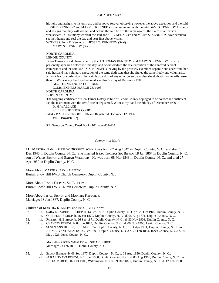his heirs and assigns to his only use and behoove forever observing however the above exception and the said JESSE T. KENNEDY and MARY S. KENNEDY coverant to and with the said DAVID KENNEDY his heirs and assigns that they will warrant and defend the said title to the same against the claim of all person whatsoever. In Testimony whereof the said JESSE T. KENNEDY and MARY S. KENNEDY have hereunto set their hands and seal the day and year first above written.

WITNESS; John E. Kennedy JESSE T. KENNEDY (Seal) MARY S. KENNEDY (Seal)

#### NORTH CAROLINA

LENOIR COUNTY

I Geo Turner a NP do hereby certify that J. THOMAS KENNEDY and MARY S. KENNEDY his wife personally appeared before me this day, and acknowledged the due execution of the annexed deed of conveyance and the said MARY S. KENNEDY having by me privately examined separate and apart from her said husband has voluntary execution of the same doth state that she signed the same freely and voluntarily, without fear or confession of her said husband or of any other person, and that she doth still voluntarily asses thereto. Witness my hand and national seal this 6th day of December 1906.

GEO TURNER NOTATY PUBLIC

COMS. EXPIRES MARCH 23, 1908

NORTH CAROLINA

DUPLIN COUNTY

The forgoing certificate of Geo Turner Notary Public of Lenoir County adjudged to be correct and sufficient. Let the instrument with the certificate be registered. Witness my hand the 8th day of December 1906

D. H. WALLACE

CLERK SUPERIOR COURT

Filed 7 P.M. December 8th 1906 and Registered December 12, 1906 Jas. J. Bowden, Reg.

RE: Sampson County Deed Books 102 page 407-408

#### *Generation No. 3*

**11.** MARTHA JEAN<sup>3</sup> KENNEDY *(BRYANT*<sup>2</sup> *, JOHN*<sup>1</sup> *)* was born 07 Aug 1847 in Duplin County, N. C., and died 12 Dec 1945 in Duplin County, N. C.. She married ISSAC THOMAS SR. BISHOP 18 Jan 1867 in Duplin County, N. C., son of WILLIS BISHOP and SARAH WILLIAMS. He was born 08 Mar 1843 in Duplin County, N. C., and died 27 Apr 1930 in Duplin County, N. C..

More About MARTHA JEAN KENNEDY: Burial: Snow Hill FWB Church Cemetery, Duplin County, N. c.

More About ISSAC THOMAS SR. BISHOP: Burial: Snow Hill FWB Church Cemetery, Duplin County, N. c.

More About ISSAC BISHOP and MARTHA KENNEDY: Marriage: 18 Jan 1867, Duplin County, N. C.

Children of MARTHA KENNEDY and ISSAC BISHOP are:

- 52. i. SARA ELIZABETH<sup>4</sup> BISHOP, b. 14 Feb 1867, Duplin County, N. C.; d. 29 Oct 1949, Duplin County, N. C..
	- ii. CORDELLA BISHOP, b. 26 Jan 1870, Duplin County, N. C.; d. 05 Aug 1871, Duplin County, N. C..
- 53. iii. ROBERT H. BISHOP, b. 26 Sep 1871, Duplin County, N. C.; d. 30 Nov 1903, Duplin County, N. C..
- 54. iv. CHANCEY BISHOP, b. 03 Jun 1873, Duplin County, N. C.; d. 06 Nov 1906, Lenior County, N. C..
	- v. SUSAN ANN BISHOP, b. 18 Mar 1874, Duplin County, N. C.; d. 11 Apr 1911, Duplin County, N. C.; m. JOHN BRYANT WHALEY, 23 Feb 1891, Duplin County, N. C.; b. 25 Feb 1854, Jones County, N. C.; d. 06 May 1926, Jones County, N. C..

More About JOHN WHALEY and SUSAN BISHOP: Marriage: 23 Feb 1891, Duplin County, N. C.

55. vi. EMMA BISHOP, b. 06 Sep 1877, Duplin County, N. C.; d. 08 Aug 1950, Duplin County, N. C.. vii. ELIZA BRYANT BISHOP, b. 10 Jan 1880, Duplin County, N. C.; d. 05 Aug 1965, Duplin County, N. C.; m. DELLA MERCER, 07 Oct 1903, Wilmington, NC; b. 09 Dec 1877, Duplin County, N. C.; d. 17 Feb 1960,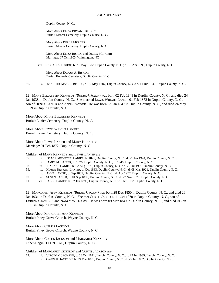Duplin County, N. C..

More About ELIZA BRYANT BISHOP: Burial: Mercer Cemetery, Duplin County, N. C.

More About DELLA MERCER: Burial: Mercer Cemetery, Duplin County, N. C.

More About ELIZA BISHOP and DELLA MERCER: Marriage: 07 Oct 1903, Wilmington, NC

viii. DORAH A. BISHOP, b. 21 May 1882, Duplin County, N. C.; d. 15 Apr 1899, Duplin County, N. C..

More About DORAH A. BISHOP: Burial: Kennedy Cemetery, Duplin County, N. C.

56. ix. ISSAC THOMAS JR. BISHOP, b. 12 May 1887, Duplin County, N. C.; d. 11 Jun 1947, Duplin County, N. C..

12. MARY ELIZABETH<sup>3</sup> KENNEDY (*BRYANT<sup>2</sup>*, JOHN<sup>1</sup>) was born 02 Feb 1849 in Duplin County, N. C., and died 24 Jan 1938 in Duplin County, N. C.. She married LEWIS WRIGHT LANIER 01 Feb 1872 in Duplin County, N. C., son of HOSEA LANIER and ANNE RAYNOR. He was born 03 Jan 1847 in Duplin County, N. C., and died 24 May 1929 in Duplin County, N. C..

More About MARY ELIZABETH KENNEDY: Burial: Lanier Cemetery, Duplin County, N. C.

More About LEWIS WRIGHT LANIER: Burial: Lanier Cemetery, Duplin County, N. C.

More About LEWIS LANIER and MARY KENNEDY: Marriage: 01 Feb 1872, Duplin County, N. C.

Children of MARY KENNEDY and LEWIS LANIER are:

- 57. i. ISSAC LAFFYETLE<sup>4</sup> LANIER, b. 1875, Duplin County, N. C.; d. 21 Jan 1944, Duplin County, N. C..
	- ii. JAMES M. LANIER, b. 1876, Duplin County, N. C.; d. 1946, Duplin County, N. C..
- 58. iii. IDA JANE LANIER, b. 02 Aug 1878, Duplin County, N. C.; d. 20 Jul 1966, Duplin County, N. C..
- 59. iv. HOSEA BRYANT LANIER, b. Oct 1883, Duplin County, N. C.; d. 08 Mar 1921, Duplin County, N. C..
	- v. ANNA LANIER, b. Sep 1885, Duplin County, N. C.; d. Apr 1977, Duplin County, N. C..
- 60. vi. SUSAN LANIER, b. 04 Sep 1892, Duplin County, N. C.; d. 27 Nov 1971, Duplin County, N. C..
- 61. vii. JACOB LANIER, b. 07 Jan 1899, Duplin County, N. C.; d. Oct 1972, Duplin County, N. C..

13. MARGARET ANN<sup>3</sup> KENNEDY (*BRYANT<sup>2</sup>*, *JOHN*<sup>1</sup>) was born 28 Dec 1850 in Duplin County, N. C., and died 26 Jan 1931 in Duplin County, N. C.. She met CURTIS JACKSON 11 Oct 1870 in Duplin County, N. C., son of LORENZA JACKSON and NANCY WILLIAMS. He was born 09 Mar 1849 in Duplin County, N. C., and died 01 Jan 1931 in Duplin County, N. C..

More About MARGARET ANN KENNEDY: Burial: Piney Grove Church, Wayne County, N. C.

More About CURTIS JACKSON: Burial: Piney Grove Church, Wayne County, N. C.

More About CURTIS JACKSON and MARGARET KENNEDY: Other-Begin: 11 Oct 1870, Duplin County, N. C.

Children of MARGARET KENNEDY and CURTIS JACKSON are:

- 62. i. VIRGINIA<sup>4</sup> JACKSON, b. 06 Oct 1871, Lenoir County, N. C.; d. 29 Jul 1939, Lenoir County, N. C..
	- ii. OWEN H. JACKSON, b. 09 Mar 1873, Duplin County, N. C.; d. 25 Jul 1882, Duplin County, N. C..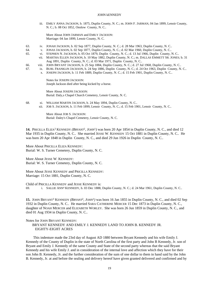iii. EMILY ANNA JACKSON, b. 1875, Duplin County, N. C.; m. JOHN F. JARMAN, 04 Jan 1899, Lenoir County, N. C.; b. 08 Oct 1852, Onslow County, N. C..

More About JOHN JARMAN and EMILY JACKSON: Marriage: 04 Jan 1899, Lenoir County, N. C.

- 63. iv. JONAH JACKSON, b. 02 Sep 1877, Duplin County, N. C.; d. 28 Mar 1963, Duplin County, N. C..
- 64. v. JONAS JACKSON, b. 02 Sep 1877, Duplin County, N. C.; d. 02 Mar 1960, Duplin County, N. C..
- 65. vi. STEPHEN N. JACKSON, b. 05 Oct 1879, Duplin County, N. C.; d. 13 Jul 1966, Duplin County, N. C..
	- vii. MARTHA ELLEN JACKSON, b. 10 May 1882, Duplin County, N. C.; m. DALLAS EMMETT SR. JONES; b. 31 Aug 1891, Duplin County, N. C.; d. 03 Mar 1971, Duplin County, N. C..
- 66. viii. JOHN BRYANT JACKSON, b. 25 Sep 1884, Duplin County, N. C.; d. 27 Jul 1968, Duplin County, N. C..
- 67. ix. BURL FRANKLIN JACKSON, b. 24 Sep 1886, Duplin County, N. C.; d. 24 Oct 1963, Duplin County, N. C..
	- x. JOSEPH JACKSON, b. 11 Feb 1889, Duplin County, N. C.; d. 15 Feb 1901, Duplin County, N. C..

Notes for JOSEPH JACKSON: Joseph Jackson died after being kicked by a horse.

More About JOSEPH JACKSON: Burial: Daly,s Chapel Church Cemetery, Lenoir County, N. C.

- 68. xi. WILLIAM MARTIN JACKSON, b. 24 May 1894, Duplin County, N. C..
	- xii. JOB S. JACKSON, b. 11 Feb 1899, Lenoir County, N. C.; d. 15 Feb 1901, Lenoir County, N. C..

More About JOB S. JACKSON: Burial: Daley's Chapel Cemetery, Lenoir County, N. C.

14. PRICILLA ELIZA<sup>3</sup> KENNEDY (*BRYANT<sup>2</sup>*, JOHN<sup>1</sup>) was born 20 Apr 1854 in Duplin County, N. C., and died 12 Mar 1935 in Duplin County, N. C.. She married JESSE W. KENNEDY 15 Oct 1881 in Duplin County, N. C.. He was born 20 Apr 1848 in Duplin County, N. C., and died 29 Jun 1926 in Duplin County, N. C..

More About PRICILLA ELIZA KENNEDY: Burial: W. S. Turner Cemetery, Duplin County, N. C.

More About JESSE W. KENNEDY: Burial: W. S. Turner Cemetery, Duplin County, N. C.

More About JESSE KENNEDY and PRICILLA KENNEDY: Marriage: 15 Oct 1881, Duplin County, N. C.

Child of PRICILLA KENNEDY and JESSE KENNEDY is: 69. i. SALLIE ANN<sup>4</sup> KENNEDY, b. 03 Dec 1888, Duplin County, N. C.; d. 24 Mar 1961, Duplin County, N. C..

**15.** JOHN BRYANT<sup>3</sup> KENNEDY (*BRYANT<sup>2</sup>*, *JOHN*<sup>1</sup>) was born 16 Jan 1855 in Duplin County, N. C., and died 02 Sep 1932 in Duplin County, N. C.. He married SARA CATHERINE MERCER 15 Dec 1873 in Duplin County, N. C., daughter of NOAH MERCER and ELIZABETH WORLEY. She was born 26 Jun 1859 in Duplin County, N. C., and died 01 Aug 1934 in Duplin County, N. C..

Notes for JOHN BRYANT KENNEDY:

BRYANT KENNEDY AND EMILY J. KENNEDY LAND TO JOHN B. KENNEDY JR. EIGHTY-EIGHT ACRES

 This indenture made the 23rd day of August AD 1880 between Bryant Kennedy and his wife Emily J. Kennedy of the County of Duplin in the state of North Carolina of the first party and John B Kennedy, Jr. son of Bryant and Emily J. Kennedy of the same County and State of the second party whereas that the said Bryant Kennedy and his wife Emily J. and in consideration of the internal love and affection which they have for their son John B. Kennedy, Jr. and the further consideration of the sum of one dollar to them in hand said by the John B. Kennedy, Jr. at and before the sealing and delivery hereof have given granted delivered and confirmed and by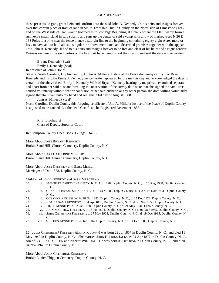these presents do give, grant Lein and confirm unto the said John B. Kennedy, Jr. his heirs and assigns forever over that certain piece or tract of land in Smith Township Duplin County on the North side of Limestone Creek and on the West side of Flat Swamp boarded as follow Vig: Beginning at a blank where the Flat Swamp form a run next a small island in said swamp and runs up the center of said swamp with a row of marked trees N 26 E 168 Poles to a pine near the fence thence a straight line to the beginning containing eighty eight Acres more or less, to have and to hold all said singular the above mentioned and described premises together with the appear unto John B. Kennedy, Jr and to his heirs and assigns forever to be free and clear of his heirs and assigns forever. Witness on hereof the said parties of the first part have hereunto set their hands and seal the date above written.

Bryant Kennedy (Seal) Emily J. Kennedy (Seal)

In presence of John I. Jones

State of North Carolina, Duplin County, I John A. Miller a Justice of the Peace do hereby certify that Bryant Kennedy and his wife Emily J. Kennedy hence written appeared before me this day and acknowledged the dues is certain of the above deed. Emily J. Kennedy Wife of Bryant Kennedy hearing by me private examined separate and apart from her said husband breaking in conservation of the survey doth state that she signed the same free handed voluntarily without fear or confusion of her said husband or any other person she doth willing voluntarily signed thereto Given unto my hand and seal this 23rd day of August 1880.

John A. Miller JP (seal)

North Carolina, Duplin County this forgoing certificate of Jno A. Miller a Justice of the Peace of Duplin County is adjusted to be carried. Let the deed Certificate be Registered December 1885.

R. E. Broahaurst Clerk of Deputy Superior Court

Re: Sampson County Deed Book 35 Page 734-735

More About JOHN BRYANT KENNEDY: Burial: Sand Hill Church Cemetery, Duplin County, N. C.

More About SARA CATHERINE MERCER: Burial: Sand Hill Church Cemetery, Duplin County, N. C.

More About JOHN KENNEDY and SARA MERCER: Marriage: 15 Dec 1873, Duplin County, N. C.

Children of JOHN KENNEDY and SARA MERCER are:

- 70. i. EMMER ELIZABETH<sup>4</sup> KENNEDY, b. 22 Apr 1878, Duplin County, N. C.; d. 15 Aug 1968, Duplin County, N. C..
- 71. ii. CHANCEY BRYAN SR. KENNEDY, b. 15 Sep 1880, Duplin County, N. C.; d. 06 Nov 1953, Duplin County, N. C..
- 72. iii. OCTAVIOUS KENNEDY, b. 28 Oct 1882, Duplin County, N. C.; d. 25 Dec 1922, Duplin County, N. C..
- 73. iv. NOAH ADAMS KENNEDY, b. 04 Apr 1885, Duplin County, N. C.; d. 21 Nov 1953, Duplin County, N. C..
- 74. v. LILLIE KENNEDY, b. 02 Oct 1888, Duplin County, N. C.; d. 21 May 1931, Lenoir County, N. C..
- 75. vi. JOHN MATTHEW KENNEDY, b. 18 Jun 1894, Duplin County, N. C.; d. 01 Mar 1955, Duplin County, N. C..
- 76. vii. SARA CATHERINE KENNEDY, b. 27 May 1902, Duplin County, N. C.; d. 19 Dec 1985, Duplin County, N.  $C_{\cdot}$
- 77. viii. STEPHEN KENNEDY, b. 26 Jun 1904, Duplin County, N. C.; d. 31 Dec 1980, Duplin County, N. C..

**16.** JULIA CATHERINE<sup>3</sup> KENNEDY (*BRYANT<sup>2</sup>*, *JOHN*<sup>1</sup>) was born 22 Jul 1857 in Duplin County, N. C., and died 11 May 1948 in Duplin County, N. C.. She married JOHN HOPKINS JACKSON 04 Apr 1877 in Duplin County, N. C., son of LORENZA JACKSON and NANCY WILLIAMS. He was born 06 Oct 1854 in Duplin County, N. C., and died 04 Nov 1943 in Duplin County, N. C..

More About JULIA CATHERINE KENNEDY: Burial: Lanier-Thigpen Cemetery, Duplin County, N. C.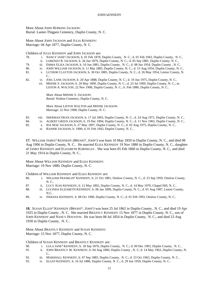More About JOHN HOPKINS JACKSON: Burial: Lanier-Thigpen Cemetery, Duplin County, N. C.

More About JOHN JACKSON and JULIA KENNEDY: Marriage: 04 Apr 1877, Duplin County, N. C.

Children of JULIA KENNEDY and JOHN JACKSON are:

- 78. i. NANCY JANE<sup>4</sup> JACKSON, b. 01 Feb 1878, Duplin County, N. C.; d. 01 Feb 1943, Duplin County, N. C..
	- ii. LORENZO B. JACKSON, b. 26 Jun 1879, Duplin County, N. C.; d. 05 Sep 1881, Duplin County, N. C..
- 79. iii. EMMA ELIZA JACKSON, b. 16 Jun 1881, Duplin County, N. C.; d. 08 Jun 1954, Duplin County , N. C..
- 80. iv. JOHN WILLIAM JACKSON, b. 11 Mar 1883, Duplin County, N. C.; d. 15 Aug 1954, Duplin County, N. C..
- 81. v. LUTHOR CLAYTON JACKSON, b. 30 Oct 1885, Duplin County, N. C.; d. 26 May 1954, Lenior County, N. C..
- 82. vi. JOEL LANE JACKSON, b. 20 Apr 1888, Duplin County, N. C.; d. 19 Jun 1975, Duplin County, N. C..
	- vii. MINNIE S. JACKSON, b. 20 May 1890, Duplin County, N. C.; d. 23 Jul 1909, Duplin County, N. C.; m. LISTON A. WALTON, 22 Nov 1908, Duplin County, N. C.; b. Feb 1886, Duplin County, N. C..

More About MINNIE S. JACKSON: Burial: Walton Cemetery, Duplin County, N. C.

More About LISTON WALTON and MINNIE JACKSON: Marriage: 22 Nov 1908, Duplin County, N. C.

- 83. viii. SHERMAN DEAN JACKSON, b. 17 Jul 1893, Duplin County, N. C.; d. 24 Aug 1971, Duplin County, N. C..
- 84. ix. ALBERT GREEN JACKSON, b. 19 Dec 1894, Duplin County, N. C.; d. 11 Nov 1965, Duplin County, N. C..
- 85. x. IDA MAE JACKSON, b. 27 May 1897, Duplin County, N. C.; d. 03 Aug 1975, Duplin County, N. C..
	- xi. RANNIE JACKSON, b. 1900; d. 01 Feb 1943, Duplin County, N. C..

**17.** WILLIAM JAMES<sup>3</sup> KENNEDY (*BRYANT<sup>2</sup>*, *JOHN*<sup>1</sup>) was born 10 May 1859 in Duplin County, N. C., and died 08 Aug 1906 in Duplin County, N. C.. He married ELIZA KENNEDY 19 Nov 1880 in Duplin County, N. C., daughter of JAMES KENNEDY and ELIZABETH KORNEGAY. She was born 05 Feb 1860 in Duplin County, N. C., and died 21 May 1914 in Duplin County, N. C..

More About WILLIAM KENNEDY and ELIZA KENNEDY: Marriage: 19 Nov 1880, Duplin County, N. C.

Children of WILLIAM KENNEDY and ELIZA KENNEDY are:

- 86. i. WILLIAM FRANKLIN<sup>4</sup> KENNEDY, b. 21 Oct 1881, Onslow County, N. C.; d. 23 Sep 1959, Onslow County, N. C..
- 87. ii. LUCY JEAN KENNEDY, b. 12 May 1892, Duplin County, N. C.; d. 14 May 1970, Chapel Hill, N. C..
- 88. iii. LUCINDA ELIZABETH KENNEDY, b. 06 Jan 1899, Duplin County, N. C.; d. 01 Aug 1987, Lenoir County, N.C..
- 89. iv. INDIANA KENNEDY, b. 08 Oct 1900, Duplin County, N. C.; d. 01 Feb 1993, Onslow County, N. C..

18. SUSAN ELLEN<sup>3</sup> KENNEDY (*BRYANT<sup>2</sup>*, *JOHN*<sup>1</sup>) was born 25 Jul 1862 in Duplin County, N. C., and died 19 Apr 1925 in Duplin County , N. C. She married BRANTLY KENNEDY 15 Nov 1877 in Duplin County, N. C., son of JOHN KENNEDY and NANCY HOUSTON. He was born 08 Jul 1854 in Duplin County, N. C., and died 23 Aug 1930 in Duplin County, N. C..

More About BRANTLY KENNEDY and SUSAN KENNEDY: Marriage: 15 Nov 1877, Duplin County, N. C.

#### Children of SUSAN KENNEDY and BRANTLY KENNEDY are:

- 90. i. LULA JANE<sup>4</sup> KENNEDY, b. 18 Sep 1876, Duplin County, N. C.; d. 09 Dec 1903, Duplin County, N. C..
- 91. ii. JOHN BRANTLY JR. KENNEDY, b. 04 Aug 1880, Duplin County , N. C; d. 14 May 1963, Duplin County, N. C..
- 92. iii. MARSHALL KENNEDY, b. 07 Sep 1885, Duplin County, N. C.; d. 23 Oct 1963, Duplin County, N. C..
- 93. iv. ELLEN KENNEDY, b. 16 Jul 1886, Duplin County, N. C.; d. 29 Jun 1959, Duplin County, N. C..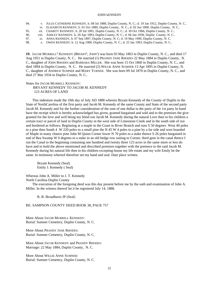| 94. | v. JULIA CATHERINE KENNEDY, b. 08 Jul 1888, Duplin County, N. C.; d. 19 Jan 1912, Duplin County, N. C |
|-----|-------------------------------------------------------------------------------------------------------|
|     | vi. ELIZABETH KENNEDY, b. 01 Oct 1889, Duplin County, N. C.; d. 02 Jun 1890, Duplin County, N. C      |

95. vii. CHARITY KENNEDY, b. 20 Jul 1891, Duplin County, N. C.; d. 30 Oct 1966, Duplin County, N. C..

96. viii. ASHLEY KENNEDY, b. 20 Apr 1893, Duplin County, N. C.; d. 06 Jan 1958, Duplin County, N. C..

97. ix. ANNA KENNEDY, b. 07 Sep 1897, Duplin County, N. C; d. 19 May 1990, Duplin County, N. C.

98. x. OWEN KENNEDY, b. 12 Aug 1900, Duplin County, N. C.; d. 25 Jan 1993, Duplin County, N. C..

19. JACOB MURRELL<sup>3</sup> KENNEDY (*BRYANT<sup>2</sup>*, JOHN<sup>1</sup>) was born 03 May 1863 in Duplin County, N. C., and died 17 Aug 1951 in Duplin County, N. C.. He married (1) PRANDY JANE RHODES 22 May 1884 in Duplin County, N. C., daughter of JOHN RHODES and BARBARA MILLER. She was born 15 Oct 1860 in Duplin County, N. C., and died 1894 in Duplin County, N. C.. He married (2) WILLIE ANNE SUMNER 13 Apr 1895 in Duplin County, N. C., daughter of ANDREW SUMNER and MARY TURNER. She was born 09 Jul 1870 in Duplin County, N. C., and died 27 Mar 1934 in Duplin County, N. C..

Notes for JACOB MURRELL KENNEDY: BRYANT KENNEDY TO JACOB M. KENNEDY 123 ACRES OF LAND

This indenture made the 10th day of July AD 1888 wherein Bryant Kennedy of the County of Duplin in the State of NorthCarolina of the first party and Jacob M. Kennedy of the same County and State of the second party Jacob M. Kennedy and for the further consideration of the sum of one dollar to the party of the 1st party In hand have the receipt which is hereby acknowledged has given, granted bargained and sold and to the premises the give granted for the love and well being my blind son Jacob M. Kennedy during the natural Love then to his children a certain tract or parcel of land in Duplin County in the west side of Limestone Creek and in the south side of run and bordered as follows; Beginning at a maple in the Coast in River Branch and runs S 50 degrees West 40 poles to a pine then South 4 W 220 poles to a small pine the N 45 W 4 poles to a pine by a far side and west boarded of Maple in many chance pine John M Quinn Corner lower N 70 poles to a stake thence S 26 poles bargained in end of Bea Swamp W 6 degrees to a stake in an old hedge row suiting to Corner, third gum in the canal thence I run the Canal to the beginning containing one hundred and twenty three 123 acres in the same more or less do have and to hold the above mentioned and described premises together with the pretence to the said Jacob M. Kennedy during his natural life then to his children excepting house my life estate and my wife Emily be the same. In testimony whereof therefore set my hand and seal. Date place written.

Bryant Kennedy (Seal) Emily J. Kennedy ( Seal)

Whereas John A. Miller to J. T. Kennedy North Carolina Duplin County

The execution of the foregoing deed was this day present before me by the oath and examination of John A. Miller. In the witness thereof let it be registered July 14, 1888.

R. B. Broadhurst JP (Seal)

RE: SAMPSON COUNTY DEED BOOK 38, PAGE 757

More About JACOB MURRELL KENNEDY: Burial: Sumner Cemetery, Duplin County, N. C.

More About PRANDY JANE RHODES: Burial: Sumner Cemetery, Duplin County, N. C.

More About JACOB KENNEDY and PRANDY RHODES: Marriage: 22 May 1884, Duplin County, N. C.

More About WILLIE ANNE SUMNER: Burial: Sumner Cemetery, Duplin County, N. C.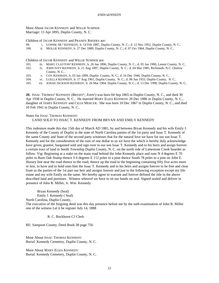More About JACOB KENNEDY and WILLIE SUMNER: Marriage: 13 Apr 1895, Duplin County, N. C.

Children of JACOB KENNEDY and PRANDY RHODES are:

| 99. | i. LONNIE SR. <sup>4</sup> KENNEDY, b. 14 Feb 1887, Duplin County, N. C.; d. 12 Nov 1952, Duplin County, N. C. |
|-----|----------------------------------------------------------------------------------------------------------------|
|     |                                                                                                                |

100. ii. MOLLIE KENNEDY, b. 27 Dec 1889, Duplin County, N. C.; d. 07 Oct 1964, Duplin County, N. C..

Children of JACOB KENNEDY and WILLIE SUMNER are:

- 101. iii. MARY CLAYTON<sup>4</sup> KENNEDY, b. 26 Jan 1896, Duplin County, N. C.; d. 05 Jan 1990, Lenoir County, N. C..
- 102. iv. JOHN IVEY KENNEDY, b. 21 Aug 1897, Duplin County, N. C.; d. 04 Mar 1985, Richlands, N.C. Onslow County, N. C..
- 103. v. COY KENNEDY, b. 03 Jan 1899, Duplin County, N. C.; d. 16 Dec 1946, Duplin County, N. C..
- 104. vi. LUELLA KENNEDY, b. 17 Aug 1901, Duplin County, N. C.; d. 06 Jun 1933, Duplin County, N. C..
- 105. vii. JONAH JACKSON KENNEDY, b. 26 Mar 1904, Duplin County, N. C.; d. 13 Dec 1990, Duplin County, N. C..

**20.** ISSAC THOMAS<sup>3</sup> KENNEDY *(BRYANT*<sup>2</sup> *, JOHN*<sup>1</sup> *)* was born 04 Sep 1865 in Duplin County, N. C., and died 30 Apr 1938 in Duplin County, N. C.. He married MARY ELIZA KENNEDY 20 Dec 1886 in Duplin County, N. C., daughter of JAMES KENNEDY and CELIA MERCER. She was born 10 Dec 1867 in Duplin County, N. C., and died 10 Feb 1941 in Duplin County, N. C..

Notes for ISSAC THOMAS KENNEDY:

LAND SOLD TO ISSAC T. KENNEDY FROM BRYAN AND EMILY KENNEDY

This indenture made this day 15th day of March AD 1881, by and between Bryan Kennedy and his wife Emily J. Kennedy of the County of Duplin in the state of North Carolina parties of the 1st party and Issac T. Kennedy of the same County and State of the second party witnesses that for the natural love we have for our son Issac T. Kennedy and for the consideration of the sum of one dollar to us we have the which is hereby duly acknowledge have given, grantor, bargained sold and sign over to our son Issac T. Kennedy and to his heirs and assign forever a certain tract of land in Smith Township Duplin County, N. C. on the north side of Limestone Creek boarder as follow. Vig: Beginning at a stake on the main road behind the John Kennedy place and runs N 4 degrees E 70 poles to Rum Oak Stump thence S 6 degrees E 112 poles to a pine thence South 78 poles to a pine on John E. Hussey line near the road thence to the road, thence up the road to the beginning containing fifty five acres more or less. to have and to hold unto him the Issac T. Kennedy and to his heirs and assigns forever to be free and clear from us the parties of the 1st part our heir and assigns forever and just to the following exception except my life estate and my wife Emily on the same. We hereby agree to warrant and forever defined the title in the above described land and premises. Witness whereof we have to sit our hands on seal. Signed sealed and deliver in presence of John R. Miller, Jr. Wm. Kennedy

Bryan Kennedy (Seal) Emily J. Kennedy ( Seal) North Carolina, Duplin County,

The executive of the forgoing deed was this day presence before me by the oath examination of John R. Miller one of the witness Let it be register July 14, 1888

R. C. Bockhorst CJ Clerk

RE: Sampson County, Deed Book 38 page 756

More About ISSAC THOMAS KENNEDY: Burial: Kennedy Cemetery, Duplin County, N. C.

More About MARY ELIZA KENNEDY: Burial: Kennedy Cemetery, Duplin County, N. C.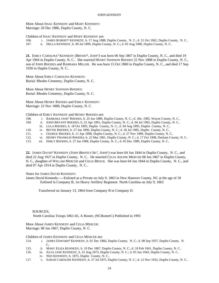More About ISSAC KENNEDY and MARY KENNEDY: Marriage: 20 Dec 1886, Duplin County, N. C.

Children of ISSAC KENNEDY and MARY KENNEDY are:

- 106. i. JAMES ROBERT<sup>4</sup> KENNEDY, b. 17 Aug 1888, Duplin County, N. C.; d. 21 Oct 1962, Duplin County, N. C..
- 107. ii. DELLA KENNEDY, b. 09 Jul 1899, Duplin County, N. C.; d. 03 Aug 1980, Duplin County, N. C..

21. EMILY CAROLINA<sup>3</sup> KENNEDY (*BRYANT<sup>2</sup>*, JOHN<sup>1</sup>) was born 06 Sep 1867 in Duplin County, N. C., and died 19 Apr 1964 in Duplin County, N. C.. She married HENRY SWINSON RHODES 22 Nov 1888 in Duplin County, N. C., son of JOHN RHODES and BARBARA MILLER. He was born 15 Oct 1860 in Duplin County, N. C., and died 17 Sep 1930 in Duplin County, N. C..

More About EMILY CAROLINA KENNEDY: Burial: Rhodes Cemetery, Duplin County, N. C.

More About HENRY SWINSON RHODES: Burial: Rhodes Cemetery, Duplin County, N. C.

More About HENRY RHODES and EMILY KENNEDY: Marriage: 22 Nov 1888, Duplin County, N. C.

Children of EMILY KENNEDY and HENRY RHODES are:

- 108. i. BARBARA JANE<sup>4</sup> RHODES, b. 25 Jun 1889, Duplin County, N. C.; d. Abt. 1985, Wayne County, N. C..
- 109. ii. JOHN BRYANT RHODES, b. 22 Apr 1891, Duplin County, N. C.; d. 04 Jul 1983, Duplin County, N. C..
- iii. LULA RHODES, b. 18 Oct 1893, Duplin County, N. C.; d. 04 Aug 1895, Duplin County, N. C..
- 110. iv. BETTIE RHODES, b. 27 Jan 1896, Duplin County, N. C.; d. 26 Jul 1985, Duplin County, N. C..
- 111. v. GEORGE RHODES, b. 11 Apr 1898, Duplin County, N. C.; d. 27 Nov 1989, Duplin County, N. C..
- 112. vi. HENRY FRANKLIN RHODES, b. 22 Mar 1901, Duplin County, N. C.; d. 17 Oct 1998, Durham County, N. C..
- 113. vii. EMILY RHODES, b. 27 Jan 1908, Duplin County, N. C.; d. 05 Dec 1989, Duplin County, N. C..

22. JAMES DAVID<sup>3</sup> KENNEDY (*JOHN BRANTLY SR.*<sup>2</sup>, *JOHN*<sup>1</sup>) was born 04 Jun 1844 in Duplin County, N. C., and died 22 Aug 1927 in Duplin County, N. C.. He married CELIA ADLINE MERCER 08 Jan 1867 in Duplin County, N. C., daughter of WILLAM MERCER and CELIA BROCK. She was born 04 Jun 1844 in Duplin County, N. C., and died 07 Apr 1914 in Duplin County, N. C..

#### Notes for JAMES DAVID KENNEDY:

James David Kennedy-----Enlisted as a Private on July 9, 1863 in New Hanover County, NC at the age of 18 Enlisted in Company B, 1st Heavy Artillery Regiment North Carolina on July 9, 1863

Transferred on January 13, 1864 from Company B to Company D.

SOURCES; North Carolina Troops 1861-65, A Roster, (NCRosterC) Published in 1993

More About JAMES KENNEDY and CELIA MERCER: Marriage: 08 Jan 1867, Duplin County, N. C.

Children of JAMES KENNEDY and CELIA MERCER are:

- 114. i. JAMES EDWARD<sup>4</sup> KENNEDY, b. 01 Dec 1866, Duplin County, N. C.; d. 08 Sep 1937, Duplin County, N.  $C_{\cdot}$
- 115. ii. MARY ELIZA KENNEDY, b. 10 Dec 1867, Duplin County, N. C.; d. 10 Feb 1941, Duplin County, N. C..
- 116. iii. JULIA JANE KENNEDY, b. 25 Aug 1873, Duplin County, N. C.; d. 05 Jun 1943, Duplin County, N. C..
- iv. NED KENNEDY, b. 1875, Duplin County, N. C..
- 117. v. SARAH CAROLINE KENNEDY, b. 27 Jul 1875, Duplin County, N. C.; d. 12 Nov 1932, Duplin County, N. C..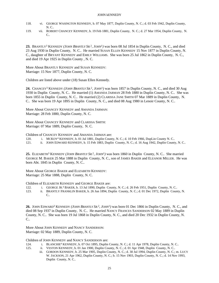- 118. vi. GEORGE WASINGTON KENNEDY, b. 07 May 1877, Duplin County, N. C.; d. 03 Feb 1942, Duplin County, N. C..
- 119. vii. ROBERT CHANCEY KENNEDY, b. 19 Feb 1881, Duplin County, N. C.; d. 27 Mar 1954, Duplin County, N.  $C_{\cdot}$

**23.** BRANTLY<sup>3</sup> KENNEDY *(JOHN BRANTLY SR.*<sup>2</sup> *, JOHN*<sup>1</sup> *)* was born 08 Jul 1854 in Duplin County, N. C., and died 23 Aug 1930 in Duplin County, N. C.. He married SUSAN ELLEN KENNEDY 15 Nov 1877 in Duplin County, N. C., daughter of BRYANT KENNEDY and EMILY WILLIAMS. She was born 25 Jul 1862 in Duplin County, N. C., and died 19 Apr 1925 in Duplin County , N. C.

More About BRANTLY KENNEDY and SUSAN KENNEDY: Marriage: 15 Nov 1877, Duplin County, N. C.

Children are listed above under (18) Susan Ellen Kennedy.

**24.** CHANCEY<sup>3</sup> KENNEDY *(JOHN BRANTLY SR.*<sup>2</sup> *, JOHN*<sup>1</sup> *)* was born 1857 in Duplin County, N. C., and died 30 Aug 1930 in Duplin County, N. C.. He married (1) AMANDA JARMAN 28 Feb 1880 in Duplin County, N. C.. She was born 1855 in Duplin County, N. C.. He married (2) CLARISSA JANE SMITH 07 Mar 1889 in Duplin County, N. C.. She was born 19 Apr 1895 in Duplin County, N. C., and died 08 Aug 1980 in Lenoir County, N. C..

More About CHANCEY KENNEDY and AMANDA JARMAN: Marriage: 28 Feb 1880, Duplin County, N. C.

More About CHANCEY KENNEDY and CLARISSA SMITH: Marriage: 07 Mar 1889, Duplin County, N. C.

Children of CHANCEY KENNEDY and AMANDA JARMAN are:

120. i. MCKOY<sup>4</sup> KENNEDY, b. 01 Jul 1881, Duplin County, N. C.; d. 10 Feb 1966, DupLin County N. C..

121. ii. JOHN EDWARD KENNEDY, b. 15 Feb 1883, Duplin County, N. C.; d. 16 Aug 1942, Duplin County, N. C..

**25.** ELIZABETH<sup>3</sup> KENNEDY *(JOHN BRANTLY SR.*<sup>2</sup> *, JOHN*<sup>1</sup> *)* was born 1860 in Duplin County, N. C.. She married GEORGE M. BAKER 25 Mar 1888 in Duplin County, N. C., son of JAMES BAKER and ELEANOR MILLER. He was born Abt. 1845 in Duplin County, N. C..

More About GEORGE BAKER and ELIZABETH KENNEDY: Marriage: 25 Mar 1888, Duplin County, N. C.

Children of ELIZABETH KENNEDY and GEORGE BAKER are:

- 122. i. GEORGE JR.<sup>4</sup> BAKER, b. 13 Jul 1890, Duplin County, N. C.; d. 26 Feb 1951, Duplin County, N. C..
- 123. ii. BRANTLY FRANKLIN BAKER, b. 26 Jun 1894, Duplin County, N. C.; d. 01 Dec 1972, Duplin County, N. C..

**26.** JOHN EDWARD<sup>3</sup> KENNEDY *(JOHN BRANTLY SR.*<sup>2</sup> *, JOHN*<sup>1</sup> *)* was born 01 Dec 1866 in Duplin County, N. C., and died 08 Sep 1937 in Duplin County, N. C.. He married NANCY FRANCES SANDERSON 02 May 1889 in Duplin County, N. C.. She was born 19 Jul 1868 in Duplin County, N. C., and died 20 Dec 1932 in Duplin County, N. C..

More About JOHN KENNEDY and NANCY SANDERSON: Marriage: 02 May 1889, Duplin County, N. C.

Children of JOHN KENNEDY and NANCY SANDERSON are:

- 124. i. BLANCHIE<sup>4</sup> KENNEDY, b. 07 Oct 1895, Duplin County, N. C.; d. 11 Apr 1978, Duplin County, N. C..
- 125. ii. VESTON KENNEDY, b. 01 Jan 1900, Duplin County, N. C.; d. 01 Apr 1948, Duplin County, N. C..
	- iii. GORDON KENNEDY, b. 25 Mar 1905, Duplin County, N. C.; d. 30 Jul 1994, Duplin County, N. C.; m. LUCY W. JACKSON, 21 Apr 1962, Duplin County, N. C.; b. 15 Nov 1903, Duplin County, N. C.; d. 14 Nov 1993, Duplin County, N. C..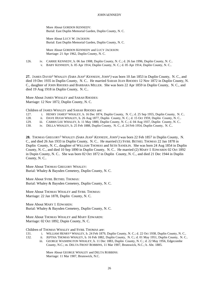More About GORDON KENNEDY: Burial: East Duplin Memorial Garden, Duplin County, N. C.

More About LUCY W. JACKSON: Burial: East Duplin Memorial Garden, Duplin County, N. C.

More About GORDON KENNEDY and LUCY JACKSON: Marriage: 21 Apr 1962, Duplin County, N. C.

- 126. iv. CARRIE KENNEDY, b. 06 Jan 1908, Duplin County, N. C.; d. 26 Jan 1996, Duplin County, N. C..
	- v. BABY KENNEDY, b. 05 Apr 1914, Duplin County, N. C.; d. 05 Apr 1914, Duplin County, N. C..

**27.** JAMES DAVID<sup>3</sup> WHALEY *(SARA JEAN*<sup>2</sup>  *KENNEDY, JOHN*<sup>1</sup> *)* was born 10 Jan 1853 in Duplin County, N. C., and died 19 Dec 1935 in Duplin County, N. C.. He married SARAH JEAN RHODES 12 Nov 1872 in Duplin County, N. C., daughter of JOHN RHODES and BARBARA MILLER. She was born 22 Apr 1859 in Duplin County, N. C., and died 19 Aug 1918 in Duplin County, N. C..

More About JAMES WHALEY and SARAH RHODES: Marriage: 12 Nov 1872, Duplin County, N. C.

Children of JAMES WHALEY and SARAH RHODES are:

- 127. i. HENRY JAMES<sup>4</sup> WHALEY, b. 16 Dec 1874, Duplin County, N. C.; d. 25 Sep 1955, Duplin County, N. C..
- 128. ii. DAVE HUGH WHALEY, b. 26 Aug 1877, Duplin County, N. C.; d. 15 Oct 1959, Duplin County, N. C..
- 129. iii. CARRIS LEE WHALEY, b. 11 May 1880, Duplin County, N. C.; d. 04 Aug 1937, Duplin County, N. C..
- 130. iv. DELLA WHALEY, b. 25 Feb 1888, Duplin County, N. C.; d. 24 Feb 1954, Duplin County, N. C..

**28.** THOMAS GREGORY<sup>3</sup> WHALEY *(SARA JEAN*<sup>2</sup>  *KENNEDY, JOHN*<sup>1</sup> *)* was born 22 Feb 1857 in Duplin County, N. C., and died 26 Jun 1933 in Duplin County, N. C.. He married (1) SYBIL BETHEL THOMAS 22 Jan 1878 in Duplin County, N. C., daughter of WILLIAM THOMAS and SETH SANDLIN. She was born 24 Aug 1854 in Duplin County, N. C., and died 10 Sep 1890 in Duplin County, N. C.. He married (2) MARY I. EDWARDS 02 Oct 1892 in Dupin County, N. C.. She was born 02 Oct 1872 in Duplin County, N. C., and died 21 Dec 1944 in Duplin County, N. C..

More About THOMAS GREGORY WHALEY: Burial: Whaley & Baysden Cemetery, Duplin County, N. C.

More About SYBIL BETHEL THOMAS: Burial: Whaley & Baysden Cemetery, Duplin County, N. C.

More About THOMAS WHALEY and SYBIL THOMAS: Marriage: 22 Jan 1878, Duplin County, N. C.

More About MARY I. EDWARDS: Burial: Whaley & Baysden Cemetery, Duplin County, N. C.

More About THOMAS WHALEY and MARY EDWARDS: Marriage: 02 Oct 1892, Dupin County, N. C.

Children of THOMAS WHALEY and SYBIL THOMAS are:

- 131. i. WILLIAM HENRY<sup>4</sup> WHALEY, b. 24 Feb 1879, Duplin County, N. C.; d. 22 Oct 1938, Duplin County, N. C..
- 132. ii. JEPTHA THOMAS WHALEY, b. 16 Feb 1882, Duplin County, N. C.; d. 01 May 1951, Duplin County, N. C..
	- iii. GEORGE WASHINGTON WHALEY, b. 11 Dec 1883, Duplin County, N. C.; d. 22 May 1956, Edgecombe County, N.C.; m. DELTA FROST ROBBINS, 11 Mar 1907, Brunswick, N.C.; b. Abt. 1885.

More About GEORGE WHALEY and DELTA ROBBINS: Marriage: 11 Mar 1907, Brunswick, N.C.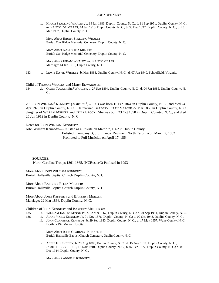iv. HIRAM STALLING WHALEY, b. 19 Jan 1886, Duplin County, N. C.; d. 11 Sep 1951, Duplin County, N. C.; m. NANCY IDA MILLER, 14 Jan 1913, Dupin County, N. C.; b. 30 Dec 1897, Duplin County, N. C.; d. 23 Mar 1967, Duplin County, N. C..

More About HIRAM STALLING WHALEY: Burial: Oak Ridge Memorial Cemetery, Duplin County, N. C.

More About NANCY IDA MILLER: Burial: Oak Ridge Memorial Cemetery, Duplin County, N. C.

More About HIRAM WHALEY and NANCY MILLER: Marriage: 14 Jan 1913, Dupin County, N. C.

133. v. LEWIS DAVID WHALEY, b. Mar 1888, Duplin County, N. C.; d. 07 Jun 1940, Schoolfield, Virginia.

Child of THOMAS WHALEY and MARY EDWARDS is:

134. vi. OWEN TUCKER SR.<sup>4</sup> WHALEY, b. 27 Sep 1894, Duplin County, N. C.; d. 04 Jan 1985, Duplin County, N. C..

29. JOHN WILLIAM<sup>3</sup> KENNEDY (*JAMES W.<sup>2</sup>, JOHN*<sup>1</sup>) was born 15 Feb 1844 in Duplin County, N. C., and died 24 Apr 1923 in Duplin County, N. C.. He married BARBERY ELLEN MERCER 22 Mar 1866 in Duplin County, N. C., daughter of WILLAM MERCER and CELIA BROCK. She was born 23 Oct 1850 in Duplin County, N. C., and died 25 Jun 1912 in Duplin County, N. C..

Notes for JOHN WILLIAM KENNEDY:

John William Kennedy----Enlisted as a Private on March 7, 1862 in Duplin County Enlisted in ompany B, 3rd Infantry Regiment North Carolina on March 7, 1862 Promoted to Full Musician on April 17, 1864

SOURCES; North Carolina Troops 1861-1865, (NCRosterC) Publised in 1993

More About JOHN WILLIAM KENNEDY: Burial: Hallsville Baptist Church Duplin County, N. C.

More About BARBERY ELLEN MERCER: Burial: Hallsville Baptist Church Duplin County, N. C.

More About JOHN KENNEDY and BARBERY MERCER: Marriage: 22 Mar 1866, Duplin County, N. C.

Children of JOHN KENNEDY and BARBERY MERCER are:

- 135. i. WILLIAM JAMES<sup>4</sup> KENNEDY, b. 02 Mar 1867, Duplin County, N. C.; d. 01 Sep 1951, Duplin County, N. C..
- 136. ii. ADDIE VIOLA KENNEDY, b. 01 Nov 1876, Duplin County, N. C.; d. 09 Oct 1948, Duplin County, N. C..
	- iii. JOHN CLARENCE KENNEDY, b. 29 Sep 1883, Duplin County, N. C.; d. 17 May 1957, Wake County, N. C. Dorthiia Dix Mental Hospital.

More About JOHN CLARENCE KENNEDY: Burial: Hallsville Baptist Church Cemetery, Duplin County, N. C.

iv. ANNIE F. KENNEDY, b. 29 Aug 1889, Duplin County, N. C.; d. 15 Aug 1911, Duplin County, N. C.; m. JAMES HENRY JUDGE, 16 Nov 1910, Duplin County, N. C.; b. 02 Feb 1872, Duplin County, N. C.; d. 08 Dec 1944, Duplin County, N. C..

More About ANNIE F. KENNEDY: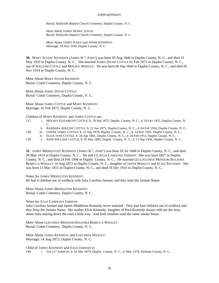Burial: Hallsville Baptist Church Cemetery, Duplin County, N. C.

More About JAMES HENRY JUDGE: Burial: Hallsville Baptist Church Cemetery, Duplin County, N. C.

More About JAMES JUDGE and ANNIE KENNEDY: Marriage: 16 Nov 1910, Duplin County, N. C.

**30.** MARY SUSAN<sup>3</sup> KENNEDY (*JAMES W.*<sup>2</sup>, *JOHN*<sup>1</sup>) was born 05 Aug 1846 in Duplin County, N. C., and died 15 May 1920 in Duplin County, N. C.. She married JAMES DAVID COTTLE 01 Feb 1872 in Duplin County, N. C., son of WILLIAM COTTLE and MOLSEY WHALEY. He was born 06 Sep 1844 in Duplin County, N. C., and died 05 Nov 1914 in Duplin County, N. C..

More About MARY SUSAN KENNEDY: Burial: Cottle Cemetery, Duplin County, N. C.

More About JAMES DAVID COTTLE: Burial: Cottle Cemetery, Duplin County, N. C.

More About JAMES COTTLE and MARY KENNEDY: Marriage: 01 Feb 1872, Duplin County, N. C.

Children of MARY KENNEDY and JAMES COTTLE are:

- 137. i. MOLSEY ELIZABETH<sup>4</sup> COTTLE, b. 29 Sep 1872, Duplin County, N. C.; d. 19 Oct 1955, Duplin County, N. C.
	- ii. BARBARA ADELINE COTTLE, b. 21 Jun 1875, Duplin County, N. C.; d. 04 Feb 1956, Duplin County, N. C..
- 138. iii. JASPER JAMES COTTLE, b. 12 Sep 1878, Duplin County, N. C.; d. 14 Nov 1941, Duplin County, N. C..
	- iv. ELIZA JANE COTTLE, b. 24 Apr 1881, Duplin County, N. C.; d. 10 Feb 1953, Duplin County, N. C..
- 139. v. JOHN WILLIAM COTTLE, b. 05 Mar 1885, Duplin County, N. C.; d. 11 Sep 1956, Duplin County, N. C..

**31.** JAMES MIDDLETON<sup>3</sup> KENNEDY (*JAMES W.*<sup>2</sup>, *JOHN*<sup>1</sup>) was born 20 Jul 1848 in Duplin County, N. C., and died 28 May 1914 in Duplin County, N. C.. He met (1) JULIA CAROLINA JARMAN. She was born 1857 in Duplin County, N. C., and died 24 Feb 1908 in Duplin County, N. C.. He married (2) LOUCINDA MISSOURI BALZORA REBECCA WHALEY 14 Aug 1872 in Duplin County, N. C., daughter of JASON WHALEY and ELIZA BAYSDEN. She was born 13 May 1851 in Duplin County, N. C., and died 18 Dec 1910 in Duplin County, N. C..

Notes for JAMES MIDDLETON KENNEDY:

He had 4 children out of wedlock with Julia Carolina Jarman, and they kept the Jarman Name.

More About JAMES MIDDLETON KENNEDY: Burial: Cottle Cemetery, Duplin County, N. C.

Notes for JULIA CAROLINA JARMAN:

Julia Carolina Jarman and James Middleton Kennedy never married. They had four children out of wedlock and they keep the Jarman Name. My mother Elvia Kennedy, daughter of Paul Kennedy always told me the story about Julia staying down the road a little way. And both families used the same smoke house.

More About LOUCINDA MISSOURI BALZORA REBECCA WHALEY: Burial: Cottle Cemetery, Duplin County, N. C.

More About JAMES KENNEDY and LOUCINDA WHALEY: Marriage: 14 Aug 1872, Duplin County, N. C.

Child of JAMES KENNEDY and JULIA JARMAN is: 140. i. SALLY<sup>4</sup> JARMAN, b. 02 Mar 1879, Duplin County, N. C.; d. May 1976, Durham County, N. C..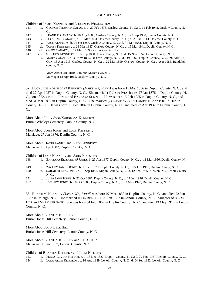Children of JAMES KENNEDY and LOUCINDA WHALEY are:

- 141. ii. GEORGE THOMAS<sup>4</sup> CANADY, b. 29 Feb 1876, Onslow County, N. C.; d. 11 Feb 1942, Onslow County, N. C..
- 142. iii. FRANK F. CANADY, b. 10 Aug 1880, Onslow County, N. C.; d. 22 Sep 1950, Lenoir County, N. C..
- 143. iv. LUCY JANE CANADY, b. 19 Mar 1883, Onslow County, N. C.; d. 25 Jan 1913, Onslow County, N. C..
- 144. v. PAUL KENNEDY, b. 24 Jan 1885, Onslow County, N. C.; d. 01 Dec 1951, Duplin County, N. C..
- 145. vi. TONEY KENNEDY, b. 28 Mar 1887, Onslow County, N. C.; d. 15 Mar 1941, Duplin County, N. C..
- 146. vii. OWEN CANADY, b. 27 Mar 1889, Onslow County, N. C..
- 147. viii. STEPHEN KENNEDY, b. 05 Sep 1890, Jones County, N. C.; d. 15 Nov 1957, Lenoir County, N. C..
	- ix. MARY CANADY, b. 30 Nov 1895, Onslow County, N. C.; d. Oct 1962, Duplin County, N. C.; m. ARTHUR COX, 18 Apr 1915, Onslow County, N. C.; b. 22 Mar 1899, Onslow County, N. C.; d. Apr 1986, Randolph county, N. C..

More About ARTHUR COX and MARY CANADY: Marriage: 18 Apr 1915, Onslow County, N. C.

**32.** LUCY JANE KORNEGAY<sup>3</sup> KENNEDY (*JAMES W.*<sup>2</sup>, *JOHN*<sup>1</sup>) was born 15 Mar 1856 in Duplin County, N. C., and died 27 Apr 1937 in Duplin County, N. C.. She married (1) JOHN IVEY JONES 27 Jan 1876 in Duplin County, N. C., son of ZACHARIUS JONES and BARBARA SUMNER. He was born 15 Feb 1855 in Duplin County, N. C., and died 31 Mar 1890 in Duplin County, N. C.. She married (2) DAVID WRIGHT LANIER 16 Apr 1907 in Duplin County, N. C.. He was born 11 Dec 1887 in Duplin County, N. C., and died 27 Apr 1937 in Duplin County, N. C..

More About LUCY JANE KORNEGAY KENNEDY: Burial: Whaleys Cemetery, Duplin County, N. C.

More About JOHN JONES and LUCY KENNEDY: Marriage: 27 Jan 1876, Duplin County, N. C.

More About DAVID LANIER and LUCY KENNEDY: Marriage: 16 Apr 1907, Duplin County, N. C.

Children of LUCY KENNEDY and JOHN JONES are:

- 148. i. BARBARA ELIZABETH<sup>4</sup> JONES, b. 25 Apr 1877, Duplin County, N. C.; d. 11 Mar 1956, Duplin County, N.  $C_{\cdot}$
- 149. ii. ZACHEY JAMES JONES, b. 11 Sep 1879, Duplin County, N. C.; d. 27 Oct 1960, Duplin County, N. C..
- 150. iii. SARAH AGNES JONES, b. 19 Sep 1882, Duplin County, N. C.; d. 12 Feb 1935, Kinston, NC Lenoir County, N. C..
- 151. iv. JULIA JANE JONES, b. 22 Oct 1887, Duplin County, N. C.; d. 17 Jun 1926, Duplin County, N. C..
- 152. v. JOEL IVY JONES, b. 10 Oct 1889, Duplin County, N. C.; d. 03 May 1920, Duplin County, N. C..

**33.** BRANTLY<sup>3</sup> KENNEDY *(JAMES W.* 2 *, JOHN*<sup>1</sup> *)* was born 07 Mar 1858 in Duplin County, N. C., and died 22 Jun 1937 in Raleigh, N. C.. He married JULIA BELL HILL 03 Jan 1887 in Lenoir County, N. C., daughter of JONAS HILL and MARY TURNAGE. She was born 04 Feb 1869 in Duplin County, N. C., and died 13 May 1910 in Lenoir County, N. C..

More About BRANTLY KENNEDY: Burial: Jonas Hill Cemetery, Lenoir County, N. C.

More About JULIA BELL HILL: Burial: Jonas Hill Cemetery, Lenoir County, N. C.

More About BRANTLY KENNEDY and JULIA HILL: Marriage: 03 Jan 1887, Lenoir County, N. C.

Children of BRANTLY KENNEDY and JULIA HILL are:

- 153. i. PERCY CLYDE<sup>4</sup> KENNEDY, b. 18 Dec 1887, Duplin County, N. C.; d. 29 Nov 1957, Lenoir County, N. C..
- 154. ii. LULA ALLIE KENNEDY, b. 16 Aug 1889, Lenoir County, N. C.; d. 04 Sep 1932, Lenoir County, N. C..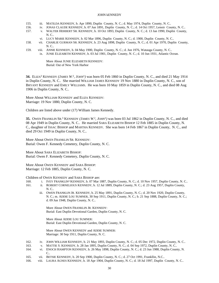- 155. iii. MATILDA KENNEDY, b. Apr 1890, Duplin County, N. C.; d. May 1974, Duplin County, N. C..
- 156. iv. JONAS CLAUDE KENNEDY, b. 07 Jun 1891, Duplin County, N. C.; d. 14 Oct 1957, Lenoir County, N. C..
- 157. v. WALTER HERBERT SR. KENNEDY, b. 10 Oct 1893, Duplin County, N. C.; d. 13 Jan 1990, Duplin County, N. C..
	- vi. LUCY MARIE KENNEDY, b. 02 Mar 1896, Duplin County, N. C.; d. 1900, Duplin County, N. C..
- 158. vii. CHARLIE GURMAN SR. KENNEDY, b. 23 Aug 1898, Duplin County, N. C.; d. 01 Apr 1970, Duplin County, N. C..
- 159. viii. ANNIE KENNEDY, b. 04 May 1900, Duplin County, N. C.; d. Jun 1976, Watauga County, N. C..
	- ix. JUNIE ELIZABETH KENNEDY, b. 03 Jul 1901, Duplin County, N. C.; d. 10 Jun 1931, Atlantic Ocean.

More About JUNIE ELIZABETH KENNEDY: Burial: Out of New York Harbor

**34.** ELIZA<sup>3</sup> KENNEDY *(JAMES W.* 2 *, JOHN*<sup>1</sup> *)* was born 05 Feb 1860 in Duplin County, N. C., and died 21 May 1914 in Duplin County, N. C.. She married WILLIAM JAMES KENNEDY 19 Nov 1880 in Duplin County, N. C., son of BRYANT KENNEDY and EMILY WILLIAMS. He was born 10 May 1859 in Duplin County, N. C., and died 08 Aug 1906 in Duplin County, N. C..

More About WILLIAM KENNEDY and ELIZA KENNEDY: Marriage: 19 Nov 1880, Duplin County, N. C.

Children are listed above under (17) William James Kennedy.

**35.** OWEN FRANKLIN SR.<sup>3</sup> KENNEDY (*JAMES W.<sup>2</sup>, JOHN<sup>1</sup>*) was born 03 Jul 1862 in Duplin County, N. C., and died 08 Apr 1949 in Duplin County, N. C.. He married SARA ELIZABETH BISHOP 12 Feb 1885 in Duplin County, N. C., daughter of ISSAC BISHOP and MARTHA KENNEDY. She was born 14 Feb 1867 in Duplin County, N. C., and died 29 Oct 1949 in Duplin County, N. C..

More About OWEN FRANKLIN SR. KENNEDY: Burial: Owen F. Kennedy Cemetery, Duplin County, N. C.

More About SARA ELIZABETH BISHOP: Burial: Owen F. Kennedy Cemetery, Duplin County, N. C.

More About OWEN KENNEDY and SARA BISHOP: Marriage: 12 Feb 1885, Duplin County, N. C.

Children of OWEN KENNEDY and SARA BISHOP are:

- 160. i. IVEY FRANKLIN<sup>4</sup> KENNEDY, b. 07 Mar 1887, Duplin County, N. C.; d. 10 Nov 1957, Duplin County, N. C..
- 161. ii. ROBERT CORNELIOUS KENNEDY, b. 12 Jul 1889, Duplin County, N. C.; d. 23 Aug 1957, Duplin County, N. C..
	- iii. OWEN FRANKLIN JR. KENNEDY, b. 25 May 1891, Duplin County, N. C.; d. 20 Nov 1920, Duplin County, N. C.; m. ADDIE LOU SUMNER, 30 Sep 1911, Duplin County, N. C.; b. 21 Sep 1888, Duplin County, N. C.; d. 09 Jun 1948, Duplin County, N. C..

More About OWEN FRANKLIN JR. KENNEDY: Burial: East Duplin Devotional Garden, Duplin County, N. C.

More About ADDIE LOU SUMNER: Burial: East Duplin Devotional Garden, Duplin County, N. C.

More About OWEN KENNEDY and ADDIE SUMNER: Marriage: 30 Sep 1911, Duplin County, N. C.

- 162. iv. JOHN WILLIAM KENNEDY, b. 21 May 1893, Duplin County, N. C.; d. 05 Dec 1972, Duplin County, N. C..
- 163. v. MATTIE S. KENNEDY, b. 28 Jan 1895, Duplin County, N. C.; d. 04 Sep 1972, Duplin County, N. C..
- 164. vi. ENOCH HAMPTON KENNEDY, b. 26 May 1898, Duplin County, N. C.; d. 23 Jun 1988, Duplin County, N. C..
- 165. vii. BETSIE KENNEDY, b. 20 Sep 1900, Duplin County, N. C.; d. 27 Oct 1991, Frankllin, N.C..
- 166. viii. LAURA AGNES KENNEDY, b. 18 Apr 1904, Duplin County, N. C.; d. 18 Jul 1997, Duplin County, N. C..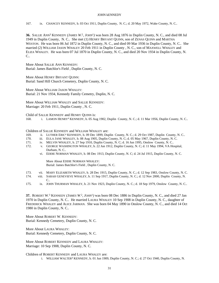167. ix. CHANCEY KENNEDY, b. 03 Oct 1911, Duplin County, N. C.; d. 20 May 1972, Wake County, N. C..

**36.** SALLIE ANN<sup>3</sup> KENNEDY *(JAMES W.* 2 *, JOHN*<sup>1</sup> *)* was born 28 Aug 1876 in Duplin County, N. C., and died 08 Jul 1949 in Duplin County, N. C.. She met (1) HENRY BRYANT QUINN, son of ZENAS QUINN and MARTHA WESTON. He was born 06 Jul 1872 in Duplin County, N. C., and died 09 Mar 1936 in Duplin County, N. C.. She married (2) WILLIAM JASON WHALEY 20 Feb 1911 in Duplin County , N. C., son of MAXWELL WHALEY and ELIZA WHALEY. He was born 07 Jul 1870 in Duplin County, N. C., and died 20 Nov 1934 in Duplin County, N.  $C_{\cdot}$ 

More About SALLIE ANN KENNEDY: Burial: James Batchlor's Field , Duplin County, N. C.

More About HENRY BRYANT QUINN: Burial: Sand Hill Church Cemetery, Duplin County, N. C.

More About WILLIAM JASON WHALEY: Burial: 21 Nov 1934, Kennedy Family Cemetry, Duplin, N. C.

More About WILLIAM WHALEY and SALLIE KENNEDY: Marriage: 20 Feb 1911, Duplin County , N. C.

Child of SALLIE KENNEDY and HENRY QUINN is:

168. i. LAMON HENRY<sup>4</sup> KENNEDY, b. 05 Aug 1902, Duplin County, N. C.; d. 11 Mar 1956, Duplin County, N. C..

Children of SALLIE KENNEDY and WILLIAM WHALEY are:

- 169. ii. LUTHER ERIC<sup>4</sup> KENNEDY, b. 09 Dec 1899, Duplin County, N. C.; d. 29 Oct 1987, Duplin County, N. C..
- 170. iii. EULA JANE WHALEY, b. 08 Aug 1905, Duplin County, N. C; d. 05 May 1967, Duplin County, N. C.
- 171. iv. MELVIN WHALEY, b. 27 Sep 1910, Duplin County, N. C; d. 16 Jun 1995, Onslow County, N. C..
- 172. v. GEORGE WASHINGTON WHALEY, b. 22 Jun 1912, Duplin County, N. C; d. 11 May 1994, VA Hospital, Durham, N. C..
	- vi. EDDIE NORMAN WHALEY, b. 08 Dec 1913, Duplin County, N. C; d. 24 Jul 1915, Duplin County, N. C.

More About EDDIE NORMAN WHALEY: Burial: James Batchlor's Field , Duplin County, N. C.

- 173. vii. MARY ELIZABETH WHALEY, b. 28 Dec 1915, Duplin County, N. C.; d. 12 Sep 1983, Onslow County, N. C.
- 174. viii. SARAH GENEVIEVE WHALEY, b. 11 Sep 1917, Duplin County, N. C.; d. 12 Nov 2000, Duplin County, N.  $\mathcal{C}$
- 175. ix. JOHN THURMAN WHALEY, b. 21 Nov 1923, Duplin County, N. C.; d. 18 Sep 1979, Onslow County, N. C..

**37.** ROBERT W.<sup>3</sup> KENNEDY (*JAMES W.*<sup>2</sup>, *JOHN*<sup>1</sup>) was born 08 Dec 1886 in Duplin County, N. C., and died 27 Jan 1970 in Duplin County, N. C.. He married LAURA WHALEY 10 Sep 1908 in Duplin County, N. C., daughter of FREDERICK WHALEY and ALICE JARMAN. She was born 04 May 1890 in Onslow County, N. C., and died 14 Oct 1980 in Duplin County, N. C..

More About ROBERT W. KENNEDY: Burial: Kennedy Cemetery, Duplin County, N. C.

More About LAURA WHALEY: Burial: Kennedy Cemetery, Duplin County, N. C.

More About ROBERT KENNEDY and LAURA WHALEY: Marriage: 10 Sep 1908, Duplin County, N. C.

Children of ROBERT KENNEDY and LAURA WHALEY are: i. WILLIAM WALTER<sup>4</sup> KENNEDY, b. 01 Jun 1909, Duplin County, N. C.; d. 27 Oct 1940, Duplin County, N.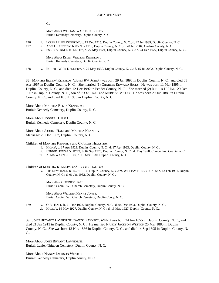C..

More About WILLIAM WALTER KENNEDY: Burial: Kennedy Cemetery, Duplin County, N. C.

- 176. ii. LOUIS ALLEN KENNEDY, b. 15 Dec 1915, Duplin County, N. C.; d. 27 Jul 1989, Duplin County, N. C..
- 177. iii. ADELL KENNEDY, b. 05 Nov 1919, Duplin County, N. C.; d. 28 Jan 2004, Onslow County, N. C..
	- iv. ESLEY VERNON KENNEDY, b. 27 May 1924, Duplin County, N. C.; d. 24 Dec 1927, Duplin County, N. C..

More About ESLEY VERNON KENNEDY: Burial: Kennedy Cemetery, Duplin County, n. C.

178. v. ROBERT W. JR KENNEDY, b. 22 May 1930, Duplin County, N. C.; d. 15 Jul 2002, Duplin County, N. C..

**38.** MARTHA ELLEN<sup>3</sup> KENNEDY (*JAMES W.*<sup>2</sup>, *JOHN*<sup>1</sup>) was born 29 Jan 1893 in Duplin County, N. C., and died 01 Apr 1967 in Duplin County, N. C.. She married (1) CHARLES EDWARD HICKS. He was born 11 Mar 1895 in Duplin County, N. C., and died 12 Dec 1992 in Pender County, N. C.. She married (2) JODDER H. HALL 29 Dec 1907 in Duplin County, N. C., son of ISAAC HALL and MERISCO MILLER. He was born 29 Jun 1888 in Duplin County, N. C., and died 10 Jul 1933 in Duplin County, N. C..

More About MARTHA ELLEN KENNEDY: Burial: Kennedy Cemetery, Duplin County, N. C.

More About JODDER H. HALL: Burial: Kennedy Cemetery, Duplin County, N. C.

More About JODDER HALL and MARTHA KENNEDY: Marriage: 29 Dec 1907, Duplin County, N. C.

Children of MARTHA KENNEDY and CHARLES HICKS are:

- i. HICKS<sup>4</sup>, b. 17 Apr 1923, Duplin County, N. C.; d. 17 Apr 1923, Duplin County, N. C..
- ii. BENNIE HOWARD HICKS, b. 07 Sep 1925, Duplin County, N. C.; d. May 1998, Cumberland County, n. C..
- iii. ALMA WAYNE HICKS, b. 15 Mar 1930, Duplin County, N. C..

Children of MARTHA KENNEDY and JODDER HALL are:

iv. TIFFNEY<sup>4</sup> HALL, b. 14 Jul 1916, Duplin County, N. C.; m. WILLIAM HENRY JONES; b. 13 Feb 1901, Duplin County, N. C.; d. 01 Jan 1982, Duplin County, N. C..

More About TIFFNEY HALL: Burial: Cabin FWB Church Cemetery, Duplin County, N. C.

More About WILLIAM HENRY JONES: Burial: Cabin FWB Church Cemetery, Duplin Conty, N. C.

- 179. v. O. V. HALL, b. 21 Dec 1922, Duplin County, N. C.; d. 04 Dec 1993, Duplin County, N. C..
	- vi. HALL, b. 19 May 1927, Duplin County, N. C.; d. 19 May 1927, Duplin County, N. C..

**39.** JOHN BRYANT<sup>3</sup> LAWHORNE *(NANCY*<sup>2</sup>  *KENNEDY, JOHN*<sup>1</sup> *)* was born 24 Jun 1855 in Duplin County, N. C., and died 21 Jan 1913 in Duplin County, N. C.. He married NANCY JACKSON WESTON 25 Mar 1883 in Duplin County, N. C.. She was born 13 Nov 1866 in Duplin County, N. C., and died 14 Sep 1895 in Duplin County, N. C..

More About JOHN BRYANT LAWHORNE: Burial: Lanier-Thigpen Cemetery, Duplin County, N. C.

More About NANCY JACKSON WESTON: Burial: Kennedy Cemetery, Duplin county, N. C.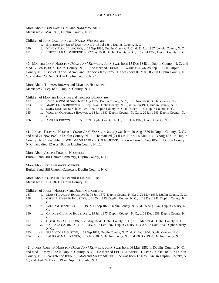More About JOHN LAWHORNE and NANCY WESTON: Marriage: 25 Mar 1883, Duplin County, N. C.

Children of JOHN LAWHORNE and NANCY WESTON are:

- i. STEPHRONEY JANE<sup>4</sup> LAWHORNE, b. 18 Jul 1884, Duplin County, N. C..
- 180. ii. NANCY ELLA LAWHORNE, b. 24 Sep 1886, Duplin County, N. C.; d. 21 Apr 1967, Lenoir County, N. C..
- 181. iii. BERTIE ELIZA LAWHORNE, b. 22 May 1890, Duplin County, N. C.; d. 12 Jul 1955, Lenoir County, N. C..

40. MARTHA JANE<sup>3</sup> HOUSTON (MARY ANN<sup>2</sup> KENNEDY, JOHN<sup>1</sup>) was born 15 Dec 1848 in Duplin County, N. C, and died 17 Feb 1930 in Duplin County, N. C.. She married THOMAS EDWARD BROWN 28 Sep 1871 in Duplin County, N. C., son of JACOB BROWN and REBECCA KENNEDY. He was born 01 Mar 1850 in Duplin County, N. C, and died 23 Dec 1901 in Duplin County, N. C.

More About THOMAS BROWN and MARTHA HOUSTON: Marriage: 28 Sep 1871, Duplin County, N. C.

Children of MARTHA HOUSTON and THOMAS BROWN are:

- 182. i. JOHN DAVID<sup>4</sup> BROWN, b. 07 Aug 1872, Duplin County, N. C; d. 26 Nov 1936, Duplin County, N. C.
- 183. ii. MARY ELLEN BROWN, b. 01 Sep 1874, Duplin County, N. C.; d. 14 Jun 1911, Duplin County, N. C..
- 184. iii. SARA JANE BROWN, b. 24 Feb 1876, Duplin County, N. C; d. 18 Sep 1918, Duplin County, N. C.
- 185. iv. WALTER CORNELIUS BROWN, b. 18 Jan 1880, Duplin County, N. C.; d. 20 Jan 1946, Duplin County, N. C..
- 186. v. ARTHUR BROWN, b. 31 Oct 1889, Duplin County, N. C.; d. 15 Feb 1968, Lenoir County, N. C..

**41.** JOESPH THOMAS<sup>3</sup> HOUSTON *(MARY ANN*<sup>2</sup>  *KENNEDY, JOHN*<sup>1</sup> *)* was born 20 Aug 1850 in Duplin County, N. C., and died 21 Nov 1923 in Duplin County, N. C.. He married (2) JULIA FRANCES MERCER 13 Aug 1871 in Duplin County, N. C., daughter of WILLAM MERCER and CELIA BROCK. She was born 15 Sep 1852 in Duplin County, N. C., and died 12 Apr 1935 in Duplin County N. C..

More About JOESPH THOMAS HOUSTON: Burial: Sand Hill Church Cemetery, Duplin County, N. C.

More About JULIA FRANCES MERCER: Burial: Sand Hill Church Cemetery, Duplin County, N. C.

More About JOESPH HOUSTON and JULIA MERCER: Marriage: 13 Aug 1871, Duplin County, N. C.

Children of JOESPH HOUSTON and JULIA MERCER are:

- 187. i. MARY FRANCES<sup>4</sup> HOUSTON, b. 04 Jun 1872, Duplin County, N. C.; d. 22 May 1935, Duplin County, N. C..
- 188. ii. CELIA ELIZABETH HOUSTON, b. 21 Oct 1873, Duplin County, N. C.; d. 19 Dec 1943, Duplin County, N. C..
- 189. iii. WILLIAM BRANTLY HOUSTON, b. 10 Sep 1875, Duplin County, N. C.; d. 25 Aug 1947, Duplin County, N. C..
- 190. iv. CHANCY GRAHAM HOUSTON, b. 19 Jun 1877, Duplin County, N. C.; d. 01 Dec 1953, Duplin County, N. C..
- 191. v. GEORGANNA HOUSTON, b. 26 Aug 1884, Duplin County, N. C.; d. 13 Mar 1954, Duplin County, N. C..
- 192. vi. BARBARA CATHERINE HOUSTON, b. 17 Dec 1887, Duplin County, N. C.; d. 13 Nov 1963, Duplin County, N. C..
- 193. vii. ELLA VIOLA HOUSTON, b. 12 Sep 1889, Duplin County, N. C.; d. 21 Feb 1944, Duplin County, N. C..
- 194. viii. LAURA ALMA HOUSTON, b. 12 Nov 1893, Duplin County, N. C.; d. 08 Dec 1968, Duplin County, N. C..

**42.** JAMES ROBERT<sup>3</sup> HOUSTON *(MARY ANN*<sup>2</sup>  *KENNEDY, JOHN*<sup>1</sup> *)* was born 06 May 1852 in Duplin County, N. C., and died 10 May 1932 in Duplin County, N. C.. He married EDITH ELIZABETH THOMAS 05 Oct 1876 in Duplin County, N. C., daughter of JOHN THOMAS and MARY MILLER. She was born 17 Nov 1848 in Duplin County, N. C., and died 24 May 1919 in Duplin County, N. C..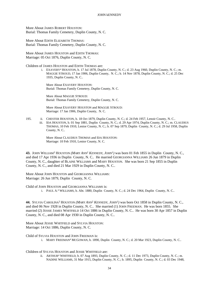More About JAMES ROBERT HOUSTON: Burial: Thomas Family Cemetery, Duplin County, N. C.

More About EDITH ELIZABETH THOMAS: Burial: Thomas Family Cemetery, Duplin County, N. C.

More About JAMES HOUSTON and EDITH THOMAS: Marriage: 05 Oct 1876, Duplin County, N. C.

Children of JAMES HOUSTON and EDITH THOMAS are:

i. EXAVERY<sup>4</sup> HOUSTON, b. 17 Jul 1878, Duplin County, N. C.; d. 23 Aug 1960, Duplin County, N. C.; m. MAGGIE STROUD, 17 Jan 1906, Duplin County, N. C.; b. 14 Nov 1878, Duplin County, N. C.; d. 25 Dec 1935, Duplin County, N. C..

More About EXAVERY HOUSTON: Burial: Thomas Family Cemetery, Duplin County, N. C.

More About MAGGIE STROUD: Burial: Thomas Family Cemetery, Duplin County, N. C.

More About EXAVERY HOUSTON and MAGGIE STROUD: Marriage: 17 Jan 1906, Duplin County, N. C.

195. ii. CHESTER HOUSTON, b. 18 Oct 1879, Duplin County, N. C.; d. 24 Feb 1957, Lenoir County, N. C.. iii. IDA HOUSTON, b. 01 Sep 1881, Duplin County, N. C.; d. 29 Apr 1974, Duplin County, N. C.; m. CLAUDIUS THOMAS, 10 Feb 1910, Lenior County, N. C.; b. 07 Sep 1879, Duplin County, N. C.; d. 29 Jul 1958, Duplin County, N. C..

> More About CLAUDIUS THOMAS and IDA HOUSTON: Marriage: 10 Feb 1910, Lenior County, N. C.

**43.** JOHN WILLIAM<sup>3</sup> HOUSTON *(MARY ANN*<sup>2</sup>  *KENNEDY, JOHN*<sup>1</sup> *)* was born 01 Feb 1855 in Duplin County, N. C., and died 17 Apr 1936 in Duplin County, N. C.. He married GEORGIANNA WILLIAMS 26 Jun 1879 in Duplin County, N. C., daughter of BLAINE WILLIAMS and MARY HOUSTON. She was born 21 Sep 1855 in Duplin County, N. C., and died 21 Mar 1929 in Duplin County, N. C..

More About JOHN HOUSTON and GEORGIANNA WILLIAMS: Marriage: 26 Jun 1879, Duplin County, N. C.

Child of JOHN HOUSTON and GEORGIANNA WILLIAMS is:

i. PAUL A. 4 WILLIAMS, b. Abt. 1880, Duplin County, N. C.; d. 24 Dec 1964, Duplin County, N. C..

**44.** SYLVIA CAROLINA<sup>3</sup> HOUSTON *(MARY ANN*<sup>2</sup>  *KENNEDY, JOHN*<sup>1</sup> *)* was born Oct 1858 in Duplin County, N. C., and died 06 Nov 1928 in Duplin County, N. C.. She married (1) JOHN FREEMAN. He was born 1855. She married (2) JESSIE JAMES WHITFIELD 14 Oct 1886 in Duplin County, N. C.. He was born 30 Apr 1857 in Duplin County, N. C., and died 08 Apr 1930 in Duplin County, N. C..

More About JESSIE WHITFIELD and SYLVIA HOUSTON: Marriage: 14 Oct 1886, Duplin County, N. C.

Child of SYLVIA HOUSTON and JOHN FREEMAN is:

i. MARY FREEMAN<sup>4</sup> MCGOWAN, b. 1890, Duplin County, N. C.; d. 20 Mar 1923, Duplin County, N. C..

Children of SYLVIA HOUSTON and JESSIE WHITFIELD are:

ii. ARTHUR<sup>4</sup> WHITFIELD, b. 07 Aug 1893, Duplin County, N. C.; d. 11 Dec 1973, Duplin County, N. C.; m. NADINE WILLIAMS, 31 Mar 1915, Duplin County, N. C.; b. 1895, Duplin County, N. C.; d. 03 Dec 1948,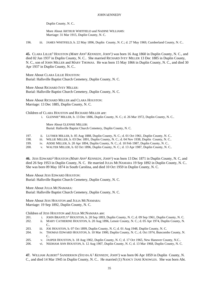Duplin County, N. C..

More About ARTHUR WHITFIELD and NADINE WILLIAMS: Marriage: 31 Mar 1915, Duplin County, N. C.

196. iii. JAMES WHITFIELD, b. 22 May 1896, Duplin County, N. C.; d. 27 May 1969, Cumberland County, N. C..

**45.** CLARA LILLIE<sup>3</sup> HOUSTON (*MARY ANN<sup>2</sup> KENNEDY*, *JOHN*<sup>1</sup>) was born 16 Aug 1860 in Duplin County, N. C., and died 02 Jun 1937 in Duplin County, N. C.. She married RICHARD IVEY MILLER 13 Dec 1885 in Duplin County, N. C., son of JOHN MILLER and MARY THOMAS. He was born 15 May 1866 in Duplin County, N. C., and died 30 Apr 1937 in Duplin County, N. C..

More About CLARA LILLIE HOUSTON: Burial: Hallsville Baptist Church Cemetery, Duplin County, N. C.

More About RICHARD IVEY MILLER: Burial: Hallsville Baptist Church Cemetery, Duplin County, N. C.

More About RICHARD MILLER and CLARA HOUSTON: Marriage: 13 Dec 1885, Duplin County, N. C.

Children of CLARA HOUSTON and RICHARD MILLER are:

i. GLENNIE<sup>4</sup> MILLER, b. 13 Dec 1886, Duplin County, N. C.; d. 26 Mar 1972, Duplin County, N. C..

More About GLENNIE MILLER: Burial: Hallsville Baptist Church Cemetery, Duplin County, N. C.

- 197. ii. LUTHER MILLER, b. 05 Aug 1888, Duplin County, N. C.; d. 01 Oct 1961, Duplin County, N. C..
- 198. iii. WILLIE MILLER, b. 03 Dec 1891, Duplin County, N. C.; d. 04 Nov 1938, Duplin County, N. C..
- 199. iv. ADDIE MILLER, b. 20 Apr 1894, Duplin County, N. C.; d. 10 Feb 1987, Duplin County, N. C..

200. v. WALTER MILLER, b. 02 Oct 1896, Duplin County, N. C.; d. 13 Apr 1987, Duplin County, N. C..

**46.** JESS EDWARD<sup>3</sup> HOUSTON *(MARY ANN*<sup>2</sup>  *KENNEDY, JOHN*<sup>1</sup> *)* was born 13 Dec 1871 in Duplin County, N. C, and died 26 Sep 1953 in Duplin County, N. C. He married JULIA MCNAMARA 19 Sep 1892 in Duplin County, N. C.. She was born 09 May 1874 in South Carolina, and died 10 Oct 1959 in Duplin County, N. C.

More About JESS EDWARD HOUSTON: Burial: Hallsville Baptist Church Cemetery, Duplin County, N. C.

More About JULIA MCNAMARA: Burial: Hallsville Baptist Church Cemetery, Duplin County, N. C.

More About JESS HOUSTON and JULIA MCNAMARA: Marriage: 19 Sep 1892, Duplin County, N. C.

Children of JESS HOUSTON and JULIA MCNAMARA are:

- 201. i. JOHN BRANTLY<sup>4</sup> HOUSTON, b. 20 Sep 1893, Duplin County, N. C; d. 09 Sep 1961, Duplin County, N. C.
- 202. ii. MARY CATHERINE HOUSTON, b. 20 Aug 1896, Lenoir County, N. C.; d. 05 Apr 1974, Duplin County, N. C..
- 203. iii. JOE HOUSTON, b. 07 Oct 1899, Duplin County, N. C; d. 01 Aug 1948, Duplin County, N. C.
- 204. iv. THOMAS EDWARD HOUSTON, b. 10 Mar 1900, Duplin County, N. C.; d. Oct 1974, Buncombs County, N. C..
- 205. v. JASPER HOUSTON, b. 18 Aug 1902, Duplin County, N. C; d. 17 Oct 1965, New Hanover County, N.C..
- 206. vi. NEDHAM ANN HOUSTON, b. 12 Aug 1907, Duplin County, N. C; d. 13 Mar 1968, Duplin County, N. C.

**47.** WILLIAM ALBERT<sup>3</sup> SANDERSON *(SYLVIA A.* 2  *KENNEDY, JOHN*<sup>1</sup> *)* was born 06 Apr 1859 in Duplin County, N. C., and died 14 Mar 1945 in Duplin County, N. C.. He married (1) NANCY JANE KNOWLES. She was born Abt.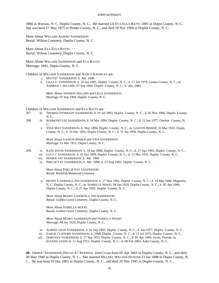1860 in Warsaw, N. C. Duplin County, N. C.. He married (2) EVA EULA BATTS 1891 in Dupin County, N. C.. She was born 17 May 1875 in Pender County, N. C., and died 18 Nov 1960 in Duplin County, N. C..

More About WILLIAM ALBERT SANDERSON: Burial: Wilson Cemetery, Duplin County, N. C.

More About EVA EULA BATTS: Burial: Wilson Cemetery, Duplin County, N. C.

More About WILLIAM SANDERSON and EVA BATTS: Marriage: 1891, Dupin County, N. C.

Children of WILLIAM SANDERSON and NANCY KNOWLES are:

- i. MATTIE<sup>4</sup> SANDERSON, b. Abt. 1880.
- ii. LILLA F. SANDERSON, b. 26 Jan 1885, Duplin County, N. C.; d. 17 Jan 1979, Lenior County, N. C.; m. ANDREW J. SELLERS, 07 Sep 1904, Duplin County, N. C.; b. Abt. 1885.

More About ANDREW SELLERS and LILLA SANDERSON: Marriage: 07 Sep 1904, Duplin County, N. C.

Children of WILLIAM SANDERSON and EVA BATTS are:

- 207. iii. THOMAS FITSHUGH<sup>4</sup> SANDERSON, b. 01 Jul 1892, Duplin County, N. C.; d. 05 Nov 1966, Duplin County, N. C..
- 208. iv. ROSMOND LEE SANDERSON, b. 24 Mar 1894, Duplin County, N. C.; d. 12 Jun 1977, Onslow County, N. C..
	- v. VIDA MAY SANDERSON, b. May 1894, Duplin County, N. C.; m. GASTON BISHOP, 31 Mar 1915, Dupin County, N. C.; b. 14 Dec 1892, Duplin County, N. C.; d. 31 Jan 1950, Duplin County, N. C..

More About GASTON BISHOP and VIDA SANDERSON: Marriage: 31 Mar 1915, Dupin County, N. C.

- 209. vi. KATE DAVIS SANDERSON, b. 10 Jan 1898, Duplin County, N. C.; d. 27 Apr 1992, Duplin County, N. C..
	- vii. LUCY J. SANDERSON, b. 10 Oct 1899, Duplin County, N. C.; d. 13 Mar 1910, Duplin County, N. C..
	- viii. HOMER JAY SANDERSON, b. Abt. 1900.
	- ix. PHILLIP FAY SANDERSON, b. Abt. 1900; d. 23 Aug 1982, Duplin County, N. C..

More About PHILLIP FAY SANDERSON: Burial: Rockfish Memorial Cemetery

x. HENRY LAWRENCE 2ND SANDERSON, b. 27 Nov 1901, Duplin County, N. C.; d. 19 Mar 1984, Magnolia, N. C. Duplin County, N. C.; m. ISABELLA WOOD, 04 Jan 1929, Duplin County, N. C.; b. 05 Apr 1906, Duplin County, N. C.; d. 27 Apr 1992, Duplin County, N. C..

More About HENRY LAWRENCE 2ND SANDERSON: Burial: Golden Grove Cemetery, Duplin County, N. C.

More About ISABELLA WOOD: Burial: Golden Grove Cemetery, Duplin County, N. C.

More About HENRY SANDERSON and ISABELLA WOOD: Marriage: 04 Jan 1929, Duplin County, N. C.

- xi. ALBERT LEON SANDERSON, b. 01 Sep 1905, Duplin County, N. C.; d. Jun 1977, Duplin County, N. C..
- xii. EARLIE CLIFFORD SANDERSON, b. 1908, Duplin County, N. C.; d. 15 Jul 1973, Duplin County, N. C..
- xiii. DOROTHY SANDERSON, b. 27 Sep 1915, Duplin County, N. C.; d. 05 Apr 1999, Ocala, Florida; m. EUGENE LEWIS; b. 11 Aug 1911, Duplin County, N. C.; d. 08 Feb 2002, Ashe County, N. C..

**48.** ORPHA<sup>3</sup> SANDERSON (SYLVIA A.<sup>2</sup> KENNEDY, JOHN<sup>1</sup>) was born 05 Apr 1863 in Duplin County, N. C., and died 30 May 1940 in Duplin County, N. C.. She married HILLERY WILLIAM HUNTER 13 Jan 1888 in Dupin County, N. C.. He was born 03 Dec 1861 in Duplin County, N. C., and died 20 Nov 1941 in Duplin County, N. C..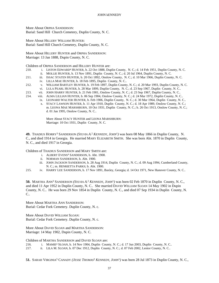More About ORPHA SANDERSON: Burial: Sand Hill Church Cemetery, Duplin County, N. C.

More About HILLERY WILLIAM HUNTER: Burial: Sand Hill Church Cemetery, Duplin County, N. C.

More About HILLERY HUNTER and ORPHA SANDERSON: Marriage: 13 Jan 1888, Dupin County, N. C.

Children of ORPHA SANDERSON and HILLERY HUNTER are:

- 210. i. LISTON EDWARD<sup>4</sup> HUNTER, b. 22 Oct 1888, Duplin County, N. C.; d. 14 Feb 1951, Duplin County, N. C.
	- ii. MOLLIE HUNTER, b. 13 Nov 1891, Duplin County, N. C.; d. 20 Jul 1964, Duplin County, N. C.
- 211. iii. ISSAC STATEN HUNTER, b. 20 Oct 1892, Onslow County, N. C.; d. 10 Mar 1966, Duplin County, N. C.
	- iv. LILLA MAE HUNTER, b. 18 Feb 1895, Duplin County, N. C..
- 212. v. WILLIAM BARTLEY HUNTER, b. 19 Feb 1897, Duplin County, N. C.; d. 20 Mar 1993, Duplin County, N. C. vi. LULA PEARL HUNTER, b. 28 Mar 1899, Duplin County, N. C.; d. 23 Sep 1967, Duplin County, N. C..
- 213. vii. JOHN HARRY HUNTER, b. 21 Feb 1901, Onslow County, N. C.; d. 23 Sep 1967, Duplin County, N. C..
- 214. viii. ALMA LILLIAN HUNTER, b. 06 Sep 1904, Onslow County, N. C.; d. 24 Mar 1972, Duplin County, N. C..
	- ix. LEONARD WALTER HUNTER, b. Feb 1906, Duplin County, N. C.; d. 30 Mar 1964, Duplin County, N. C..
		- x. STACY LAWSON HUNTER, b. 11 Apr 1910, Duplin County, N. C.; d. 18 Apr 1989, Onslow County, N. C.; m. LEONA MAE MARSHBURN, 10 Oct 1931, Duplin County, N. C.; b. 26 Oct 1913, Onslow County, N. C.; d. 01 Jan 1995, Onslow County, N. C..

More About STACY HUNTER and LEONA MARSHBURN: Marriage: 10 Oct 1931, Duplin County, N. C.

**49.** THADIUS HORRY<sup>3</sup> SANDERSON *(SYLVIA A.* 2  *KENNEDY, JOHN*<sup>1</sup> *)* was born 08 May 1866 in Duplin County, N. C., and died 1914 in Georgia. He married MARY ELIZABETH SMITH. She was born Abt. 1870 in Duplin County, N. C., and died 1917 in Georgia.

Children of THADIUS SANDERSON and MARY SMITH are:

- i. ALBERT EVENS<sup>4</sup> SANDERSON, b. Abt. 1900.
- ii. NORMAN SANDERSON, b. Abt. 1900.
- iii. JOHN JACKSON SANDERSON, b. 28 Aug 1914, Duplin County, N. C.; d. 09 Aug 1994, Cumberland County, N. C.; m. HENRIETTA PARKS; b. Abt. 1900.
- 215. iv. HARRY LEE SANDERSON, b. 17 Nov 1891, Baxley, Georgia; d. 14 Oct 1971, New Hanover County, N. C..

50. MARTHA ANN<sup>3</sup> SANDERSON (SYLVIA A.<sup>2</sup> KENNEDY, JOHN<sup>1</sup>) was born 02 Feb 1870 in Duplin County, N. C., and died 11 Apr 1952 in Duplin County, N. C.. She married DAVID WILLIAM SLOAN 14 May 1902 in Dupin County, N. C.. He was born 29 Nov 1854 in Duplin County, N. C., and died 07 Sep 1934 in Duplin County, N. C..

More About MARTHA ANN SANDERSON: Burial: Cedar Fork Cemetery. Duplin County, N. c.

More About DAVID WILLIAM SLOAN: Burial: Cedar Fork Cemetery. Duplin County, N. c.

More About DAVID SLOAN and MARTHA SANDERSON: Marriage: 14 May 1902, Dupin County, N. C.

Children of MARTHA SANDERSON and DAVID SLOAN are:

216. i. MAMIE<sup>4</sup> SLOAN, b. 14 Nov 1904, Duplin County, N. C.; d. 17 Jun 2003, Duplin County, N. C..

217. ii. LILA M. SLOAN, b. 07 Dec 1912, Duplin County, N. C.; d. 07 Feb 2002, Lenior County, N. C..

**51.** SARAH VIRGINIA<sup>3</sup> CANADY *(JESSE THOMAS*<sup>2</sup>  *KENNEDY, JOHN*<sup>1</sup> *)* was born 28 Jul 1873 in Duplin County, N. C.,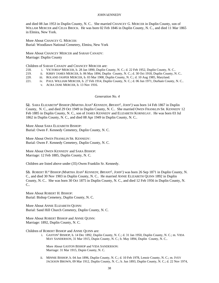and died 08 Jan 1953 in Duplin County, N. C.. She married CHANCEY G. MERCER in Duplin County, son of WILLAM MERCER and CELIA BROCK. He was born 02 Feb 1846 in Duplin County, N. C., and died 11 Mar 1865 in Elmira, New York.

More About CHANCEY G. MERCER: Burial: Woodlawn National Cemetery, Elmira, New York

More About CHANCEY MERCER and SARAH CANADY: Marriage: Duplin County

Children of SARAH CANADY and CHANCEY MERCER are:

- 218. i. VICTORIA<sup>4</sup> MERCER, b. 28 Jan 1890, Duplin County, N. C.; d. 22 Feb 1952, Duplin County, N. C..
- 219. ii. KIRBY JAMES MERCER, b. 06 May 1894, Duplin County, N. C.; d. 30 Oct 1918, Duplin County, N. C..
- 220. iii. ROLAND JASPER MERCER, b. 03 Mar 1908, Duplin County, N. C.; d. 10 Aug 1985, Maryland.
- 221. iv. PAUL WILLIAM MERCER, b. 27 Feb 1914, Duplin County, N. C.; d. 06 Jun 1971, Durham County, N. C..
	- v. ACRA JANE MERCER, b. 13 Nov 1916.

# *Generation No. 4*

**52.** SARA ELIZABETH<sup>4</sup> BISHOP *(MARTHA JEAN*<sup>3</sup>  *KENNEDY, BRYANT*<sup>2</sup> *, JOHN*<sup>1</sup> *)* was born 14 Feb 1867 in Duplin County, N. C., and died 29 Oct 1949 in Duplin County, N. C.. She married OWEN FRANKLIN SR. KENNEDY 12 Feb 1885 in Duplin County, N. C., son of JAMES KENNEDY and ELIZABETH KORNEGAY. He was born 03 Jul 1862 in Duplin County, N. C., and died 08 Apr 1949 in Duplin County, N. C..

More About SARA ELIZABETH BISHOP: Burial: Owen F. Kennedy Cemetery, Duplin County, N. C.

More About OWEN FRANKLIN SR. KENNEDY: Burial: Owen F. Kennedy Cemetery, Duplin County, N. C.

More About OWEN KENNEDY and SARA BISHOP: Marriage: 12 Feb 1885, Duplin County, N. C.

Children are listed above under (35) Owen Franklin Sr. Kennedy.

53. ROBERT H.<sup>4</sup> BISHOP *(MARTHA JEAN<sup>3</sup> KENNEDY, BRYANT<sup>2</sup>, JOHN<sup>1</sup>) was born 26 Sep 1871 in Duplin County, N.* C., and died 30 Nov 1903 in Duplin County, N. C.. He married ANNIE ELIZABETH QUINN 1892 in Duplin County, N. C.. She was born 30 Oct 1875 in Duplin County, N. C., and died 12 Feb 1956 in Duplin County, N. C..

More About ROBERT H. BISHOP: Burial: Bishop Cemetery, Duplin County, N. C.

More About ANNIE ELIZABETH QUINN: Burial: Sand Hill Church Cemetery, Duplin County, N. C.

More About ROBERT BISHOP and ANNIE QUINN: Marriage: 1892, Duplin County, N. C.

Children of ROBERT BISHOP and ANNIE QUINN are:

i. GASTON<sup>5</sup> BISHOP, b. 14 Dec 1892, Duplin County, N. C.; d. 31 Jan 1950, Duplin County, N. C.; m. VIDA MAY SANDERSON, 31 Mar 1915, Dupin County, N. C.; b. May 1894, Duplin County, N. C..

More About GASTON BISHOP and VIDA SANDERSON: Marriage: 31 Mar 1915, Dupin County, N. C.

ii. MINNIE BISHOP, b. 04 Jun 1896, Duplin County, N. C.; d. 10 Feb 1978, Lenoir County, N. C.; m. IVEY JACKSON BROWN, 09 Mar 1912, Duplin County, N. C.; b. Jun 1893, Duplin County, N. C.; d. 22 Nov 1974,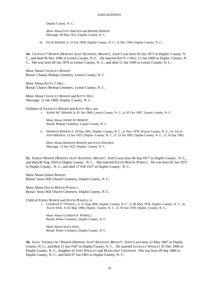Duplin County, N. C..

More About IVEY BROWN and MINNIE BISHOP: Marriage: 09 Mar 1912, Duplin County, N. C.

iii. ELLIS BISHOP, b. 10 Jun 1899, Duplin County, N. C.; d. Dec 1964, Duplin County, N. C..

**54.** CHANCEY<sup>4</sup> BISHOP *(MARTHA JEAN*<sup>3</sup>  *KENNEDY, BRYANT*<sup>2</sup> *, JOHN*<sup>1</sup> *)* was born 03 Jun 1873 in Duplin County, N. C., and died 06 Nov 1906 in Lenior County, N. C.. He married KITTY J. HILL 12 Jan 1899 in Duplin County, N. C.. She was born 04 Jun 1876 in Lenior County, N. C., and died 11 Jan 1949 in Lenior County, N. C..

More About CHANCEY BISHOP: Burial: Chancy Bishop Cemetery, Lenoir County, N. C

More About KITTY J. HILL: Burial: Chancy Bishop Cemetery, Lenoir County, N. C.

More About CHANCEY BISHOP and KITTY HILL: Marriage: 12 Jan 1899, Duplin County, N. C.

Children of CHANCEY BISHOP and KITTY HILL are:

i. ANNIE M.<sup>5</sup> BISHOP, b. 01 Jan 1900, Lenoir County, N. C.; d. 05 Oct 1907, Lenoir County, N. C..

More About ANNIE M. BISHOP: Burial: Bishop Cemetery, Lenoir County, N. C.

ii. HERMAN BISHOP, b. 29 Sep 1901, Duplin County, N. C.; d. Nov 1976, Wayne County, N. C.; m. JULIA ANN RHODES, 13 Jan 1923, Duplin County, N. C.; b. 23 Jul 1895, Duplin County, N. C.; d. 24 Apr 1962.

More About HERMAN BISHOP and JULIA RHODES: Marriage: 13 Jan 1923, Duplin County, N. C.

**55.** EMMA<sup>4</sup> BISHOP *(MARTHA JEAN*<sup>3</sup>  *KENNEDY, BRYANT*<sup>2</sup> *, JOHN*<sup>1</sup> *)* was born 06 Sep 1877 in Duplin County, N. C., and died 08 Aug 1950 in Duplin County, N. C.. She married DAVID BERTIE POWELL. He was born 02 Jan 1872 in Duplin County, N. C., and died 17 Feb 1927 in Duplin County, N. C..

More About EMMA BISHOP: Burial: Snow Hill Church Cemetery, Duplin County, N. C.

More About DAVID BERTIE POWELL: Burial: Snow Hill Church Cemetery, Duplin County, N. C.

Child of EMMA BISHOP and DAVID POWELL is:

i. GURMAN P.<sup>5</sup> POWELL, b. 21 Aug 1896, Duplin County, N. C.; d. 06 May 1976, Duplin County, N. C.; m. ALICE DAIL; b. 02 May 1896, Duplin County, N. C.; d. 30 Jun 1978, Duplin County, N. C..

More About GURMAN P. POWELL: Burial: Potter Cemetery, Duplin County, N. C.

More About ALICE DAIL: Burial: Potter Cemetery, Duplin County, N. C.

**56.** ISSAC THOMAS JR.<sup>4</sup> BISHOP *(MARTHA JEAN*<sup>3</sup>  *KENNEDY, BRYANT*<sup>2</sup> *, JOHN*<sup>1</sup> *)* was born 12 May 1887 in Duplin County, N. C., and died 11 Jun 1947 in Duplin County, N. C.. He married LOUELLA WHALEY 05 Dec 1906 in Duplin County, N. C., daughter of JOHN WHALEY and MARGARET GRESHAM. She was born 28 Sep 1884 in Duplin County, N. C., and died 07 Jun 1965 in Duplin County, N. C..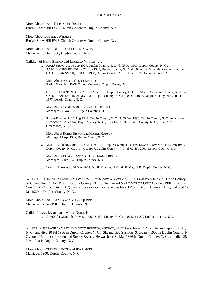More About ISSAC THOMAS JR. BISHOP: Burial: Snow Hill FWB Church Cemetery, Duplin County, N. c.

More About LOUELLA WHALEY: Burial: Snow Hill FWB Church Cemetery, Duplin County, N. c.

More About ISSAC BISHOP and LOUELLA WHALEY: Marriage: 05 Dec 1906, Duplin County, N. C.

Children of ISSAC BISHOP and LOUELLA WHALEY are:

- i. PAUL<sup>5</sup> BISHOP, b. 16 Sep 1907, Duplin County, N. C.; d. 05 Oct 1907, Duplin County, N. C..
- ii. AARON GLENN BISHOP, b. 26 Nov 1908, Duplin County, N. C.; d. 06 Feb 1933, Duplin County, N. C.; m. CALLIE JEAN SMITH; b. 04 Oct 1908, Duplin County, N. C.; d. Feb 1977, Lenoir County, N. C..

More About AARON GLENN BISHOP: Burial: Snow Hill FWB Church Cemetery, Duplin County, N. c.

iii. GORDEN EURBERN BISHOP, b. 21 Mar 1911, Duplin County, N. C.; d. Mar 1985, Lenoir County, N. C.; m. CALLIE JEAN SMITH, 26 Nov 1931, Duplin County, N. C.; b. 04 Oct 1908, Duplin County, N. C.; d. Feb 1977, Lenoir County, N. C..

More About GORDEN BISHOP and CALLIE SMITH: Marriage: 26 Nov 1931, Duplin County, N. C.

iv. RUBIN BISHOP, b. 20 Aug 1914, Duplin County, N. C.; d. 03 Dec 1996, Duplin County, N. C.; m. MABEL HUDSON, 18 Apr 1942, Dupin County, N. C.; b. 27 Mar 1910, Duplin County, N. C.; d. Jan 1972, Greensboro, N. C..

More About RUBIN BISHOP and MABEL HUDSON: Marriage: 18 Apr 1942, Dupin County, N. C.

v. MAMIE VERENDA BISHOP, b. 24 Dec 1919, Duplin County, N. C.; m. ELWOOD SWINDELL, 06 Jan 1940, Duplin County, N. C.; b. 14 Oct 1917, Duplin County, N. C.; d. 02 Sep 2001, Lenoir County, N. C..

More About ELWOOD SWINDELL and MAMIE BISHOP: Marriage: 06 Jan 1940, Duplin County, N. C.

vi. INFANT BISHOP, b. 26 May 1925, Duplin County, N. C.; d. 26 May 1925, Duplin County, N. C..

**57.** ISSAC LAFFYETLE<sup>4</sup> LANIER *(MARY ELIZABETH*<sup>3</sup>  *KENNEDY, BRYANT*<sup>2</sup> *, JOHN*<sup>1</sup> *)* was born 1875 in Duplin County, N. C., and died 21 Jan 1944 in Duplin County, N. C.. He married MARY MYRTIE QUINN 02 Feb 1901 in Duplin County, N. C., daughter of J. QUINN and SARAH QUINN. She was born 1875 in Duplin County, N. C., and died 19 Jan 1929 in Duplin County, N. C..

More About ISSAC LANIER and MARY QUINN: Marriage: 02 Feb 1901, Duplin County, N. C.

Child of ISSAC LANIER and MARY QUINN is:

i. ADMAH<sup>5</sup> LANIER, b. 04 May 1906, Duplin County, N. C.; d. 07 Sep 1980, Duplin County, N. C..

58. IDA JANE<sup>4</sup> LANIER (*MARY ELIZABETH*<sup>3</sup> *KENNEDY*, *BRYANT*<sup>2</sup>, *JOHN*<sup>1</sup>) was born 02 Aug 1878 in Duplin County, N. C., and died 20 Jul 1966 in Duplin County, N. C.. She married STEPHEN S. LANIER 1900 in Duplin County, N. C., son of ZEBULON LANIER and SUSAN BATTS. He was born 31 Mar 1866 in Duplin County, N. C., and died 28 Nov 1943 in Duplin County, N. C..

More About STEPHEN LANIER and IDA LANIER: Marriage: 1900, Duplin County, N. C.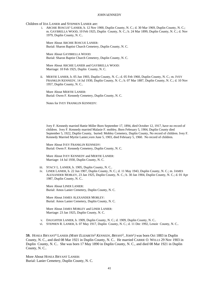Children of IDA LANIER and STEPHEN LANIER are:

i. ARCHIE ROSCUE<sup>5</sup> LANIER, b. 12 Nov 1900, Duplin County, N. C.; d. 30 Mar 1969, Duplin County, N. C.; m. GAYBRELLA WOOD, 10 Feb 1925, Duplin County, N. C.; b. 24 Mar 1899, Duplin County, N. C.; d. Nov 1979, Duplin County, N. C..

More About ARCHIE ROSCUE LANIER: Burial: Sharon Baptist Church Cemetery, Duplin County, N. C.

More About GAYBRELLA WOOD: Burial: Sharon Baptist Church Cemetery, Duplin County, N. C.

More About ARCHIE LANIER and GAYBRELLA WOOD: Marriage: 10 Feb 1925, Duplin County, N. C.

ii. MERTIE LANIER, b. 05 Jun 1903, Duplin County, N. C.; d. 05 Feb 1960, Duplin County, N. C.; m. IVEY FRANKLIN KENNEDY, 14 Jul 1930, Duplin County, N. C.; b. 07 Mar 1887, Duplin County, N. C.; d. 10 Nov 1957, Duplin County, N. C..

More About MERTIE LANIER: Burial: Owen F. Kennedy Cemetery, Duplin County, N. C.

Notes for IVEY FRANKLIN KENNEDY:

Ivey F. Kennedy married Hattie Miller Born September 17, 1894, died October 12, 1917, have no record of children. Ivey F. Kennedy married Malasie F. mobley, Born February 5, 1904, Duplin County died September 5, 1922, Duplin County, buried: Mobley Cemetery, Duplin County, No record of children. Ivey F. Kennedy Married Myrtie Lanier,vorn June 5, 1903, died February 5, 1960. No record of children.

More About IVEY FRANKLIN KENNEDY: Burial: Owen F. Kennedy Cemetery, Duplin County, N. C.

More About IVEY KENNEDY and MERTIE LANIER: Marriage: 14 Jul 1930, Duplin County, N. C.

- iii. STACY L. LANIER, b. 1905, Duplin County, N. C..
- iv. LINER LANIER, b. 22 Jun 1907, Duplin County, N. C.; d. 11 May 1943, Duplin County, N. C.; m. JAMES ALEXANDER MOBLEY, 23 Jan 1925, Duplin County, N. C.; b. 30 Jan 1904, Duplin County, N. C.; d. 01 Apr 1987, Duplin County, N. C..

More About LINER LANIER: Burial: Amos Lanier Cemetery, Duplin County, N. C.

More About JAMES ALEXANDER MOBLEY: Burial: Amos Lanier Cemetery, Duplin County, N. C.

More About JAMES MOBLEY and LINER LANIER: Marriage: 23 Jan 1925, Duplin County, N. C.

- v. DAUGHTER LANIER, b. 1909, Duplin County, N. C.; d. 1909, Duplin County, N. C..
- vi. STEPHEN R. LANIER, b. 07 May 1917, Duplin County, N. C.; d. 11 Dec 1992, Lenoir County, N. C..

**59.** HOSEA BRYANT<sup>4</sup> LANIER *(MARY ELIZABETH*<sup>3</sup>  *KENNEDY, BRYANT*<sup>2</sup> *, JOHN*<sup>1</sup> *)* was born Oct 1883 in Duplin County, N. C., and died 08 Mar 1921 in Duplin County, N. C.. He married CARRIE O. WELLS 29 Nov 1903 in Duplin County, N. C.. She was born 17 May 1890 in Duplin County, N. C., and died 08 Mar 1921 in Duplin County, N. C..

More About HOSEA BRYANT LANIER: Burial: Lanier Cemetery, Duplin County, N. C.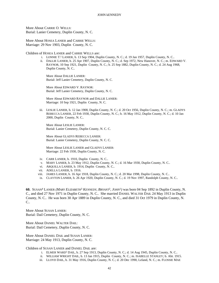More About CARRIE O. WELLS: Burial: Lanier Cemetery, Duplin County, N. C.

More About HOSEA LANIER and CARRIE WELLS: Marriage: 29 Nov 1903, Duplin County, N. C.

Children of HOSEA LANIER and CARRIE WELLS are:

- i. LONNIE T. 5 LANIER, b. 13 Sep 1904, Duplin County, N. C.; d. 19 Jan 1957, Duplin County, N. C..
- ii. DALLIE LANIER, b. 25 Apr 1907, Duplin County, N. C.; d. Sep 1972, New Hanover, N. C.; m. EDWARD V. RAYNOR, 10 Sep 1921, Duplin County, N. C.; b. 25 Sep 1882, Duplin County, N. C.; d. 24 Aug 1968, Duplin County, N. C..

More About DALLIE LANIER: Burial: Jeff Lanier Cemetery, Duplin County, N. C.

More About EDWARD V. RAYNOR: Burial: Jeff Lanier Cemetery, Duplin County, N. C.

More About EDWARD RAYNOR and DALLIE LANIER: Marriage: 10 Sep 1921, Duplin County, N. C.

iii. LESLIE LANIER, b. 12 Jan 1908, Duplin County, N. C.; d. 20 Oct 1956, Duplin County, N. C.; m. GLADYS REBECCA LANIER, 22 Feb 1930, Duplin County, N. C.; b. 16 May 1912, Duplin County, N. C.; d. 10 Jan 2000, Duplin County, N. C..

More About LESLIE LANIER: Burial: Lanier Cemetery, Duplin County, N. C. C.

More About GLADYS REBECCA LANIER: Burial: Lanier Cemetery, Duplin County, N. C. C.

More About LESLIE LANIER and GLADYS LANIER: Marriage: 22 Feb 1930, Duplin County, N. C.

- iv. CARR LANIER, b. 1910, Duplin County, N. C..
- v. MARY LANIER, b. 23 May 1912, Duplin County, N. C.; d. 16 Mar 1930, Duplin County, N. C..
- vi. ARQUILLA LANIER, b. 1914, Duplin County, N. C..
- vii. ADELLA LANIER, b. 1916.
- viii. JAMES LANIER, b. 16 Apr 1918, Duplin County, N. C.; d. 20 Mar 1998, Duplin County, N. C..
- ix. CLAYTON LANIER, b. 26 Apr 1920, Duplin County, N. C.; d. 19 Nov 1997, Randolph County, N. C..

**60.** SUSAN<sup>4</sup> LANIER *(MARY ELIZABETH*<sup>3</sup>  *KENNEDY, BRYANT*<sup>2</sup> *, JOHN*<sup>1</sup> *)* was born 04 Sep 1892 in Duplin County, N. C., and died 27 Nov 1971 in Duplin County, N. C.. She married DANIEL WALTER DAIL 24 May 1913 in Duplin County, N. C.. He was born 30 Apr 1889 in Duplin County, N. C., and died 31 Oct 1979 in Duplin County, N. C..

More About SUSAN LANIER: Burial: Dail Cemetery, Duplin County, N. C.

More About DANIEL WALTER DAIL: Burial: Dail Cemetery, Duplin County, N. C.

More About DANIEL DAIL and SUSAN LANIER: Marriage: 24 May 1913, Duplin County, N. C.

Children of SUSAN LANIER and DANIEL DAIL are:

- i. ELMER WARD<sup>5</sup> DAIL, b. 27 Sep 1913, Duplin County, N. C.; d. 14 Aug 1945, Duplin County, N. C..
- ii. WILLIAM WRIGHT DAIL, b. 13 Jan 1915, Duplin County, N. C.; m. ISABELLE STANLEY; b. Abt. 1915.
- iii. LLOYD DAIL, b. 31 May 1916, Duplin County, N. C.; d. 20 Dec 1990, Leland, N. C.; m. FLOSSIE MAE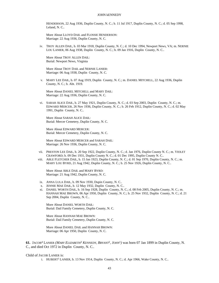HENDERSON, 22 Aug 1936, Duplin County, N. C.; b. 11 Jul 1917, Duplin County, N. C.; d. 05 Sep 1998, Leland, N. C..

More About LLOYD DAIL and FLOSSIE HENDERSON: Marriage: 22 Aug 1936, Duplin County, N. C.

iv. TROY ALLEN DAIL, b. 03 Mar 1918, Duplin County, N. C.; d. 10 Dec 1994, Newport News, VA; m. NERNIE LOU LANIER, 06 Aug 1938, Duplin County, N. C.; b. 09 Jan 1916, Duplin County, N. C..

More About TROY ALLEN DAIL: Burial: Newport News, Virginia

More About TROY DAIL and NERNIE LANIER: Marriage: 06 Aug 1938, Duplin County, N. C.

v. MARY LEE DAIL, b. 07 Aug 1919, Duplin County, N. C.; m. DANIEL MITCHELL, 22 Aug 1936, Duplin County, N. C.; b. Abt. 1919.

More About DANIEL MITCHELL and MARY DAIL: Marriage: 22 Aug 1936, Duplin County, N. C.

vi. SARAH ALICE DAIL, b. 27 May 1921, Duplin County, N. C.; d. 03 Sep 2003, Duplin County, N. C.; m. EDWARD MERCER, 26 Nov 1936, Duplin County, N. C.; b. 26 Feb 1912, Duplin County, N. C.; d. 02 May 1991, Duplin County, N. C..

More About SARAH ALICE DAIL: Burial: Mercer Cemetery, Duplin County, N. C.

More About EDWARD MERCER: Burial: Mercer Cemetery, Duplin County, N. C.

More About EDWARD MERCER and SARAH DAIL: Marriage: 26 Nov 1936, Duplin County, N. C.

- vii. PRESTON LEE DAIL, b. 20 Sep 1922, Duplin County, N. C.; d. Jan 1976, Duplin County N. C.; m. VIOLET CRAWFORD; b. 09 Dec 1931, Duplin County N. C.; d. 01 Dec 1995, Duplin County N. C..
- viii. ABLE FLETCHER DAIL, b. 15 Jan 1923, Duplin County, N. C.; d. 01 Sep 1970, Duplin County, N. C.; m. MARY LOU BYRD, 21 Aug 1942, Duplin County, N. C.; b. 25 Nov 1926, Duplin County, N. C..

More About ABLE DAIL and MARY BYRD: Marriage: 21 Aug 1942, Duplin County, N. C.

- ix. ANNA LULA DAIL, b. 09 Nov 1930, Dupin County, N. C..
- x. JENNIE MAE DAIL, b. 12 May 1932, Duplin County, N. C..
- xi. DANIEL WORTH DAIL, b. 16 Sep 1928, Duplin County, N. C.; d. 08 Feb 2005, Duplin County, N. C.; m. HANNAH MAE BROWN, 06 Apr 1950, Duplin County, N. C.; b. 25 Nov 1932, Duplin County, N. C.; d. 21 Sep 2004, Duplin County, N. C..

More About DANIEL WORTH DAIL: Burial: Dail Family Cemetery, Duplin County, N. C.

More About HANNAH MAE BROWN: Burial: Dail Family Cemetery, Duplin County, N. C.

More About DANIEL DAIL and HANNAH BROWN: Marriage: 06 Apr 1950, Duplin County, N. C.

**61.** JACOB<sup>4</sup> LANIER *(MARY ELIZABETH*<sup>3</sup>  *KENNEDY, BRYANT*<sup>2</sup> *, JOHN*<sup>1</sup> *)* was born 07 Jan 1899 in Duplin County, N. C., and died Oct 1972 in Duplin County, N. C..

## Child of JACOB LANIER is:

i. HUBERT<sup>5</sup> LANIER, b. 13 Nov 1914, Duplin County, N. C.; d. Apr 1966, Wake County, N. C..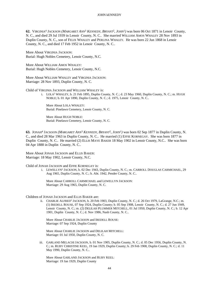**62.** VIRGINIA<sup>4</sup> JACKSON *(MARGARET ANN*<sup>3</sup>  *KENNEDY, BRYANT*<sup>2</sup> *, JOHN*<sup>1</sup> *)* was born 06 Oct 1871 in Lenoir County, N. C., and died 29 Jul 1939 in Lenoir County, N. C.. She married WILLIAM AMOS WHALEY 28 Nov 1893 in Duplin County, N. C., son of FELIX WHALEY and PERLINA WHALEY. He was born 22 Jun 1868 in Lenoir County, N. C., and died 17 Feb 1952 in Lenoir County, N. C..

More About VIRGINIA JACKSON: Burial: Hugh Nobles Cemetery, Lenoir County, N.C.

More About WILLIAM AMOS WHALEY: Burial: Hugh Nobles Cemetery, Lenoir County, N.C.

More About WILLIAM WHALEY and VIRGINIA JACKSON: Marriage: 28 Nov 1893, Duplin County, N. C.

Child of VIRGINIA JACKSON and WILLIAM WHALEY is:

i. LOLA<sup>5</sup> WHALEY, b. 21 Feb 1895, Duplin County, N. C.; d. 23 May 1960, Duplin County, N. C.; m. HUGH NOBLE; b. 01 Apr 1890, Duplin County, N. C.; d. 1975, Lenoir County, N. C..

More About LOLA WHALEY: Burial: Pinelawn Cemetery, Lenoir County, N. C.

More About HUGH NOBLE: Burial: Pinelawn Cemetery, Lenoir County, N. C.

**63.** JONAH<sup>4</sup> JACKSON *(MARGARET ANN*<sup>3</sup>  *KENNEDY, BRYANT*<sup>2</sup> *, JOHN*<sup>1</sup> *)* was born 02 Sep 1877 in Duplin County, N. C., and died 28 Mar 1963 in Duplin County, N. C.. He married (1) EFFIE KORNEGAY. She was born 1877 in Duplin County, N. C.. He married (2) ELLIS MAYE BAKER 18 May 1902 in Lenoir County, N.C.. She was born 04 Apr 1888 in Duplin County, N. C..

More About JONAH JACKSON and ELLIS BAKER: Marriage: 18 May 1902, Lenoir County, N.C.

Child of JONAH JACKSON and EFFIE KORNEGAY is:

i. LEWELLYN<sup>5</sup> JACKSON, b. 02 Dec 1943, Duplin County, N. C.; m. CARROLL DOUGLAS CARMICHAEL, 29 Aug 1965, Duplin County, N. C.; b. Abt. 1942, Pender County, N. C..

More About CARROLL CARMICHAEL and LEWELLYN JACKSON: Marriage: 29 Aug 1965, Duplin County, N. C.

# Children of JONAH JACKSON and ELLIS BAKER are:

ii. CHARLIE ALFRED<sup>5</sup> JACKSON, b. 20 Feb 1903, Duplin County, N. C.; d. 26 Oct 1979, LaGrange, N.C.; m. (1) IREDELL ROUSE, 07 Sep 1924, Duplin County; b. 05 Sep 1908, Lenoir County, N. C.; d. 27 Jun 1949, Lenoir County, N. C.; m. (2) DELILAH PLUMMER MITCHELL, 01 Jul 1950, Duplin County, N. C.; b. 12 Apr 1901, Duplin County, N. C.; d. Nov 1986, Nash County, N. C..

More About CHARLIE JACKSON and IREDELL ROUSE: Marriage: 07 Sep 1924, Duplin County

More About CHARLIE JACKSON and DELILAH MITCHELL: Marriage: 01 Jul 1950, Duplin County, N. C.

iii. GARLAND MELACHI JACKSON, b. 01 Nov 1905, Duplin County, N. C.; d. 05 Dec 1956, Duplin County, N. C.; m. RUBY CHRISTINE KEEL, 19 Jan 1929, Duplin County; b. 29 Feb 1908, Duplin County, N. C.; d. 11 May 1990, Duplin County, N. C..

More About GARLAND JACKSON and RUBY KEEL: Marriage: 19 Jan 1929, Duplin County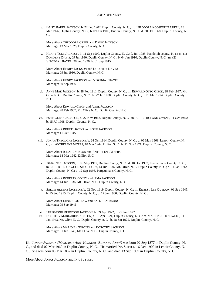iv. DAISY BAKER JACKSON, b. 22 Feb 1907, Duplin County, N. C.; m. THEODORE ROOSEVELT CREEL, 13 Mar 1926, Duplin County, N. C.; b. 09 Jun 1906, Duplin County, N. C.; d. 30 Oct 1968, Duplin County, N. C..

More About THEODORE CREEL and DAISY JACKSON: Marriage: 13 Mar 1926, Duplin County, N. C.

v. HENRY TULL JACKSON, b. 11 Sep 1909, Duplin County, N. C.; d. Jun 1985, Randolph county, N. c.; m. (1) DOROTHY DAVIS, 09 Jul 1930, Duplin County, N. C.; b. 04 Jan 1910, Duplin County, N. C.; m. (2) VIRGINIA THAYER, 30 Sep 1936; b. 01 Sep 1915.

More About HENRY JACKSON and DOROTHY DAVIS: Marriage: 09 Jul 1930, Duplin County, N. C.

More About HENRY JACKSON and VIRGINIA THAYER: Marriage: 30 Sep 1936

vi. ANNE MAE JACKSON, b. 28 Feb 1911, Duplin County, N. C.; m. EDWARD OTTO GIECK, 28 Feb 1937, Mt. Olive N. C. Duplin County, N. C.; b. 27 Jul 1908, Duplin County, N. C.; d. 26 Mar 1974, Duplin County, N. C..

More About EDWARD GIECK and ANNE JACKSON: Marriage: 28 Feb 1937, Mt. Olive N. C. Duplin County, N. C.

vii. ESSIE OLIVIA JACKSON, b. 27 Nov 1912, Duplin County, N. C.; m. BRUCE ROLAND OWENS, 11 Oct 1945; b. 15 Jul 1908, Duplin County, N. C..

More About BRUCE OWENS and ESSIE JACKSON: Marriage: 11 Oct 1945

viii. JONAH THEODORE JACKSON, b. 24 Oct 1914, Duplin County, N. C.; d. 06 May 1963, Lenoir County, N. C.; m. ANTHELENE MYERS, 18 Mar 1942, Dillion S. C.; b. 11 Nov 1921, Duplin County, N. C..

More About JONAH JACKSON and ANTHELENE MYERS: Marriage: 18 Mar 1942, Dillion S. C.

ix. IRMA INEZ JACKSON, b. 06 May 1917, Duplin County, N. C.; d. 10 Dec 1987, Perqeuimans County, N. C.; m. ROBERT LEONWOOD SR. GODLEY, 14 Jun 1936, Mt. Olive, N. C. Duplin County, N. C.; b. 14 Jan 1912, Duplin County, N. C.; d. 12 Sep 1993, Perqeuimans County, N. C..

More About ROBERT GODLEY and IRMA JACKSON: Marriage: 14 Jun 1936, Mt. Olive, N. C. Duplin County, N. C.

x. SALLIE ALEENE JACKSON, b. 02 Nov 1919, Duplin County, N. C.; m. ERNEST LEE OUTLAW, 09 Sep 1945; b. 15 Sep 1915, Duplin County, N. C.; d. 17 Jun 1980, Duplin County, N. C..

More About ERNEST OUTLAW and SALLIE JACKSON: Marriage: 09 Sep 1945

- xi. THURMOND DURWOOD JACKSON, b. 09 Apr 1922; d. 29 Jun 1922.
- xii. DOROTHY MARGARET JACKSON, b. 16 Apr 1924, Duplin County, N. C.; m. MARION JR. KNOWLES, 31 Jan 1943, Mt. Olive N. C. Duplin County, n. C.; b. 28 Jan 1922, Duplin County, N. C..

More About MARION KNOWLES and DOROTHY JACKSON: Marriage: 31 Jan 1943, Mt. Olive N. C. Duplin County, n. C.

**64.** JONAS<sup>4</sup> JACKSON *(MARGARET ANN*<sup>3</sup>  *KENNEDY, BRYANT*<sup>2</sup> *, JOHN*<sup>1</sup> *)* was born 02 Sep 1877 in Duplin County, N. C., and died 02 Mar 1960 in Duplin County, N. C.. He married INA SUTTON 16 Dec 1900 in Lenoir County, N. C.. She was born 08 Mar 1882 in Duplin County, N. C., and died 13 Sep 1959 in Duplin County, N. C..

More About JONAS JACKSON and INA SUTTON: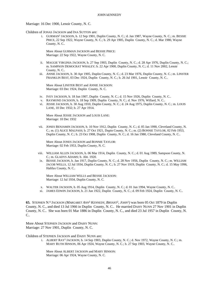Marriage: 16 Dec 1900, Lenoir County, N. C.

Children of JONAS JACKSON and INA SUTTON are:

i. GURMAN<sup>5</sup> JACKSON, b. 12 Sep 1901, Duplin County, N. C.; d. Jan 1987, Wayne County, N. C.; m. BESSIE PRICE, 22 Sep 1922, Wayne County, N. C.; b. 29 Apr 1905, Duplin County, N. C.; d. Mar 1980, Wayne County, N. C..

More About GURMAN JACKSON and BESSIE PRICE: Marriage: 22 Sep 1922, Wayne County, N. C.

- ii. MAGGIE VIRGINIA JACKSON, b. 27 Sep 1903, Duplin County, N. C.; d. 28 Apr 1976, Duplin County, N. C.; m. SAMPSON DEMOCRAT WHALEY; b. 22 Apr 1900, Duplin County, N. C.; d. 11 Nov 2002, Lenoir County, N. C..
- iii. ANNIE JACKSON, b. 30 Apr 1905, Duplin County, N. C.; d. 23 Mar 1976, Duplin County, N. C.; m. LINSTER FRANKLIN BEST, 03 Dec 1924, Duplin County, N. C.; b. 26 Jul 1901, Lenoir County, N. C..

More About LINSTER BEST and ANNIE JACKSON: Marriage: 03 Dec 1924, Duplin County, N. C.

- iv. IVEY JACKSON, b. 18 Jun 1907, Duplin County, N. C.; d. 15 Nov 1926, Duplin County, N. C..
- v. RAYMOND JACKSON, b. 18 Sep 1909, Duplin County, N. C.; d. Nov 1976, Willard, N. C..
- vi. JESSIE JACKSON, b. 30 Aug 1910, Duplin County, N. C.; d. 24 Aug 1975, Duplin County, N. C.; m. LOUIS LANE, 10 Dec 1932; b. 27 Apr 1914.

More About JESSIE JACKSON and LOUIS LANE: Marriage: 10 Dec 1932

vii. JONES BENJAMIN JACKSON, b. 10 Nov 1912, Duplin County, N. C.; d. 05 Jan 1990, Cleveland County, N. C.; m. (1) ALICE MALPASS; b. 27 Oct 1921, Dupin County, N. C.; m. (2) BONNIE TAYLOR, 02 Feb 1953, Duplin County, N. C.; b. 23 Oct 1908, Duplin County, N. C.; d. 16 Jan 1980, Cleveland County, N. C..

More About JONES JACKSON and BONNIE TAYLOR: Marriage: 02 Feb 1953, Duplin County, N. C.

- viii. WILLIAM ALLEN JACKSON, b. 06 Mar 1914, Duplin County, N. C.; d. 01 Aug 1989, Sampson County, N. C.; m. GLADYS ADAMS; b. Abt. 1920.
- ix. BESSIE JACKSON, b. Jan 1917, Duplin County, N. C.; d. 28 Nov 1956, Duplin County, N. C.; m. WILLIAM JACOB WELLS, 12 Jul 1934, Duplin County, N. C.; b. 27 Nov 1919, Duplin County, N. C.; d. 15 May 1996, Halifax County, N. C..

More About WILLIAM WELLS and BESSIE JACKSON: Marriage: 12 Jul 1934, Duplin County, N. C.

- x. WALTER JACKSON, b. 05 Aug 1914, Duplin County, N. C.; d. 01 Jun 1994, Wayne County, N. C..
- xi. JAMES EDWIN JACKSON, b. 21 Jun 1922, Duplin County, N. C.; d. 09 Feb 1924, Duplin County, N. C..

**65.** STEPHEN N. 4 JACKSON *(MARGARET ANN*<sup>3</sup>  *KENNEDY, BRYANT*<sup>2</sup> *, JOHN*<sup>1</sup> *)* was born 05 Oct 1879 in Duplin County, N. C., and died 13 Jul 1966 in Duplin County, N. C.. He married DAISY NUNN 27 Nov 1901 in Duplin County, N. C.. She was born 01 Mar 1886 in Duplin County, N. C., and died 23 Jul 1957 in Duplin County, N.  $C_{\cdot}$ 

More About STEPHEN JACKSON and DAISY NUNN: Marriage: 27 Nov 1901, Duplin County, N. C.

Children of STEPHEN JACKSON and DAISY NUNN are:

i. ALBERT RAY<sup>5</sup> JACKSON, b. 14 Sep 1903, Duplin County, N. C.; d. Nov 1972, Wayne County, N. C.; m. MARY RUTH HINSON, 06 Apr 1924, Wayne County, N. C.; b. 27 Sep 1903, Wayne County, N. C..

More About ALBERT JACKSON and MARY HINSON: Marriage: 06 Apr 1924, Wayne County, N. C.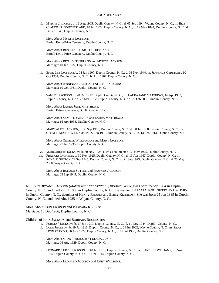ii. MYRTIE JACKSON, b. 19 Aug 1905, Duplin County, N. C.; d. 05 Sep 1994, Wayne County, N. C.; m. BEN CLAUDE SR. SOUTHERLAND, 10 Jan 1922, Duplin County, N. C.; b. 17 May 1894, Duplin County, N. C.; d. 14 Feb 1946, Duplin County, N. C..

More About MYRTIE JACKSON: Burial: Kelly-Price Cemetery, Duplin County, N. C.

More About BEN CLAUDE SR. SOUTHERLAND: Burial: Kelly-Price Cemetery, Duplin County, N. C.

More About BEN SOUTHERLAND and MYRTIE JACKSON: Marriage: 10 Jan 1922, Duplin County, N. C.

iii. EFFIE LEE JACKSON, b. 04 Jan 1907, Duplin County, N. C.; d. 03 Nov 1944; m. JENNINGS GERNIGAN, 10 Oct 1931, Duplin County, N. C.; b. Abt. 1907, Duplin County, N. C..

More About JENNINGS GERNIGAN and EFFIE JACKSON: Marriage: 10 Oct 1931, Duplin County, N. C.

iv. SAMUEL JACKSON, b. 28 Oct 1912, Duplin County, N. C.; m. LAURA JANE MATTHEWS, 16 Apr 1933, Duplin County, N. C.; b. 23 Mar 1912, Duplin County, N. C.; d. 02 Feb 2006, Duplin County, N. C..

More About LAURA JANE MATTHEWS: Burial: Faison Cemetery, Duplin County, N. C.

More About SAMUEL JACKSON and LAURA MATTHEWS: Marriage: 16 Apr 1933, Duplin County, N. C.

v. MARY ALICE JACKSON, b. 30 Sep 1919, Duplin County, N. C.; d. 08 Jul 1988, Lenoir County, N. C.; m. GEORGE ALMON WILLIAMSON, 27 Jun 1935, Duplin County, N. C.; b. 14 Feb 1914, Duplin County, N. C..

More About GEORGE WILLIAMSON and MARY JACKSON: Marriage: 27 Jun 1935, Duplin County, N. C.

- vi. MARGARETTE JACKSON, b. 30 Nov 1925, Died as an infant; d. 30 Nov 1925, Duplin County, N. C..
- vii. FRANCES JACKSON, b. 30 Nov 1925, Duplin County, N. C.; d. 19 Apr 1967, Duplin County, N. C.; m. RONALD SUTTON, 22 Sep 1945, Duplin County, N. C.; b. 21 Sep 1923, Duplin County, N. C.; d. 25 May 2000, Wayne County, N. C..

More About RONALD SUTTON and FRANCES JACKSON: Marriage: 22 Sep 1945, Duplin County, N. C.

**66.** JOHN BRYANT<sup>4</sup> JACKSON *(MARGARET ANN*<sup>3</sup>  *KENNEDY, BRYANT*<sup>2</sup> *, JOHN*<sup>1</sup> *)* was born 25 Sep 1884 in Duplin County, N. C., and died 27 Jul 1968 in Duplin County, N. C.. He married BARBARA JANE RHODES 15 Dec 1906 in Duplin County, N. C., daughter of HENRY RHODES and EMILY KENNEDY. She was born 25 Jun 1889 in Duplin County, N. C., and died Abt. 1985 in Wayne County, N. C..

More About JOHN JACKSON and BARBARA RHODES: Marriage: 15 Dec 1906, Duplin County, N. C.

Children of JOHN JACKSON and BARBARA RHODES are:

- i. FURNEY<sup>5</sup> JACKSON, b. 27 Jun 1910, Duplin County, N. C.; d. 11 Nov 1944, Duplin County, N. C..
- ii. LULA JACKSON, b. 19 Jul 1913, Duplin County, N. C.; d. 26 Jul 2002, Wayne County, N. C.; m. SILAS LEON PERKINS, 06 Aug 1929, Duplin County, N. C.; b. 09 Jul 1906, Duplin County, N. C..

More About SILAS PERKINS and LULA JACKSON: Marriage: 06 Aug 1929, Duplin County, N. C.

iii. LEONARD CURTIS JACKSON, b. 18 Jan 1916, Duplin County, N. C.; m. RUBY LEE WILLIAMS, 01 Nov 1954, Duplin County, N. C.; b. 15 Dec 1914, Duplin County, N. C..

More About LEONARD JACKSON and RUBY WILLIAMS: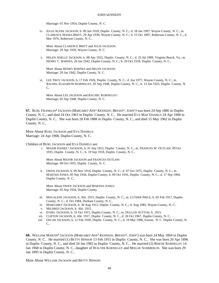Marriage: 01 Nov 1954, Duplin County, N. C.

iv. JULIA ALENE JACKSON, b. 09 Jun 1918, Duplin County, N. C.; d. 18 Jan 1997, Wayne County, N. C.; m. CLARENCE HOOKS BRITT, 29 Apr 1939, Wayne County, N. C.; b. 15 Oct 1897, Roberson County, N. C.; d. Mar 1976, Roberson County, N. C..

More About CLARENCE BRITT and JULIA JACKSON: Marriage: 29 Apr 1939, Wayne County, N. C.

v. HELEN ADELLE JACKSON, b. 08 Apr 1922, Duplin County, N. C.; d. 23 Jul 1989, Virginia Beach, Va.; m. HENRY C. BARNES, 29 Jan 1942, Duplin County, N. C.; b. 29 Oct 1918, Duplin County, N. C..

More About HENRY BARNES and HELEN JACKSON: Marriage: 29 Jan 1942, Duplin County, N. C.

vi. LEE TROY JACKSON, b. 17 Feb 1926, Duplin County, N. C.; d. Jun 1977, Wayne County, N. C.; m. RACHEL ELIZABETH KORNEGAY, 05 Sep 1948, Duplin County, N. C.; b. 13 Jan 1925, Duplin County, N.  $\mathcal{C}$ 

More About LEE JACKSON and RACHEL KORNEGAY: Marriage: 05 Sep 1948, Duplin County, N. C.

**67.** BURL FRANKLIN<sup>4</sup> JACKSON *(MARGARET ANN*<sup>3</sup>  *KENNEDY, BRYANT*<sup>2</sup> *, JOHN*<sup>1</sup> *)* was born 24 Sep 1886 in Duplin County, N. C., and died 24 Oct 1963 in Duplin County, N. C.. He married EVA MAE DANIELS 24 Apr 1908 in Duplin County, N. C.. She was born 28 Feb 1888 in Duplin County, N. C., and died 15 May 1962 in Duplin County, N. C..

More About BURL JACKSON and EVA DANIELS: Marriage: 24 Apr 1908, Duplin County, N. C.

Children of BURL JACKSON and EVA DANIELS are:

i. MAJOR DANIEL<sup>5</sup> JACKSON, b. 01 Sep 1912, Duplin County, N. C.; m. FRANCES W. OUTLAW, 09 Oct 1935, Duplin County, N. C.; b. 19 Sep 1918, Duplin County, N. C..

More About MAJOR JACKSON and FRANCES OUTLAW: Marriage: 09 Oct 1935, Duplin County, N. C.

ii. OWEN JACKSON, b. 09 Nov 1914, Duplin County, N. C.; d. 07 Oct 1975, Duplin County, N. C.; m. MARTHA JONES, 05 Sep 1934, Duplin County; b. 09 Oct 1916, Duplin County, N. C.; d. 17 Sep 1964, Duplin County, N. C..

More About OWEN JACKSON and MARTHA JONES: Marriage: 05 Sep 1934, Duplin County

- iii. MAGALENE JACKSON, b. Abt. 1915, Duplin County, N. C.; m. LUTHER PRICE; b. 02 Feb 1917, Duplin County, N. C.; d. Oct 1984, Durham County, N. C..
- iv. MARGARET JACKSON, b. 30 Aug 1915, Duplin County, N. C.; d. Aug 1985, Wayne County, N. C..
- v. MILDRED JACKSON, b. Abt. 1915.
- vi. ETHEL JACKSON, b. 31 Oct 1915, Duplin County, N. C.; m. DULLON SUTTON; b. 1915.
- vii. CLIFTON JACKSON, b. Abt. 1917, Duplin County, N. C.; d. 26 Oct 1967, Duplin County, N. C..
- viii. OSCAR JACKSON, b. 12 Feb 1920, Duplin County, N. C.; d. 19 Mar 1996, Faison, N. C. Duplin County, N. C..

**68.** WILLIAM MARTIN<sup>4</sup> JACKSON *(MARGARET ANN*<sup>3</sup>  *KENNEDY, BRYANT*<sup>2</sup> *, JOHN*<sup>1</sup> *)* was born 24 May 1894 in Duplin County, N. C.. He married (1) BETTY HINSON 13 Feb 1915 in Duplin County, N. C.. She was born 20 Apr 1896 in Duplin County, N. C., and died 24 Jan 1965 in Duplin County, N. C.. He married (2) BERTIE KORNEGAY 14 Jan 1968 in Duplin County, N. C., daughter of WALTER KORNEGAY and MOLLIE SUMMERLIN. She was born 29 Jan 1895 in Duplin County, N. C..

More About WILLIAM JACKSON and BETTY HINSON: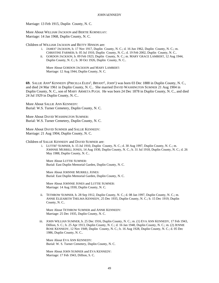Marriage: 13 Feb 1915, Duplin County, N. C.

More About WILLIAM JACKSON and BERTIE KORNEGAY: Marriage: 14 Jan 1968, Duplin County, N. C.

Children of WILLIAM JACKSON and BETTY HINSON are:

- i. JAMES<sup>5</sup> JACKSON, b. 17 Nov 1917, Duplin County, N. C.; d. 16 Jun 1962, Duplin County, N. C.; m. CHRISTINE FARMER; b. 05 Jul 1910, Duplin County, N. C.; d. 19 Feb 2002, Duplin County, N. C..
- ii. GORDON JACKSON, b. 09 Feb 1923, Duplin County, N. C.; m. MARY GRACE LAMBERT, 12 Aug 1944, Duplin County, N. C.; b. 30 Oct 1926, Duplin County, N. C..

More About GORDON JACKSON and MARY LAMBERT: Marriage: 12 Aug 1944, Duplin County, N. C.

**69.** SALLIE ANN<sup>4</sup> KENNEDY *(PRICILLA ELIZA*<sup>3</sup> *, BRYANT*<sup>2</sup> *, JOHN*<sup>1</sup> *)* was born 03 Dec 1888 in Duplin County, N. C., and died 24 Mar 1961 in Duplin County, N. C.. She married DAVID WASHINGTON SUMNER 21 Aug 1904 in Duplin County, N. C., son of MARY ARMETA PUGH. He was born 24 Dec 1878 in Duplin County, N. C., and died 24 Jul 1929 in Duplin County, N. C..

More About SALLIE ANN KENNEDY: Burial: W.S. Turner Cemetery, Duplin County, N. C.

More About DAVID WASHINGTON SUMNER: Burial: W.S. Turner Cemetery, Duplin County, N. C.

More About DAVID SUMNER and SALLIE KENNEDY: Marriage: 21 Aug 1904, Duplin County, N. C.

Children of SALLIE KENNEDY and DAVID SUMNER are:

i. LUTTIE<sup>5</sup> SUMNER, b. 15 Jul 1910, Duplin County, N. C.; d. 30 Aug 1997, Duplin County, N. C.; m. JOHNNIE MURRILL JONES, 14 Aug 1930, Duplin County, N. C.; b. 31 Jul 1918, Duplin County, N. C.; d. 26 May 1988, Duplin County, N. C..

More About LUTTIE SUMNER: Burial: East Duplin Memorial Garden, Duplin County, N. C.

More About JOHNNIE MURRILL JONES: Burial: East Duplin Memorial Garden, Duplin County, N. C.

More About JOHNNIE JONES and LUTTIE SUMNER: Marriage: 14 Aug 1930, Duplin County, N. C.

ii. TETHROW SUMNER, b. 28 Sep 1912, Duplin County, N. C.; d. 08 Jan 1997, Duplin County, N. C.; m. ANNIE ELIZABETH THELMA KENNEDY, 25 Dec 1935, Duplin County, N. C.; b. 15 Dec 1919, Duplin County, N. C..

More About TETHROW SUMNER and ANNIE KENNEDY: Marriage: 25 Dec 1935, Duplin County, N. C.

iii. JOHN WILLIAN SUMNER, b. 25 Dec 1916, Duplin County, N. C.; m. (1) EVA ANN KENNEDY, 17 Feb 1943, Dillion, S. C.; b. 25 Apr 1913, Duplin County, N. C.; d. 16 Jan 1948, Duplin County, N. C.; m. (2) JENNIE ROSE KENNEDY, 12 Nov 1949, Duplin County, N. C.; b. 16 Aug 1928, Duplin County, N. C.; d. 05 Dec 1986, Duplin County, N. C..

More About EVA ANN KENNEDY: Burial: W. S. Turner Cemetery, Duplin County, N. C.

More About JOHN SUMNER and EVA KENNEDY: Marriage: 17 Feb 1943, Dillion, S. C.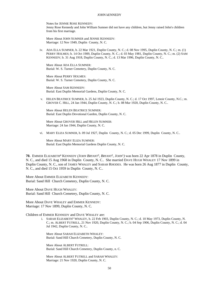Notes for JENNIE ROSE KENNEDY: Jenny Rose Kennedy and John William Sumner did not have any children, but Jenny raised John's children from his first marriage.

More About JOHN SUMNER and JENNIE KENNEDY: Marriage: 12 Nov 1949, Duplin County, N. C.

iv. ADA ELLA SUMNER, b. 22 Mar 1921, Duplin County, N. C.; d. 08 Nov 1995, Duplin County, N. C.; m. (1) PERRY HOLMES; b. 14 Oct 1909, Duplin County, N. C.; d. 03 May 1981, Duplin County, N. C.; m. (2) SAM KENNEDY; b. 31 Aug 1918, Duplin County, N. C.; d. 13 Mar 1996, Duplin County, N. C..

More About ADA ELLA SUMNER: Burial: W. S. Turner Cemetery, Duplin County, N. C.

More About PERRY HOLMES: Burial: W. S. Turner Cemetery, Duplin County, N. C.

More About SAM KENNEDY: Burial: East Duplin Memorial Gardens, Duplin County, N. C.

v. HELEN BEATRICE SUMNER, b. 25 Jul 1923, Duplin County, N. C.; d. 17 Oct 1997, Lenoir County, N.C.; m. GROVER C. HILL, 24 Jan 1944, Duplin County, N. C.; b. 08 Mar 1920, Duplin County, N. C..

More About HELEN BEATRICE SUMNER: Burial: East Duplin Devotional Garden, Duplin County, N. C.

More About GROVER HILL and HELEN SUMNER: Marriage: 24 Jan 1944, Duplin County, N. C.

vi. MARY ELIZA SUMNER, b. 09 Jul 1927, Duplin County, N. C.; d. 05 Dec 1999, Duplin County, N. C..

More About MARY ELIZA SUMNER: Burial: East Duplin Memorial Gardens Duplin County, N. C.

**70.** EMMER ELIZABETH<sup>4</sup> KENNEDY (*JOHN BRYANT*<sup>3</sup>, *BRYANT*<sup>2</sup>, *JOHN*<sup>1</sup>) was born 22 Apr 1878 in Duplin County, N. C., and died 15 Aug 1968 in Duplin County, N. C.. She married DAVE HUGH WHALEY 17 Nov 1899 in Duplin County, N. C., son of JAMES WHALEY and SARAH RHODES. He was born 26 Aug 1877 in Duplin County, N. C., and died 15 Oct 1959 in Duplin County, N. C..

More About EMMER ELIZABETH KENNEDY: Burial: Sand Hill Church Cemetery, Duplin County, N. C.

More About DAVE HUGH WHALEY: Burial: Sand Hill Church Cemetery, Duplin County, N. C.

More About DAVE WHALEY and EMMER KENNEDY: Marriage: 17 Nov 1899, Duplin County, N. C.

Children of EMMER KENNEDY and DAVE WHALEY are:

i. SARAH ELIZABETH<sup>5</sup> WHALEY, b. 22 Feb 1903, Duplin County, N. C.; d. 10 May 1973, Duplin County, N. C.; m. ALBERT FUTRELL, 21 Nov 1920, Duplin County, N. C.; b. 04 Sep 1906, Duplin County, N. C.; d. 04 Jul 1942, Duplin County, N. C..

More About SARAH ELIZABETH WHALEY: Burial: Sand Hill Church Cemetery, Duplin County, N. C.

More About ALBERT FUTRELL: Burial: Sand Hill Church Cemetery, Duplin County, n. C.

More About ALBERT FUTRELL and SARAH WHALEY: Marriage: 21 Nov 1920, Duplin County, N. C.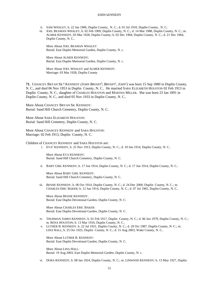- ii. SAM WHALEY, b. 22 Jan 1906, Duplin County, N. C.; d. 01 Jul 1910, Duplin County, N. C..
- iii. JOEL BEAMAN WHALEY, b. 02 Feb 1909, Duplin County, N. C.; d. 14 Mar 1988, Duplin County, N. C.; m. ALMER KENNEDY, 03 Mar 1928, Duplin County; b. 02 Dec 1904, Duplin County, N. C.; d. 21 Dec 1964, Duplin County, N. C..

More About JOEL BEAMAN WHALEY: Burial: East Duplin Memorial Garden, Duplin County, N. c.

More About ALMER KENNEDY: Burial: East Duplin Memorial Garden, Duplin County, N. c.

More About JOEL WHALEY and ALMER KENNEDY: Marriage: 03 Mar 1928, Duplin County

**71.** CHANCEY BRYAN SR.<sup>4</sup> KENNEDY *(JOHN BRYANT*<sup>3</sup> *, BRYANT*<sup>2</sup> *, JOHN*<sup>1</sup> *)* was born 15 Sep 1880 in Duplin County, N. C., and died 06 Nov 1953 in Duplin County, N. C.. He married SARA ELIZABETH HOUSTON 02 Feb 1913 in Duplin County, N. C., daughter of CHARLES HOUSTON and MARTHA MILLER. She was born 23 Jan 1891 in Duplin County, N. C., and died 05 Nov 1933 in Duplin County, N. C..

More About CHANCEY BRYAN SR. KENNEDY: Burial: Sand Hill Church Cemetery, Duplin County, N. C.

More About SARA ELIZABETH HOUSTON: Burial: Sand Hill Cemetery, Duplin County, N. C.

More About CHANCEY KENNEDY and SARA HOUSTON: Marriage: 02 Feb 1913, Duplin County, N. C.

Children of CHANCEY KENNEDY and SARA HOUSTON are:

i. EVA<sup>5</sup> KENNEDY, b. 25 Nov 1913, Duplin County, N. C.; d. 10 Jun 1914, Duplin County, N. C..

More About EVA KENNEDY: Burial: Sand Hill Church Cemetery, Duplin County, N. C.

ii. BABY GIRL KENNEDY, b. 17 Jun 1914, Duplin County, N. C.; d. 17 Jun 1914, Duplin County, N. C..

More About BABY GIRL KENNEDY: Burial: Sand Hill Church Cemetery, Duplin County, N. C.

iii. BESSIE KENNEDY, b. 06 Oct 1914, Duplin County, N. C.; d. 24 Dec 2000, Duplin County, N. C.; m. CHARLES ERIC BAKER; b. 12 Jun 1914, Duplin County, N. C.; d. 07 Jul 1965, Duplin County, N. C..

More About BESSIE KENNEDY: Burial: East Duplin Devotional Garden, Duplin County, N. C.

More About CHARLES ERIC BAKER: Burial: East Duplin Devotional Garden, Duplin County, N. C.

- iv. THURMAN JAMES KENNEDY, b. 01 Feb 1917, Duplin County, N. C.; d. 06 Jun 1979, Duplin County, N. C.; m. RENA HOUSTON; b. 13 Mar 1916, Duplin County, N. C..
- v. LUTHER B. KENNEDY, b. 22 Jul 1921, Duplin County, N. C.; d. 29 Oct 1987, Duplin County, N. C.; m. LINA HALL; b. 25 Oct 1925, Duplin County, N. C.; d. 15 Aug 2003, Wake County, N. C..

More About LUTHER B. KENNEDY: Burial: East Duplin Devotional Garden, Duplin County, N. C.

More About LINA HALL: Burial: 19 Aug 2003, East Duplin Memorial Garden, Duplin County, N. c.

vi. DORA KENNEDY, b. 08 Jan 1924, Duplin County, N. C.; m. LINWOOD KENNEDY; b. 13 May 1927, Duplin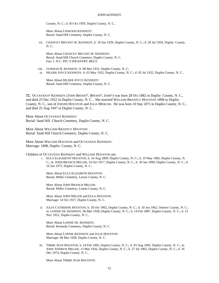County, N. C.; d. 03 Oct 1959, Duplin County, N. C..

More About LINWOOD KENNEDY: Burial: Sand Hill Cemetery, Duplin County, N. C.

vii. CHANCEY BRYANT JR. KENNEDY, b. 18 Jun 1929, Duplin County, N. C.; d. 20 Jul 1954, Duplin County, N. C..

More About CHANCEY BRYANT JR. KENNEDY: Burial: Sand Hill Church Cemetery, Duplin County, N. C. Fact 1: N.C. PFC 9 INFANTRY REGT.

viii. GURMAN B. KENNEDY, b. 08 Mar 1931, Duplin County, N. C.. ix. HILDER JOYCE KENNEDY, b. 03 May 1932, Duplin County, N. C.; d. 05 Jul 1932, Duplin County, N. C..

More About HILDER JOYCE KENNEDY: Burial: Sand Hill Cemetery, Duplin County, N. C.

**72.** OCTAVIOUS<sup>4</sup> KENNEDY *(JOHN BRYANT*<sup>3</sup> *, BRYANT*<sup>2</sup> *, JOHN*<sup>1</sup> *)* was born 28 Oct 1882 in Duplin County, N. C., and died 25 Dec 1922 in Duplin County, N. C.. She married WILLIAM BRANTLY HOUSTON 1898 in Duplin County, N. C., son of JOESPH HOUSTON and JULIA MERCER. He was born 10 Sep 1875 in Duplin County, N. C., and died 25 Aug 1947 in Duplin County, N. C..

More About OCTAVIOUS KENNEDY: Burial: Sand Hill Church Cemetery, Duplin County, N. C.

More About WILLIAM BRANTLY HOUSTON: Burial: Sand Hill Church Cemetery, Duplin County, N. C.

More About WILLIAM HOUSTON and OCTAVIOUS KENNEDY: Marriage: 1898, Duplin County, N. C.

Children of OCTAVIOUS KENNEDY and WILLIAM HOUSTON are:

i. EULA ELIZABETH<sup>5</sup> HOUSTON, b. 24 Aug 1899, Duplin County, N. C.; d. 19 May 1983, Duplin County, N. C.; m. JOHN BRANCH MILLER, 14 Oct 1917, Duplin County, N. C.; b. 30 Jan 1899, Duplin County, N. C.; d. 16 Jun 1975, Duplin County, N. C..

More About EULA ELIZABETH HOUSTON: Burial: Miller Cemetery, Lenoir County, N. C.

More About JOHN BRANCH MILLER: Burial: Miller Cemetery, Lenoir County, N. C.

More About JOHN MILLER and EULA HOUSTON: Marriage: 14 Oct 1917, Duplin County, N. C.

ii. JULIA CATHERINE HOUSTON, b. 18 Oct 1902, Duplin County, N. C.; d. 10 Jun 1962, Onslow County, N. C.; m. LONNIE SR. KENNEDY, 06 Mar 1928, Duplin County, N. C.; b. 14 Feb 1887, Duplin County, N. C.; d. 12 Nov 1952, Duplin County, N. C..

More About LONNIE SR. KENNEDY: Burial: Kennedy Cemetery, Duplin County, N. C.

More About LONNIE KENNEDY and JULIA HOUSTON: Marriage: 06 Mar 1928, Duplin County, N. C.

iii. TIBBIE JEAN HOUSTON, b. 24 Feb 1905, Duplin County, N. C.; d. 03 Aug 1983, Duplin County, N. C.; m. JOHN ANDREW MILLER, 13 Mar 1926, Duplin County, N. C.; b. 27 Jul 1902, Duplin County, N. C.; d. 16 Dec 1974, Duplin County, N. C..

More About TIBBIE JEAN HOUSTON: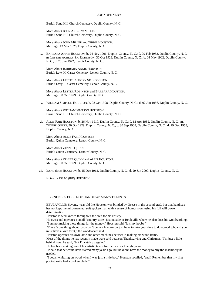Burial: Sand Hill Church Cemetery, Duplin County, N. C.

More About JOHN ANDREW MILLER: Burial: Sand Hill Church Cemetery, Duplin County, N. C.

More About JOHN MILLER and TIBBIE HOUSTON: Marriage: 13 Mar 1926, Duplin County, N. C.

iv. BARBARA ANNIE HOUSTON, b. 24 Nov 1906, Duplin County, N. C.; d. 09 Feb 1953, Duplin County, N. C.; m. LESTER AUBERY SR. ROBINSON, 30 Oct 1929, Duplin County, N. C.; b. 04 May 1902, Duplin County, N. C.; d. 26 Jun 1972, Lenoir County, N. C..

More About BARBARA ANNIE HOUSTON: Burial: Levy H. Carter Cemetery, Lenoir County, N. C.

More About LESTER AUBERY SR. ROBINSON: Burial: Levy H. Carter Cemetery, Lenoir County, N. C.

More About LESTER ROBINSON and BARBARA HOUSTON: Marriage: 30 Oct 1929, Duplin County, N. C.

v. WILLIAM SIMPSON HOUSTON, b. 08 Oct 1908, Duplin County, N. C.; d. 02 Jun 1956, Duplin County, N. C..

More About WILLIAM SIMPSON HOUSTON: Burial: Sand Hill Church Cemetery, Duplin County, N. C.

vi. ALLIE FAIR HOUSTON, b. 26 Nov 1910, Duplin County, N. C.; d. 12 Apr 1982, Duplin County, N. C.; m. ZENNIE QUINN, 30 Oct 1929, Duplin County, N. C.; b. 30 Sep 1908, Duplin County, N. C.; d. 29 Dec 1958, Duplin County, N. C..

More About ALLIE FAIR HOUSTON: Burial: Quinn Cemetery, Lenoir County, N. C.

More About ZENNIE QUINN: Burial: Quinn Cemetery, Lenoir County, N. C.

More About ZENNIE QUINN and ALLIE HOUSTON: Marriage: 30 Oct 1929, Duplin County, N. C.

vii. ISSAC (IKE) HOUSTON, b. 15 Dec 1912, Duplin County, N. C.; d. 29 Jun 2000, Duplin County, N. C..

Notes for ISSAC (IKE) HOUSTON:

## BLINDNESS DOES NOT HANDICAP MAN'S TALENTS

BEULAVILLE: Seventy-year old Ike Houston was blinded by disease in the second grad, but that handicap has not kept the mild-manned, soft spoken man with a sense of humor from using his full will power determination.

Houston is well known throughout the area for his artistry.

He owns and operates a small "country store" just outside of Beulaville where he also does his woodworking. "I am not making these things for the money," Houston said "It is my hobby."

"There 's one thing about it,you can't be in a hurry--you just have to take your time to do a good job, and you must have a love for it," the woodcarver said.

Houston operates his own lathe and other machines he uses in making his wood items.

Most of the things he has recently made were sold between Thanksgiving and Christmas. "I'm just a little behind now, he said, "but I'll catch up again."

He has been making use of his artistic talent for the past six to eight years.

He said that he would have started many years ago, but he didn't have the money to buy the machinery he needed.

"I began whittling on wood when I was just a little boy." Houston recalled, "and I Remember that my first pocket knife had a broken blade."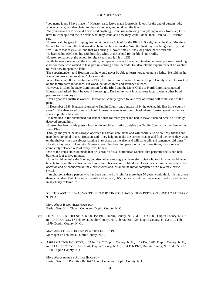"you name it and I have made it," Houston said, I;Ave made footstools, knobs for the end of curtain rods, wooden chairs, wooden chain, toothpicks holders, and on down the line.

"As you know I can't see and I can't read anything, I can't use a drawing or anything to work from--so, I just have to let people tell me in details what they want, and how they want it done, then I can do it." Houston said.

Houston said he gave his typing teacher at the State School for the Blind in Raleigh,now the Gov. Morehead School for the Blind, the first wooden chain that he ever made--"And the Next day, she bought me my first

"real" knife that cast \$2.50--and that was during "Hoover times." It has long since been worn out. He learned his ABC's on his 13th birthday while at the school for the blind--in Braille.

Houston remained at the school for eight years and left it in 1933.

While he was a resident at the institution, he repeatedly asked the superintendent to develop a wood working class for those who wished to take part in learning a skill or trade. He also told the superintendent he wanted to learn how to operate a lathe.

The superintendent told Houston that he would never be able to learn how to operate a lathe. "He told me he wanted to hear no more about," Houston said.

When Houston left the institution in 1933, he returned to his native home in Duplin County where he worked on the family farm in tobacco, cut wood, cut down trees and scrubbed ditches.

However, in 1936 the State Commission for the Blind and the Lions Clubs of North Carolina contacted Houston and asked him if he would like going to Durham to work in a mattress factory where other blind persons were employed.

After a year as a mattress worker, Houston reluctantly agreed to take over operating soft drink stand at the plant.

In December 1943, Houston returned to Duplin County and January 1944, he opened his first little"country store" in the abandoned Brandy School House--the same one-room school where Houston spent his first two years in public education.

He remained in the abandoned old school house for three years and had to leave it behind because it finally decayed around him.

Houston has been at his present location in an old gas station, outside the Duplin County town of Beulaville, since 1947.

Through the years, he has always operated his small store alone and will continue to do so. "My friends and neighbors are good to me," Houston said, "they help me make the correct change and find the items they want on the shelves--they are always coming in to check on me also, and will sit to talk and remember old times." His store has been broken into 19 times since it has been in operation, two of those times, his store was

completely "cleaned out" of every item, he says.

One of the items Houston made that he is proud of is a "butter bean Sheller" that perfectly shells one-half bushel in four to five minutes.

Not only did he make the Sheller, but also he became angry with an electrician who told him he would never be able to install the electric motor to operate it because of his blindness. Houston's determination rose to the occasion and he connected all the electric wires and installed the motor complete with a reverse electric switch.

It might seems that a person who has been deprived of sight for more than 50 years would think life has given them a bad deal. But Houston will smile and tell you, "It's the best world that I have ever lived in, and I'm not in any hurry to leave it."

## RE: THIS ARTICLE WAS WRITTEN IN THE KINSTON DAILY FREE PRESS ON SUNDAY JANUARY 9, 1983.

More About ISSAC (IKE) HOUSTON: Burial: Sand Hill Church Cemetery, Duplin County, N. C.

viii. FERNIE HUBERT HOUSTON, b. 08 Dec 1915, Duplin County, N. C.; d. 01 Jun 1988, Duplin County, N. C.; m. IDA HOUSTON, 17 Feb 1944, Duplin County, N. C.; b. 08 Oct 1926, Duplin County, N. C.; d. 19 Feb 1979, Duplin County, N. C..

More About FERNIE HOUSTON and IDA HOUSTON: Marriage: 17 Feb 1944, Duplin County, N. C.

ix. ASHLEY ALTON HOUSTON, b. 02 Jun 1917, Duplin County, N. C.; d. 12 Dec 1985, Duplin County, N. C.; m. ELLA KENNEDY, 19 Feb 1944, Duplin County, N. C.; b. 04 Feb 1929, Duplin County, N. C.; d. 05 Feb 1988, Duplin County, N. C..

More About ASHLEY ALTON HOUSTON: Burial: Sand Hill Primitive Baptist Church Cemetery, Duplin County, N. C.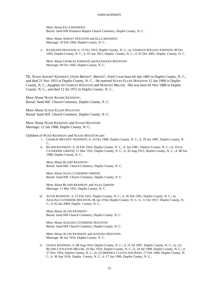More About ELLA KENNEDY: Burial: Sand Hill Primitive Baptist Church Cemetery, Duplin County, N. C.

More About ASHLEY HOUSTON and ELLA KENNEDY: Marriage: 19 Feb 1944, Duplin County, N. C.

x. KATHLEEN HOUSTON, b. 13 Oct 1919, Duplin County, N. C.; m. CHARLES WILLIAN JOHNSON, 09 Oct 1945, Duplin County, N. C.; b. 05 Jun 1912, Duplin County, N. C.; d. 01 Dec 2001, Duplin County, N. C..

More About CHARLES JOHNSON and KATHLEEN HOUSTON: Marriage: 09 Oct 1945, Duplin County, N. C.

**73.** NOAH ADAMS<sup>4</sup> KENNEDY *(JOHN BRYANT*<sup>3</sup> *, BRYANT*<sup>2</sup> *, JOHN*<sup>1</sup> *)* was born 04 Apr 1885 in Duplin County, N. C., and died 21 Nov 1953 in Duplin County, N. C.. He married SUSAN ELLEN HOUSTON 12 Jan 1908 in Duplin County, N. C., daughter of CHARLES HOUSTON and MARTHA MILLER. She was born 05 Nov 1888 in Duplin County, N. C., and died 12 Jul 1972 in Duplin County, N. C..

More About NOAH ADAMS KENNEDY: Burial: Sand Hill Church Cemetery, Duplin County, N. C.

More About SUSAN ELLEN HOUSTON: Burial: Sand Hill Church Cemetery, Duplin County, N. C.

More About NOAH KENNEDY and SUSAN HOUSTON: Marriage: 12 Jan 1908, Duplin County, N. C.

Children of NOAH KENNEDY and SUSAN HOUSTON are:

- i. CHARLIE BRYANT<sup>5</sup> KENNEDY, b. 10 Oct 1908, Duplin County, N. C.; d. 29 Jan 1987, Duplin County, N. C..
- ii. BLAND KENNEDY, b. 16 Feb 1910, Duplin County, N. C.; d. Jun 1987, Onslow County, N. C.; m. JULIA CATHERINE GRIFFIN, 11 Mar 1931, Duplin County, N. C.; b. 26 Aug 1915, Duplin County, N. C.; d. 08 Jun 1988, Duplin County, N. C..

More About BLAND KENNEDY: Burial: Sand Hill Church Cemetery, Duplin County, N. C.

More About JULIA CATHERINE GRIFFIN: Burial: Sand Hill Church Cemetery, Duplin County, N. C.

More About BLAND KENNEDY and JULIA GRIFFIN: Marriage: 11 Mar 1931, Duplin County, N. C.

iii. ALVIN KENNEDY, b. 25 Feb 1912, Duplin County, N. C.; d. 26 Feb 1991, Duplin County, N. C.; m. AZALINA CATHERINE HOUSTON, 06 Jan 1934, Duplin County, N. C.; b. 11 Oct 1917, Duplin County, N. C.; d. 02 Jan 2004, Duplin County, N. C..

More About ALVIN KENNEDY: Burial: Sand Hill Church Cemetery, Duplin County, N. C.

More About AZALINA CATHERINE HOUSTON: Burial: Sand Hill Church Cemetery, Duplin County, N. C.

More About ALVIN KENNEDY and AZALINA HOUSTON: Marriage: 06 Jan 1934, Duplin County, N. C.

iv. LEONA KENNEDY, b. 08 Aug 1914, Duplin County, N. C.; d. 31 Jul 1987, Duplin County, N. C.; m. (1) BLAND LITTLETON MILLER, 10 Dec 1933, Duplin County, N. C.; b. 24 Jul 1908, Duplin County, N. C.; d. 27 Nov 1954, Duplin County, N. C.; m. (2) BERNICE CLEVELAND BASS, 17 Feb 1968, Duplin County, N. C.; b. 30 Apr 1916, Duplin County, N. C.; d. 17 Jan 1996, Duplin County, N. C..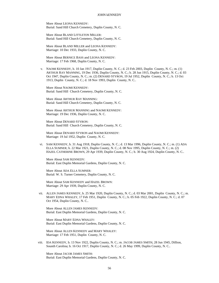More About LEONA KENNEDY: Burial: Sand Hill Church Cemetery, Duplin County, N. C.

More About BLAND LITTLETON MILLER: Burial: Sand Hill Church Cemetery, Duplin County, N. C.

More About BLAND MILLER and LEONA KENNEDY: Marriage: 10 Dec 1933, Duplin County, N. C.

More About BERNICE BASS and LEONA KENNEDY: Marriage: 17 Feb 1968, Duplin County, N. C.

v. NAOMI KENNEDY, b. 10 Jan 1917, Duplin County, N. C.; d. 23 Feb 2003, Duplin County, N. C.; m. (1) ARTHUR RAY MANNING, 19 Dec 1936, Duplin County, N. C.; b. 28 Jun 1915, Duplin County, N. C.; d. 03 Oct 1947, Duplin County, N. C.; m. (2) DENARD STYRON, 19 Jul 1952, Duplin County, N. C.; b. 13 Oct 1913, Duplin County, N. C.; d. 18 Nov 1993, Duplin County, N. C..

More About NAOMI KENNEDY: Burial: Sand Hill Church Cemetery, Duplin County, N. C.

More About ARTHUR RAY MANNING: Burial: Sand Hill Church Cemetery, Duplin County, N. C.

More About ARTHUR MANNING and NAOMI KENNEDY: Marriage: 19 Dec 1936, Duplin County, N. C.

More About DENARD STYRON: Burial: Sand Hill Church Cemetery, Duplin County, N. C.

More About DENARD STYRON and NAOMI KENNEDY: Marriage: 19 Jul 1952, Duplin County, N. C.

vi. SAM KENNEDY, b. 31 Aug 1918, Duplin County, N. C.; d. 13 Mar 1996, Duplin County, N. C.; m. (1) ADA ELLA SUMNER; b. 22 Mar 1921, Duplin County, N. C.; d. 08 Nov 1995, Duplin County, N. C.; m. (2) HAZEL CATHERINE BROWN, 29 Apr 1939, Duplin County, N. C.; b. 30 Aug 1924, Duplin County, N. C..

More About SAM KENNEDY: Burial: East Duplin Memorial Gardens, Duplin County, N. C.

More About ADA ELLA SUMNER: Burial: W. S. Turner Cemetery, Duplin County, N. C.

More About SAM KENNEDY and HAZEL BROWN: Marriage: 29 Apr 1939, Duplin County, N. C.

vii. ALLEN JAMES KENNEDY, b. 25 Mar 1920, Duplin County, N. C.; d. 03 Mar 2001, Duplin County, N. C.; m. MARY EDNA WHALEY, 17 Feb 1951, Duplin County, N. C.; b. 05 Feb 1922, Duplin County, N. C.; d. 07 Oct 1954, Duplin County, N. C..

More About ALLEN JAMES KENNEDY: Burial: East Duplin Memorial Gardens, Duplin County, N. C.

More About MARY EDNA WHALEY: Burial: East Duplin Memorial Gardens, Duplin County, N. C.

More About ALLEN KENNEDY and MARY WHALEY: Marriage: 17 Feb 1951, Duplin County, N. C.

viii. IDA KENNEDY, b. 13 Nov 1922, Duplin County, N. C.; m. JACOB JAMES SMITH, 28 Jun 1945, Dillion, Sounth Carolina; b. 16 Oct 1917, Duplin County, N. C.; d. 26 May 1999, Duplin County, N. C..

More About JACOB JAMES SMITH: Burial: East Duplin Memorial Gardens, Duplin County, N. C.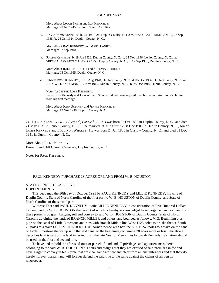More About JACOB SMITH and IDA KENNEDY: Marriage: 28 Jun 1945, Dillion, Sounth Carolina

ix. RAY ADAMS KENNEDY, b. 24 Oct 1924, Duplin County, N. C.; m. MARY CATHERINE LANIER, 07 Sep 1948; b. 24 Oct 1924, Duplin County, N. C..

More About RAY KENNEDY and MARY LANIER: Marriage: 07 Sep 1948

x. RALPH KENNEDY, b. 18 Jun 1926, Duplin County, N. C.; d. 25 Nov 1996, Lenior County, N. C.; m. SHELVIA JEAN FUTRELL, 05 Oct 1955, Duplin County, N. C.; b. 12 Sep 1938, Duplin County, N. C..

More About RALPH KENNEDY and SHELVIA FUTRELL: Marriage: 05 Oct 1955, Duplin County, N. C.

xi. JENNIE ROSE KENNEDY, b. 16 Aug 1928, Duplin County, N. C.; d. 05 Dec 1986, Duplin County, N. C.; m. JOHN WILLIAN SUMNER, 12 Nov 1949, Duplin County, N. C.; b. 25 Dec 1916, Duplin County, N. C..

Notes for JENNIE ROSE KENNEDY: Jenny Rose Kennedy and John William Sumner did not have any children, but Jenny raised John's children from his first marriage.

More About JOHN SUMNER and JENNIE KENNEDY: Marriage: 12 Nov 1949, Duplin County, N. C.

**74.** LILLIE<sup>4</sup> KENNEDY *(JOHN BRYANT*<sup>3</sup> *, BRYANT*<sup>2</sup> *, JOHN*<sup>1</sup> *)* was born 02 Oct 1888 in Duplin County, N. C., and died 21 May 1931 in Lenoir County, N. C.. She married PAUL KENNEDY 08 Dec 1907 in Duplin County, N. C., son of JAMES KENNEDY and LOUCINDA WHALEY. He was born 24 Jan 1885 in Onslow County, N. C., and died 01 Dec 1951 in Duplin County, N. C..

More About LILLIE KENNEDY: Burial: Sand Hill Church Cemetery, Duplin County, n. C.

Notes for PAUL KENNEDY:

## PAUL KENNEDY PURCHASE 28 ACRES OF LAND FROM W. B. HOUSTON

# STATE OF NORTH CAROLINA

# DUPLIN COUNTY

This deed mad the 30th day of October 1925 by PAUL KENNEDY and LILLIE KENNEDY, his wife of Duplin County, State of North Carolina of the first part to W. B. HOUSTON of Duplin County, and State of North Carolina of the second part.

Witness: That said PAUL KENNEDY --wife LILLIE KENNEDY in consideration of Five Hundred Dollars to them paid by W. B. HOUSTON the receipt of which is hereby acknowledged have bargained and sold and by these presents do grant bargain, sell and convey to said W. B. HOUSTON of Duplin County, State of North Carolina adjoining the lands of BRANCH MILLER and others, and bounded as follows, VIG: Beginning at a pine on the canal of Little Limestone and runs with Branch Middle line West 1125 poles to a stake thence South 25 poles to a stake OCTAVIOUS HOUSTON corner thence with her line S 80 E 243 poles to a stake on the canal of Little Limestone thence up with the said canal to the beginning containing 28 acres more or less. The above describes land is part of the land inherited from the late Noah J. Mercer des by Sarah Kennedy Variation should be used on the first and second line.

To have and to hold the aforesaid tract or parcel of land and all privileges and appurtenances thereto belonging to the said W. B. HOUSTON his heirs and assigns that they are excised of said premises in fee and have a right to convey in fee simple that are clear same are few and clear from all encumbrances and that they do hereby forever warrant and will forever defend the said title to the same against the claims of all person whosoever.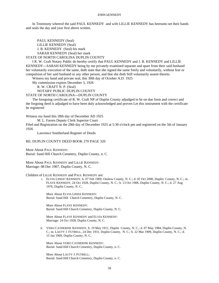In Testimony whereof the said PAUL KENNEDY and wife LILLIE KENNEDY has hereunto set their hands and seals the day and year first above written.

PAUL KENNEDY (Seal) LILLIE KENNEDY (Seal) J. B. KENNEDY (Seal) his mark SARAH KENNEDY (Seal) her mark

STATE OF NORTH CAROLINA DUPLIN COUNTY

I R. W. Craft Notary Public do hereby certify that PAUL KENNEDY and J. B. KENNEDY and LILLIE KENNEDY---SARAH KENNEDY being by me privately examined separate and apart from their said husband her voluntarily execution of the same, doth state that she signed the same freely and voluntarily, without fear or compulsion of her said husband or any other person, and that she doth Still voluntarily assent thereto.

Witness my hand and private seal, this 30th day of October A.D. 1925

My commission expires December 3, 1926

R. W. CRAFT N. P. (Seal)

NOTARY PUBLIC DUPLIN COUNTY

STATE OF NORTH CAROLINA---DUPLIN COUNTY

The foregoing certificate of R. W. Craft NP of Duplin County adjudged to be on due form and correct and the forgoing deed is adjudged to have been duly acknowledged and proven Let this instrument with the certificate be registered

Witness my hand this 28th day of December AD 1925

M. L. Farren Deputy Clerk Superior Court

Filed and Registration on the 28th day of December 1925 at 5:30 o'clock pm and registered on the 5th of January 1926

Lawrence Southerland Register of Deeds

## RE; DUPLIN COUNTY DEED BOOK 270 PAGE 320

More About PAUL KENNEDY: Burial: Sand Hill Church Cemetery, Duplin County, n. C.

More About PAUL KENNEDY and LILLIE KENNEDY: Marriage: 08 Dec 1907, Duplin County, N. C.

### Children of LILLIE KENNEDY and PAUL KENNEDY are:

i. ELVIA LINDA<sup>5</sup> KENNEDY, b. 07 Feb 1909, Onslow County, N. C.; d. 02 Oct 2000, Duplin County, N. C.; m. FLAVE KENNEDY, 24 Oct 1928, Duplin County, N. C.; b. 13 Oct 1906, Duplin County, N. C.; d. 27 Aug 1976, Duplin County, N. C..

More About ELVIA LINDA KENNEDY: Burial: Sand Hill Church Cemetery, Duplin County, N. C.

More About FLAVE KENNEDY: Burial: Sand Hill Church Cemetery, Duplin County, N. C.

More About FLAVE KENNEDY and ELVIA KENNEDY: Marriage: 24 Oct 1928, Duplin County, N. C.

ii. VERO CATHERINE KENNEDY, b. 19 May 1911, Duplin County, N. C.; d. 07 May 1984, Duplin County, N. C.; m. LAUTY J. FUTRELL, 24 Dec 1931, Duplin County, N. C.; b. 22 Mar 1909, Duplin County, N. C.; d. 15 Jan 1969, Duplin County, N. C..

More About VERO CATHERINE KENNEDY: Burial: Sand Hill Church Cemetery, Duplin County, n. C.

More About LAUTY J. FUTRELL: Burial: Sand Hill Church Cemetery, Duplin County, n. C.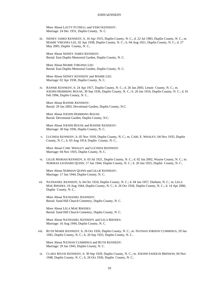More About LAUTY FUTRELL and VERO KENNEDY: Marriage: 24 Dec 1931, Duplin County, N. C.

iii. SIDNEY JAMES KENNEDY, b. 16 Apr 1915, Duplin County, N. C.; d. 22 Jul 1983, Duplin County, N. C.; m. MAMIE VIRGINIA LEE, 02 Apr 1938, Duplin County, N. C.; b. 04 Aug 1921, Duplin County, N. C.; d. 27 May 2005, Duplin County, N. C..

More About SIDNEY JAMES KENNEDY: Burial: East Duplin Memorial Garden, Duplin County, N. C.

More About MAMIE VIRGINIA LEE: Burial: East Duplin Memorial Garden, Duplin County, N. C.

More About SIDNEY KENNEDY and MAMIE LEE: Marriage: 02 Apr 1938, Duplin County, N. C.

iv. RANNIE KENNEDY, b. 24 Apr 1917, Duplin County, N. C.; d. 26 Jan 2003, Lenoir County, N. C.; m. JOESPH HERRRING ROUSE, 30 Sep 1936, Duplin County, N. C.; b. 20 Jan 1916, Duplin County, N. C.; d. 01 Feb 1994, Duplin County, N. C..

More About RANNIE KENNEDY: Burial: 29 Jan 2003, Devotional Garden, Duplin County, N.C.

More About JOESPH HERRRING ROUSE: Burial: Devotional Garden, Duplin County, N.C.

More About JOESPH ROUSE and RANNIE KENNEDY: Marriage: 30 Sep 1936, Duplin County, N. C.

v. LUCINDA KENNEDY, b. 05 Nov 1918, Duplin County, N. C.; m. CARL E. WHALEY, 04 Nov 1935, Duplin County, N. C.; b. 03 Aug 1914, Duplin County, N. C..

More About CARL WHALEY and LUCINDA KENNEDY: Marriage: 04 Nov 1935, Duplin County, N. C.

vi. LILLIE MARIAH KENNEDY, b. 03 Jul 1921, Duplin County, N. C.; d. 02 Jan 2002, Wayne County, N. C.; m. NORMAN LEONARD QUINN, 17 Jun 1944, Duplin County, N. C.; b. 20 Jun 1925, Duplin County, N. C..

More About NORMAN QUINN and LILLIE KENNEDY: Marriage: 17 Jun 1944, Duplin County, N. C.

vii. NATHANIEL KENNEDY, b. 04 Oct 1924, Duplin County, N. C.; d. 04 Jan 1957, Durham, N. C.; m. LELA MAE RHODES, 16 Aug 1944, Duplin County, N. C.; b. 26 Oct 1926, Duplin County, N. C.; d. 14 Apr 2006, Duplin County, N. C..

More About NATHANIEL KENNEDY: Burial: Sand Hill Church Cemetery, Duplin County, N. C.

More About LELA MAE RHODES: Burial: Sand Hill Church Cemetery, Duplin County, N. C.

More About NATHANIEL KENNEDY and LELA RHODES: Marriage: 16 Aug 1944, Duplin County, N. C.

viii. RUTH MARIE KENNEDY, b. 26 Oct 1926, Duplin County, N. C.; m. NATHAN JORDON CUMMINGS, 29 Jan 1945, Duplin County, N. C.; b. 26 Sep 1925, Duplin County, N. C..

More About NATHAN CUMMINGS and RUTH KENNEDY: Marriage: 29 Jan 1945, Duplin County, N. C.

ix. CLARA MAVIS KENNEDY, b. 30 Sep 1929, Duplin County, N. C.; m. JOESPH SANDLIN BRINSON, 04 Nov 1948, Duplin County, N. C.; b. 26 Oct 1926, Duplin County, N. C..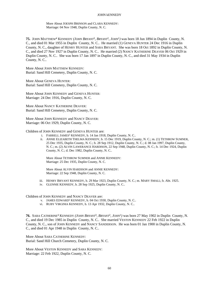More About JOESPH BRINSON and CLARA KENNEDY: Marriage: 04 Nov 1948, Duplin County, N. C.

**75.** JOHN MATTHEW<sup>4</sup> KENNEDY *(JOHN BRYANT*<sup>3</sup> *, BRYANT*<sup>2</sup> *, JOHN*<sup>1</sup> *)* was born 18 Jun 1894 in Duplin County, N. C., and died 01 Mar 1955 in Duplin County, N. C.. He married (1) GENEVA HUNTER 24 Dec 1916 in Duplin County, N. C., daughter of HENRY HUNTER and SARA BRYANT. She was born 18 Oct 1892 in Duplin County, N. C., and died 27 Nov 1927 in Duplin County, N. C.. He married (2) NANCY KATHERINE DEAVER 06 Oct 1929 in Duplin County, N. C.. She was born 17 Jan 1897 in Duplin County, N. C., and died 31 May 1934 in Duplin County, N. C..

More About JOHN MATTHEW KENNEDY: Burial: Sand Hill Cemetery, Duplin County, N. C.

More About GENEVA HUNTER: Burial: Sand Hill Cemetery, Duplin County, N. C.

More About JOHN KENNEDY and GENEVA HUNTER: Marriage: 24 Dec 1916, Duplin County, N. C.

More About NANCY KATHERINE DEAVER: Burial: Sand Hill Cemetery, Duplin County, N. C.

More About JOHN KENNEDY and NANCY DEAVER: Marriage: 06 Oct 1929, Duplin County, N. C.

Children of JOHN KENNEDY and GENEVA HUNTER are:

- i. FARRELL JAMES<sup>5</sup> KENNEDY, b. 14 Jan 1918, Duplin County, N. C..
- ii. ANNIE ELIZABETH THELMA KENNEDY, b. 15 Dec 1919, Duplin County, N. C.; m. (1) TETHROW SUMNER, 25 Dec 1935, Duplin County, N. C.; b. 28 Sep 1912, Duplin County, N. C.; d. 08 Jan 1997, Duplin County, N. C.; m. (2) ALVIN LAWERANCE HARDISON, 22 Sep 1948, Duplin County, N. C.; b. 14 Dec 1924, Duplin County, N. C.; d. Dec 1982, Duplin County, N. C..

More About TETHROW SUMNER and ANNIE KENNEDY: Marriage: 25 Dec 1935, Duplin County, N. C.

More About ALVIN HARDISON and ANNIE KENNEDY: Marriage: 22 Sep 1948, Duplin County, N. C.

- iii. HENRY BRYANT KENNEDY, b. 29 Mar 1923, Duplin County, N. C.; m. MARY SMALL; b. Abt. 1925.
- iv. GLENNIE KENNEDY, b. 28 Sep 1925, Duplin County, N. C..

Children of JOHN KENNEDY and NANCY DEAVER are:

- v. JAMES EDWARD<sup>5</sup> KENNEDY, b. 04 Oct 1930, Duplin County, N. C..
- vi. RUBY VIRGINIA KENNEDY, b. 13 Apr 1932, Duplin County, N. C..

**76.** SARA CATHERINE<sup>4</sup> KENNEDY *(JOHN BRYANT*<sup>3</sup> *, BRYANT*<sup>2</sup> *, JOHN*<sup>1</sup> *)* was born 27 May 1902 in Duplin County, N. C., and died 19 Dec 1985 in Duplin County, N. C.. She married VESTON KENNEDY 22 Feb 1922 in Duplin County, N. C., son of JOHN KENNEDY and NANCY SANDERSON. He was born 01 Jan 1900 in Duplin County, N. C., and died 01 Apr 1948 in Duplin County, N. C..

More About SARA CATHERINE KENNEDY: Burial: Sand Hill Church Cemetery, Duplin County, N. C.

More About VESTON KENNEDY and SARA KENNEDY: Marriage: 22 Feb 1922, Duplin County, N. C.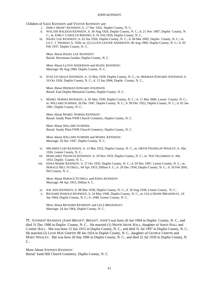Children of SARA KENNEDY and VESTON KENNEDY are:

- i. EMILY IRENE<sup>5</sup> KENNEDY, b. 17 Dec 1922, Duplin County, N. C..
- ii. WALTER RALEIGH KENNEDY, b. 30 Aug 1924, Duplin County, N. C.; d. 21 Nov 1987, Duplin County, N. C.; m. EMILY CAROLYN RHODES; b. 01 Feb 1929, Duplin County, N. C..
- iii. HAZEL LEE KENNEDY, b. 03 Jun 1926, Duplin County, N. C.; d. 04 Mar 2005, Duplin County, N. C.; m. (1) C. J. THOMAS; b. 1926; m. (2) LLOYD LESTER ANDERSON, 06 Aug 1960, Duplin County, N. C.; b. 03 Feb 1937, Duplin County, N. C..

More About HAZEL LEE KENNEDY: Burial: Devotiona Garden, Duplin County, N. C.

More About LLOYD ANDERSON and HAZEL KENNEDY: Marriage: 06 Aug 1960, Duplin County, N. C.

iv. EVELYN GRACE KENNEDY, b. 12 May 1928, Duplin County, N. C.; m. HERMAN EDWARD ATKINSON; b. 16 Oct 1926, Duplin County, N. C.; d. 15 Jan 2004, Duplin County, N. C..

More About HERMAN EDWARD ATKINSON: Burial: East Duplin Memorial Garden, Duplin County, N. C.

v. MABEL NORMA KENNEDY, b. 05 May 1930, Duplin County, N. C.; d. 11 Mar 2006, Lenoir County, N. C.; m. WILLARD SUMNER, 26 Dec 1947, Duplin County, N. C.; b. 09 Dec 1922, Duplin County, N. C.; d. 02 Jan 1981, Duplin County, N. C..

More About MABEL NORMA KENNEDY: Burial: Sandy Plain FWB Church Cemetery, Duplin County, N. C.

More About WILLARD SUMNER: Burial: Sandy Plain FWB Church Cemetery, Duplin County, N. C.

More About WILLARD SUMNER and MABEL KENNEDY: Marriage: 26 Dec 1947, Duplin County, N. C.

- vi. MILDRED LOIS KENNEDY, b. 13 Mar 1932, Duplin County, N. C.; m. ORVIS FRANKLIN WHALEY; b. Abt. 1926, Lenoir County, N. C..
- vii. MARGARET FRANCES KENNEDY, b. 18 Nov 1933, Duplin County, N. C.; m. TED TILGHMAN; b. Abt. 1933, Duplin County, N. C..
- viii. EDNA MARIE KENNEDY, b. 27 Oct 1935, Duplin County, N. C.; d. 03 Dec 1997, Lenoir County, N. C.; m. HORACE HILL FUTRELL, 04 Apr 1953, Dillion S. C.; b. 20 Dec 1934, Duplin County, N. C.; d. 10 Feb 2001, Pitt County, N. C..

More About HORACE FUTRELL and EDNA KENNEDY: Marriage: 04 Apr 1953, Dillion S. C.

- ix. JOE ANN KENNEDY, b. 08 Mar 1938, Duplin County, N. C.; d. 18 Aug 1938, Lenoir County, N. C..
- x. RICHARD HAROLD KENNEDY, b. 24 May 1940, Duplin County, N. C.; m. LELA DIANE BROADWAY, 24 Jan 1964, Duplin County, N. C.; b. 1940, Lenior County, N. C..

More About RICHARD KENNEDY and LELA BROADWAY: Marriage: 24 Jan 1964, Duplin County, N. C.

**77.** STEPHEN<sup>4</sup> KENNEDY (*JOHN BRYANT*<sup>3</sup>, *BRYANT*<sup>2</sup>, *JOHN*<sup>1</sup>) was born 26 Jun 1904 in Duplin County, N. C., and died 31 Dec 1980 in Duplin County, N. C.. He married (1) NEFFIE IRENE HALL, daughter of AMOS HALL and CARRIE HALL. She was born 15 Jun 1915 in Duplin County, N. C., and died 31 Jul 1997 in Duplin County, N. C.. He married (2) LEON MAE GRIFFIN 08 Jan 1924 in Duplin County, N. C., daughter of GEORGE GRIFFIN and MARY WHALEY. She was born 20 Sep 1906 in Duplin County, N. C., and died 22 Jul 1939 in Duplin County, N. C..

More About STEPHEN KENNEDY: Burial: Sand Hill Church Cemetery, Duplin County, N. C.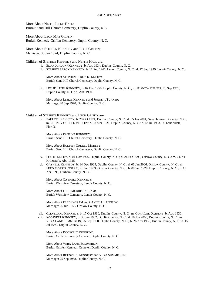More About NEFFIE IRENE HALL: Burial: Sand Hill Church Cemetery, Duplin County, n. C.

More About LEON MAE GRIFFIN: Burial: Kennedy-Griffen Cemetery, Duplin County, N. C.

More About STEPHEN KENNEDY and LEON GRIFFIN: Marriage: 08 Jan 1924, Duplin County, N. C.

Children of STEPHEN KENNEDY and NEFFIE HALL are:

- i. EDNA JORDON<sup>5</sup> KENNEDY, b. Abt. 1934, Duplin County, N. C..
- ii. STEPHEN LEROY KENNEDY, b. 11 Sep 1947, Lenoir County, N. C.; d. 12 Sep 1949, Lenoir County, N. C..

More About STEPHEN LEROY KENNEDY: Burial: Sand Hill Church Cemetery, Duplin County, N. C.

iii. LESLIE KEITH KENNEDY, b. 07 Dec 1950, Duplin County, N. C.; m. JUANITA TURNER, 20 Sep 1970, Duplin County, N. C.; b. Abt. 1950.

More About LESLIE KENNEDY and JUANITA TURNER: Marriage: 20 Sep 1970, Duplin County, N. C.

Children of STEPHEN KENNEDY and LEON GRIFFIN are:

iv. PAULINE<sup>5</sup> KENNEDY, b. 20 Oct 1924, Duplin County, N. C.; d. 05 Jan 2004, New Hanover, County, N. C.; m. RODNEY ORDELL MOBLEY; b. 08 Mar 1921, Duplin County, N. C.; d. 18 Jul 1993, Ft. Lauderdale, Florida.

More About PAULINE KENNEDY: Burial: Sand Hill Church Cemetery, Duplin County, N. C.

More About RODNEY ORDELL MOBLEY: Burial: Sand Hill Church Cemetery, Duplin County, N. C.

- v. LOU KENNEDY, b. 04 Nov 1926, Duplin County, N. C.; d. 24 Feb 1998, Onslow County, N. C.; m. CLINT KAIZER; b. Abt. 1925.
- vi. GAYNELL KENNEDY, b. 14 Dec 1929, Duplin County, N. C.; d. 06 Jan 2006, Onslow County, N. C.; m. FRED MORRIS INGRAM, 26 Jun 1953, Onslow County, N. C.; b. 09 Sep 1929, Duplin County, N. C.; d. 15 Apr 1995, Durham County, N. C..

More About GAYNELL KENNEDY: Burial: Westview Cemetery, Lenoir County, N. C.

More About FRED MORRIS INGRAM: Burial: Westview Cemetery, Lenoir County, N. C.

More About FRED INGRAM and GAYNELL KENNEDY: Marriage: 26 Jun 1953, Onslow County, N. C.

- vii. CLEVELAND KENNEDY, b. 17 Oct 1930, Duplin County, N. C.; m. CORA LEE OXIDENE; b. Abt. 1930.
- viii. ROOSVELT KENNEDY, b. 30 Jun 1932, Duplin County, N. C.; d. 10 Jun 2003, Duplin County, N. C.; m. VERA LANE SUMMERLIN, 25 Sep 1958, Duplin County, N. C.; b. 26 Nov 1935, Duplin County, N. C.; d. 15 Jul 1999, Duplin County, N. C..

More About ROOSVELT KENNEDY: Burial: Griffen-Kennedy Cemeter, Duplin County, N. C.

More About VERA LANE SUMMERLIN: Burial: Griffen-Kennedy Cemeter, Duplin County, N. C.

More About ROOSVELT KENNEDY and VERA SUMMERLIN: Marriage: 25 Sep 1958, Duplin County, N. C.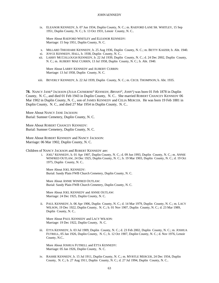ix. ELEANOR KENNEDY, b. 07 Jun 1934, Duplin County, N. C.; m. RAEFORD LANE SR. WHITLEY, 15 Sep 1951, Duplin County, N. C.; b. 13 Oct 1931, Lenoir County, N. C..

More About RAEFORD WHITLEY and ELEANOR KENNEDY: Marriage: 15 Sep 1951, Duplin County, N. C.

- x. MILLARD THEODARE KENNEDY, b. 25 Aug 1936, Duplin County, N. C.; m. BETTY KAIZER; b. Abt. 1940.
- xi. JOYCE KENNEDY, HALL, b. 1938, Duplin County, N. C..
- xii. LARRY MCCOLLOUGH KENNEDY, b. 22 Jul 1939, Duplin County, N. C.; d. 24 Dec 2002, Duplin County, N. C.; m. AUBERY MAE CURRIN, 13 Jul 1958, Duplin County, N. C.; b. Abt. 1940.

More About LARRY KENNEDY and AUBERY CURRIN: Marriage: 13 Jul 1958, Duplin County, N. C.

xiii. BEVERLY KENNEDY, b. 22 Jul 1939, Duplin County, N. C.; m. CECIL THOMPSON; b. Abt. 1935.

**78.** NANCY JANE<sup>4</sup> JACKSON *(JULIA CATHERINE*<sup>3</sup>  *KENNEDY, BRYANT*<sup>2</sup> *, JOHN*<sup>1</sup> *)* was born 01 Feb 1878 in Duplin County, N. C., and died 01 Feb 1943 in Duplin County, N. C.. She married ROBERT CHANCEY KENNEDY 06 Mar 1902 in Duplin County, N. C., son of JAMES KENNEDY and CELIA MERCER. He was born 19 Feb 1881 in Duplin County, N. C., and died 27 Mar 1954 in Duplin County, N. C..

More About NANCY JANE JACKSON: Burial: Sumner Cemetery, Duplin County, N. C.

More About ROBERT CHANCEY KENNEDY: Burial: Sumner Cemetery, Duplin County, N. C.

More About ROBERT KENNEDY and NANCY JACKSON: Marriage: 06 Mar 1902, Duplin County, N. C.

Children of NANCY JACKSON and ROBERT KENNEDY are:

i. JOEL<sup>5</sup> KENNEDY, b. 01 Apr 1907, Duplin County, N. C.; d. 09 Jun 1993, Duplin County, N. C.; m. ANNIE WINFRED OUTLAW, 24 Dec 1925, Duplin County, N. C.; b. 19 Mar 1903, Duplin County, N. C.; d. 19 Oct 1975, Duplin County, N. C..

More About JOEL KENNEDY: Burial: Sandy Plain FWB Church Cemetery, Duplin County, N. C.

More About ANNIE WINFRED OUTLAW: Burial: Sandy Plain FWB Church Cemetery, Duplin County, N. C.

More About JOEL KENNEDY and ANNIE OUTLAW: Marriage: 24 Dec 1925, Duplin County, N. C.

ii. PAUL KENNEDY, b. 06 Apr 1906, Duplin County, N. C.; d. 14 Mar 1979, Duplin County, N. C.; m. LACY WILSON, 19 Dec 1922, Duplin County, N. C.; b. 01 Nov 1907, Duplin County, N. C.; d. 23 Mar 1989, Duplin County, N. C..

More About PAUL KENNEDY and LACY WILSON: Marriage: 19 Dec 1922, Duplin County, N. C.

iii. ETTA KENNEDY, b. 03 Jul 1909, Duplin County, N. C.; d. 23 Feb 2002, Duplin County, N. C.; m. JOSHUA FUTRELL, 05 Jan 1926, Duplin County, N. C.; b. 12 Oct 1907, Duplin County, N. C.; d. Nov 1976, Lenoir County, N.C..

More About JOSHUA FUTRELL and ETTA KENNEDY: Marriage: 05 Jan 1926, Duplin County, N. C.

iv. RASHIE KENNEDY, b. 15 Jul 1911, Duplin County, N. C.; m. MYRTLE MERCER, 24 Dec 1934, Duplin County, N. C.; b. 27 Aug 1911, Duplin County, N. C.; d. 27 Jul 1994, Duplin County, N. C..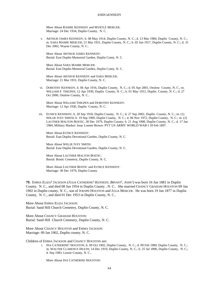More About RASHIE KENNEDY and MYRTLE MERCER: Marriage: 24 Dec 1934, Duplin County, N. C.

v. ARTHUR JAMES KENNEDY, b. 08 May 1914, Duplin County, N. C.; d. 13 Mar 1984, Duplin County, N. C.; m. SARA MAMIE MERCER, 21 Mar 1931, Duplin County, N. C.; b. 05 Jun 1917, Duplin County, N. C.; d. 31 Dec 2002, Wayne County, N. C..

More About ARTHUR JAMES KENNEDY: Burial: East Duplin Memorial Garden, Duplin Conty, N. C.

More About SARA MAMIE MERCER: Burial: East Duplin Memorial Garden, Duplin Conty, N. C.

More About ARTHUR KENNEDY and SARA MERCER: Marriage: 21 Mar 1931, Duplin County, N. C.

vi. DOROTHY KENNEDY, b. 06 Apr 1916, Duplin County, N. C.; d. 05 Apr 2001, Onslow County, N. C.; m. WILLIAM F. THIGPEN, 12 Apr 1930, Duplin County, N. C.; b. 01 May 1912, Duplin County, N. C.; d. 27 Oct 2000, Onslow County, N. C..

More About WILLIAM THIGPEN and DOROTHY KENNEDY: Marriage: 12 Apr 1930, Duplin County, N. C.

vii. EUNICE KENNEDY, b. 20 Sep 1918, Duplin County, N. C.; d. 27 Sep 2002, Duplin County, N. C.; m. (1) WILLIE IVEY SMITH; b. 19 Sep 1909, Duplin County, N. C.; d. 06 Nov 1972, Duplin County, N. C.; m. (2) LAUTHER MALTON BOSTIC, 30 Dec 1979, Duplin County; b. 21 Aug 1908, Duplin County, N. C.; d. 17 Jan 1984, Military Marker: Issac Lonnie Brown: PVT US ARMY WORLD WAR I 18 Feb 1897.

More About EUNICE KENNEDY: Burial: East Duplin Devotional Garden, Duplin County, N. C.

More About WILLIE IVEY SMITH: Burial: East Duplin Devotional Garden, Duplin County, N. C.

More About LAUTHER MALTON BOSTIC: Burial: Bostic Cemetery, Duplin County, N. C.

More About LAUTHER BOSTIC and EUNICE KENNEDY: Marriage: 30 Dec 1979, Duplin County

**79.** EMMA ELIZA<sup>4</sup> JACKSON *(JULIA CATHERINE*<sup>3</sup>  *KENNEDY, BRYANT*<sup>2</sup> *, JOHN*<sup>1</sup> *)* was born 16 Jun 1881 in Duplin County, N. C., and died 08 Jun 1954 in Duplin County , N. C.. She married CHANCY GRAHAM HOUSTON 09 Jan 1902 in Duplin county, N. C., son of JOESPH HOUSTON and JULIA MERCER. He was born 19 Jun 1877 in Duplin County, N. C., and died 01 Dec 1953 in Duplin County, N. C..

More About EMMA ELIZA JACKSON: Burial: Sand Hill Church Cemetery, Duplin County, N. C.

More About CHANCY GRAHAM HOUSTON: Burial: Sand Hill Church Cemetery, Duplin County, N. C.

More About CHANCY HOUSTON and EMMA JACKSON: Marriage: 09 Jan 1902, Duplin county, N. C.

Children of EMMA JACKSON and CHANCY HOUSTON are:

i. INA CATHERINE<sup>5</sup> HOUSTON, b. 09 Oct 1902, Duplin County, N. C.; d. 09 Feb 1989, Duplin County, N. C.; m. WALTER CLARENCE HEATH, 14 Dec 1919, Duplin County, N. C.; b. 25 Jul 1896, Duplin County, N. C.; d. Sep 1983, Lenoir County, N. C..

More About INA CATHERINE HOUSTON: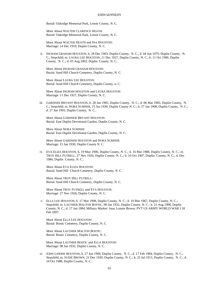Burial: Oakridge Memorial Park, Lenoir County, N. C.

More About WALTER CLARENCE HEATH: Burial: Oakridge Memorial Park, Lenoir County, N. C.

More About WALTER HEATH and INA HOUSTON: Marriage: 14 Dec 1919, Duplin County, N. C.

ii. INGRAM GRAHAM HOUSTON, b. 28 Dec 1903, Duplin County, N. C.; d. 04 Jun 1979, Duplin County, N. C.; Stepchild; m. LAURA LEE HOUSTON, 11 Dec 1927, Duplin County, N. C.; b. 11 Oct 1906, Duplin County, N. C.; d. 03 Aug 2003, Duplin County, N. C..

More About INGRAM GRAHAM HOUSTON: Burial: Sand Hill Church Cemetery, Duplin County, N. C.

More About LAURA LEE HOUSTON: Burial: Sand Hill Church Cemetery, Duplin County, n. C.

More About INGRAM HOUSTON and LAURA HOUSTON: Marriage: 11 Dec 1927, Duplin County, N. C.

iii. GARDNER BRYANT HOUSTON, b. 28 Jan 1905, Duplin County, N. C.; d. 06 Mar 1983, Duplin County, N. C.; Stepchild; m. NORA SUMNER, 15 Jan 1930, Duplin County N. C.; b. 27 Jan 1908, Duplin County, N. C.; d. 27 Jan 1993, Duplin County, N. C..

More About GARDNER BRYANT HOUSTON: Burial: East Duplin Devotional Garden, Duplin County, N. C.

More About NORA SUMNER: Burial: East Duplin Devotional Garden, Duplin County, N. C.

More About GARDNER HOUSTON and NORA SUMNER: Marriage: 15 Jan 1930, Duplin County N. C.

iv. EVA ELIZA HOUSTON, b. 19 May 1906, Duplin County, N. C.; d. 16 Mar 1988, Duplin County, N. C.; m. TROY HILL FUTRELL, 27 Nov 1926, Duplin County, N. C.; b. 10 Oct 1907, Duplin County, N. C.; d. Dec 1984, Duplin County, N. C..

More About EVA ELIZA HOUSTON: Burial: Sand Hill Church Cemetery, Duplin County, N. C.

More About TROY HILL FUTRELL: Burial: Sand Hill Church Cemetery, Duplin County, N. C.

More About TROY FUTRELL and EVA HOUSTON: Marriage: 27 Nov 1926, Duplin County, N. C.

v. ELLA LEE HOUSTON, b. 17 Mar 1908, Duplin County, N. C.; d. 10 Mar 1967, Duplin County, N. C.; Stepchild; m. LAUTHER MALTON BOSTIC, 08 Jan 1932, Duplin County, N. C.; b. 21 Aug 1908, Duplin County, N. C.; d. 17 Jan 1984, Military Marker: Issac Lonnie Brown: PVT US ARMY WORLD WAR I 18 Feb 1897.

More About ELLA LEE HOUSTON: Burial: Bostic Cemetery, Duplin County, N. C.

More About LAUTHER MALTON BOSTIC: Burial: Bostic Cemetery, Duplin County, N. C.

More About LAUTHER BOSTIC and ELLA HOUSTON: Marriage: 08 Jan 1932, Duplin County, N. C.

vi. JOHN LINDER HOUSTON, b. 27 Jun 1909, Duplin County, N. C.; d. 17 Feb 1984, Duplin County, N. C.; Stepchild; m. SUDIE BROWN, 21 Dec 1930, Duplin County, N. C.; b. 25 Jul 1913, Duplin County, N. C.; d. 24 Oct 1988, Duplin County, N. C..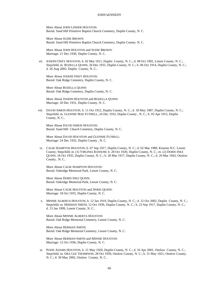More About JOHN LINDER HOUSTON: Burial: Sand Hill Primitive Baptist Church Cemetery, Duplin County, N. C.

More About SUDIE BROWN: Burial: Sand Hill Primitive Baptist Church Cemetery, Duplin County, N. C.

More About JOHN HOUSTON and SUDIE BROWN: Marriage: 21 Dec 1930, Duplin County, N. C.

vii. JOSEPH ONEY HOUSTON, b. 02 Mar 1911, Duplin County, N. C.; d. 08 Oct 1992, Lenoir County, N. C.; Stepchild; m. ROZELLA QUINN, 20 Dec 1931, Duplin County, N. C.; b. 06 Oct 1914, Duplin County, N. C.; d. 26 Aug 2002, Duplin County, N. C..

More About JOSEPH ONEY HOUSTON: Burial: Oak Ridge Cemetery, Duplin County, N. C.

More About ROZELLA QUINN: Burial: Oak Ridge Cemetery, Duplin County, N. C.

More About JOSEPH HOUSTON and ROZELLA QUINN: Marriage: 20 Dec 1931, Duplin County, N. C.

viii. DAVID SIMON HOUSTON, b. 11 Oct 1912, Duplin County, N. C.; d. 18 May 1987, Duplin County, N. C.; Stepchild; m. GLENNIE MAE FUTRELL, 24 Dec 1932, Duplin County , N. C.; b. 03 Apr 1915, Duplin County, N. C..

More About DAVID SIMON HOUSTON: Burial: Sand Hill Church Cemetery, Duplin County, N. C.

More About DAVID HOUSTON and GLENNIE FUTRELL: Marriage: 24 Dec 1932, Duplin County , N. C.

ix. CAGIE HAMPTON HOUSTON, b. 07 Sep 1917, Duplin County, N. C.; d. 02 Mar 1989, Kinston N.C. Lenoir County; Stepchild; m. (1) VIRGINIA RANSOM; b. 28 Oct 1920, Duplin County, N. C.; m. (2) DORIS INEZ QUINN, 18 Oct 1935, Duplin County, N. C.; b. 20 Mar 1917, Duplin County, N. C.; d. 29 Mar 1943, Onslow County, N. C..

More About CAGIE HAMPTON HOUSTON: Burial: Oakridge Memorial Park, Lenoir County, N. C.

More About DORIS INEZ QUINN: Burial: Oakridge Memorial Park, Lenoir County, N. C.

More About CAGIE HOUSTON and DORIS QUINN: Marriage: 18 Oct 1935, Duplin County, N. C.

x. MINNIE ALBERTA HOUSTON, b. 12 Jan 1919, Duplin County, N. C.; d. 12 Oct 2002, Duplin County, N. C.; Stepchild; m. HERMAN SMITH, 12 Oct 1936, Duplin County, N. C.; b. 23 Sep 1917, Duplin County, N. C.; d. 13 Jan 1999, Lenoir County, N. C..

More About MINNIE ALBERTA HOUSTON: Burial: Oak Ridge Memorial Cemetery, Lenoir County, N. C.

More About HERMAN SMITH: Burial: Oak Ridge Memorial Cemetery, Lenoir County, N. C.

More About HERMAN SMITH and MINNIE HOUSTON: Marriage: 12 Oct 1936, Duplin County, N. C.

xi. POZIE ADAMS HOUSTON, b. 21 May 1920, Duplin County, N. C.; d. 16 Apr 2001, Onslow County, N. C.; Stepchild; m. ORA LEE THOMPSON, 28 Oct 1939, Onslow County, N. C.; b. 31 May 1921, Onslow County, N. C.; d. 30 May 2002, Onslow County, N. C..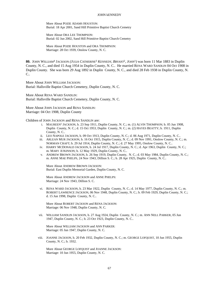More About POZIE ADAMS HOUSTON: Burial: 18 Apr 2001, Sand Hill Primitive Baptist Church Cemetry

More About ORA LEE THOMPSON: Burial: 02 Jun 2002, Sand Hill Primitive Baptist Church Cemetry

More About POZIE HOUSTON and ORA THOMPSON: Marriage: 28 Oct 1939, Onslow County, N. C.

**80.** JOHN WILLIAM<sup>4</sup> JACKSON *(JULIA CATHERINE*<sup>3</sup>  *KENNEDY, BRYANT*<sup>2</sup> *, JOHN*<sup>1</sup> *)* was born 11 Mar 1883 in Duplin County, N. C., and died 15 Aug 1954 in Duplin County, N. C.. He married RENA WARD SANDLIN 04 Oct 1908 in Duplin County. She was born 29 Aug 1892 in Duplin County, N. C., and died 28 Feb 1938 in Duplin County, N. C..

More About JOHN WILLIAM JACKSON: Burial: Hallsville Baptist Church Cemetery, Duplin County, N. C.

More About RENA WARD SANDLIN: Burial: Hallsville Baptist Church Cemetery, Duplin County, N. C.

More About JOHN JACKSON and RENA SANDLIN: Marriage: 04 Oct 1908, Duplin County

Children of JOHN JACKSON and RENA SANDLIN are:

- i. MAUREEN<sup>5</sup> JACKSON, b. 23 Sep 1911, Duplin County, N. C.; m. (1) ALVIN THOMPSON; b. 05 Jun 1908, Duplin County, N. C.; d. 15 Oct 1953, Duplin County, N. C.; m. (2) HAYES BEATTY; b. 1911, Duplin County, N. C..
- ii. LEO NAPOLE JACKSON, b. 09 Oct 1913, Duplin County, N. C.; d. 06 Aug 1971, Duplin County, N. C..
- iii. ARLEAN MUR JACKSON, b. 16 Oct 1915, Duplin County, N. C.; d. 09 Nov 1991, Onslow County, N. C.; m. NORMAN CRAFT; b. 29 Jul 1914, Duplin County, N. C.; d. 27 May 1995, Onslow County, N. C..
- iv. HARRY MCDONALD JACKSON, b. 24 Jul 1917, Duplin County, N. C.; d. Apr 1963, Duplin County, N. C.; m. MARY ATKINSON; b. 12 May 1929, Duplin County, N. C..
- v. ANDREW BROWN JACKSON, b. 26 Sep 1919, Duplin County, N. C.; d. 03 May 1984, Duplin County, N. C.; m. ANNE MAE PHELPS, 24 Nov 1943, Dillion S. C.; b. 28 Apr 1925, Duplin County, N. C..

More About ANDREW BROWN JACKSON: Burial: East Duplin Memorial Garden, Duplin County, N. C.

More About ANDREW JACKSON and ANNE PHELPS: Marriage: 24 Nov 1943, Dillion S. C.

vi. RENA WARD JACKSON, b. 23 Mar 1922, Duplin County, N. C.; d. 14 May 1977, Duplin County, N. C.; m. ROBERT LAWRENCE JACKSON, 06 Nov 1948, Duplin County, N. C.; b. 09 Feb 1929, Duplin County, N. C.; d. 15 Jun 1998, Duplin County, N. C..

More About ROBERT JACKSON and RENA JACKSON: Marriage: 06 Nov 1948, Duplin County, N. C.

vii. WILLIAM SANDLIN JACKSON, b. 27 Aug 1924, Duplin County, N. C.; m. ANN NELL PARKER, 05 Jun 1947, Duplin County, N. C.; b. 23 Oct 1923, Duplin County, N. C..

More About WILLIAM JACKSON and ANN PARKER: Marriage: 05 Jun 1947, Duplin County, N. C.

viii. JOANNE JACKSON, b. 20 Feb 1932, Duplin County, N. C.; m. GEORGE LOFQUIST, 10 Jun 1955, Duplin County, N. C.; b. 1932.

More About GEORGE LOFQUIST and JOANNE JACKSON: Marriage: 10 Jun 1955, Duplin County, N. C.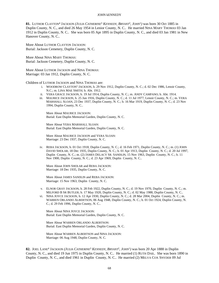**81.** LUTHOR CLAYTON<sup>4</sup> JACKSON *(JULIA CATHERINE*<sup>3</sup>  *KENNEDY, BRYANT*<sup>2</sup> *, JOHN*<sup>1</sup> *)* was born 30 Oct 1885 in Duplin County, N. C., and died 26 May 1954 in Lenior County, N. C.. He married NINA MARY THOMAS 03 Jan 1912 in Duplin County, N. C.. She was born 05 Apr 1895 in Duplin County, N. C., and died 03 Jan 1981 in New Hanover County, N. C..

More About LUTHOR CLAYTON JACKSON: Burial: Jackson Cemetery, Duplin County, N. C.

More About NINA MARY THOMAS: Burial: Jackson Cemetery, Duplin County, N. C.

More About LUTHOR JACKSON and NINA THOMAS: Marriage: 03 Jan 1912, Duplin County, N. C.

Children of LUTHOR JACKSON and NINA THOMAS are:

- i. WOODROW CLAYTON<sup>5</sup> JACKSON, b. 29 Nov 1912, Duplin County, N. C.; d. 02 Dec 1986, Lenoir County, N.C.; m. LINA MAE SMITH; b. Abt. 1912.
- ii. VERA GRACE JACKSON, b. 19 Jul 1914, Duplin County, N. C.; m. ANDY CAMPANO; b. Abt. 1914.
- iii. MAURICE JACKSON, b. 25 Jun 1916, Duplin County, N. C.; d. 11 Jul 1977, Lenoir County, N. C.; m. VERA MARSHALL SLOAN, 23 Dec 1937, Duplin County, N. C.; b. 16 Mar 1919, Duplin County, N. C.; d. 23 Nov 1994, Duplin County, N. C..

More About MAURICE JACKSON: Burial: East Duplin Memorial Garden, Duplin County, N. C.

More About VERA MARSHALL SLOAN: Burial: East Duplin Memorial Garden, Duplin County, N. C.

More About MAURICE JACKSON and VERA SLOAN: Marriage: 23 Dec 1937, Duplin County, N. C.

iv. REBA JACKSON, b. 01 Oct 1918, Duplin County, N. C.; d. 16 Feb 1971, Duplin County, N. C.; m. (1) JOHN DAVID SHOLAR, 18 Dec 1935, Duplin County, N. C.; b. 01 Apr 1913, Duplin County, N. C.; d. 20 Jul 1997, Duplin County, N. C.; m. (2) JAMES DELACY SR. SANDLIN, 15 Nov 1963, Duplin County, N. C.; b. 11 Nov 1900, Duplin County, N. C.; d. 23 Apr 1969, Duplin County, N. C..

More About JOHN SHOLAR and REBA JACKSON: Marriage: 18 Dec 1935, Duplin County, N. C.

More About JAMES SANDLIN and REBA JACKSON: Marriage: 15 Nov 1963, Duplin County, N. C.

- v. ELNOR GRAY JACKSON, b. 28 Feb 1922, Duplin County, N. C.; d. 19 Nov 1970, Duplin County, N. C.; m. MILFORD B SR BUTLER; b. 17 May 1920, Duplin County, N. C.; d. 02 May 1988, Duplin County, N. C..
- vi. NINA JOYCE JACKSON, b. 12 Apr 1930, Duplin County, N. C.; d. 28 Mar 2004, Duplin County, N. C.; m. WARREN ORLANDO ALBERTSON, 06 Aug 1948, Duplin County, N. C.; b. 01 Oct 1924, Duplin County, N. C.; d. 29 Feb 1996, Duplin County, N. C..

More About NINA JOYCE JACKSON: Burial: East Duplin Memorial Garden, Duplin County, N. C.

More About WARREN ORLANDO ALBERTSON: Burial: East Duplin Memorial Garden, Duplin County, N. C.

More About WARREN ALBERTSON and NINA JACKSON: Marriage: 06 Aug 1948, Duplin County, N. C.

**82.** JOEL LANE<sup>4</sup> JACKSON *(JULIA CATHERINE*<sup>3</sup>  *KENNEDY, BRYANT*<sup>2</sup> *, JOHN*<sup>1</sup> *)* was born 20 Apr 1888 in Duplin County, N. C., and died 19 Jun 1975 in Duplin County, N. C.. He married (1) RUTH DAIL. She was born 1890 in Duplin County, N. C., and died 1961 in Duplin County, N. C.. He married (2) MELVA COX SNYDER 09 Jul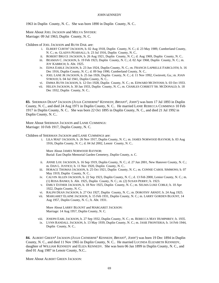1963 in Duplin County, N. C.. She was born 1890 in Duplin County, N. C..

More About JOEL JACKSON and MELVA SNYDER: Marriage: 09 Jul 1963, Duplin County, N. C.

Children of JOEL JACKSON and RUTH DAIL are:

- i. ELBERT CURTIS<sup>5</sup> JACKSON, b. 02 Aug 1918, Duplin County, N. C.; d. 23 May 1989, Cumberland County, N. C.; m. GLADYS PEARSALL; b. 23 Jul 1916, Duplin County, N. C..
- ii. ROBERT BRUCE JACKSON, b. 26 Aug 1921, Duplin County, N. C.; d. Aug 1969, Duplin County, N. C..
- iii. BEAMAN C. JACKSON, b. 19 Feb 1923, Duplin County, N. C.; d. 02 Apr 1968, Duplin County, N. C.; m. JOY KABRICH; b. Abt. 1925.
- iv. EDNA EARLE JACKSON, b. 23 Jun 1924, Duplin County, N. C.; m. FRANCIS LAPRELLE FAIRCLOTH; b. 16 Dec 1916, Duplin County, N. C.; d. 09 Sep 1990, Cumberland County, N. C..
- v. JOEL LANE JR JACKSON, b. 25 Jan 1926, Duplin County, N. C.; d. 11 Nov 1992, Gwinvett, Ga.; m. JOAN STROUD; b. 04 Jul 1941, Duplin County, N. C..
- vi. EMMA RUTH JACKSON, b. 12 Oct 1928, Duplin County, N. C.; m. EDWARD MCINTOSH; b. 03 Oct 1933.
- vii. HELEN JACKSON, b. 30 Jan 1933, Duplin County, N. C.; m. CHARLES CORBETT SR. MCDONALD; b. 18 Dec 1932, Duplin County, N. C..

**83.** SHERMAN DEAN<sup>4</sup> JACKSON *(JULIA CATHERINE*<sup>3</sup>  *KENNEDY, BRYANT*<sup>2</sup> *, JOHN*<sup>1</sup> *)* was born 17 Jul 1893 in Duplin County, N. C., and died 24 Aug 1971 in Duplin County, N. C.. He married LANIE REBECCA CUMMINGS 10 Feb 1917 in Duplin County, N. C.. She was born 22 Oct 1895 in Duplin County, N. C., and died 21 Jul 1992 in Duplin County, N. C..

More About SHERMAN JACKSON and LANIE CUMMINGS: Marriage: 10 Feb 1917, Duplin County, N. C.

Children of SHERMAN JACKSON and LANIE CUMMINGS are:

i. LILA MAE<sup>5</sup> JACKSON, b. 26 Nov 1917, Duplin County, N. C.; m. JAMES NORWOOD RAYNOR; b. 03 Aug 1916, Duplin County, N. C.; d. 04 Jul 2002, Lenoir County, N. C..

More About JAMES NORWOOD RAYNOR: Burial: East Duplin Memorial Garden Cemetery, Duplin County, n. C.

- ii. ANNIE LOU JACKSON, b. 16 Sep 1919, Duplin County, N. C.; d. 27 Jun 2001, New Hanover County, N. C.; m. DAN L. JUSTICE; b. 11 Nov 1920, Duplin County, N. C..
- iii. HORACE THOMAS JACKSON, b. 25 Oct 1921, Duplin County, N. C.; m. CONNIE CAROL SIMMONS; b. 07 May 1919, Duplin County, N. C..
- iv. CALVIN ALLEN JACKSON, b. 22 Sep 1923, Duplin County, N. C.; d. 13 Feb 2000, Lenior County, N. C.; m. (1) ROSA BANKS; b. Abt. 1925, Duplin County, N. C.; m. (2) SUSAN PERRY; b. 1923.
- v. EMILY ESTHER JACKSON, b. 18 Nov 1925, Duplin County, N. C.; m. SELMA LUKE COBLE; b. 10 Apr 1922, Dupin County, N. C..
- vi. RALPH DEAN JACKSON, b. 27 Oct 1927, Duplin County, N. C.; m. DOROTHY ARNDT; b. 24 Aug 1925.
- vii. MARGARET ELAINE JACKSON, b. 15 Feb 1931, Duplin County, N. C.; m. LARRY GORDEN BLOUNT, 14 Aug 1957, Duplin County, N. C.; b. Abt. 1931.

More About LARRY BLOUNT and MARGARET JACKSON: Marriage: 14 Aug 1957, Duplin County, N. C.

- viii. JOSEPH EARL JACKSON, b. 27 Sep 1932, Duplin County, N. C.; m. REBECCA MAY HUMPHREY; b. 1935.
- ix. LYNN RANDALL JACKSON, b. 13 May 1939, Duplin County, N. C.; m. JASIE FRONTERIA; b. 14 Feb 1944, Duplin County, N. C..

**84.** ALBERT GREEN<sup>4</sup> JACKSON *(JULIA CATHERINE*<sup>3</sup>  *KENNEDY, BRYANT*<sup>2</sup> *, JOHN*<sup>1</sup> *)* was born 19 Dec 1894 in Duplin County, N. C., and died 11 Nov 1965 in Duplin County, N. C.. He married LUCINDA ELIZABETH KENNEDY, daughter of WILLIAM KENNEDY and ELIZA KENNEDY. She was born 06 Jan 1899 in Duplin County, N. C., and died 01 Aug 1987 in Lenoir County, N.C..

More About ALBERT GREEN JACKSON: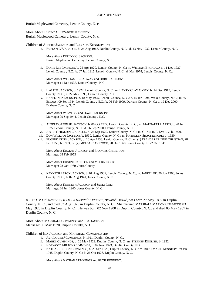Burial: Maplewood Cemetery, Lenoir County, N. c.

More About LUCINDA ELIZABETH KENNEDY: Burial: Maplewood Cemetery, Lenoir County, N. c.

Children of ALBERT JACKSON and LUCINDA KENNEDY are:

i. EVELYN C. 5 JACKSON, b. 24 Aug 1918, Duplin County, N. C.; d. 13 Nov 1932, Lenoir County, N. C..

More About EVELYN C. JACKSON: Burial: Maplewood Cemetery, Lenoir County, N. c.

ii. DORIS LEE JACKSON, b. 25 Apr 1920, Lenoir County, N. C.; m. WILLIAM BROADWAY, 11 Dec 1937, Lenoir County , N.C.; b. 07 Jun 1915, Lenoir County, N. C.; d. Mar 1978, Lenoir County, N. C..

More About WILLIAM BROADWAY and DORIS JACKSON: Marriage: 11 Dec 1937, Lenoir County , N.C.

- iii. L ALENE JACKSON, b. 1922, Lenoir County, N. C.; m. HENRY CLAY CASEY; b. 24 Dec 1917, Lenoir County, N. C.; d. 22 May 1998, Lenoir County, N. C..
- iv. HAZEL INEZ JACKSON, b. 18 May 1925, Lenoir County, N. C.; d. 15 Jan 1994, Wake County, N. C.; m. W EMORY, 09 Sep 1944, Lenoir County , N.C.; b. 06 Feb 1909, Durham County, N. C.; d. 19 Dec 2000, Durham County, N. C..

More About W EMORY and HAZEL JACKSON: Marriage: 09 Sep 1944, Lenoir County , N.C.

- v. ALBERT GREEN JR. JACKSON, b. 06 Oct 1927, Lenoir County, N. C.; m. MARGARET HARRIS; b. 28 Jun 1925, Lenoir County, N. C.; d. 06 Sep 2000, Orange County, N. C..
- vi. JOYCE GERALDINE JACKSON, b. 24 Sep 1929, Lenior County, N. C.; m. CHARLIE F. EMORY; b. 1929.
- vii. DON WILLIAM JACKSON, b. 1930, Lenior County, N. C.; m. KATHLEEN SHACKELFORD; b. 1930.
- viii. EUGENE KEITH JACKSON, b. 20 Apr 1933, Lenior County, N. C.; m. (1) FRANCES ERLENE CHRISTIAN, 28 Feb 1953; b. 1933; m. (2) MELBA JEAN IPOCK, 28 Oct 1960, Jones County; b. 22 Oct 1941.

More About EUGENE JACKSON and FRANCES CHRISTIAN: Marriage: 28 Feb 1953

More About EUGENE JACKSON and MELBA IPOCK: Marriage: 28 Oct 1960, Jones County

ix. KENNETH LEROY JACKSON, b. 01 Aug 1935, Lenoir County, N. C.; m. JANET LEE, 26 Jun 1960, Jones County, N. C.; b. 02 Aug 1941, Jones County, N. C..

More About KENNETH JACKSON and JANET LEE: Marriage: 26 Jun 1960, Jones County, N. C.

**85.** IDA MAE<sup>4</sup> JACKSON *(JULIA CATHERINE*<sup>3</sup>  *KENNEDY, BRYANT*<sup>2</sup> *, JOHN*<sup>1</sup> *)* was born 27 May 1897 in Duplin County, N. C., and died 03 Aug 1975 in Duplin County, N. C.. She married MARSHALL MARION CUMMINGS 03 May 1920 in Duplin County, N. C.. He was born 02 Nov 1900 in Duplin County, N. C., and died 05 May 1967 in Duplin County, N. C..

More About MARSHALL CUMMINGS and IDA JACKSON: Marriage: 03 May 1920, Duplin County, N. C.

Children of IDA JACKSON and MARSHALL CUMMINGS are:

- i. AVA LOUISE<sup>5</sup> CUMMINGS, b. 1921, Duplin County, N. C..
- ii. MABEL CUMMINGS, b. 26 May 1922, Duplin County, N. C.; m. STEPHEN ENGLISH; b. 1922.
- iii. NORWOOD MILTON CUMMINGS, b. 02 Nov 1923, Duplin County, N. C..
- iv. NATHAN JORDON CUMMINGS, b. 26 Sep 1925, Duplin County, N. C.; m. RUTH MARIE KENNEDY, 29 Jan 1945, Duplin County, N. C.; b. 26 Oct 1926, Duplin County, N. C..

More About NATHAN CUMMINGS and RUTH KENNEDY: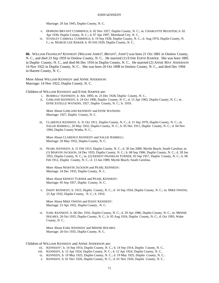Marriage: 29 Jan 1945, Duplin County, N. C.

- v. HOPKINS BRYANT CUMMINGS, b. 02 Nov 1927, Duplin County, N. C.; m. CHARLOTTE REGISTER; b. 02 Apr 1930, Duplin County, N. C.; d. 07 Apr 1997, Morehead City, N. C..
- vi. STANLEY CARROLL CUMMINGS, b. 19 Sep 1928, Duplin County, N. C.; d. Aug 1974, Duplin County, N. C.; m. MARGIE LEE BAKER; b. 05 Feb 1929, Duplin County, N. C..

**86.** WILLIAM FRANKLIN<sup>4</sup> KENNEDY *(WILLIAM JAMES*<sup>3</sup> *, BRYANT*<sup>2</sup> *, JOHN*<sup>1</sup> *)* was born 21 Oct 1881 in Onslow County, N. C., and died 23 Sep 1959 in Onslow County, N. C.. He married (1) ETHIE EDITH HARPER. She was born 1885 in Duplin County, N. C., and died 06 Dec 1916 in Duplin County, N. C.. He married (2) ANNIE MAY ANDERSON 14 Nov 1922 in Duplin County, N. C.. She was born 20 Oct 1898 in Onslow County, N. C., and died Dec 1994 in Harrett County, N. C..

More About WILLIAM KENNEDY and ANNIE ANDERSON: Marriage: 14 Nov 1922, Duplin County, N. C.

Children of WILLIAM KENNEDY and ETHIE HARPER are:

- i. BURRELL<sup>5</sup> KENNEDY, b. Abt. 1895; m. 23 Dec 1928, Duplin County, N. C..
- ii. GARLAND KENNEDY, b. 24 Oct 1906, Duplin County, N. C.; d. 15 Apr 1965, Duplin County, N. C.; m. EFFIE ESTELLE WATKINS, 1927, Duplin County, N. C.; b. 1910.

More About GARLAND KENNEDY and EFFIE WATKINS: Marriage: 1927, Duplin County, N. C.

iii. CLARENCE KENNEDY, b. 31 Oct 1911, Duplin County, N. C.; d. 21 Sep 1979, Duplin County, N. C.; m. SALLIE HARRELL, 20 May 1932, Duplin County, N. C.; b. 05 Dec 1911, Duplin County, N. C.; d. 04 Nov 1994, Duplin County Watha, N. C..

More About CLARENCE KENNEDY and SALLIE HARRELL: Marriage: 20 May 1932, Duplin County, N. C.

iv. PEARL KENNEDY, b. 21 Feb 1913, Duplin County, N. C.; d. 30 Jun 2000, Myrtle Beach, South Carolina; m. (1) MARVIN JACKSON, 24 Dec 1935, Duplin County, N. C.; b. 08 Sep 1906, Duplin County, N. C.; d. 28 Jan 1955, Duplin County, N. C.; m. (2) ERNEST FRANKLIN TURNER, 05 Sep 1957, Duplin County, N. C.; b. 06 Feb 1912, Duplin County, N. C.; d. 13 Jun 1989, Myrtle Beach, South Carolina.

More About MARVIN JACKSON and PEARL KENNEDY: Marriage: 24 Dec 1935, Duplin County, N. C.

More About ERNEST TURNER and PEARL KENNEDY: Marriage: 05 Sep 1957, Duplin County, N. C.

v. DAISY KENNEDY, b. 1915, Duplin County, N. C.; d. 16 Sep 1934, Duplin County, N. C.; m. MIKE OWENS, 23 Apr 1932, Duplin County, N. C.; b. 1910.

More About MIKE OWENS and DAISY KENNEDY: Marriage: 23 Apr 1932, Duplin County, N. C.

vi. EARL KENNEDY, b. 06 Dec 1916, Duplin County, N. C.; d. 29 Apr 1986, Duplin County, N. C.; m. MINNIE HOLMES, 26 Oct 1935, Duplin County, N. C.; b. 05 Aug 1924, Duplin County, N. C.; d. Oct 1993, Wake County, N. C..

More About EARL KENNEDY and MINNIE HOLMES: Marriage: 26 Oct 1935, Duplin County, N. C.

## Children of WILLIAM KENNEDY and ANNIE ANDERSON are:

- vii. KENNEDY<sup>5</sup>, b. 14 Sep 1914, Duplin County, N. C.; d. 14 Sep 1914, Duplin County, N. C..
- viii. KENNEDY, b. 12 Apr 1924, Duplin County, N. C.; d. 12 Apr 1924, Duplin County, N. C..
- ix. KENNEDY, b. 19 May 1925, Duplin County, N. C.; d. 19 May 1925, Duplin County, N. C..
- x. KENNEDY, b. 01 Nov 1926, Duplin County, N. C.; d. 01 Nov 1926, Duplin County, N. C..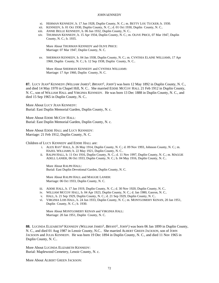- xi. HERMAN KENNEDY, b. 17 Jun 1928, Duplin County, N. C.; m. BETTY LOU TUCKER; b. 1930.
- xii. KENNEDY, b. 01 Oct 1930, Duplin County, N. C.; d. 01 Oct 1930, Duplin County, N. C..
- xiii. ANNIE BELLE KENNEDY, b. 06 Jun 1932, Duplin County, N. C..
- xiv. THURMAN KENNEDY, b. 15 Apr 1934, Duplin County, N. C.; m. OLIVE PRICE, 07 Mar 1947, Duplin County, N. C.; b. 1935.

More About THURMAN KENNEDY and OLIVE PRICE: Marriage: 07 Mar 1947, Duplin County, N. C.

xv. SHERMAN KENNEDY, b. 04 Jan 1938, Duplin County, N. C.; m. CYNTHIA ELAINE WILLIAMS, 17 Apr 1960, Duplin County, N. C.; b. 12 Sep 1938, Duplin County, N. C..

More About SHERMAN KENNEDY and CYNTHIA WILLIAMS: Marriage: 17 Apr 1960, Duplin County, N. C.

**87.** LUCY JEAN<sup>4</sup> KENNEDY *(WILLIAM JAMES*<sup>3</sup> *, BRYANT*<sup>2</sup> *, JOHN*<sup>1</sup> *)* was born 12 May 1892 in Duplin County, N. C., and died 14 May 1970 in Chapel Hill, N. C.. She married EDDIE MCCOY HALL 21 Feb 1912 in Duplin County, N. C., son of WILLIAM HALL and VIRGINIA KENNEDY. He was born 13 Dec 1888 in Duplin County, N. C., and died 15 Sep 1965 in Duplin County, N. C..

More About LUCY JEAN KENNEDY: Burial: East Duplin Memorial Garden, Duplin County, N. c.

More About EDDIE MCCOY HALL: Burial: East Duplin Memorial Garden, Duplin County, N. c.

More About EDDIE HALL and LUCY KENNEDY: Marriage: 21 Feb 1912, Duplin County, N. C.

Children of LUCY KENNEDY and EDDIE HALL are:

- i. ALEX RAY<sup>5</sup> HALL, b. 26 May 1914, Duplin County, N. C.; d. 09 Nov 1993, Johnson County, N. C.; m. HAZEL WILLIAMS; b. 22 May 1921, Duplin County, N. C..
- ii. RALPH HALL, b. 11 Oct 1916, Duplin County, N. C.; d. 11 Nov 1997, Duplin County, N. C.; m. MAGGIE ADELL LANIER, 06 Oct 1933, Duplin County, N. C.; b. 04 May 1916, Duplin County, N. C..

More About RALPH HALL: Burial: East Duplin Devotional Garden, Duplin County, N. C.

More About RALPH HALL and MAGGIE LANIER: Marriage: 06 Oct 1933, Duplin County, N. C.

- iii. ADDIE HALL, b. 17 Jan 1919, Duplin County, N. C.; d. 30 Nov 1920, Duplin County, N. C..
- iv. WILLIAM MCCOY HALL, b. 04 Apr 1923, Duplin County, N. C.; d. Jan 1980, Gasron, N. C..
- v. HALL, b. 21 Sep 1929, Duplin County, N. C.; d. 21 Sep 1929, Duplin County, N. C..
- vi. VIRGINIA LOIS HALL, b. 24 Jun 1933, Duplin County, N. C.; m. MONTGOMERY KENAN, 20 Jan 1951, Duplin County, N. C.; b. 1930.

More About MONTGOMERY KENAN and VIRGINIA HALL: Marriage: 20 Jan 1951, Duplin County, N. C.

88. LUCINDA ELIZABETH<sup>4</sup> KENNEDY *(WILLIAM JAMES<sup>3</sup>, BRYANT<sup>2</sup>, JOHN<sup>1</sup>)* was born 06 Jan 1899 in Duplin County, N. C., and died 01 Aug 1987 in Lenoir County, N.C.. She married ALBERT GREEN JACKSON, son of JOHN JACKSON and JULIA KENNEDY. He was born 19 Dec 1894 in Duplin County, N. C., and died 11 Nov 1965 in Duplin County, N. C..

More About LUCINDA ELIZABETH KENNEDY: Burial: Maplewood Cemetery, Lenoir County, N. c.

More About ALBERT GREEN JACKSON: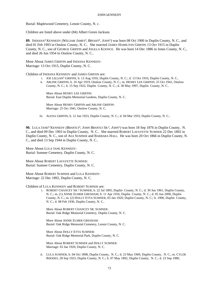Burial: Maplewood Cemetery, Lenoir County, N. c.

Children are listed above under (84) Albert Green Jackson.

89. INDIANA<sup>4</sup> KENNEDY (W*ILLIAM JAMES*<sup>3</sup>, *BRYANT<sup>2</sup>*, *JOHN*<sup>1</sup>) was born 08 Oct 1900 in Duplin County, N. C., and died 01 Feb 1993 in Onslow County, N. C.. She married JAMES HAMILTON GRIFFIN 13 Oct 1915 in Duplin County, N. C., son of GEORGE GRIFFIN and JOLILLA KOONCE. He was born 14 Dec 1886 in Jones County, N. C., and died 26 Jun 1954 in Onslow County, N. C..

More About JAMES GRIFFIN and INDIANA KENNEDY: Marriage: 13 Oct 1915, Duplin County, N. C.

Children of INDIANA KENNEDY and JAMES GRIFFIN are:

- i. JOE LILLIAN<sup>5</sup> GRIFFIN, b. 13 Aug 1916, Duplin County, N. C.; d. 13 Oct 1916, Duplin County, N. C..
- ii. ARLINE GRIFFIN, b. 16 Apr 1919, Onslow County, N. C.; m. HENRY LEE GRIFFIN, 25 Oct 1941, Onslow County, N. C.; b. 15 Sep 1922, Duplin County, N. C.; d. 30 May 1997, Duplin County, N. C..

More About HENRY LEE GRIFFIN: Burial: East Duplin Memorial Gardens, Duplin County, N. C.

More About HENRY GRIFFIN and ARLINE GRIFFIN: Marriage: 25 Oct 1941, Onslow County, N. C.

iii. ALENA GRIFFIN, b. 12 Jun 1923, Duplin County, N. C.; d. 04 Mar 1933, Duplin County, N. C..

**90.** LULA JANE<sup>4</sup> KENNEDY *(BRANTLY*<sup>3</sup> *, JOHN BRANTLY SR.*<sup>2</sup> *, JOHN*<sup>1</sup> *)* was born 18 Sep 1876 in Duplin County, N. C., and died 09 Dec 1903 in Duplin County, N. C.. She married ROBERT LAFAYETTE SUMNER 22 Dec 1892 in Duplin County, N. C., son of ASA SUMNER and BARBARA HALL. He was born 20 Oct 1866 in Duplin County, N. C., and died 13 Sep 1944 in Duplin County, N. C..

More About LULA JANE KENNEDY: Burial: Sumner Cemetery, Duplin County, N. C.

More About ROBERT LAFAYETTE SUMNER: Burial: Sumner Cemetery, Duplin County, N. C.

More About ROBERT SUMNER and LULA KENNEDY: Marriage: 22 Dec 1892, Duplin County, N. C.

Children of LULA KENNEDY and ROBERT SUMNER are:

i. ROBERT CHANCEY SR.<sup>5</sup> SUMNER, b. 22 Jul 1895, Duplin County, N. C.; d. 30 Jun 1961, Duplin County, N. C.; m. (1) ANNIE ELMER GRESHAM; b. 11 Apr 1916, Duplin County, N. C.; d. 05 Jun 2000, Duplin County, N. C.; m. (2) DOLLY ETTA SUMNER, 03 Jan 1920, Duplin County, N. C.; b. 1900, Duplin County, N. C.; d. 08 Feb 1936, Duplin County, N. C..

More About ROBERT CHANCEY SR. SUMNER: Burial: Oak Ridge Memorial Cemetery, Duplin County, N. C.

More About ANNIE ELMER GRESHAM: Burial: Oak Ridge Memorial Cemetery, Lenoir County, N. C.

More About DOLLY ETTA SUMNER: Burial: Oak Ridge Memorial Park, Duplin County, N. C.

More About ROBERT SUMNER and DOLLY SUMNER: Marriage: 03 Jan 1920, Duplin County, N. C.

ii. LULA SUMNER, b. 04 Oct 1898, Duplin County, N. C.; d. 23 May 1969, Duplin County, N. C.; m. CYLDE RHODES, 28 Sep 1923, Duplin County, N. C.; b. 07 May 1892, Duplin County, N. C.; d. 23 Sep 1980,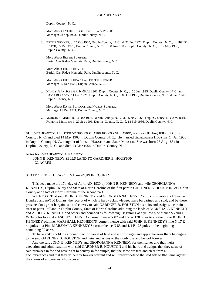Duplin County, N. C..

More About CYLDE RHODES and LULA SUMNER: Marriage: 28 Sep 1923, Duplin County, N. C.

iii. BETTIE SUMNER, b. 25 Oct 1900, Duplin County, N. C.; d. 21 Feb 1972, Duplin County, N. C.; m. HILLIE HEATH, 05 Dec 1926, Duplin County, N. C.; b. 08 Aug 1905, Duplin County, N. C.; d. 17 May 1986, Duplin County, N. C..

More About BETTIE SUMNER: Burial: Oak Ridge Memorial Park, Duplin county, N. C.

More About HILLIE HEATH: Burial: Oak Ridge Memorial Park, Duplin county, N. C.

More About HILLIE HEATH and BETTIE SUMNER: Marriage: 05 Dec 1926, Duplin County, N. C.

iv. NANCY JEAN SUMNER, b. 06 Jul 1901, Duplin County, N. C.; d. 20 Jun 1925, Duplin County, N. C.; m. DAVIS BLALOCK, 11 Dec 1921, Duplin County, N. C.; b. 06 Oct 1906, Duplin County, N. C.; d. Sep 1965, Duplin County, N. C..

More About DAVIS BLALOCK and NANCY SUMNER: Marriage: 11 Dec 1921, Duplin County, N. C.

v. MARGIE SUMNER, b. 04 Dec 1902, Duplin County, N. C.; d. 05 Nov 1965, Duplin County, N. C.; m. JOHN ROMMIE MERCER; b. 29 Sep 1906, Duplin County, N. C.; d. 18 Feb 1986, Duplin County, N. C..

**91.** JOHN BRANTLY JR.<sup>4</sup> KENNEDY (*BRANTLY*<sup>3</sup>, *JOHN BRANTLY SR.<sup>2</sup>, JOHN*<sup>1</sup>) was born 04 Aug 1880 in Duplin County , N. C, and died 14 May 1963 in Duplin County, N. C.. He married GEORGANNA HOUSTON 14 Jan 1903 in Duplin County, N. C., daughter of JOESPH HOUSTON and JULIA MERCER. She was born 26 Aug 1884 in Duplin County, N. C., and died 13 Mar 1954 in Duplin County, N. C..

## Notes for JOHN BRANTLY JR. KENNEDY:

JOHN B. KENNEDY SELLS LAND TO GARDNER B. HOUSTON 32 ACRES

# STATE OF NORTH CAROLINA -----DUPLIN COUNTY

This deed made the 17th day of April AD, 1930 by JOHN B. KENNEDY and wife GEORGIANNA KENNEDY, Duplin County and State of North Carolina of the first part to GARDNER B. HOUSTON of Duplin County and State of North Carolina of the second part.

WITNESS : That said JOHN B. KENNEDY and GEORGIANNA KENNEDY in consideration of Twelve Hundred and no/100 Dollars, the receipt of which is herby acknowledged have bargarined and sold, and by these presents does grant bargain, see and convey to said GARDNER B. HOUSTON his heirs and assigns, a certain tract or parcel of land in Duplin County, State of North Carolina adjoining the lands of MARSHALL KENNEDY and ASHLEY KENNEDY and others and bounded as follows vig: Beginning at a yellow pine thence S 2and 1/2 W 34 poles to a stake ASHLEY KENNEDY corner thence N 87 and  $1/2$  W 138 poles to a stake in the JOHN B. KENNEDY old line, MARSHALL KENNEDY'S corner, thence with said JOHN B. KENNEDY'S line N 17 E 44 poles to a Pine MARSHALL KENNEDY'S corner thence N 83 and 1/4 E 128 poles to the beginning containing 32 acres.

To have and to hold the aforsaid tract or parcel of land and all privileges and apprentaneous there belonging to the said GARDNER B. HOUSTON and heirs and asigns to their only use and behoof forever.

And the said JOHN B. KENNEDY and GEORGIANNA KENNEDY for themselves and their heirs, execution and administration with said GARDNER B. HOUSTON and his heirs and assigns that they seize of said premises in fee and have right to convey in fee simple, that the same are free and clear from all encumbarances and that they do hereby forever warrant and will forever defend the said title to tthe same against the claims of all persons whomsoever.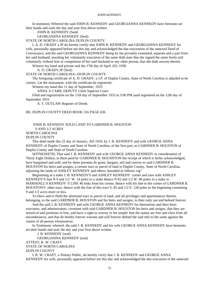In testimony Whereof the said JOHN B. KENNEDY and GEORGIANNA KENNEDY have hereunto set their hands and seals the day and year first above written.

JOHN B. KENNEDY (Seal)

GEORGIANNA KENNEDY (Seal)

STATE OF NORTH CAROLINA DUPLIN COUNTY:

I, A. D. GRADY a JP do hereby certify that JOHN B. KENNEDY and GEORGIANNA KENNEDY his wife, personally appeared before me this day and acknowledged the due execention of the annexed Deed of Conveyance; and the said GEORGIANNA KENNEDY being by me privately examined, separate and a part from her said husband, touching her voluntarily execution of the same doth state that she signed the same freely and voluntarily without fear or compulsion of her said husband or any other person, that she doth asscent thereto.

Witness my hand and private seal the 17th day of April AD, 1930.

A. D. GRADY,JP (Seal)

STATE OF NORTH CAROLINA--DUPLIN COUNTY

The foregoing certificate of A. D. GRADY, a J.P. of Duplin County, State of North Carolina is adjuded to be correct. Let the instrument, with the certificate be registered.

Witness my hand this 11 day of September, 1933

ANNA A CARR, DEPUTY Clerk Superior Court

Filed and registeration on the 11th day of September 1933 at 5:00 PM aand registered on the 12th day of September 1933

A. T. OUTLAW Register of Deeds

## RE; DUPLIN COUNTY DEED BOOK 316 PAGE 636

# JOHN B. KENNEDY SOLD LAND TO GARDNER B. HOUSTON 9 AND 1/2 ACRES

NORTH CAROLINA

### DUPLIN COUNTY

This deed made this 22 day of January, AD 1934, by J. B. KENNEDY and wife GEORGE ANNA KENNEDY of Duplin County and State of North Carolina, of the first part, to GARDNER B. HOUSTON of Duplin County and State of North Carolina.

WITNESSETH; That said J. B. KENNEDY and wife GEORGE ANNA KENNEDY in consideration of Thirty Eight Dollars, to them paid by GARDNER B. HOUSDTON the receipt of which is herby acknowledged, have bargained and sold, and by these presents do grant, bargain, sell and convey to said GARDNER B. HOUSTON his heirs and assigns, a certain tract or parcel of land in Duplin County, State of North Carolina, adjoining the lands of ASHLEY KENNEDY and others, bounded as follows vig"

Beginnning at a stake J. B. KENNEDY'S and ASHLEY KENNEDY corner and runs with ASHLEY KENNEDY'S line N 9 and 1/2 W. 14 poles to a stake thence N 83 and 1/2 W. 86 poles to a stake in MARSHALL'S KENNEDY 'S LINE 46 links from his corner, thence with his line to the corner of GARDNER B. HOUSTON'S other tract, thence with the line of this tract S. 83 and 1/2 E. 128 poles to the beginning containing 9 and 1/2 acres more or less.

To Have and to Hold the aforesaid tract or parcel of land, and all privileges and apurtenances thereto belonging, to the said GARDNER B. HOUSTON and his heirs and assigns, to their only use and behoof forever.

And the said J. B. KENNEDY and wife GEORGE ANNA KENNEDY for themselves and theri heirs executors, and adminstrators, covenant with said GARDNER B. HOUSTON his heirs and assigns, that they are seized of said premises in free, and have a right to convey in fee simple' that the saame are free and clear from all encumbrances, and that do hereby forever warrant and will forever defend the said title to the same against the claims of all person whomsoever.

In Testimony whereof, the said J. B. KENNEDY and his wife GEORGE ANNA KENNEDY have hereunto set their hands and seal, the day and year first above written.

J. B. KENNEDY (seal)

GEORGIANNA KENNEDY (seal) ATTEST; R. W. CRAFT STATE OF NORTH CAROLINA DUPLIN COUNTY

I, R. W. CRAFT, a Nottary Public, do hereby cerify that J. B. KENNEDY and GEORGE ANNA KENNEDY his wife, personally appeared before me this day and acknowledged the due execution of the annexed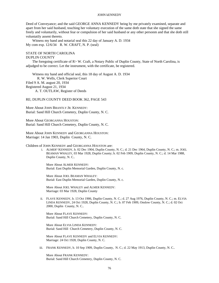Deed of Conveyance; and the said GEORGE ANNA KENNEDY being by me privately examined, separate and apart from her said husband, touching her voluntary execution of the same doth state that she signed the same freely and voluntarily, without fear or compulsion of her said husband or any other personm and that she doth still voluntatily assent thereto.

Witness my hand and notarial seal this 22 day of January A. D. 1934 My com exp. 12/6/34 R. W. CRAFT, N. P. (seal)

## STATE OF NORTH CAROLINA

### DUPLIN COUNTY

The foregoing certificate of R> W. Craft, a Notary Public of Duplin County, State of North Carolina, is adjudged to be correct. Let the instrument, with the certificate, be registered.

Witness my hand and official seal, this 18 day of August A. D. 1934 R. W. Wells, Clerk Superior Court Filed 9 A. M. august 20, 1934 Registered August 21, 1934 A. T. OUTLAW, Register of Deeds

### RE; DUPLIN COUNTY DEED BOOK 362, PAGE 543

More About JOHN BRANTLY JR. KENNEDY: Burial: Sand Hill Church Cemetery, Duplin County, N. C.

More About GEORGANNA HOUSTON: Burial: Sand Hill Church Cemetery, Duplin County, N. C.

More About JOHN KENNEDY and GEORGANNA HOUSTON: Marriage: 14 Jan 1903, Duplin County, N. C.

Children of JOHN KENNEDY and GEORGANNA HOUSTON are:

i. ALMER<sup>5</sup> KENNEDY, b. 02 Dec 1904, Duplin County, N. C.; d. 21 Dec 1964, Duplin County, N. C.; m. JOEL BEAMAN WHALEY, 03 Mar 1928, Duplin County; b. 02 Feb 1909, Duplin County, N. C.; d. 14 Mar 1988, Duplin County, N. C..

More About ALMER KENNEDY: Burial: East Duplin Memorial Garden, Duplin County, N. c.

More About JOEL BEAMAN WHALEY: Burial: East Duplin Memorial Garden, Duplin County, N. c.

More About JOEL WHALEY and ALMER KENNEDY: Marriage: 03 Mar 1928, Duplin County

ii. FLAVE KENNEDY, b. 13 Oct 1906, Duplin County, N. C.; d. 27 Aug 1976, Duplin County, N. C.; m. ELVIA LINDA KENNEDY, 24 Oct 1928, Duplin County, N. C.; b. 07 Feb 1909, Onslow County, N. C.; d. 02 Oct 2000, Duplin County, N. C..

More About FLAVE KENNEDY: Burial: Sand Hill Church Cemetery, Duplin County, N. C.

More About ELVIA LINDA KENNEDY: Burial: Sand Hill Church Cemetery, Duplin County, N. C.

More About FLAVE KENNEDY and ELVIA KENNEDY: Marriage: 24 Oct 1928, Duplin County, N. C.

iii. FRANK KENNEDY, b. 10 Sep 1909, Duplin County, N. C.; d. 22 May 1913, Duplin County, N. C..

More About FRANK KENNEDY: Burial: Sand Hill Church Cemetery, Duplin County, N. C.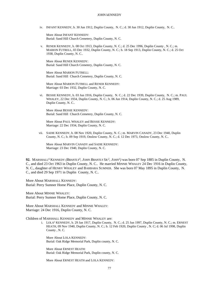iv. INFANT KENNEDY, b. 30 Jun 1912, Duplin County, N. C.; d. 30 Jun 1912, Duplin County, N. C..

More About INFANT KENNEDY: Burial: Sand Hill Church Cemetery, Duplin County, N. C.

v. RENER KENNEDY, b. 08 Oct 1913, Duplin County, N. C.; d. 25 Dec 1996, Duplin County , N. C.; m. MARION FUTRELL, 03 Dec 1932, Duplin County, N. C.; b. 18 Sep 1913, Duplin County, N. C.; d. 25 Oct 1938, Duplin County, N. C..

More About RENER KENNEDY: Burial: Sand Hill Church Cemetery, Duplin County, N. C.

More About MARION FUTRELL: Burial: Sand Hill Church Cemetery, Duplin County, N. C.

More About MARION FUTRELL and RENER KENNEDY: Marriage: 03 Dec 1932, Duplin County, N. C.

vi. BESSIE KENNEDY, b. 03 Jun 1916, Duplin County, N. C.; d. 22 Dec 1939, Duplin County, N. C.; m. PAUL WHALEY, 22 Dec 1934, Duplin County, N. C.; b. 06 Jun 1914, Duplin County, N. C.; d. 25 Aug 1989, Duplin County, N. C..

More About BESSIE KENNEDY: Burial: Sand Hill Church Cemetery, Duplin County, N. C.

More About PAUL WHALEY and BESSIE KENNEDY: Marriage: 22 Dec 1934, Duplin County, N. C.

vii. SADIE KENNEDY, b. 08 Nov 1920, Duplin County, N. C.; m. MARVIN CANADY, 23 Dec 1940, Duplin County, N. C.; b. 09 Sep 1919, Onslow County, N. C.; d. 12 Dec 1973, Onslow County, N. C..

More About MARVIN CANADY and SADIE KENNEDY: Marriage: 23 Dec 1940, Duplin County, N. C.

**92.** MARSHALL<sup>4</sup> KENNEDY *(BRANTLY*<sup>3</sup> *, JOHN BRANTLY SR.*<sup>2</sup> *, JOHN*<sup>1</sup> *)* was born 07 Sep 1885 in Duplin County, N. C., and died 23 Oct 1963 in Duplin County, N. C.. He married MINNIE WHALEY 24 Dec 1916 in Duplin County, N. C., daughter of HENRY WHALEY and BARBARA SUMNER. She was born 07 May 1895 in Duplin County, N. C., and died 29 Sep 1971 in Duplin County, N. C..

More About MARSHALL KENNEDY: Burial: Perry Sumner Home Place, Duplin County, N. C.

More About MINNIE WHALEY: Burial: Perry Sumner Home Place, Duplin County, N. C.

More About MARSHALL KENNEDY and MINNIE WHALEY: Marriage: 24 Dec 1916, Duplin County, N. C.

Children of MARSHALL KENNEDY and MINNIE WHALEY are:

i. LOLA<sup>5</sup> KENNEDY, b. 29 Jan 1917, Duplin County, N. C.; d. 25 Jun 1997, Duplin County, N. C.; m. ERNEST HEATH, 09 Nov 1940, Duplin County, N. C.; b. 12 Feb 1920, Duplin County , N. C; d. 06 Jul 1998, Duplin County , N. C.

More About LOLA KENNEDY: Burial: Oak Ridge Memorial Park, Duplin county, N. C.

More About ERNEST HEATH: Burial: Oak Ridge Memorial Park, Duplin county, N. C.

More About ERNEST HEATH and LOLA KENNEDY: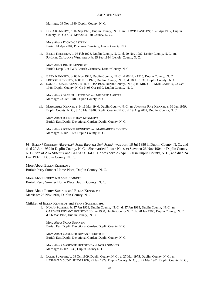Marriage: 09 Nov 1940, Duplin County, N. C.

ii. DOLA KENNEDY, b. 02 Sep 1920, Duplin County, N. C.; m. FLOYD CASTEEN; b. 28 Apr 1917, Duplin County, N. C.; d. 30 Mar 2004, Pitt County, N. C..

More About FLOYD CASTEEN: Burial: 01 Apr 2004, Pinelawn Cemetery, Lenoir County, N. C.

iii. BILLIE KENNEDY, b. 05 Feb 1923, Duplin County, N. C.; d. 29 Nov 1987, Lenior County, N. C.; m. RACHEL CLAUDINE WHITFIELD; b. 25 Sep 1934, Lenoir County, N. C..

More About BILLIE KENNEDY: Burial: Deep Run FWB Church Cemetery, Lenoir County, N. C.

- iv. BABY KENNEDY, b. 08 Nov 1925, Duplin County, N. C.; d. 08 Nov 1925, Duplin County, N. C..
- v. FREDDIE KENNEDY, b. 08 Nov 1925, Duplin County, N. C.; d. 18 Jul 1937, Duplin County, N. C..
- vi. SAMUEL MACK KENNEDY, b. 31 Dec 1929, Duplin County, N. C.; m. MILDRED MAE CARTER, 23 Oct 1948, Duplin County, N. C.; b. 08 Oct 1930, Duplin County, N. C..

More About SAMUEL KENNEDY and MILDRED CARTER: Marriage: 23 Oct 1948, Duplin County, N. C.

vii. MARGARET KENNEDY, b. 16 Mar 1940, Duplin County, N. C.; m. JOHNNIE RAY KENNEDY, 06 Jun 1959, Duplin County, N. C.; b. 13 Mar 1940, Duplin County, N. C.; d. 19 Aug 2002, Duplin County, N. C..

More About JOHNNIE RAY KENNEDY: Burial: East Duplin Devotional Garden, Duplin County, N. C.

More About JOHNNIE KENNEDY and MARGARET KENNEDY: Marriage: 06 Jun 1959, Duplin County, N. C.

**93.** ELLEN<sup>4</sup> KENNEDY (*BRANTLY*<sup>3</sup>, JOHN BRANTLY SR.<sup>2</sup>, JOHN<sup>1</sup>) was born 16 Jul 1886 in Duplin County, N. C., and died 29 Jun 1959 in Duplin County, N. C.. She married PERRY NELSON SUMNER 26 Nov 1904 in Duplin County, N. C., son of ASA SUMNER and BARBARA HALL. He was born 26 Apr 1880 in Duplin County, N. C., and died 24 Dec 1937 in Duplin County, N. C..

More About ELLEN KENNEDY: Burial: Perry Sumner Home Place, Duplin County, N. C.

More About PERRY NELSON SUMNER: Burial: Perry Sumner Home Place,Duplin County, N. C.

More About PERRY SUMNER and ELLEN KENNEDY: Marriage: 26 Nov 1904, Duplin County, N. C.

Children of ELLEN KENNEDY and PERRY SUMNER are:

i. NORA<sup>5</sup> SUMNER, b. 27 Jan 1908, Duplin County, N. C.; d. 27 Jan 1993, Duplin County, N. C.; m. GARDNER BRYANT HOUSTON, 15 Jan 1930, Duplin County N. C.; b. 28 Jan 1905, Duplin County, N. C.; d. 06 Mar 1983, Duplin County, N. C..

More About NORA SUMNER: Burial: East Duplin Devotional Garden, Duplin County, N. C.

More About GARDNER BRYANT HOUSTON: Burial: East Duplin Devotional Garden, Duplin County, N. C.

More About GARDNER HOUSTON and NORA SUMNER: Marriage: 15 Jan 1930, Duplin County N. C.

ii. LUDIE SUMNER, b. 09 Oct 1909, Duplin County, N. C.; d. 27 Mar 1975, Duplin County, N. C.; m. HERMAN MCCOY HENDERSON, 25 Jan 1929, Duplin County, N. C.; b. 27 Mar 1901, Duplin County, N. C.;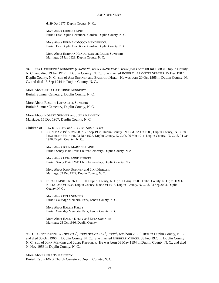d. 29 Oct 1977, Duplin County, N. C..

More About LUDIE SUMNER: Burial: East Duplin Devotional Garden, Duplin County, N. C.

More About HERMAN MCCOY HENDERSON: Burial: East Duplin Devotional Garden, Duplin County, N. C.

More About HERMAN HENDERSON and LUDIE SUMNER: Marriage: 25 Jan 1929, Duplin County, N. C.

**94.** JULIA CATHERINE<sup>4</sup> KENNEDY (*BRANTLY*<sup>3</sup>, JOHN *BRANTLY* SR.<sup>2</sup>, JOHN<sup>1</sup>) was born 08 Jul 1888 in Duplin County, N. C., and died 19 Jan 1912 in Duplin County, N. C.. She married ROBERT LAFAYETTE SUMNER 15 Dec 1907 in Duplin County, N. C., son of ASA SUMNER and BARBARA HALL. He was born 20 Oct 1866 in Duplin County, N. C., and died 13 Sep 1944 in Duplin County, N. C..

More About JULIA CATHERINE KENNEDY: Burial: Sumner Cemetery, Duplin County, N. C.

More About ROBERT LAFAYETTE SUMNER: Burial: Sumner Cemetery, Duplin County, N. C.

More About ROBERT SUMNER and JULIA KENNEDY: Marriage: 15 Dec 1907, Duplin County, N. C.

Children of JULIA KENNEDY and ROBERT SUMNER are:

i. JOHN MARTIN<sup>5</sup> SUMNER, b. 23 Sep 1908, Duplin County , N. C; d. 22 Jun 1980, Duplin County, N. C.; m. LINA ANNE MERCER, 03 Dec 1927, Duplin County, N. C.; b. 06 Mar 1911, Duplin County, N. C.; d. 04 Oct 1996, Duplin County, N. C..

More About JOHN MARTIN SUMNER: Burial: Sandy Plain FWB Church Cemetery, Duplin County, N. c.

More About LINA ANNE MERCER: Burial: Sandy Plain FWB Church Cemetery, Duplin County, N. c.

More About JOHN SUMNER and LINA MERCER: Marriage: 03 Dec 1927, Duplin County, N. C.

ii. ETTA SUMNER, b. 26 Jul 1910, Duplin County, N. C.; d. 11 Aug 1990, Duplin County, N. C.; m. HALLIE KELLY, 25 Oct 1936, Duplin County; b. 08 Oct 1913, Duplin County, N. C.; d. 04 Sep 2004, Duplin County, N. C..

More About ETTA SUMNER: Burial: Oakridge Memorial Park, Lenoir County, N. C.

More About HALLIE KELLY: Burial: Oakridge Memorial Park, Lenoir County, N. C.

More About HALLIE KELLY and ETTA SUMNER: Marriage: 25 Oct 1936, Duplin County

95. CHARITY<sup>4</sup> KENNEDY (*BRANTLY*<sup>3</sup>, JOHN BRANTLY SR.<sup>2</sup>, JOHN<sup>1</sup>) was born 20 Jul 1891 in Duplin County, N. C., and died 30 Oct 1966 in Duplin County, N. C.. She married HERBERT MERCER 08 Feb 1920 in Duplin County, N. C., son of JOHN MERCER and JULIA KENNEDY. He was born 03 May 1894 in Duplin County, N. C., and died 04 Nov 1956 in Duplin County, N. C..

More About CHARITY KENNEDY: Burial: Cabin FWB Church Cemetery, Duplin County, N. C.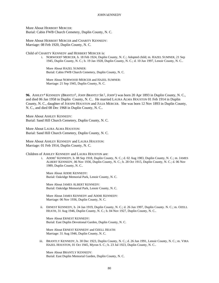More About HERBERT MERCER: Burial: Cabin FWB Church Cemetery, Duplin County, N. C.

More About HERBERT MERCER and CHARITY KENNEDY: Marriage: 08 Feb 1920, Duplin County, N. C.

Child of CHARITY KENNEDY and HERBERT MERCER is:

i. NORWOOD<sup>5</sup> MERCER, b. 18 Feb 1924, Duplin County, N. C.; Adopted child; m. HAZEL SUMNER, 21 Sep 1945, Duplin County, N. C.; b. 19 Jan 1928, Duplin County, N. C.; d. 10 Jun 1997, Lenoir County, N. C..

More About HAZEL SUMNER: Burial: Cabin FWB Church Cemetery, Duplin County, N. C.

More About NORWOOD MERCER and HAZEL SUMNER: Marriage: 21 Sep 1945, Duplin County, N. C.

**96.** ASHLEY<sup>4</sup> KENNEDY *(BRANTLY*<sup>3</sup> *, JOHN BRANTLY SR.*<sup>2</sup> *, JOHN*<sup>1</sup> *)* was born 20 Apr 1893 in Duplin County, N. C., and died 06 Jan 1958 in Duplin County, N. C.. He married LAURA ALMA HOUSTON 01 Feb 1914 in Duplin County, N. C., daughter of JOESPH HOUSTON and JULIA MERCER. She was born 12 Nov 1893 in Duplin County, N. C., and died 08 Dec 1968 in Duplin County, N. C..

More About ASHLEY KENNEDY: Burial: Sand Hill Church Cemetery, Duplin County, N. C.

More About LAURA ALMA HOUSTON: Burial: Sand Hill Church Cemetery, Duplin County, N. C.

More About ASHLEY KENNEDY and LAURA HOUSTON: Marriage: 01 Feb 1914, Duplin County, N. C.

Children of ASHLEY KENNEDY and LAURA HOUSTON are:

i. ADDIE<sup>5</sup> KENNEDY, b. 08 Sep 1918, Duplin County, N. C.; d. 02 Aug 1983, Duplin County, N. C.; m. JAMES ALBERT KENNEDY, 06 Nov 1936, Duplin County, N. C.; b. 28 Oct 1915, Duplin County, N. C.; d. 06 Nov 1989, Duplin County, N. C..

More About ADDIE KENNEDY: Burial: Oakridge Memorial Park, Lenoir County, N. C.

More About JAMES ALBERT KENNEDY: Burial: Oakridge Memorial Park, Lenoir County, N. C.

More About JAMES KENNEDY and ADDIE KENNEDY: Marriage: 06 Nov 1936, Duplin County, N. C.

ii. ERNEST KENNEDY, b. 24 Jan 1919, Duplin County, N. C.; d. 26 Jun 1997, Duplin County. N. C.; m. OZELL HEATH, 31 Aug 1946, Duplin County, N. C.; b. 04 Nov 1927, Duplin County, N. C..

More About ERNEST KENNEDY: Burial: East Duplin Devotional Garden, Duplin County, N. C.

More About ERNEST KENNEDY and OZELL HEATH: Marriage: 31 Aug 1946, Duplin County, N. C.

iii. BRANTLY KENNEDY, b. 30 Dec 1923, Duplin County, N. C.; d. 26 Jun 1991, Lenoir County, N. C.; m. VIRA HAZEL HOUSTON, 01 Oct 1945, Myron S. C.; b. 23 Jul 1923, Duplin County, N. C..

More About BRANTLY KENNEDY: Burial: East Duplin Memorial Garden, Duplin County, N. C.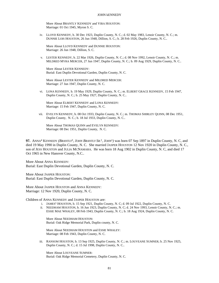More About BRANTLY KENNEDY and VIRA HOUSTON: Marriage: 01 Oct 1945, Myron S. C.

iv. LLOYD KENNEDY, b. 30 Dec 1923, Duplin County, N. C.; d. 02 May 1983, Lenoir County, N. C.; m. DUNNIE LOIS HOUSTON, 26 Jun 1948, Dillion, S. C.; b. 28 Feb 1926, Duplin County, N. C..

More About LLOYD KENNEDY and DUNNIE HOUSTON: Marriage: 26 Jun 1948, Dillion, S. C.

v. LESTER KENNEDY, b. 22 Mar 1926, Duplin County, N. C.; d. 08 Nov 1992, Lenoir County, N. C.; m. MILDRED MYRA MERCER, 27 Jun 1947, Duplin County, N. C.; b. 09 Aug 1929, Duplin County, N. C..

More About LESTER KENNEDY: Burial: East Duplin Devotional Garden, Duplin County, N. C.

More About LESTER KENNEDY and MILDRED MERCER: Marriage: 27 Jun 1947, Duplin County, N. C.

vi. LONA KENNEDY, b. 19 May 1929, Duplin County, N. C.; m. ELBERT GRACE KENNEDY, 15 Feb 1947, Duplin County, N. C.; b. 25 May 1927, Duplin County, N. C..

More About ELBERT KENNEDY and LONA KENNEDY: Marriage: 15 Feb 1947, Duplin County, N. C.

vii. EVELYN KENNEDY, b. 08 Oct 1933, Duplin County, N. C.; m. THOMAS SHIRLEY QUINN, 08 Dec 1951, Duplin County, N. C.; b. 18 Jul 1933, Duplin County, N. C..

More About THOMAS QUINN and EVELYN KENNEDY: Marriage: 08 Dec 1951, Duplin County, N. C.

97. ANNA<sup>4</sup> KENNEDY (*BRANTLY*<sup>3</sup>, JOHN BRANTLY SR.<sup>2</sup>, JOHN<sup>1</sup>) was born 07 Sep 1897 in Duplin County, N. C, and died 19 May 1990 in Duplin County, N. C. She married JASPER HOUSTON 12 Nov 1920 in Duplin County, N. C., son of JESS HOUSTON and JULIA MCNAMARA. He was born 18 Aug 1902 in Duplin County, N. C, and died 17 Oct 1965 in New Hanover County, N.C..

More About ANNA KENNEDY: Burial: East Duplin Devotional Garden, Duplin County, N. C.

More About JASPER HOUSTON: Burial: East Duplin Devotional Garden, Duplin County, N. C.

More About JASPER HOUSTON and ANNA KENNEDY: Marriage: 12 Nov 1920, Duplin County, N. C.

Children of ANNA KENNEDY and JASPER HOUSTON are:

- i. JAMES<sup>5</sup> HOUSTON, b. 15 Sep 1921, Duplin County, N. C; d. 09 Jul 1922, Duplin County, N. C.
- ii. NEEDHAM HOUSTON, b. 16 Jun 1923, Duplin County, N. C; d. 24 Nov 1993, Lenoir County, N. C.; m. ESSIE MAE WHALEY, 08 Feb 1943, Duplin County, N. C.; b. 18 Aug 1924, Duplin County, N. C.

More About NEEDHAM HOUSTON: Burial: Oak Ridge Memorial Park, Duplin county, N. C.

More About NEEDHAM HOUSTON and ESSIE WHALEY: Marriage: 08 Feb 1943, Duplin County, N. C.

iii. RANSOM HOUSTON, b. 13 Sep 1925, Duplin County, N. C.; m. LOUVEANE SUMNER; b. 25 Nov 1925, Duplin County, N. C.; d. 15 Jul 1998, Duplin County, N. C..

More About LOUVEANE SUMNER: Burial: Oak Ridge Memorial Cemetery, Duplin County, N. C.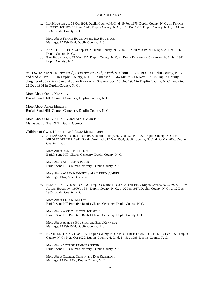iv. IDA HOUSTON, b. 08 Oct 1926, Duplin County, N. C.; d. 19 Feb 1979, Duplin County, N. C.; m. FERNIE HUBERT HOUSTON, 17 Feb 1944, Duplin County, N. C.; b. 08 Dec 1915, Duplin County, N. C.; d. 01 Jun 1988, Duplin County, N. C..

More About FERNIE HOUSTON and IDA HOUSTON: Marriage: 17 Feb 1944, Duplin County, N. C.

- v. ANNIE HOUSTON, b. 24 Sep 1932, Duplin County, N. C.; m. BRANTLY ROW MILLER; b. 25 Dec 1926, Duplin County, N. C..
- vi. BEN HOUSTON, b. 23 Mar 1937, Duplin County, N. C; m. EDNA ELIZABETH GRESHAM; b. 21 Jun 1941, Duplin County , N. C.

98. OWEN<sup>4</sup> KENNEDY (*BRANTLY*<sup>3</sup>, JOHN BRANTLY SR.<sup>2</sup>, JOHN<sup>1</sup>) was born 12 Aug 1900 in Duplin County, N. C., and died 25 Jan 1993 in Duplin County, N. C.. He married ALMA MERCER 06 Nov 1921 in Duplin County, daughter of JOHN MERCER and JULIA KENNEDY. She was born 15 Dec 1904 in Duplin County, N. C., and died 21 Dec 1964 in Duplin County, N. C..

More About OWEN KENNEDY: Burial: Sand Hill Church Cemetery, Duplin County, N. C.

More About ALMA MERCER: Burial: Sand Hill Church Cemetery, Duplin County, N. C.

More About OWEN KENNEDY and ALMA MERCER: Marriage: 06 Nov 1921, Duplin County

### Children of OWEN KENNEDY and ALMA MERCER are:

i. ALLEN<sup>5</sup> KENNEDY, b. 11 Dec 1923, Duplin County, N. C.; d. 22 Feb 1982, Duplin County, N. C.; m. MILDRED SUMNER, 1947, South Carolina; b. 17 May 1930, Duplin County, N. C.; d. 23 Mar 2006, Duplin County, N. C..

More About ALLEN KENNEDY: Burial: Sand Hill Church Cemetery, Duplin County, N. C.

More About MILDRED SUMNER: Burial: Sand Hill Church Cemetery, Duplin County, N. C.

More About ALLEN KENNEDY and MILDRED SUMNER: Marriage: 1947, South Carolina

ii. ELLA KENNEDY, b. 04 Feb 1929, Duplin County, N. C.; d. 05 Feb 1988, Duplin County, N. C.; m. ASHLEY ALTON HOUSTON, 19 Feb 1944, Duplin County, N. C.; b. 02 Jun 1917, Duplin County, N. C.; d. 12 Dec 1985, Duplin County, N. C..

More About ELLA KENNEDY: Burial: Sand Hill Primitive Baptist Church Cemetery, Duplin County, N. C.

More About ASHLEY ALTON HOUSTON: Burial: Sand Hill Primitive Baptist Church Cemetery, Duplin County, N. C.

More About ASHLEY HOUSTON and ELLA KENNEDY: Marriage: 19 Feb 1944, Duplin County, N. C.

iii. EVA KENNEDY, b. 21 Jan 1932, Duplin County, N. C.; m. GEORGE TAMMIE GRIFFIN, 19 Dec 1953, Duplin County, N. C.; b. 21 Oct 1929, Duplin County, N. C.; d. 14 Nov 1986, Duplin County, N. C..

More About GEORGE TAMMIE GRIFFIN: Burial: Sand Hill Church Cemetery, Duplin County, N. C.

More About GEORGE GRIFFIN and EVA KENNEDY: Marriage: 19 Dec 1953, Duplin County, N. C.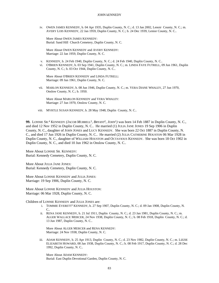iv. OWEN JAMES KENNEDY, b. 04 Apr 1935, Duplin County, N. C.; d. 13 Jan 2002, Lenoir County, N. C.; m. AVERY LOIS KENNEDY, 22 Jan 1959, Duplin County, N. C.; b. 24 Dec 1939, Lenior County, N. C..

More About OWEN JAMES KENNEDY: Burial: Sand Hill Church Cemetery, Duplin County, N. C.

More About OWEN KENNEDY and AVERY KENNEDY: Marriage: 22 Jan 1959, Duplin County, N. C.

- v. KENNEDY, b. 24 Feb 1940, Duplin County, N. C.; d. 24 Feb 1940, Duplin County, N. C..
- vi. O'BRIEN KENNEDY, b. 03 Sep 1941, Duplin County, N. C.; m. LINDA FAYE FUTRELL, 09 Jun 1961, Duplin County, N. C.; b. 03 Oct 1944, Duplin County, N. C..

More About O'BRIEN KENNEDY and LINDA FUTRELL: Marriage: 09 Jun 1961, Duplin County, N. C.

vii. MARLON KENNEDY, b. 08 Jun 1946, Duplin County, N. C.; m. VERA DIANE WHALEY, 27 Jun 1970, Onslow County, N. C.; b. 1950.

More About MARLON KENNEDY and VERA WHALEY: Marriage: 27 Jun 1970, Onslow County, N. C.

viii. MYRTLE SUSAN KENNEDY, b. 28 May 1948, Duplin County, N. C..

99. LONNIE SR.<sup>4</sup> KENNEDY (*JACOB MURRELL*<sup>3</sup>, *BRYANT*<sup>2</sup>, *JOHN*<sup>1</sup>) was born 14 Feb 1887 in Duplin County, N. C., and died 12 Nov 1952 in Duplin County, N. C.. He married (1) JULIA JANE JONES 19 Sep 1906 in Duplin County, N. C., daughter of JOHN JONES and LUCY KENNEDY. She was born 22 Oct 1887 in Duplin County, N. C., and died 17 Jun 1926 in Duplin County, N. C.. He married (2) JULIA CATHERINE HOUSTON 06 Mar 1928 in Duplin County, N. C., daughter of WILLIAM HOUSTON and OCTAVIOUS KENNEDY. She was born 18 Oct 1902 in Duplin County, N. C., and died 10 Jun 1962 in Onslow County, N. C..

More About LONNIE SR. KENNEDY: Burial: Kennedy Cemetery, Duplin County, N. C.

More About JULIA JANE JONES: Burial: Kennedy Cemetery, Duplin County, N. C.

More About LONNIE KENNEDY and JULIA JONES: Marriage: 19 Sep 1906, Duplin County, N. C.

More About LONNIE KENNEDY and JULIA HOUSTON: Marriage: 06 Mar 1928, Duplin County, N. C.

Children of LONNIE KENNEDY and JULIA JONES are:

- i. TOMMIE EVERETT<sup>5</sup> KENNEDY, b. 27 Sep 1907, Duplin County, N. C.; d. 09 Jan 1908, Duplin County, N. C..
- ii. RENA JANE KENNEDY, b. 21 Jul 1911, Duplin County, N. C.; d. 23 Jan 1981, Duplin County, N. C.; m. ALGER WALLACE MERCER, 24 Nov 1938, Duplin County, N. C.; b. 08 Feb 1918, Duplin County, N. C.; d. 13 Jun 1987, Duplin County, N. C..

More About ALGER MERCER and RENA KENNEDY: Marriage: 24 Nov 1938, Duplin County, N. C.

iii. ADAM KENNEDY, b. 25 Apr 1913, Duplin County, N. C.; d. 23 Nov 1982, Duplin County, N. C.; m. LIZZIE ELIZABETH HOWARD, 08 Jan 1938, Duplin County, N. C.; b. 08 Feb 1917, Duplin County, N. C.; d. 28 Dec 1992, Duplin County, N. C..

More About ADAM KENNEDY: Burial: East Duplin Devotional Garden, Duplin County, N. C.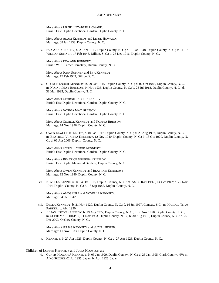More About LIZZIE ELIZABETH HOWARD: Burial: East Duplin Devotional Garden, Duplin County, N. C.

More About ADAM KENNEDY and LIZZIE HOWARD: Marriage: 08 Jan 1938, Duplin County, N. C.

iv. EVA ANN KENNEDY, b. 25 Apr 1913, Duplin County, N. C.; d. 16 Jan 1948, Duplin County, N. C.; m. JOHN WILLIAN SUMNER, 17 Feb 1943, Dillion, S. C.; b. 25 Dec 1916, Duplin County, N. C..

More About EVA ANN KENNEDY: Burial: W. S. Turner Cemetery, Duplin County, N. C.

More About JOHN SUMNER and EVA KENNEDY: Marriage: 17 Feb 1943, Dillion, S. C.

v. GEORGE ENOCH KENNEDY, b. 29 Oct 1915, Duplin County, N. C.; d. 02 Oct 1983, Duplin County, N. C.; m. NORNIA MAY BRINSON, 14 Nov 1936, Duplin County, N. C.; b. 28 Jul 1918, Duplin County, N. C.; d. 31 Mar 1995, Duplin County, N. C..

More About GEORGE ENOCH KENNEDY: Burial: East Duplin Devotional Garden, Duplin County, N. C.

More About NORNIA MAY BRINSON: Burial: East Duplin Devotional Garden, Duplin County, N. C.

More About GEORGE KENNEDY and NORNIA BRINSON: Marriage: 14 Nov 1936, Duplin County, N. C.

vi. OWEN ELWOOD KENNEDY, b. 04 Jan 1917, Duplin County, N. C.; d. 23 Aug 1992, Duplin County, N. C.; m. BEATRICE VIRGINIA KENNEDY, 12 Nov 1940, Duplin County, N. C.; b. 18 Oct 1920, Duplin County, N. C.; d. 06 Apr 2006, Duplin County, N. C..

More About OWEN ELWOOD KENNEDY: Burial: East Duplin Devotional Garden, Duplin County, N. C.

More About BEATRICE VIRGINIA KENNEDY: Burial: East Duplin Memorial Gardens, Duplin County, N. C.

More About OWEN KENNEDY and BEATRICE KENNEDY: Marriage: 12 Nov 1940, Duplin County, N. C.

vii. NOVELLA KENNEDY, b. 04 Oct 1918, Duplin County, N. C.; m. AMOS RAY BELL, 04 Oct 1942; b. 22 Nov 1914, Duplin County, N. C.; d. 18 Sep 1987, Duplin County, N. C..

More About AMOS BELL and NOVELLA KENNEDY: Marriage: 04 Oct 1942

- viii. DELLA KENNEDY, b. 21 Nov 1920, Duplin County, N. C.; d. 16 Jul 1997, Conway, S.C.; m. HAROLD TITUS PARKER; b. Abt. 1920.
- ix. JULIAS LISTON KENNEDY, b. 19 Aug 1922, Duplin County, N. C.; d. 06 Nov 1970, Duplin County, N. C.; m. SUDIE MAE THIGPEN, 11 Nov 1933, Duplin County, N. C.; b. 30 Aug 1916, Duplin County, N. C.; d. 26 Dec 2003, Onslow County, N. C..

More About JULIAS KENNEDY and SUDIE THIGPEN: Marriage: 11 Nov 1933, Duplin County, N. C.

x. KENNEDY, b. 27 Apr 1923, Duplin County, N. C.; d. 27 Apr 1923, Duplin County, N. C..

#### Children of LONNIE KENNEDY and JULIA HOUSTON are:

xi. CURTIS HOWARD<sup>5</sup> KENNEDY, b. 03 Jan 1929, Duplin County, N. C.; d. 23 Jan 1995, Clark County, NV; m. AIKO SUZUKI, 02 Jul 1955, Japan; b. Abt. 1926, Japan.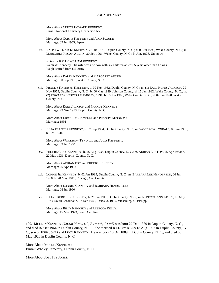More About CURTIS HOWARD KENNEDY: Burial: National Cemetery Henderson NV

More About CURTIS KENNEDY and AIKO SUZUKI: Marriage: 02 Jul 1955, Japan

xii. RALPH WILLIAM KENNEDY, b. 28 Jun 1931, Duplin County, N. C.; d. 05 Jul 1998, Wake County, N. C.; m. MARGARET REGAN AUSTIN, 30 Sep 1961, Wake County, N. C.; b. Abt. 1926, Unknown.

Notes for RALPH WILLIAM KENNEDY: Ralph W. Kennedy, His wife was a widow with six children at least 5 years older than he was. Ralph Retired from US Army

More About RALPH KENNEDY and MARGARET AUSTIN: Marriage: 30 Sep 1961, Wake County, N. C.

xiii. PRANDY KATHRYN KENNEDY, b. 09 Nov 1932, Duplin County, N. C.; m. (1) EARL RUFUS JACKSON, 29 Nov 1953, Duplin County, N. C.; b. 06 May 1929, Johnson County; d. 15 Jan 1982, Wake County, N. C.; m. (2) EDWARD CHESTER CHAMBLEY, 1991; b. 15 Jun 1908, Wake County, N. C.; d. 07 Jan 1998, Wake County, N. C..

More About EARL JACKSON and PRANDY KENNEDY: Marriage: 29 Nov 1953, Duplin County, N. C.

More About EDWARD CHAMBLEY and PRANDY KENNEDY: Marriage: 1991

xiv. JULIA FRANCES KENNEDY, b. 07 Sep 1934, Duplin County, N. C.; m. WOODROW TYNDALL, 09 Jun 1951; b. Abt. 1934.

More About WOODROW TYNDALL and JULIA KENNEDY: Marriage: 09 Jun 1951

xv. PHOEBE GRAY KENNEDY, b. 25 Aug 1936, Duplin County, N. C.; m. ADRIAN LEE FOY, 25 Apr 1953; b. 22 May 1931, Duplin County, N. C..

More About ADRIAN FOY and PHOEBE KENNEDY: Marriage: 25 Apr 1953

xvi. LONNIE JR. KENNEDY, b. 02 Jan 1939, Duplin County, N. C.; m. BARBARA LEE HENDERSON, 06 Jul 1960; b. 20 May 1941, Chicago, Coo County IL..

More About LONNIE KENNEDY and BARBARA HENDERSON: Marriage: 06 Jul 1960

xvii. BILLY FREDERICK KENNEDY, b. 28 Jan 1941, Duplin County, N. C.; m. REBECCA ANN KELLY, 15 May 1973, South Carolina; b. 07 Dec 1949, Texas; d. 1999, Vicksburg, Mississippi.

More About BILLY KENNEDY and REBECCA KELLY: Marriage: 15 May 1973, South Carolina

**100.** MOLLIE<sup>4</sup> KENNEDY *(JACOB MURRELL*<sup>3</sup> *, BRYANT*<sup>2</sup> *, JOHN*<sup>1</sup> *)* was born 27 Dec 1889 in Duplin County, N. C., and died 07 Oct 1964 in Duplin County, N. C.. She married JOEL IVY JONES 18 Aug 1907 in Duplin County, N. C., son of JOHN JONES and LUCY KENNEDY. He was born 10 Oct 1889 in Duplin County, N. C., and died 03 May 1920 in Duplin County, N. C..

More About MOLLIE KENNEDY: Burial: Whaley Cemetery, Duplin County, N. C.

More About JOEL IVY JONES: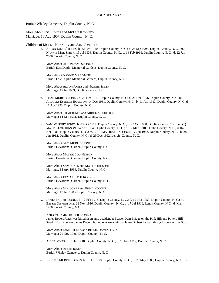Burial: Whaley Cemetery, Duplin County, N. C.

More About JOEL JONES and MOLLIE KENNEDY: Marriage: 18 Aug 1907, Duplin County, N. C.

Children of MOLLIE KENNEDY and JOEL JONES are:

i. ALTON JAMES<sup>5</sup> JONES, b. 22 Feb 1910, Duplin County, N. C.; d. 25 Sep 1994, Duplin County, N. C.; m. NANNIE MAE SMITH, 15 Jul 1933, Duplin County, N. C.; b. 14 Feb 1916, Duplin County, N. C.; d. 22 Jun 2006, Lenoir County, N. C..

More About ALTON JAMES JONES: Burial: East Duplin Memorial Gardens, Duplin County, N. C.

More About NANNIE MAE SMITH: Burial: East Duplin Memorial Gardens, Duplin County, N. C.

More About ALTON JONES and NANNIE SMITH: Marriage: 15 Jul 1933, Duplin County, N. C.

ii. THAD MURPHY JONES, b. 23 Dec 1911, Duplin County, N. C; d. 26 Dec 1996, Duplin County, N. C; m. ARDOLIA ESTELLE HOUSTON, 14 Dec 1931, Duplin County, N. C.; b. 11 Apr 1913, Duplin County, N. C; d. 11 Apr 1993, Duplin County, N. C.

More About THAD JONES and ARDOLIA HOUSTON: Marriage: 14 Dec 1931, Duplin County, N. C.

iii. SAM MURPHY JONES, b. 03 Oct 1914, Duplin County, N. C.; d. 23 Oct 1988, Duplin County, N. C.; m. (1) MATTIE LOU HINSON, 14 Apr 1934, Duplin County, N. C.; b. 12 Mar 1918, Duplin County, N. C.; d. 04 Apr 1981, Duplin County, N. C.; m. (2) ERMA HEATH KOONCE, 17 Jun 1983, Duplin County, N. C.; b. 28 Jun 1912, Duplin County, N. C.; d. 29 Dec 1992, Lenoir County, N. C..

More About SAM MURPHY JONES: Burial: Devotional Garden, Duplin County, N.C.

More About MATTIE LOU HINSON: Burial: Devotional Garden, Duplin County, N.C.

More About SAM JONES and MATTIE HINSON: Marriage: 14 Apr 1934, Duplin County, N. C.

More About ERMA HEATH KOONCE: Burial: Devotional Garden, Duplin County, N. C.

More About SAM JONES and ERMA KOONCE: Marriage: 17 Jun 1983, Duplin County, N. C.

iv. JAMES ROBERT JONES, b. 12 Feb 1916, Duplin County, N. C.; d. 10 Mar 1953, Duplin County, N. C.; m. BESSIE DAVENPORT, 21 Nov 1936, Duplin County, N. C.; b. 17 Jul 1916, Lenoir County, N.C.; d. Mar 1980, Lenoir County, N.C..

Notes for JAMES ROBERT JONES: James Robert Jones was killed in an auto accident at Beaver Dam Bridge on the Pink Hill and Potters Hill Road. His name was James Robert but no one knew him as James Robert he was always known as Jim Bob.

More About JAMES JONES and BESSIE DAVENPORT: Marriage: 21 Nov 1936, Duplin County, N. C.

v. ANNIE JONES, b. 31 Jul 1918, Duplin County, N. C.; d. 10 Feb 1919, Duplin County, N. C..

More About ANNIE JONES: Burial: Whaley Cemetery, Duplin County, N. C.

vi. JOHNNIE MURRILL JONES, b. 31 Jul 1918, Duplin County, N. C.; d. 26 May 1988, Duplin County, N. C.; m.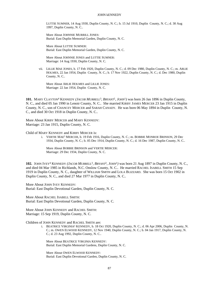LUTTIE SUMNER, 14 Aug 1930, Duplin County, N. C.; b. 15 Jul 1910, Duplin County, N. C.; d. 30 Aug 1997, Duplin County, N. C..

More About JOHNNIE MURRILL JONES: Burial: East Duplin Memorial Garden, Duplin County, N. C.

More About LUTTIE SUMNER: Burial: East Duplin Memorial Garden, Duplin County, N. C.

More About JOHNNIE JONES and LUTTIE SUMNER: Marriage: 14 Aug 1930, Duplin County, N. C.

vii. LILLIE MAE JONES, b. 17 Feb 1920, Duplin County, N. C.; d. 09 Dec 1980, Duplin County, N. C.; m. ARLIE HOLMES, 22 Jan 1954, Duplin County, N. C.; b. 17 Nov 1922, Duplin County, N. C.; d. Dec 1980, Duplin County, N. C..

More About ARLIE HOLMES and LILLIE JONES: Marriage: 22 Jan 1954, Duplin County, N. C.

**101.** MARY CLAYTON<sup>4</sup> KENNEDY *(JACOB MURRELL*<sup>3</sup> *, BRYANT*<sup>2</sup> *, JOHN*<sup>1</sup> *)* was born 26 Jan 1896 in Duplin County, N. C., and died 05 Jan 1990 in Lenoir County, N. C.. She married KIRBY JAMES MERCER 23 Jan 1915 in Duplin County, N. C., son of CHANCEY MERCER and SARAH CANADY. He was born 06 May 1894 in Duplin County, N. C., and died 30 Oct 1918 in Duplin County, N. C..

More About KIRBY MERCER and MARY KENNEDY: Marriage: 23 Jan 1915, Duplin County, N. C.

Child of MARY KENNEDY and KIRBY MERCER is:

i. VERTIE MAE<sup>5</sup> MERCER, b. 19 Feb 1916, Duplin County, N. C.; m. BOBBIE MONROE BRINSON, 29 Dec 1934, Duplin County, N. C.; b. 05 Dec 1914, Duplin County, N. C.; d. 16 Dec 1987, Duplin County, N. C..

More About BOBBIE BRINSON and VERTIE MERCER: Marriage: 29 Dec 1934, Duplin County, N. C.

**102.** JOHN IVEY<sup>4</sup> KENNEDY *(JACOB MURRELL*<sup>3</sup> *, BRYANT*<sup>2</sup> *, JOHN*<sup>1</sup> *)* was born 21 Aug 1897 in Duplin County, N. C., and died 04 Mar 1985 in Richlands, N.C. Onslow County, N. C.. He married RACHEL ISABELL SMITH 15 Sep 1919 in Duplin County, N. C., daughter of WILLIAM SMITH and LOLA BLIZZARD. She was born 15 Oct 1902 in Duplin County, N. C., and died 27 Mar 1977 in Duplin County, N. C..

More About JOHN IVEY KENNEDY: Burial: East Duplin Devotional Garden, Duplin County, N. C.

More About RACHEL ISABELL SMITH: Burial: East Duplin Devotional Garden, Duplin County, N. C.

More About JOHN KENNEDY and RACHEL SMITH: Marriage: 15 Sep 1919, Duplin County, N. C.

Children of JOHN KENNEDY and RACHEL SMITH are:

i. BEATRICE VIRGINIA<sup>5</sup> KENNEDY, b. 18 Oct 1920, Duplin County, N. C.; d. 06 Apr 2006, Duplin County, N. C.; m. OWEN ELWOOD KENNEDY, 12 Nov 1940, Duplin County, N. C.; b. 04 Jan 1917, Duplin County, N. C.; d. 23 Aug 1992, Duplin County, N. C..

More About BEATRICE VIRGINIA KENNEDY: Burial: East Duplin Memorial Gardens, Duplin County, N. C.

More About OWEN ELWOOD KENNEDY: Burial: East Duplin Devotional Garden, Duplin County, N. C.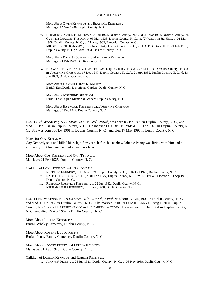More About OWEN KENNEDY and BEATRICE KENNEDY: Marriage: 12 Nov 1940, Duplin County, N. C.

- ii. BERNICE CLAYTON KENNEDY, b. 08 Jul 1922, Onslow County, N. C.; d. 27 Mar 1998, Onslow County, N. C.; m. (1) CHARLES TAYLOR; b. 09 May 1933, Duplin County, N. C.; m. (2) WILLIAM JR. HILL; b. 01 Mar 1908, Duplin County, N. C.; d. 27 Aug 1989, Randolph County, n. C..
- iii. MILDRED RUTH KENNEDY, b. 22 Nov 1924, Onslow County, N. C.; m. DALE BROWNFIELD, 24 Feb 1979, Duplin County, N. C.; b. Abt. 1924, Onslow County, N. C..

More About DALE BROWNFIELD and MILDRED KENNEDY: Marriage: 24 Feb 1979, Duplin County, N. C.

iv. HAYWOOD RAY KENNEDY, b. 25 Feb 1928, Duplin County, N. C.; d. 07 Mar 1991, Onslow County, N. C.; m. JOSEPHINE GRESHAM, 07 Dec 1947, Duplin County , N. C.; b. 21 Apr 1932, Duplin County, N. C.; d. 13 Jun 2003, Onslow County, N. C..

More About HAYWOOD RAY KENNEDY: Burial: East Duplin Devotional Garden, Duplin County, N. C.

More About JOSEPHINE GRESHAM: Burial: East Duplin Memorial Gardens Duplin County, N. C.

More About HAYWOOD KENNEDY and JOSEPHINE GRESHAM: Marriage: 07 Dec 1947, Duplin County , N. C.

**103.** COY<sup>4</sup> KENNEDY *(JACOB MURRELL*<sup>3</sup> *, BRYANT*<sup>2</sup> *, JOHN*<sup>1</sup> *)* was born 03 Jan 1899 in Duplin County, N. C., and died 16 Dec 1946 in Duplin County, N. C.. He married ORA BELLE TYNDALL 21 Feb 1925 in Duplin County, N. C.. She was born 30 Nov 1901 in Duplin County, N. C., and died 17 May 1995 in Lenoir County, N. C.

### Notes for COY KENNEDY:

Coy Kennedy shot and killed his self, a few years before his nephew Johnnie Penny was living with him and he accidently shot him and he died a few days later.

More About COY KENNEDY and ORA TYNDALL: Marriage: 21 Feb 1925, Duplin County, N. C.

Children of COY KENNEDY and ORA TYNDALL are:

- i. ROZELLE<sup>5</sup> KENNEDY, b. 16 Mar 1926, Duplin County, N. C.; d. 07 Oct 1926, Duplin County, N. C..
- ii. RAEFORD BRUCE KENNEDY, b. 01 Feb 1927, Duplin County, N. C.; m. ELLEN WILLIAMS; b. 11 Sep 1930, Duplin County, N. C..
- iii. RUEFORD ROSSVELT KENNEDY, b. 22 Jun 1932, Duplin County, N. C..
- iv. REUBAN JAMES KENNEDY, b. 30 Aug 1940, Duplin County, N. C..

104. LUELLA<sup>4</sup> KENNEDY (*JACOB MURRELL*<sup>3</sup>, *BRYANT<sup>2</sup>*, *JOHN*<sup>1</sup>) was born 17 Aug 1901 in Duplin County, N. C., and died 06 Jun 1933 in Duplin County, N. C.. She married ROBERT DUVOL PENNY 01 Aug 1920 in Duplin County, N. C., son of HERBERT PENNY and ELIZABETH BAYSDEN. He was born 10 Dec 1884 in Duplin County, N. C., and died 15 Apr 1962 in Duplin County, N. C..

More About LUELLA KENNEDY: Burial: Whaley Cemetery, Duplin County, N. C.

More About ROBERT DUVOL PENNY: Burial: Penny Family Cemetery, Duplin County, N. C.

More About ROBERT PENNY and LUELLA KENNEDY: Marriage: 01 Aug 1920, Duplin County, N. C.

### Children of LUELLA KENNEDY and ROBERT PENNY are:

i. JOHNNIE<sup>5</sup> PENNY, b. 28 Jun 1921, Duplin County, N. C.; d. 03 Nov 1939, Duplin County, N. C..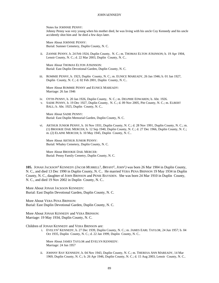Notes for JOHNNIE PENNY:

Johnny Penny was very young when his mother died, he was living with his uncle Coy Kennedy and his uncle accidently shot him and he died a few days later.

More About JOHNNIE PENNY: Burial: Sumner Cemetery, Duplin County, N. C.

ii. ZANNIE PENNY, b. 24 Feb 1924, Duplin County, N. C.; m. THOMAS ELTON ATKINSON; b. 19 Apr 1904, Lenoir County, N. C.; d. 22 Mar 2003, Duplin County, N. C..

More About THOMAS ELTON ATKINSON: Burial: East Duplin Devotional Garden, Duplin County, N. C.

iii. ROMMIE PENNY, b. 1923, Duplin County, N. C.; m. EUNICE MAREADY, 26 Jan 1946; b. 01 Jan 1927, Duplin County, N. C.; d. 02 Feb 2001, Duplin County, N. C..

More About ROMMIE PENNY and EUNICE MAREADY: Marriage: 26 Jan 1946

- iv. OTTIS PENNY, b. 20 Jan 1926, Duplin County, N. C.; m. DELPHIE EDWARDS; b. Abt. 1926.
- v. SADIE PENNY, b. 19 Dec 1927, Duplin County, N. C.; d. 09 Nov 2005, Pitt County, N. C.; m. ELBERT BALL; b. Abt. 1925, Duplin County, N. C..

More About SADIE PENNY: Burial: East Duplin Memorial Garden, Duplin County, N. C.

vi. ARTHUR JUNIOR PENNY, b. 16 Nov 1931, Duplin County, N. C.; d. 28 Nov 1991, Duplin County, N. C.; m. (1) BROOKIE DAIL MERCER; b. 12 Sep 1940, Duplin County, N. C.; d. 27 Dec 1966, Duplin County, N. C.; m. (2) ELAINE MERCER; b. 10 May 1945, Duplin County, N. C..

More About ARTHUR JUNIOR PENNY: Burial: Whaley Cemetery, Duplin County, N. C.

More About BROOKIE DAIL MERCER: Burial: Penny Family Cemetry, Duplin County, N. C.

**105.** JONAH JACKSON<sup>4</sup> KENNEDY *(JACOB MURRELL*<sup>3</sup> *, BRYANT*<sup>2</sup> *, JOHN*<sup>1</sup> *)* was born 26 Mar 1904 in Duplin County, N. C., and died 13 Dec 1990 in Duplin County, N. C.. He married VERA PENA BRINSON 19 May 1934 in Duplin County, N. C., daughter of JOHN BRINSON and PENIE BAYSDEN. She was born 24 Mar 1910 in Duplin County, N. C., and died 19 Nov 2002 in Duplin County, N. C..

More About JONAH JACKSON KENNEDY: Burial: East Duplin Devotional Garden, Duplin County, N. C.

More About VERA PENA BRINSON: Burial: East Duplin Devotional Garden, Duplin County, N. C.

More About JONAH KENNEDY and VERA BRINSON: Marriage: 19 May 1934, Duplin County, N. C.

Children of JONAH KENNEDY and VERA BRINSON are:

i. EVELYN<sup>5</sup> KENNEDY, b. 27 Dec 1939, Duplin County, N. C.; m. JAMES EARL TAYLOR, 24 Jun 1957; b. 04 Oct 1935, Duplin County, N. C.; d. 22 Jan 1999, Duplin County, N. C..

More About JAMES TAYLOR and EVELYN KENNEDY: Marriage: 24 Jun 1957

ii. JOHNNY RAY KENNEDY, b. 04 Nov 1943, Duplin County, N. C.; m. THERESA ANN MAREADY, 14 Mar 1969, Duplin County, N. C.; b. 26 Apr 1946, Duplin County, N. C.; d. 15 Aug 2003, Lenoir County, N. C..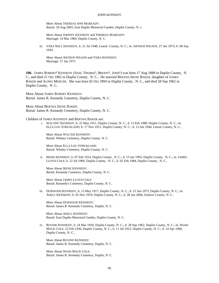More About THERESA ANN MAREADY: Burial: 18 Aug 2003, East Duplin Memorial Garden, Duplin County, N. c.

More About JOHNNY KENNEDY and THERESA MAREADY: Marriage: 14 Mar 1969, Duplin County, N. C.

iii. VERA NELL KENNEDY, b. 21 Jul 1948, Lenoir County, N. C.; m. ARTHUR WILSON, 27 Jan 1973; b. 06 Sep 1943.

More About ARTHUR WILSON and VERA KENNEDY: Marriage: 27 Jan 1973

106. JAMES ROBERT<sup>4</sup> KENNEDY *(ISSAC THOMAS<sup>3</sup>, BRYANT<sup>2</sup>, JOHN<sup>1</sup>)* was born 17 Aug 1888 in Duplin County, N. C., and died 21 Oct 1962 in Duplin County, N. C.. He married BERTHA IRENE BAKER, daughter of JAMES BAKER and AGNES MERCER. She was born 02 Oct 1894 in Duplin County, N. C., and died 28 Sep 1962 in Duplin County, N. C..

More About JAMES ROBERT KENNEDY: Burial: James R. Kennedy Cemetery, Duplin County, N. C.

More About BERTHA IRENE BAKER: Burial: James R. Kennedy Cemetery, Duplin County, N. C.

Children of JAMES KENNEDY and BERTHA BAKER are:

i. WALTER<sup>5</sup> KENNEDY, b. 22 May 1911, Duplin County, N. C.; d. 13 Feb 1988, Duplin County, N. C.; m. ELLA LOU STRICKLAND; b. 17 Nov 1911, Duplin County, N. C.; d. 13 Jun 1944, Lenoir County, N. C..

More About WALTER KENNEDY: Burial: Whaley Cemetery, Duplin County, N. C.

More About ELLA LOU STRICKLAND: Burial: Whaley Cemetery, Duplin County, N. C.

ii. IRENE KENNEDY, b. 07 Feb 1914, Duplin County, N. C.; d. 13 Jan 1993, Duplin County, N. C.; m. JAMES LLOYD COLE; b. 12 Jul 1906, Duplin County, N. C.; d. 02 Feb 1984, Duplin County, N. C..

More About IRENE KENNEDY: Burial: Kennedy Cemetery, Duplin County, N. C.

More About JAMES LLOYD COLE: Burial: Kennedy's Cemetery, Duplin County, N. C.

iii. DURWOOD KENNEDY, b. 13 May 1917, Duplin County, N. C.; d. 15 Jun 1973, Duplin County, N. C.; m. ADELL KENNEDY; b. 05 Nov 1919, Duplin County, N. C.; d. 28 Jan 2004, Onslow County, N. C..

More About DURWOOD KENNEDY: Burial: James R. Kennedy Cemetery, Duplin, N. C.

More About ADELL KENNEDY: Burial: East Duplin Memorial Garden, Duplin County, N. C.

iv. ROVINE KENNEDY, b. 24 Mar 1920, Duplin County, N. C.; d. 28 Sep 1962, Duplin County, N. C.; m. NOAH MACK COLE, 22 Feb 1936, Duplin County, N. C.; b. 11 Jul 1913, Duplin County, N. C.; d. 14 Apr 1966, Duplin County, N. C..

More About ROVINE KENNEDY: Burial: James R. Kennedy Cemetery, Duplin, N. C.

More About NOAH MACK COLE: Burial: James R. Kennedy Cemetery, Duplin, N. C.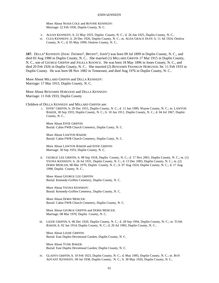More About NOAH COLE and ROVINE KENNEDY: Marriage: 22 Feb 1936, Duplin County, N. C.

- v. ALEAN KENNEDY, b. 22 May 1925, Duplin County, N. C.; d. 26 Jun 1925, Duplin County, N. C..
- vi. CLEA KENNEDY, b. 20 Dec 1926, Duplin County, N. C.; m. ALDA GRACE DUFF; b. 11 Jul 1924, Onslow County, N. C.; d. 05 May 1999, Onslow County, N. C..

**107.** DELLA<sup>4</sup> KENNEDY *(ISSAC THOMAS*<sup>3</sup> *, BRYANT*<sup>2</sup> *, JOHN*<sup>1</sup> *)* was born 09 Jul 1899 in Duplin County, N. C., and died 03 Aug 1980 in Duplin County, N. C.. She married (1) MILLARD GRIFFIN 17 Mar 1915 in Duplin County, N. C., son of GEORGE GRIFFIN and JOLILLA KOONCE. He was born 18 May 1896 in Jones County, N. C., and died 20 Feb 1926 in Duplin County, N. C.. She married (2) BENJAMIN FRANKLIN HOBGOOD, SR. 11 Feb 1933 in Duplin County. He was born 08 Nov 1882 in Tennessee, and died Aug 1976 in Duplin County, N. C..

More About MILLARD GRIFFIN and DELLA KENNEDY: Marriage: 17 Mar 1915, Duplin County, N. C.

More About BENJAMIN HOBGOOD and DELLA KENNEDY: Marriage: 11 Feb 1933, Duplin County

Children of DELLA KENNEDY and MILLARD GRIFFIN are:

i. EFFIE<sup>5</sup> GRIFFIN, b. 29 Dec 1915, Duplin County, N. C.; d. 11 Jun 1999, Wayne County, N. C.; m. LAWTON BAKER, 30 Sep 1933, Duplin County, N. C.; b. 10 Jun 1911, Duplin County, N. C.; d. 04 Jul 1967, Duplin County, N. C..

More About EFFIE GRIFFIN: Burial: Cabin FWB Church Cemetery, Duplin Conty, N. C.

More About LAWTON BAKER: Burial: Cabin FWB Church Cemetery, Duplin Conty, N. C.

More About LAWTON BAKER and EFFIE GRIFFIN: Marriage: 30 Sep 1933, Duplin County, N. C.

ii. GEORGE LEE GRIFFIN, b. 08 Sep 1918, Duplin County, N. C.; d. 17 Nov 2001, Duplin County, N. C.; m. (1) VEONA KENNEDY; b. 26 Jul 1931, Duplin County, N. C.; d. 13 Dec 1983, Duplin County, N. C.; m. (2) DORIS MERCER, 08 Mar 1970, Duplin County, N. C.; b. 07 Aug 1924, Duplin County, N. C.; d. 17 Aug 1998, Duplin County, N. C..

More About GEORGE LEE GRIFFIN: Burial: Kennedy-Griffen Cemetery, Duplin County, N. C.

More About VEONA KENNEDY: Burial: Kennedy-Griffen Cemetery, Duplin County, N. C.

More About DORIS MERCER: Burial: Cabin FWB Church Cemetery, Duplin County, N. C.

More About GEORGE GRIFFIN and DORIS MERCER: Marriage: 08 Mar 1970, Duplin County, N. C.

iii. LIZZIE GRIFFIN, b. 06 Dec 1920, Duplin County, N. C.; d. 28 Sep 1994, Duplin County, N. C.; m. TUNK BAKER; b. 02 Jan 1914, Duplin County, N. C.; d. 20 Jul 1983, Duplin County, N. C..

More About LIZZIE GRIFFIN: Burial: East Duplin Devotional Garden, Duplin County, N. C.

More About TUNK BAKER: Burial: East Duplin Devotional Garden, Duplin County, N. C.

iv. GLADYS GRIFFIN, b. 10 Feb 1923, Duplin County, N. C.; d. May 1985, Duplin County, N. C.; m. ROY ADVANT KENNEDY, 09 Jul 1938, Duplin County, N. C.; b. 30 May 1926, Duplin County, N. C..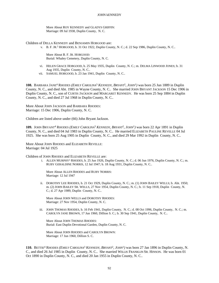More About ROY KENNEDY and GLADYS GRIFFIN: Marriage: 09 Jul 1938, Duplin County, N. C.

Children of DELLA KENNEDY and BENJAMIN HOBGOOD are:

v. B. F. JR.<sup>5</sup> HOBGOOD, b. 31 Oct 1922, Duplin County, N. C.; d. 22 Sep 1986, Duplin County, N. C..

More About B. F. JR. HOBGOOD: Burial: Whaley Cemetery, Duplin County, N. C.

- vi. HELEN GRACE HOBGOOD, b. 25 May 1935, Duplin County, N. C.; m. DELMA LINWOOD JONES; b. 31 Aug 1935, Duplin County, N. C..
- vii. SAMUEL HOBGOOD, b. 23 Jan 1941, Duplin County, N. C..

**108.** BARBARA JANE<sup>4</sup> RHODES *(EMILY CAROLINA*<sup>3</sup>  *KENNEDY, BRYANT*<sup>2</sup> *, JOHN*<sup>1</sup> *)* was born 25 Jun 1889 in Duplin County, N. C., and died Abt. 1985 in Wayne County, N. C.. She married JOHN BRYANT JACKSON 15 Dec 1906 in Duplin County, N. C., son of CURTIS JACKSON and MARGARET KENNEDY. He was born 25 Sep 1884 in Duplin County, N. C., and died 27 Jul 1968 in Duplin County, N. C..

More About JOHN JACKSON and BARBARA RHODES: Marriage: 15 Dec 1906, Duplin County, N. C.

Children are listed above under (66) John Bryant Jackson.

**109.** JOHN BRYANT<sup>4</sup> RHODES *(EMILY CAROLINA*<sup>3</sup>  *KENNEDY, BRYANT*<sup>2</sup> *, JOHN*<sup>1</sup> *)* was born 22 Apr 1891 in Duplin County, N. C., and died 04 Jul 1983 in Duplin County, N. C.. He married ELIZABETH PAULINE REVELLE 04 Jul 1925. She was born 25 Aug 1905 in Duplin County, N. C., and died 29 Mar 1992 in Duplin County, N. C..

More About JOHN RHODES and ELIZABETH REVELLE: Marriage: 04 Jul 1925

Children of JOHN RHODES and ELIZABETH REVELLE are:

i. ALLEN MURPHY<sup>5</sup> RHODES, b. 25 Jun 1926, Duplin County, N. C.; d. 06 Jun 1976, Duplin County, N. C.; m. RUBY GERALDINE NORRIS, 12 Jul 1947; b. 18 Aug 1931, Duplin County, N. C..

More About ALLEN RHODES and RUBY NORRIS: Marriage: 12 Jul 1947

ii. DOROTHY LEE RHODES, b. 21 Oct 1929, Duplin County, N. C.; m. (1) JOHN BAILEY WELLS; b. Abt. 1950; m. (2) JOHN BAILEY SR. WELLS, 27 Nov 1954, Duplin County, N. C.; b. 11 Sep 1918, Duplin County, N. C.; d. 27 Apr 1989, Duplin County, N. C..

More About JOHN WELLS and DOROTHY RHODES: Marriage: 27 Nov 1954, Duplin County, N. C.

iii. JOHN THOMAS RHODES, b. 16 Feb 1941, Duplin County, N. C.; d. 08 Oct 1996, Duplin County, N. C.; m. CAROLYN JANE BROWN, 17 Jun 1960, Dillion S. C.; b. 30 Sep 1941, Duplin County, N. C..

More About JOHN THOMAS RHODES: Burial: East Duplin Devotional Garden, Duplin County, N. C.

More About JOHN RHODES and CAROLYN BROWN: Marriage: 17 Jun 1960, Dillion S. C.

**110.** BETTIE<sup>4</sup> RHODES *(EMILY CAROLINA*<sup>3</sup>  *KENNEDY, BRYANT*<sup>2</sup> *, JOHN*<sup>1</sup> *)* was born 27 Jan 1896 in Duplin County, N. C., and died 26 Jul 1985 in Duplin County, N. C.. She married WILLIS FRANKLIN SR. HINSON. He was born 01 Oct 1890 in Duplin County, N. C., and died 20 Jan 1955 in Duplin County, N. C..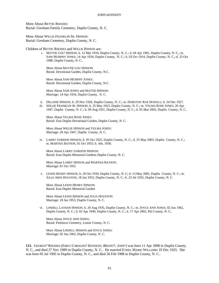More About BETTIE RHODES: Burial: Gresham Family Cemetery, Duplin County, N. C.

More About WILLIS FRANKLIN SR. HINSON: Burial: Gresham Cemetery, Duplin County, N. C.

Children of BETTIE RHODES and WILLIS HINSON are:

i. MATTIE LOU<sup>5</sup> HINSON, b. 12 Mar 1918, Duplin County, N. C.; d. 04 Apr 1981, Duplin County, N. C.; m. SAM MURPHY JONES, 14 Apr 1934, Duplin County, N. C.; b. 03 Oct 1914, Duplin County, N. C.; d. 23 Oct 1988, Duplin County, N. C..

More About MATTIE LOU HINSON: Burial: Devotional Garden, Duplin County, N.C.

More About SAM MURPHY JONES: Burial: Devotional Garden, Duplin County, N.C.

More About SAM JONES and MATTIE HINSON: Marriage: 14 Apr 1934, Duplin County, N. C.

- ii. DELANIE HINSON, b. 29 Nov 1920, Duplin County, N. C.; m. DOROTHY RAE HOWELL; b. 24 Dec 1927.
- iii. WILLIE FRANKLIN JR. HINSON, b. 25 May 1923, Duplin County, N. C.; m. VELMA ROSE JONES, 20 Apr 1947, Duplin County, N. C.; b. 09 Aug 1931, Duplin County, N. C.; d. 05 Mar 2003, Duplin County, N. C..

More About VELMA ROSE JONES: Burial: East Duplin Devotional Garden, Duplin County, N. C.

More About WILLIE HINSON and VELMA JONES: Marriage: 20 Apr 1947, Duplin County, N. C.

iv. LARRY GORDON HINSON, b. 05 Oct 1925, Duplin County, N. C.; d. 25 May 2003, Duplin County, N. C.; m. MARTHA BATSON, 01 Oct 1955; b. Abt. 1930.

More About LARRY GORDON HINSON: Burial: East Duplin Memorial Gardens Duplin County, N. C.

More About LARRY HINSON and MARTHA BATSON: Marriage: 01 Oct 1955

v. LEWIS HENRY HINSON, b. 29 Oct 1930, Duplin County, N. C; d. 13 May 2002, Duplin County, N. C.; m. JULIA ARDI HOUSTON, 18 Jan 1953, Duplin County, N. C.; b. 23 Jul 1935, Duplin County, N. C.

More About LEWIS HENRY HINSON: Burial: East Duplin Memorial Garden

More About LEWIS HINSON and JULIA HOUSTON: Marriage: 18 Jan 1953, Duplin County, N. C.

vi. LINDELL LATHAN HINSON, b. 20 Aug 1935, Duplin County, N. C.; m. JOYCE ANN JONES, 02 Jun 1962, Duplin County, N. C.; b. 02 Apr 1940, Duplin County, N. C.; d. 17 Apr 2002, Pitt County, N. C..

More About JOYCE ANN JONES: Burial: Pinelawn Cemetery, Lenoir County, N. C.

More About LINDELL HINSON and JOYCE JONES: Marriage: 02 Jun 1962, Duplin County, N. C.

**111.** GEORGE<sup>4</sup> RHODES *(EMILY CAROLINA*<sup>3</sup>  *KENNEDY, BRYANT*<sup>2</sup> *, JOHN*<sup>1</sup> *)* was born 11 Apr 1898 in Duplin County, N. C., and died 27 Nov 1989 in Duplin County, N. C.. He married ETHEL MARIE WILLIAMS 19 Dec 1925. She was born 05 Jul 1905 in Duplin County, N. C., and died 26 Feb 1988 in Duplin County, N. C..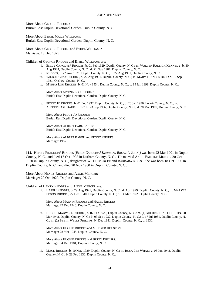More About GEORGE RHODES: Burial: East Duplin Devotional Garden, Duplin County, N. C.

More About ETHEL MARIE WILLIAMS: Burial: East Duplin Devotional Garden, Duplin County, N. C.

More About GEORGE RHODES and ETHEL WILLIAMS: Marriage: 19 Dec 1925

Children of GEORGE RHODES and ETHEL WILLIAMS are:

- i. EMILY CAROLYN<sup>5</sup> RHODES, b. 01 Feb 1929, Duplin County, N. C.; m. WALTER RALEIGH KENNEDY; b. 30 Aug 1924, Duplin County, N. C.; d. 21 Nov 1987, Duplin County, N. C..
- ii. RHODES, b. 22 Aug 1931, Duplin County, N. C.; d. 22 Aug 1931, Duplin County, N. C..
- iii. WILBUR GRAY RHODES, b. 22 Aug 1931, Duplin County, N. C.; m. MARY FRANCES BELL; b. 10 Sep 1931, Onslow County, N. C..
- iv. MYRNA LOU RHODES, b. 01 Nov 1934, Duplin County, N. C.; d. 19 Jan 1999, Duplin County, N. C..

More About MYRNA LOU RHODES: Burial: East Duplin Devotional Garden, Duplin County, N. C.

v. PEGGY JO RHODES, b. 01 Feb 1937, Duplin County, N. C.; d. 26 Jan 1996, Lenoir County, N. C.; m. ALBERT EARL BAKER, 1957; b. 23 Sep 1936, Duplin County, N. C.; d. 28 Mar 1989, Duplin County, N. C..

More About PEGGY JO RHODES: Burial: East Duplin Devotional Garden, Duplin County, N. C.

More About ALBERT EARL BAKER: Burial: East Duplin Devotional Garden, Duplin County, N. C.

More About ALBERT BAKER and PEGGY RHODES: Marriage: 1957

**112.** HENRY FRANKLIN<sup>4</sup> RHODES *(EMILY CAROLINA*<sup>3</sup>  *KENNEDY, BRYANT*<sup>2</sup> *, JOHN*<sup>1</sup> *)* was born 22 Mar 1901 in Duplin County, N. C., and died 17 Oct 1998 in Durham County, N. C.. He married ANGIE EMELINE MERCER 20 Oct 1920 in Duplin County, N. C., daughter of WILLIE MERCER and BARBARA JONES. She was born 18 Oct 1900 in Duplin County, N. C., and died 20 Nov 1980 in Duplin County, N. C..

More About HENRY RHODES and ANGIE MERCER: Marriage: 20 Oct 1920, Duplin County, N. C.

Children of HENRY RHODES and ANGIE MERCER are:

i. HAZEL<sup>5</sup> RHODES, b. 29 Aug 1921, Duplin County, N. C.; d. Apr 1979, Duplin County, N. C.; m. MARVIN EDSON RHODES, 27 Dec 1940, Duplin County, N. C.; b. 14 Mar 1922, Duplin County, N. C..

More About MARVIN RHODES and HAZEL RHODES: Marriage: 27 Dec 1940, Duplin County, N. C.

ii. HUGHIE MAXWELL RHODES, b. 07 Feb 1926, Duplin County, N. C.; m. (1) MILDRED RAE HOUSTON, 28 Mar 1948, Duplin County, N. C.; b. 03 Sep 1932, Duplin County, N. C.; d. 17 Jul 1981, Duplin County, N. C.; m. (2) BETTY WELLS PHILLIPS, 04 Dec 1981, Duplin County, N. C.; b. 1930.

More About HUGHIE RHODES and MILDRED HOUSTON: Marriage: 28 Mar 1948, Duplin County, N. C.

More About HUGHIE RHODES and BETTY PHILLIPS: Marriage: 04 Dec 1981, Duplin County, N. C.

iii. MACK RHODES, b. 10 May 1929, Duplin County, N. C.; m. ROSA LEE WHALEY, 06 Jun 1948, Duplin County, N. C.; b. 23 Feb 1930, Duplin County, N. C..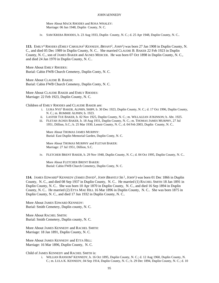More About MACK RHODES and ROSA WHALEY: Marriage: 06 Jun 1948, Duplin County, N. C.

iv. SAM KREBA RHODES, b. 23 Aug 1933, Duplin County, N. C.; d. 25 Apr 1948, Duplin County, N. C..

**113.** EMILY<sup>4</sup> RHODES *(EMILY CAROLINA*<sup>3</sup>  *KENNEDY, BRYANT*<sup>2</sup> *, JOHN*<sup>1</sup> *)* was born 27 Jan 1908 in Duplin County, N. C., and died 05 Dec 1989 in Duplin County, N. C.. She married CLAUDIE B. BAKER 22 Feb 1923 in Duplin County, N. C., son of JAMES BAKER and AGNES MERCER. He was born 07 Oct 1898 in Duplin County, N. C., and died 24 Jan 1970 in Duplin County, N. C..

More About EMILY RHODES: Burial: Cabin FWB Church Cemetery, Duplin Conty, N. C.

More About CLAUDIE B. BAKER: Burial: Cabin FWB Church Cemetery, Duplin Conty, N. C.

More About CLAUDIE BAKER and EMILY RHODES: Marriage: 22 Feb 1923, Duplin County, N. C.

Children of EMILY RHODES and CLAUDIE BAKER are:

- i. LURA NYE<sup>5</sup> BAKER, ALPHIN, SHIPP, b. 30 Dec 1923, Duplin County, N. C.; d. 17 Oct 1996, Duplin County, N. C.; m. ROMMIE ALPHIN; b. 1923.
- ii. LASTER TUE BAKER, b. 02 Nov 1925, Duplin County, N. C.; m. WILLALEAN ATKINSON; b. Abt. 1925.
- iii. FLETAH AGNES BAKER, b. 18 Aug 1931, Duplin County, N. C.; m. THOMAS JAMES MURPHY, 27 Jul 1951, Dillion, S.C.; b. 25 Mar 1930, Lenoir County, N. C.; d. 04 Feb 2003, Duplin County, N. C..

More About THOMAS JAMES MURPHY: Burial: East Duplin Memorial Garden, Duplin Conty, N. C.

More About THOMAS MURPHY and FLETAH BAKER: Marriage: 27 Jul 1951, Dillion, S.C.

iv. FLETCHER BRENT BAKER, b. 29 Nov 1940, Duplin County, N. C.; d. 04 Oct 1995, Duplin County, N. C..

More About FLETCHER BRENT BAKER: Burial: Cabin FWB Church Cemetery, Duplin Conty, N. C.

**114.** JAMES EDWARD<sup>4</sup> KENNEDY *(JAMES DAVID*<sup>3</sup> *, JOHN BRANTLY SR.*<sup>2</sup> *, JOHN*<sup>1</sup> *)* was born 01 Dec 1866 in Duplin County, N. C., and died 08 Sep 1937 in Duplin County, N. C.. He married (1) RACHEL SMITH 18 Jan 1891 in Duplin County, N. C.. She was born 10 Apr 1870 in Duplin County, N. C., and died 16 Sep 1894 in Duplin County, N. C.. He married (2) ETTA MAE HILL 16 Mar 1896 in Duplin County, N. C.. She was born 1875 in Duplin County, N. C., and died 17 Jun 1932 in Duplin County, N. C..

More About JAMES EDWARD KENNEDY: Burial: Smith Cemetery, Duplin county, N. C.

More About RACHEL SMITH: Burial: Smith Cemetery, Duplin county, N. C.

More About JAMES KENNEDY and RACHEL SMITH: Marriage: 18 Jan 1891, Duplin County, N. C.

More About JAMES KENNEDY and ETTA HILL: Marriage: 16 Mar 1896, Duplin County, N. C.

Child of JAMES KENNEDY and RACHEL SMITH is:

i. WILLIAN RANSOM<sup>5</sup> KENNEDY, b. 16 Oct 1895, Duplin County, N. C.; d. 12 Aug 1960, Duplin County, N. C.; m. LULA K. KENNEDY, 04 Sep 1914, Duplin County, N. C.; b. 29 Dec 1894, Duplin County, N. C.; d. 10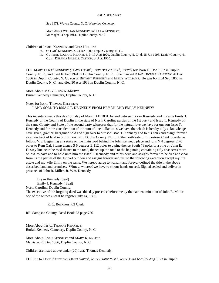Sep 1971, Wayne County, N. C. Westview Cemetery.

More About WILLIAN KENNEDY and LULA KENNEDY: Marriage: 04 Sep 1914, Duplin County, N. C.

Children of JAMES KENNEDY and ETTA HILL are:

- ii. OSCAR<sup>5</sup> KENNEDY, b. 24 Jan 1900, Duplin County, N. C..
- iii. GURTHIE EDWARD KENNEDY, b. 19 Aug 1920, Duplin County, N. C.; d. 25 Jun 1995, Lenior County, N. C.; m. DELPHIA ISABELL CASTON; b. Abt. 1920.

**115.** MARY ELIZA<sup>4</sup> KENNEDY *(JAMES DAVID*<sup>3</sup> *, JOHN BRANTLY SR.*<sup>2</sup> *, JOHN*<sup>1</sup> *)* was born 10 Dec 1867 in Duplin County, N. C., and died 10 Feb 1941 in Duplin County, N. C.. She married ISSAC THOMAS KENNEDY 20 Dec 1886 in Duplin County, N. C., son of BRYANT KENNEDY and EMILY WILLIAMS. He was born 04 Sep 1865 in Duplin County, N. C., and died 30 Apr 1938 in Duplin County, N. C..

More About MARY ELIZA KENNEDY: Burial: Kennedy Cemetery, Duplin County, N. C.

Notes for ISSAC THOMAS KENNEDY:

LAND SOLD TO ISSAC T. KENNEDY FROM BRYAN AND EMILY KENNEDY

This indenture made this day 15th day of March AD 1881, by and between Bryan Kennedy and his wife Emily J. Kennedy of the County of Duplin in the state of North Carolina parties of the 1st party and Issac T. Kennedy of the same County and State of the second party witnesses that for the natural love we have for our son Issac T. Kennedy and for the consideration of the sum of one dollar to us we have the which is hereby duly acknowledge have given, grantor, bargained sold and sign over to our son Issac T. Kennedy and to his heirs and assign forever a certain tract of land in Smith Township Duplin County, N. C. on the north side of Limestone Creek boarder as follow. Vig: Beginning at a stake on the main road behind the John Kennedy place and runs N 4 degrees E 70 poles to Rum Oak Stump thence S 6 degrees E 112 poles to a pine thence South 78 poles to a pine on John E. Hussey line near the road thence to the road, thence up the road to the beginning containing fifty five acres more or less. to have and to hold unto him the Issac T. Kennedy and to his heirs and assigns forever to be free and clear from us the parties of the 1st part our heir and assigns forever and just to the following exception except my life estate and my wife Emily on the same. We hereby agree to warrant and forever defined the title in the above described land and premises. Witness whereof we have to sit our hands on seal. Signed sealed and deliver in presence of John R. Miller, Jr. Wm. Kennedy

Bryan Kennedy (Seal) Emily J. Kennedy ( Seal) North Carolina, Duplin County, The executive of the forgoing deed was this day presence before me by the oath examination of John R. Miller one of the witness Let it be register July 14, 1888

R. C. Bockhorst CJ Clerk

RE: Sampson County, Deed Book 38 page 756

More About ISSAC THOMAS KENNEDY: Burial: Kennedy Cemetery, Duplin County, N. C.

More About ISSAC KENNEDY and MARY KENNEDY: Marriage: 20 Dec 1886, Duplin County, N. C.

Children are listed above under (20) Issac Thomas Kennedy.

**116.** JULIA JANE<sup>4</sup> KENNEDY *(JAMES DAVID*<sup>3</sup> *, JOHN BRANTLY SR.*<sup>2</sup> *, JOHN*<sup>1</sup> *)* was born 25 Aug 1873 in Duplin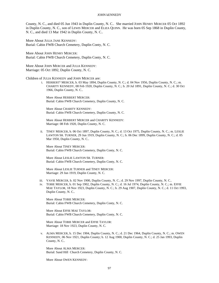County, N. C., and died 05 Jun 1943 in Duplin County, N. C.. She married JOHN HENRY MERCER 05 Oct 1892 in Duplin County, N. C., son of LEWIS MERCER and ELIZA QUINN. He was born 05 Sep 1868 in Duplin County, N. C., and died 13 Mar 1942 in Duplin County, N. C..

More About JULIA JANE KENNEDY: Burial: Cabin FWB Church Cemetery, Duplin Conty, N. C.

More About JOHN HENRY MERCER: Burial: Cabin FWB Church Cemetery, Duplin Conty, N. C.

More About JOHN MERCER and JULIA KENNEDY: Marriage: 05 Oct 1892, Duplin County, N. C.

Children of JULIA KENNEDY and JOHN MERCER are:

i. HERBERT<sup>5</sup> MERCER, b. 03 May 1894, Duplin County, N. C.; d. 04 Nov 1956, Duplin County, N. C.; m. CHARITY KENNEDY, 08 Feb 1920, Duplin County, N. C.; b. 20 Jul 1891, Duplin County, N. C.; d. 30 Oct 1966, Duplin County, N. C..

More About HERBERT MERCER: Burial: Cabin FWB Church Cemetery, Duplin County, N. C.

More About CHARITY KENNEDY: Burial: Cabin FWB Church Cemetery, Duplin County, N. C.

More About HERBERT MERCER and CHARITY KENNEDY: Marriage: 08 Feb 1920, Duplin County, N. C.

ii. TINEY MERCER, b. 06 Oct 1897, Duplin County, N. C.; d. 13 Oct 1975, Duplin County, N. C.; m. LESLIE LAWTON SR. TURNER, 29 Jun 1919, Duplin County, N. C.; b. 06 Dec 1899, Duplin County, N. C.; d. 05 Mar 1950, Duplin County, N. C..

More About TINEY MERCER: Burial: Cabin FWB Church Cemetery, Duplin Conty, N. C.

More About LESLIE LAWTON SR. TURNER: Burial: Cabin FWB Church Cemetery, Duplin Conty, N. C.

More About LESLIE TURNER and TINEY MERCER: Marriage: 29 Jun 1919, Duplin County, N. C.

iii. VAVIE MERCER, b. 02 Nov 1900, Duplin County, N. C.; d. 29 Nov 1997, Duplin County, N. C..

iv. TOBIE MERCER, b. 01 Sep 1902, Duplin County, N. C.; d. 16 Jul 1974, Duplin County, N. C.; m. EFFIE MAE TAYLOR, 18 Nov 1923, Duplin County, N. C.; b. 29 Aug 1907, Duplin County, N. C.; d. 11 Oct 1993, Duplin County, N. C..

More About TOBIE MERCER: Burial: Cabin FWB Church Cemetery, Duplin Conty, N. C.

More About EFFIE MAE TAYLOR: Burial: Cabin FWB Church Cemetery, Duplin Conty, N. C.

More About TOBIE MERCER and EFFIE TAYLOR: Marriage: 18 Nov 1923, Duplin County, N. C.

v. ALMA MERCER, b. 15 Dec 1904, Duplin County, N. C.; d. 21 Dec 1964, Duplin County, N. C.; m. OWEN KENNEDY, 06 Nov 1921, Duplin County; b. 12 Aug 1900, Duplin County, N. C.; d. 25 Jan 1993, Duplin County, N. C..

More About ALMA MERCER: Burial: Sand Hill Church Cemetery, Duplin County, N. C.

More About OWEN KENNEDY: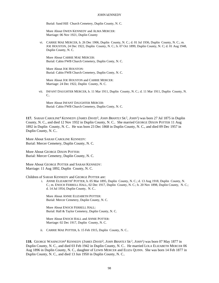Burial: Sand Hill Church Cemetery, Duplin County, N. C.

More About OWEN KENNEDY and ALMA MERCER: Marriage: 06 Nov 1921, Duplin County

vi. CARRIE MAE MERCER, b. 26 Dec 1906, Duplin County, N. C.; d. 01 Jul 1936, Duplin County, N. C.; m. JOE HOUSTON, 24 Dec 1922, Duplin County, N. C.; b. 07 Oct 1899, Duplin County, N. C; d. 01 Aug 1948, Duplin County, N. C.

More About CARRIE MAE MERCER: Burial: Cabin FWB Church Cemetery, Duplin Conty, N. C.

More About JOE HOUSTON: Burial: Cabin FWB Church Cemetery, Duplin Conty, N. C.

More About JOE HOUSTON and CARRIE MERCER: Marriage: 24 Dec 1922, Duplin County, N. C.

vii. INFANT DAUGHTER MERCER, b. 11 Mar 1911, Duplin County, N. C.; d. 11 Mar 1911, Duplin County, N.  $C_{\cdot}$ 

More About INFANT DAUGHTER MERCER: Burial: Cabin FWB Church Cemetery, Duplin Conty, N. C.

**117.** SARAH CAROLINE<sup>4</sup> KENNEDY *(JAMES DAVID*<sup>3</sup> *, JOHN BRANTLY SR.*<sup>2</sup> *, JOHN*<sup>1</sup> *)* was born 27 Jul 1875 in Duplin County, N. C., and died 12 Nov 1932 in Duplin County, N. C.. She married GEORGE DIXON POTTER 11 Aug 1892 in Duplin County, N. C.. He was born 23 Dec 1868 in Duplin County, N. C., and died 09 Dec 1957 in Duplin County, N. C..

More About SARAH CAROLINE KENNEDY: Burial: Mercer Cemetery, Duplin County, N. C.

More About GEORGE DIXON POTTER: Burial: Mercer Cemetery, Duplin County, N. C.

More About GEORGE POTTER and SARAH KENNEDY: Marriage: 11 Aug 1892, Duplin County, N. C.

Children of SARAH KENNEDY and GEORGE POTTER are:

i. ANNIE ELIZABETH<sup>5</sup> POTTER, b. 05 Mar 1895, Duplin County, N. C.; d. 13 Aug 1918, Duplin County, N. C.; m. ENOCH FERRELL HALL, 02 Dec 1917, Duplin County, N. C.; b. 20 Nov 1898, Duplin County, N. C.; d. 14 Jul 1954, Duplin County, N. C..

More About ANNIE ELIZABETH POTTER: Burial: Mercer Cemetery, Duplin County, N. C.

More About ENOCH FERRELL HALL: Burial: Hall & Taylor Cemetery, Duplin County, N. C.

More About ENOCH HALL and ANNIE POTTER: Marriage: 02 Dec 1917, Duplin County, N. C.

ii. CARRIE MAE POTTER, b. 15 Feb 1915, Duplin County, N. C..

**118.** GEORGE WASINGTON<sup>4</sup> KENNEDY *(JAMES DAVID*<sup>3</sup> *, JOHN BRANTLY SR.*<sup>2</sup> *, JOHN*<sup>1</sup> *)* was born 07 May 1877 in Duplin County, N. C., and died 03 Feb 1942 in Duplin County, N. C.. He married LOLA ELIZABETH MERCER 06 Aug 1896 in Duplin County, N. C., daughter of LEWIS MERCER and ELIZA QUINN. She was born 14 Feb 1877 in Duplin County, N. C., and died 13 Jun 1950 in Duplin County, N. C..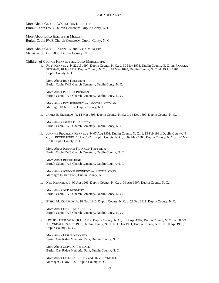More About GEORGE WASINGTON KENNEDY: Burial: Cabin FWB Church Cemetery, Duplin Conty, N. C.

More About LOLA ELIZABETH MERCER: Burial: Cabin FWB Church Cemetery, Duplin Conty, N. C.

More About GEORGE KENNEDY and LOLA MERCER: Marriage: 06 Aug 1896, Duplin County, N. C.

Children of GEORGE KENNEDY and LOLA MERCER are:

i. ROY<sup>5</sup> KENNEDY, b. 22 Jul 1897, Duplin County, N. C.; d. 30 May 1973, Duplin County, N. C.; m. PICCOLA PITTMAN, 18 Jan 1917, Duplin County, N. C.; b. 18 May 1898, Duplin County, N. C.; d. 19 Jun 1987, Duplin County, N. C..

More About ROY KENNEDY: Burial: Cabin FWB Church Cemetery, Duplin Conty, N. C.

More About PICCOLA PITTMAN: Burial: Cabin FWB Church Cemetery, Duplin Conty, N. C.

More About ROY KENNEDY and PICCOLA PITTMAN: Marriage: 18 Jan 1917, Duplin County, N. C.

ii. JAMES E. KENNEDY, b. 14 Mar 1898, Duplin County, N. C.; d. 14 Dec 1899, Duplin County, N. C..

More About JAMES E. KENNEDY: Burial: Cabin FWB Church Cemetery, Duplin Conty, N. C.

iii. JOHNNIE FRANKLIN KENNEDY, b. 07 Aug 1901, Duplin County, N. C.; d. 13 Feb 1981, Duplin County, N. C.; m. BETTIE JONES, 15 Dec 1922, Duplin County, N. C.; b. 02 May 1905, Duplin County, N. C.; d. 20 May 1990, Duplin County, N. C..

More About JOHNNIE FRANKLIN KENNEDY: Burial: Cabin FWB Church Cemetery, Duplin County, N. C.

More About BETTIE JONES: Burial: Cabin FWB Church Cemetery, Duplin County, N. C.

More About JOHNNIE KENNEDY and BETTIE JONES: Marriage: 15 Dec 1922, Duplin County, N. C.

iv. NED KENNEDY, b. 06 Apr 1906, Duplin County, N. C.; d. 06 Apr 1907, Duplin County, N. C..

More About NED KENNEDY: Burial: Cabin FWB Church Cemetery, Duplin Conty, N. C.

v. ETHEL M. KENNEDY, b. 18 Nov 1910, Duplin County, N. C; d. 21 Feb 1911, Duplin County, N. C.

More About ETHEL M. KENNEDY: Burial: Cabin FWB Church Cemetery, Duplin Conty, N. C.

vi. LESLIE KENNEDY, b. 30 Jun 1912, Duplin County, N. C.; d. 29 Apr 1992, Duplin County, N. C.; m. OLIVE K. TYNDALL, 24 Nov 1937, Duplin County, N. C.; b. 11 Jan 1911, Duplin County, N. C.; d. 30 Apr 1985, Duplin County , N. C..

More About LESLIE KENNEDY: Burial: Oak Ridge Memorial Park, Duplin County, N. C.

More About OLIVE K. TYNDALL: Burial: Oak Ridge Memorial Park, Duplin County, N. C.

More About LESLIE KENNEDY and OLIVE TYNDALL: Marriage: 24 Nov 1937, Duplin County, N. C.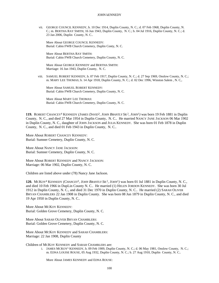vii. GEORGE COUNCIL KENNEDY, b. 10 Dec 1914, Duplin County, N. C.; d. 07 Feb 1968, Duplin County, N. C.; m. BERTHA RAY SMITH, 16 Jun 1943, Duplin County, N. C.; b. 04 Jul 1916, Duplin County, N. C.; d. 23 Jan 2006, Duplin County, N. C..

More About GEORGE COUNCIL KENNEDY: Burial: Cabin FWB Church Cemetery, Duplin Conty, N. C.

More About BERTHA RAY SMITH: Burial: Cabin FWB Church Cemetery, Duplin County, N. C.

More About GEORGE KENNEDY and BERTHA SMITH: Marriage: 16 Jun 1943, Duplin County, N. C.

viii. SAMUEL ROBERT KENNEDY, b. 07 Feb 1917, Duplin County, N. C.; d. 27 Sep 1969, Onslow County, N. C.; m. MARY LEE THOMAS; b. 14 Apr 1918, Duplin County, N. C.; d. 02 Dec 1996, Winston Salem , N. C,.

More About SAMUEL ROBERT KENNEDY: Burial: Cabin FWB Church Cemetery, Duplin County, N. C.

More About MARY LEE THOMAS: Burial: Cabin FWB Church Cemetery, Duplin County, N. C.

**119.** ROBERT CHANCEY<sup>4</sup> KENNEDY *(JAMES DAVID*<sup>3</sup> *, JOHN BRANTLY SR.*<sup>2</sup> *, JOHN*<sup>1</sup> *)* was born 19 Feb 1881 in Duplin County, N. C., and died 27 Mar 1954 in Duplin County, N. C.. He married NANCY JANE JACKSON 06 Mar 1902 in Duplin County, N. C., daughter of JOHN JACKSON and JULIA KENNEDY. She was born 01 Feb 1878 in Duplin County, N. C., and died 01 Feb 1943 in Duplin County, N. C..

More About ROBERT CHANCEY KENNEDY: Burial: Sumner Cemetery, Duplin County, N. C.

More About NANCY JANE JACKSON: Burial: Sumner Cemetery, Duplin County, N. C.

More About ROBERT KENNEDY and NANCY JACKSON: Marriage: 06 Mar 1902, Duplin County, N. C.

Children are listed above under (78) Nancy Jane Jackson.

**120.** MCKOY<sup>4</sup> KENNEDY *(CHANCEY*<sup>3</sup> *, JOHN BRANTLY SR.*<sup>2</sup> *, JOHN*<sup>1</sup> *)* was born 01 Jul 1881 in Duplin County, N. C., and died 10 Feb 1966 in DupLin County N. C.. He married (1) HELEN JORDON KENNEDY. She was born 30 Jul 1912 in Duplin County, N. C., and died 31 Dec 1970 in Duplin County, N. C.. He married (2) SARAH OLIVER BRYAN CHAMBLERS 22 Jan 1908 in Duplin County. She was born 08 Jun 1879 in Duplin County, N. C., and died 19 Apr 1950 in Duplin County, N. C..

More About MCKOY KENNEDY: Burial: Golden Grove Cemetery, Duplin County, N. C.

More About SARAH OLIVER BRYAN CHAMBLERS: Burial: Golden Grove Cemetery, Duplin County, N. C.

More About MCKOY KENNEDY and SARAH CHAMBLERS: Marriage: 22 Jan 1908, Duplin County

Children of MCKOY KENNEDY and SARAH CHAMBLERS are:

i. JAMES MCKOY<sup>5</sup> KENNEDY, b. 09 Feb 1909, Duplin County, N. C.; d. 06 May 1981, Onslow County, N. C.; m. EDNA LOUISE ROUSE, 05 Aug 1932, Duplin County, N. C.; b. 27 Aug 1910, Duplin County, N. C..

More About JAMES KENNEDY and EDNA ROUSE: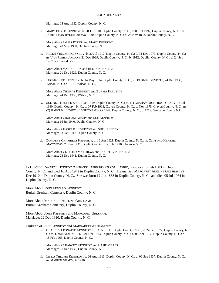Marriage: 05 Aug 1932, Duplin County, N. C.

ii. MARY ELOISE KENNEDY, b. 28 Jul 1910, Duplin County, N. C.; d. 05 Jul 1992, Duplin County, N. C.; m. JAMES LEON RYDER, 20 May 1930, Duplin County, N. C.; b. 28 Nov 1892, Duplin County, N. C..

More About JAMES RYDER and MARY KENNEDY: Marriage: 20 May 1930, Duplin County, N. C.

iii. HELEN VIRGINIA KENNEDY, b. 30 Jul 1912, Duplin County, N. C.; d. 31 Dec 1970, Duplin County, N. C.; m. VAN FISHER JORDON, 21 Dec 1929, Duplin County, N. C.; b. 1912, Duplin County, N. C.; d. 24 Sep 1962, Richmond, Va..

More About VAN JORDON and HELEN KENNEDY: Marriage: 21 Dec 1929, Duplin County, N. C.

iv. THOMAS LEE KENNEDY, b. 14 May 1914, Duplin County, N. C.; m. BURMA PREVETTE, 24 Dec 1936, Wilson, N. C.; b. 1915, Wilson, N. C..

More About THOMAS KENNEDY and BURMA PREVETTE: Marriage: 24 Dec 1936, Wilson, N. C.

v. SUE NEIL KENNEDY, b. 10 Jan 1919, Duplin County, N. C.; m. (1) GRAHAM MONTROSE GRADY, 16 Jul 1940, Duplin County, N. C.; b. 07 Feb 1913, Craven County, N. C.; d. Nov 1975, Craven County, N. C.; m. (2) HAROLD LINDSEY SILVERTON, 03 Oct 1947, Duplin County, N. C.; b. 1919, Sampson County N.C..

More About GRAHAM GRADY and SUE KENNEDY: Marriage: 16 Jul 1940, Duplin County, N. C.

More About HAROLD SILVERTON and SUE KENNEDY: Marriage: 03 Oct 1947, Duplin County, N. C.

vi. DOROTHY CHAMBERS KENNEDY, b. 16 Apr 1921, Duplin County, N. C.; m. CLIFFORD HERBERT MATTHEWS, 23 Dec 1941, Duplin County, N. C.; b. 1920, Florence S. C..

More About CLIFFORD MATTHEWS and DOROTHY KENNEDY: Marriage: 23 Dec 1941, Duplin County, N. C.

**121.** JOHN EDWARD<sup>4</sup> KENNEDY *(CHANCEY*<sup>3</sup> *, JOHN BRANTLY SR.*<sup>2</sup> *, JOHN*<sup>1</sup> *)* was born 15 Feb 1883 in Duplin County, N. C., and died 16 Aug 1942 in Duplin County, N. C.. He married MARGARET ADELINE GRESHAM 22 Dec 1910 in Dupin County, N. C.. She was born 12 Jun 1888 in Duplin County, N. C., and died 05 Jul 1964 in Duplin County, N. C..

More About JOHN EDWARD KENNEDY: Burial: Gresham Cemetery, Duplin County, N. C.

More About MARGARET ADELINE GRESHAM: Burial: Gresham Cemetery, Duplin County, N. C.

More About JOHN KENNEDY and MARGARET GRESHAM: Marriage: 22 Dec 1910, Dupin County, N. C.

Children of JOHN KENNEDY and MARGARET GRESHAM are:

i. CHANCEY LEONARD<sup>5</sup> KENNEDY, b. 03 Oct 1911, Duplin County, N. C.; d. 24 Feb 1972, Duplin County, N. C.; m. DASIE MAE MILLER, 21 Dec 1933, Duplin County, N. C.; b. 05 Apr 1912, Duplin County, N. C.; d. 18 Feb 1965, Duplin County, N. C..

More About CHANCEY KENNEDY and DASIE MILLER: Marriage: 21 Dec 1933, Duplin County, N. C.

ii. LINDA THELMA KENNEDY, b. 26 Aug 1913, Duplin County, N. C.; d. 06 Sep 1937, Duplin County, N. C.; m. MARION GRADY; b. 1910.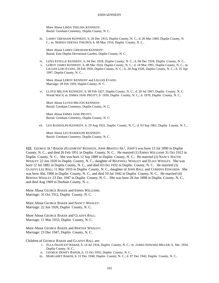More About LINDA THELMA KENNEDY: Burial: Gresham Cemetery, Duplin County, N. C.

iii. LARRY GRESHAM KENNEDY, b. 26 Dec 1915, Duplin County, N. C.; d. 26 Mar 1969, Duplin County, N. C.; m. NERNIA ODESSA THIGPEN; b. 08 May 1916, Duplin County, N. C..

More About LARRY GRESHAM KENNEDY: Burial: East Duplin Devotional Garden, Duplin County, N. C.

- iv. LENA ESTELLE KENNEDY, b. 04 Dec 1918, Duplin County, N. C.; d. 04 Dec 1918, Duplin County, N. C..
- v. LEROY JAMES KENNEDY, b. 08 Mar 1924, Duplin County, N. C.; d. 18 Mar 1991, Duplin County, N. C.; m. LILLIAN LOIS EVANS, 28 Feb 1959, Duplin County, N. C.; b. 28 Aug 1926, Duplin County, N. C.; d. 25 Apr 1997, Duplin County, N. C..

More About LEROY KENNEDY and LILLIAN EVANS: Marriage: 28 Feb 1959, Duplin County, N. C.

vi. LLOYD MILTON KENNEDY, b. 09 Feb 1927, Duplin County, N. C.; d. 29 Jul 1967, Duplin County, N. C. World War ll; m. EMMA JANE PRUITT; b. 1930, Duplin County, N. C.; d. 1970, Duplin County, N. C..

More About LLOYD MILTON KENNEDY: Burial: Gresham Cemetery, Duplin County, N. C.

More About EMMA JANE PRUITT: Burial: Gresham Cemetery, Duplin County, N. C.

vii. LEO RANDOLPH KENNEDY, b. 19 Aug 1931, Duplin County, N. C.; d. 03 Sep 1961, Duplin County, N. C..

More About LEO RANDOLPH KENNEDY: Burial: Gresham Cemetery, Duplin County, N. C.

**122.** GEORGE JR.<sup>4</sup> BAKER *(ELIZABETH*<sup>3</sup>  *KENNEDY, JOHN BRANTLY SR.*<sup>2</sup> *, JOHN*<sup>1</sup> *)* was born 13 Jul 1890 in Duplin County, N. C., and died 26 Feb 1951 in Duplin County, N. C.. He married (1) EMMA WILLIAMS 31 Oct 1912 in Duplin County, N. C.. She was born 12 Sep 1889 in Duplin County, N. C.. He married (2) NANCY HATTIE WHALEY 22 Jun 1920 in Duplin County, N. C., daughter of MAXWELL WHALEY and ELIZA WHALEY. She was born 12 Jul 1882 in Duplin County, N. C., and died 03 Oct 1932 in Duplin County, N. C.. He married (3) GLADYS LEE BALL 11 Mar 1933 in Duplin County, N. C., daughter of JOHN BALL and CORRINA EDWARDS. She was born Abt. 1900 in Duplin County, N. C., and died 10 Jul 1942 in Duplin County, N. C.. He married (4) BERTHA WHALEY 23 Dec 1947 in Duplin County, N. C.. She was born 28 Jun 1898 in Duplin County, N. C., and died Aug 1969 in Durham County, N. c..

More About GEORGE BAKER and EMMA WILLIAMS: Marriage: 31 Oct 1912, Duplin County, N. C.

More About GEORGE BAKER and NANCY WHALEY: Marriage: 22 Jun 1920, Duplin County, N. C.

More About GEORGE BAKER and GLADYS BALL: Marriage: 11 Mar 1933, Duplin County, N. C.

More About GEORGE BAKER and BERTHA WHALEY: Marriage: 23 Dec 1947, Duplin County, N. C.

Children of GEORGE BAKER and GLADYS BALL are:

- i. ELLA FRANCES<sup>5</sup> BAKER, b. 14 Jul 1934, Duplin County, N. C.; m. JAMES EDWARD MILLER; b. Abt. 1934, Duplin County, N. C..
- ii. GEORGE DEWEY BAKER, b. 15 Oct 1935, Duplin County, N. C..
- iii. MARGARET BAKER, b. 12 Dec 1940, Duplin County, N. C.; d. 07 Dec 1942, Duplin County, N. C..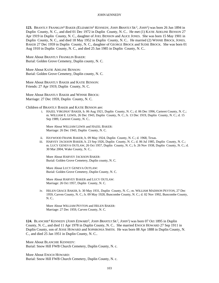**123.** BRANTLY FRANKLIN<sup>4</sup> BAKER *(ELIZABETH*<sup>3</sup>  *KENNEDY, JOHN BRANTLY SR.*<sup>2</sup> *, JOHN*<sup>1</sup> *)* was born 26 Jun 1894 in Duplin County, N. C., and died 01 Dec 1972 in Duplin County, N. C.. He met (1) KATIE ADELINE BENSON 27 Apr 1919 in Duplin County, N. C., daughter of JOEL BENSON and ALICE JONES. She was born 15 May 1901 in Duplin County, N. C., and died 18 May 1952 in Duplin County, N. C.. He married (2) WINNIE BROCK, JONES, BAKER 27 Dec 1959 in Duplin County, N. C., daughter of GEORGE BROCK and SUDIE BROCK. She was born 01 Aug 1910 in Duplin County, N. C., and died 25 Jan 1985 in Duplin County, N. C..

More About BRANTLY FRANKLIN BAKER: Burial: Golden Grove Cemetery, Duplin county, N. C.

More About KATIE ADELINE BENSON: Burial: Golden Grove Cemetery, Duplin county, N. C.

More About BRANTLY BAKER and KATIE BENSON: Friends: 27 Apr 1919, Duplin County, N. C.

More About BRANTLY BAKER and WINNIE BROCK: Marriage: 27 Dec 1959, Duplin County, N. C.

Children of BRANTLY BAKER and KATIE BENSON are:

i. HAZEL VIRGINIA<sup>5</sup> BAKER, b. 06 Aug 1921, Duplin County, N. C.; d. 06 Dec 1996, Carteret County, N. C.; m. WILLIAM E. LEWIS, 26 Dec 1943, Duplin County, N. C.; b. 13 Dec 1919, Duplin County, N. C.; d. 15 Sep 1989, Carteret County, N. C..

More About WILLIAM LEWIS and HAZEL BAKER: Marriage: 26 Dec 1943, Duplin County, N. C.

- ii. HAYWOOD FRANK BAKER, b. 09 May 1924, Duplin County, N. C.; d. 1968, Texas.
- iii. HARVEY JACKSON BAKER, b. 23 Sep 1926, Duplin County, N. C.; d. 06 Jul 1985, Duplin County, N. C.; m. LUCY GENEVA OUTLAW, 26 Oct 1957, Duplin County, N. C.; b. 26 Nov 1938, Duplin County, N. C.; d. 30 Mar 2004, Wake County, N. C..

More About HARVEY JACKSON BAKER: Burial: Golden Grove Cemetery, Duplin county, N. C.

More About LUCY GENEVA OUTLAW: Burial: Golden Grove Cemetery, Duplin County, N. C.

More About HARVEY BAKER and LUCY OUTLAW: Marriage: 26 Oct 1957, Duplin County, N. C.

iv. HELEN GRACE BAKER, b. 30 May 1931, Duplin County, N. C.; m. WILLIAM MADISON PEYTON, 27 Dec 1959, Carven County, N. C.; b. 09 May 1928, Buncombe County, N. C.; d. 02 Nov 1992, Buncombe County, N. C..

More About WILLIAM PEYTON and HELEN BAKER: Marriage: 27 Dec 1959, Carven County, N. C.

**124.** BLANCHIE<sup>4</sup> KENNEDY *(JOHN EDWARD*<sup>3</sup> *, JOHN BRANTLY SR.*<sup>2</sup> *, JOHN*<sup>1</sup> *)* was born 07 Oct 1895 in Duplin County, N. C., and died 11 Apr 1978 in Duplin County, N. C.. She married ENOCH HOWARD 27 Sep 1911 in Duplin County, son of JESSE HOWARD and SOPHRONIA SMITH. He was born 08 Apr 1888 in Duplin County, N. C., and died 25 Jan 1951 in Duplin County, N. C..

More About BLANCHIE KENNEDY: Burial: Snow Hill FWB Church Cemetery, Duplin County, N. c.

More About ENOCH HOWARD: Burial: Snow Hill FWB Church Cemetery, Duplin County, N. c.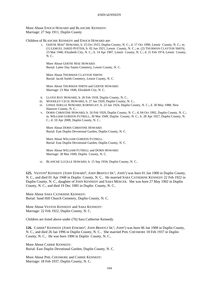More About ENOCH HOWARD and BLANCHIE KENNEDY: Marriage: 27 Sep 1911, Duplin County

Children of BLANCHIE KENNEDY and ENOCH HOWARD are:

i. GERTIE MAE<sup>5</sup> HOWARD, b. 25 Oct 1915, Duplin County, N. C.; d. 17 Oct 1990, Lenoir County, N. C.; m. (1) LEMUEL JARED POTTER; b. 02 Jun 1921, Lenoir County, N. C.; m. (2) THURMAN CLAYTON SMITH, 23 Mar 1940, Elizabeth City, N. C.; b. 14 Apr 1907, Lenoir County, N. C.; d. 21 Feb 1974, Lenoir County, N. C..

More About GERTIE MAE HOWARD: Burial: Latter Day Saints Cemetery, Lenoir County, N. C.

More About THURMAN CLAYTON SMITH: Burial: Jacob Smith Cemetery, Lenoir County, N. C.

More About THURMAN SMITH and GERTIE HOWARD: Marriage: 23 Mar 1940, Elizabeth City, N. C.

- ii. LLOYD RAY HOWARD, b. 26 Feb 1918, Duplin County, N. C..
- iii. WOODLEY CECIL HOWARD, b. 27 Jan 1920, Duplin County, N. C..
- iv. LINDA ADELLE HOWARD, KORNEGAY, b. 23 Jan 1924, Duplin County, N. C.; d. 30 May 1988, New Hanover County, N. C..
- v. DORIS CHRISTINE HOWARD, b. 26 Feb 1929, Duplin County, N. C.; d. 04 Oct 1992, Duplin County, N. C.; m. WILLIAM GORDON FUTRELL, 30 Mar 1949, Duplin County, N. C.; b. 28 Apr 1927, Duplin County, N. C.; d. 10 Apr 2000, Duplin County, N. C..

More About DORIS CHRISTINE HOWARD: Burial: East Duplin Devotional Garden, Duplin County, N. C.

More About WILLIAM GORDON FUTRELL: Burial: East Duplin Devotional Garden, Duplin County, N. C.

More About WILLIAM FUTRELL and DORIS HOWARD: Marriage: 30 Mar 1949, Duplin County, N. C.

vi. BLANCHE LUCILLE HOWARD, b. 15 Sep 1934, Duplin County, N. C..

**125.** VESTON<sup>4</sup> KENNEDY *(JOHN EDWARD*<sup>3</sup> *, JOHN BRANTLY SR.*<sup>2</sup> *, JOHN*<sup>1</sup> *)* was born 01 Jan 1900 in Duplin County, N. C., and died 01 Apr 1948 in Duplin County, N. C.. He married SARA CATHERINE KENNEDY 22 Feb 1922 in Duplin County, N. C., daughter of JOHN KENNEDY and SARA MERCER. She was born 27 May 1902 in Duplin County, N. C., and died 19 Dec 1985 in Duplin County, N. C..

More About SARA CATHERINE KENNEDY: Burial: Sand Hill Church Cemetery, Duplin County, N. C.

More About VESTON KENNEDY and SARA KENNEDY: Marriage: 22 Feb 1922, Duplin County, N. C.

Children are listed above under (76) Sara Catherine Kennedy.

126. CARRIE<sup>4</sup> KENNEDY (*JOHN EDWARD*<sup>3</sup>, *JOHN BRANTLY SR.*<sup>2</sup>, *JOHN*<sup>1</sup>) was born 06 Jan 1908 in Duplin County, N. C., and died 26 Jan 1996 in Duplin County, N. C.. She married PHIL CHESMORE 18 Feb 1937 in Duplin County, N. C.. He was born 1900 in Duplin County, N. C..

More About CARRIE KENNEDY: Burial: East Duplin Devotional Garden, Duplin County, N. C.

More About PHIL CHESMORE and CARRIE KENNEDY: Marriage: 18 Feb 1937, Duplin County, N. C.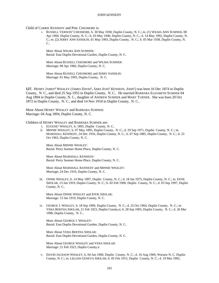Child of CARRIE KENNEDY and PHIL CHESMORE is:

i. RUSSELL VERNON<sup>5</sup> CHESMORE, b. 30 May 1938, Duplin County, N. C.; m. (1) WILMA ANN SUMNER, 08 Apr 1960, Duplin County, N. C.; b. 03 May 1940, Duplin County, N. C.; d. 14 May 1992, Duplin County, N. C.; m. (2) JERRY ANN SANDLIN, 01 May 1993, Duplin County, N. C.; b. 05 Mar 1938, Duplin County, N.  $C_{\cdot}$ 

More About WILMA ANN SUMNER: Burial: East Duplin Devotional Garden, Duplin County, N. C.

More About RUSSELL CHESMORE and WILMA SUMNER: Marriage: 08 Apr 1960, Duplin County, N. C.

More About RUSSELL CHESMORE and JERRY SANDLIN: Marriage: 01 May 1993, Duplin County, N. C.

**127.** HENRY JAMES<sup>4</sup> WHALEY (*JAMES DAVID*<sup>3</sup>, SARA *JEAN<sup>2</sup> KENNEDY*, *JOHN*<sup>1</sup>) was born 16 Dec 1874 in Duplin County, N. C., and died 25 Sep 1955 in Duplin County, N. C.. He married BARBARA ELIZABETH SUMNER 04 Aug 1894 in Duplin County, N. C., daughter of ANDREW SUMNER and MARY TURNER. She was born 20 Oct 1872 in Duplin County, N. C., and died 14 Nov 1918 in Duplin County, N. C..

More About HENRY WHALEY and BARBARA SUMNER: Marriage: 04 Aug 1894, Duplin County, N. C.

Children of HENRY WHALEY and BARBARA SUMNER are:

- i. EUGENE<sup>5</sup> WHALEY, b. 1895, Duplin County, N. C..
- ii. MINNIE WHALEY, b. 07 May 1895, Duplin County, N. C.; d. 29 Sep 1971, Duplin County, N. C.; m. MARSHALL KENNEDY, 24 Dec 1916, Duplin County, N. C.; b. 07 Sep 1885, Duplin County, N. C.; d. 23 Oct 1963, Duplin County, N. C..

More About MINNIE WHALEY: Burial: Perry Sumner Home Place, Duplin County, N. C.

More About MARSHALL KENNEDY: Burial: Perry Sumner Home Place, Duplin County, N. C.

More About MARSHALL KENNEDY and MINNIE WHALEY: Marriage: 24 Dec 1916, Duplin County, N. C.

iii. ONNIE WHALEY, b. 14 May 1897, Duplin County, N. C.; d. 18 Jan 1975, Duplin County, N. C.; m. EFFIE SHOLAR, 13 Jan 1919, Duplin County, N. C.; b. 02 Feb 1900, Duplin County, N. C.; d. 03 Sep 1997, Duplin County, N. C..

More About ONNIE WHALEY and EFFIE SHOLAR: Marriage: 13 Jan 1919, Duplin County, N. C.

iv. GEORGE J. WHALEY, b. 18 Sep 1899, Duplin County, N. C.; d. 25 Oct 1964, Duplin County, N. C.; m. VERA BERTHA SHOLAR, 21 Feb 1923, Duplin County,n; b. 28 Sep 1905, Duplin County, N. C.; d. 26 Mar 1998, Duplin County, N. C..

More About GEORGE J. WHALEY: Burial: East Duplin Devotional Garden, Duplin County, N. C.

More About VERA BERTHA SHOLAR: Burial: East Duplin Devotional Garden, Duplin County, N. C.

More About GEORGE WHALEY and VERA SHOLAR: Marriage: 21 Feb 1923, Duplin County,n

v. DAVID JACKSON WHALEY, b. 04 Jun 1900, Duplin County, N. C.; d. 16 Aug 1969, Warsaw N. C. Duplin County, N. C.; m. LILLIAN GENEVA SHOLAR; b. 05 Feb 1915, Duplin County, N. C.; d. 19 Mar 1992,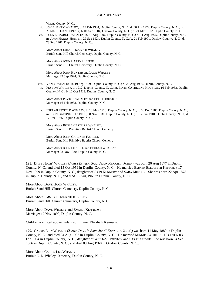Wayne County, N. C..

- vi. JOHN HENRY WHALEY, b. 13 Feb 1904, Duplin County, N. C.; d. 30 Jun 1974, Duplin County, N. C.; m. ALMA LILLIAN HUNTER; b. 06 Sep 1904, Onslow County, N. C.; d. 24 Mar 1972, Duplin County, N. C..
- vii. LULA ELIZABETH WHALEY, b. 31 Aug 1906, Duplin County, N. C.; d. 11 Aug 1975, Duplin County, N. C.; m. JOHN HARRY HUNTER, 29 Sep 1924, Duplin County, N. C.; b. 21 Feb 1901, Onslow County, N. C.; d. 23 Sep 1967, Duplin County, N. C..

More About LULA ELIZABETH WHALEY: Burial: Sand Hill Church Cemetery, Duplin County, N. C.

More About JOHN HARRY HUNTER: Burial: Sand Hill Church Cemetery, Duplin County, N. C.

More About JOHN HUNTER and LULA WHALEY: Marriage: 29 Sep 1924, Duplin County, N. C.

- viii. VANCE WHALEY, b. 19 Sep 1909, Duplin County, N. C.; d. 23 Aug 1966, Duplin County, N. C..
- ix. PEYTON WHALEY, b. 1912, Duplin County, N. C.; m. EDITH CATHERINE HOUSTON, 16 Feb 1933, Duplin County, N. C.; b. 12 Oct 1912, Duplin County, N. C..

More About PEYTON WHALEY and EDITH HOUSTON: Marriage: 16 Feb 1933, Duplin County, N. C.

x. BEULAH ESTELLE WHALEY, b. 13 May 1913, Duplin County, N. C.; d. 16 Dec 1986, Duplin County, N. C.; m. JOHN GARDNER FUTRELL, 08 Nov 1930, Duplin County, N. C.; b. 17 Jun 1910, Duplin County, N. C.; d. 17 Dec 1985, Duplin County, N. C..

More About BEULAH ESTELLE WHALEY: Burial: Sand Hill Primitive Baptist Church Cemetry

More About JOHN GARDNER FUTRELL: Burial: Sand Hill Primitive Baptist Church Cemetry

More About JOHN FUTRELL and BEULAH WHALEY: Marriage: 08 Nov 1930, Duplin County, N. C.

**128.** DAVE HUGH<sup>4</sup> WHALEY *(JAMES DAVID*<sup>3</sup> *, SARA JEAN*<sup>2</sup>  *KENNEDY, JOHN*<sup>1</sup> *)* was born 26 Aug 1877 in Duplin County, N. C., and died 15 Oct 1959 in Duplin County, N. C.. He married EMMER ELIZABETH KENNEDY 17 Nov 1899 in Duplin County, N. C., daughter of JOHN KENNEDY and SARA MERCER. She was born 22 Apr 1878 in Duplin County, N. C., and died 15 Aug 1968 in Duplin County, N. C..

More About DAVE HUGH WHALEY: Burial: Sand Hill Church Cemetery, Duplin County, N. C.

More About EMMER ELIZABETH KENNEDY: Burial: Sand Hill Church Cemetery, Duplin County, N. C.

More About DAVE WHALEY and EMMER KENNEDY: Marriage: 17 Nov 1899, Duplin County, N. C.

Children are listed above under (70) Emmer Elizabeth Kennedy.

**129.** CARRIS LEE<sup>4</sup> WHALEY *(JAMES DAVID*<sup>3</sup> *, SARA JEAN*<sup>2</sup>  *KENNEDY, JOHN*<sup>1</sup> *)* was born 11 May 1880 in Duplin County, N. C., and died 04 Aug 1937 in Duplin County, N. C.. He married MINNIE CATHERINE HOUSTON 03 Feb 1904 in Duplin County, N. C., daughter of WILLIAM HOUSTON and SARAH SHIVER. She was born 04 Sep 1886 in Duplin County, N. C., and died 09 Aug 1968 in Onslow County, N. C..

More About CARRIS LEE WHALEY: Burial: C. L. Whaley Cemetery, Duplin County, N. C.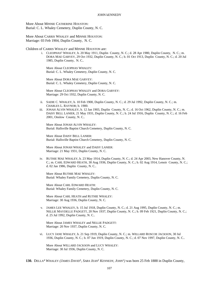More About MINNIE CATHERINE HOUSTON: Burial: C. L. Whaley Cemetery, Duplin County, N. C.

More About CARRIS WHALEY and MINNIE HOUSTON: Marriage: 03 Feb 1904, Duplin County, N. C.

Children of CARRIS WHALEY and MINNIE HOUSTON are:

i. CLEOPHAS<sup>5</sup> WHALEY, b. 20 May 1911, Duplin County, N. C.; d. 28 Apr 1980, Duplin County, N. C.; m. DORA MAE GARVEY, 29 Oct 1932, Duplin County, N. C.; b. 01 Oct 1913, Duplin County, N. C.; d. 20 Jul 1985, Duplin County, N. C..

More About CLEOPHAS WHALEY: Burial: C. L. Whaley Cemetery, Duplin County, N. C.

More About DORA MAE GARVEY: Burial: C. L. Whaley Cemetery, Duplin County, N. C.

More About CLEOPHAS WHALEY and DORA GARVEY: Marriage: 29 Oct 1932, Duplin County, N. C.

- ii. SADIE C. WHALEY, b. 10 Feb 1900, Duplin County, N. C.; d. 29 Jul 1992, Duplin County, N. C.; m. CHARLES L. RAYNOR; b. 1900.
- iii. JONAH ALVIN WHALEY, b. 12 Jan 1903, Duplin County, N. C.; d. 16 Oct 1962, Duplin County, N. C.; m. DAISY BELL LANIER, 21 May 1931, Duplin County, N. C.; b. 24 Jul 1916, Duplin County, N. C.; d. 16 Feb 2001, Onslow County, N. C..

More About JONAH ALVIN WHALEY: Burial: Hallsville Baptist Church Cemetery, Duplin County, N. C.

More About DAISY BELL LANIER: Burial: Hallsville Baptist Church Cemetery, Duplin County, N. C.

More About JONAH WHALEY and DAISY LANIER: Marriage: 21 May 1931, Duplin County, N. C.

iv. RUTHIE MAE WHALEY, b. 23 May 1914, Duplin County, N. C.; d. 24 Apr 2003, New Hanover County, N. C.; m. CARL EDWARD HEATH, 30 Aug 1936, Duplin County, N. C.; b. 02 Aug 1914, Lenoir County, N. C.; d. 02 Jan 1986, Duplin County, N. C..

More About RUTHIE MAE WHALEY: Burial: Whaley Family Cemetery, Duplin County, N. C.

More About CARL EDWARD HEATH: Burial: Whaley Family Cemetery, Duplin County, N. C.

More About CARL HEATH and RUTHIE WHALEY: Marriage: 30 Aug 1936, Duplin County, N. C.

v. JAMES LEE WHALEY, b. 15 Jul 1918, Duplin County, N. C.; d. 21 Aug 1995, Duplin County, N. C.; m. NELLIE MAYDELLE PADGETT, 20 Nov 1937, Duplin County, N. C.; b. 09 Feb 1921, Duplin County, N. C.; d. 25 Jul 1992, Duplin County, N. C..

More About JAMES WHALEY and NELLIE PADGETT: Marriage: 20 Nov 1937, Duplin County, N. C.

vi. LUCY JANE WHALEY, b. 21 Sep 1919, Duplin County, N. C.; m. WILLARD ROSCOE JACKSON, 30 Jul 1936, Duplin County, N. C.; b. 07 Jun 1919, Duplin County, N. C.; d. 07 Nov 1997, Duplin County, N. C..

More About WILLARD JACKSON and LUCY WHALEY: Marriage: 30 Jul 1936, Duplin County, N. C.

**130.** DELLA<sup>4</sup> WHALEY *(JAMES DAVID*<sup>3</sup> *, SARA JEAN*<sup>2</sup>  *KENNEDY, JOHN*<sup>1</sup> *)* was born 25 Feb 1888 in Duplin County,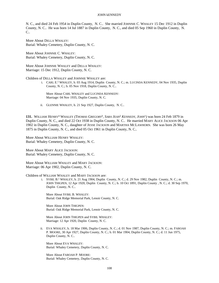N. C., and died 24 Feb 1954 in Duplin County, N. C.. She married JOHNNIE C. WHALEY 15 Dec 1912 in Duplin County, N. C.. He was born 14 Jul 1887 in Duplin County, N. C., and died 05 Sep 1960 in Duplin County, N. C..

More About DELLA WHALEY: Burial: Whaley Cemetery, Duplin County, N. C.

More About JOHNNIE C. WHALEY: Burial: Whaley Cemetery, Duplin County, N. C.

More About JOHNNIE WHALEY and DELLA WHALEY: Marriage: 15 Dec 1912, Duplin County, N. C.

Children of DELLA WHALEY and JOHNNIE WHALEY are:

i. CARL E. 5 WHALEY, b. 03 Aug 1914, Duplin County, N. C.; m. LUCINDA KENNEDY, 04 Nov 1935, Duplin County, N. C.; b. 05 Nov 1918, Duplin County, N. C..

More About CARL WHALEY and LUCINDA KENNEDY: Marriage: 04 Nov 1935, Duplin County, N. C.

ii. GLENNIE WHALEY, b. 21 Sep 1927, Duplin County, N. C..

**131.** WILLIAM HENRY<sup>4</sup> WHALEY *(THOMAS GREGORY*<sup>3</sup> *, SARA JEAN*<sup>2</sup>  *KENNEDY, JOHN*<sup>1</sup> *)* was born 24 Feb 1879 in Duplin County, N. C., and died 22 Oct 1938 in Duplin County, N. C.. He married MARY ALICE JACKSON 06 Apr 1902 in Duplin County, N. C., daughter of JESSE JACKSON and MARTHA MCLAWHORN. She was born 26 May 1875 in Duplin County, N. C., and died 05 Oct 1961 in Duplin County, N. C..

More About WILLIAM HENRY WHALEY: Burial: Whaley Cemetery, Duplin County, N. C.

More About MARY ALICE JACKSON: Burial: Whaley Cemetery, Duplin County, N. C.

More About WILLIAM WHALEY and MARY JACKSON: Marriage: 06 Apr 1902, Duplin County, N. C.

Children of WILLIAM WHALEY and MARY JACKSON are:

i. SYBIL B. 5 WHALEY, b. 21 Aug 1904, Duplin County, N. C.; d. 29 Nov 1982, Duplin County, N. C.; m. JOHN THIGPEN, 12 Apr 1920, Duplin County, N. C.; b. 10 Oct 1891, Duplin County , N. C.; d. 30 Sep 1970, Duplin County, N. C..

More About SYBIL B. WHALEY: Burial: Oak Ridge Memorial Park, Lenoir County, N. C.

More About JOHN THIGPEN: Burial: Oak Ridge Memorial Park, Lenoir County, N. C.

More About JOHN THIGPEN and SYBIL WHALEY: Marriage: 12 Apr 1920, Duplin County, N. C.

ii. EVA WHALEY, b. 18 Mar 1906, Duplin County, N. C.; d. 01 Nov 1987, Duplin County, N. C.; m. FAROAH P. MOORE, 30 Apr 1927, Duplin County, N. C.; b. 01 Mar 1904, Duplin County, N. C.; d. 11 Jun 1975, Duplin County, N. C..

More About EVA WHALEY: Burial: Whaley Cemetery, Duplin County, N. C.

More About FAROAH P. MOORE: Burial: Whaley Cemetery, Duplin County, N. C.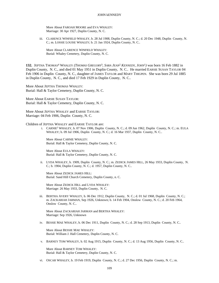More About FAROAH MOORE and EVA WHALEY: Marriage: 30 Apr 1927, Duplin County, N. C.

iii. CLARENCE WINFIELD WHALEY, b. 28 Jul 1908, Duplin County, N. C.; d. 20 Dec 1948, Duplin County, N. C.; m. LOSSIE LOUISE WHALEY; b. 21 Jan 1924, Duplin County, N. C..

More About CLARENCE WINFIELD WHALEY: Burial: Whaley Cemetery, Duplin County, N. C.

**132.** JEPTHA THOMAS<sup>4</sup> WHALEY *(THOMAS GREGORY*<sup>3</sup> *, SARA JEAN*<sup>2</sup>  *KENNEDY, JOHN*<sup>1</sup> *)* was born 16 Feb 1882 in Duplin County, N. C., and died 01 May 1951 in Duplin County, N. C.. He married EARSIE SUSAN TAYLOR 04 Feb 1906 in Duplin County, N. C., daughter of JAMES TAYLOR and MARY THIGPEN. She was born 29 Jul 1885 in Duplin County, N. C., and died 17 Feb 1929 in Duplin County, N. C..

More About JEPTHA THOMAS WHALEY: Burial: Hall & Taylor Cemetery, Duplin County, N. C.

More About EARSIE SUSAN TAYLOR: Burial: Hall & Taylor Cemetery, Duplin County, N. C.

More About JEPTHA WHALEY and EARSIE TAYLOR: Marriage: 04 Feb 1906, Duplin County, N. C.

Children of JEPTHA WHALEY and EARSIE TAYLOR are:

i. CARNIE<sup>5</sup> WHALEY, b. 07 Nov 1906, Duplin County, N. C.; d. 09 Jun 1962, Duplin County, N. C.; m. EULA WHALEY; b. 09 Jul 1906, Duplin County, N. C.; d. 16 Mar 1937, Duplin County, N. C..

More About CARNIE WHALEY: Burial: Hall & Taylor Cemetery, Duplin County, N. C.

More About EULA WHALEY: Burial: Hall & Taylor Cemetery, Duplin County, N. C.

ii. LYDA WHALEY, b. 1909, Duplin County, N. C.; m. ZEDICK JAMES HILL, 26 May 1933, Duplin County, N. C.; b. 1904, Duplin County, N. C.; d. 1957, Duplin County, N. C..

More About ZEDICK JAMES HILL: Burial: Sand Hill Church Cemetery, Duplin County, n. C.

More About ZEDICK HILL and LYDA WHALEY: Marriage: 26 May 1933, Duplin County, N. C.

iii. BERTHA AVERY WHALEY, b. 06 Dec 1912, Duplin County, N. C.; d. 01 Jul 1968, Duplin County, N. C.; m. ZACKARIAH JARMAN, Sep 1926, Unknown; b. 14 Feb 1904, Onslow County, N. C.; d. 20 Feb 1964, Onslow County, N. C..

More About ZACKARIAH JARMAN and BERTHA WHALEY: Marriage: Sep 1926, Unknown

iv. BESSIE MAE WHALEY, b. 06 Dec 1911, Duplin County, N. C.; d. 28 Sep 1913, Duplin County, N. C..

More About BESSIE MAE WHALEY: Burial: William J. Hall Cemetery, Duplin County, N. C.

v. BARNEY TOM WHALEY, b. 02 Aug 1915, Duplin County, N. C.; d. 13 Aug 1956, Duplin County, N. C..

More About BARNEY TOM WHALEY: Burial: Hall & Taylor Cemetery, Duplin County, N. C.

vi. OSCAR WHALEY, b. 19 Feb 1919, Duplin County, N. C.; d. 27 Dec 1956, Duplin County, N. C.; m.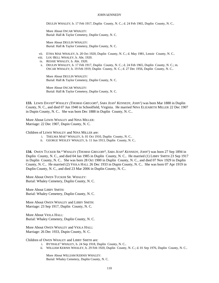DEULIN WHALEY; b. 17 Feb 1917, Duplin County, N. C.; d. 24 Feb 1965, Duplin County, N. C..

More About OSCAR WHALEY: Burial: Hall & Taylor Cemetery, Duplin County, N. C.

More About DEULIN WHALEY: Burial: Hall & Taylor Cemetery, Duplin County, N. C.

- vii. ETHA MAE WHALEY, b. 20 Oct 1920, Duplin County, N. C.; d. May 1981, Lenoir County, N. C..
- viii. LOU BELL WHALEY, b. Abt. 1920.
- ix. RESSIE WHALEY, b. Abt. 1920.
- x. DEULIN WHALEY, b. 17 Feb 1917, Duplin County, N. C.; d. 24 Feb 1965, Duplin County, N. C.; m. OSCAR WHALEY; b. 19 Feb 1919, Duplin County, N. C.; d. 27 Dec 1956, Duplin County, N. C..

More About DEULIN WHALEY: Burial: Hall & Taylor Cemetery, Duplin County, N. C.

More About OSCAR WHALEY: Burial: Hall & Taylor Cemetery, Duplin County, N. C.

**133.** LEWIS DAVID<sup>4</sup> WHALEY *(THOMAS GREGORY*<sup>3</sup> *, SARA JEAN*<sup>2</sup>  *KENNEDY, JOHN*<sup>1</sup> *)* was born Mar 1888 in Duplin County, N. C., and died 07 Jun 1940 in Schoolfield, Virginia. He married NINA ELIZABETH MILLER 22 Dec 1907 in Dupin County, N. C.. She was born Dec 1888 in Duplin County, N. C..

More About LEWIS WHALEY and NINA MILLER: Marriage: 22 Dec 1907, Dupin County, N. C.

Children of LEWIS WHALEY and NINA MILLER are:

- i. THELMA MAE<sup>5</sup> WHALEY, b. 01 Oct 1910, Duplin County, N. C..
- ii. GEORGE WESLEY WHALEY, b. 11 Jun 1913, Duplin County, N. C..

**134.** OWEN TUCKER SR.<sup>4</sup> WHALEY *(THOMAS GREGORY*<sup>3</sup> *, SARA JEAN*<sup>2</sup>  *KENNEDY, JOHN*<sup>1</sup> *)* was born 27 Sep 1894 in Duplin County, N. C., and died 04 Jan 1985 in Duplin County, N. C.. He married (1) LIBBY SMITH 23 Sep 1917 in Duplin County, N. C.. She was born 28 Oct 1900 in Duplin County, N. C., and died 07 Nov 1929 in Duplin County, N. C.. He married (2) VIOLA HALL 26 Dec 1933 in Dupin County, N. C.. She was born 07 Apr 1919 in Duplin County, N. C., and died 23 Mar 2006 in Duplin County, N. C..

More About OWEN TUCKER SR. WHALEY: Burial: Whaley Cemetery, Duplin County, N. C.

More About LIBBY SMITH: Burial: Whaley Cemetery, Duplin County, N. C.

More About OWEN WHALEY and LIBBY SMITH: Marriage: 23 Sep 1917, Duplin County, N. C.

More About VIOLA HALL: Burial: Whaley Cemetery, Duplin County, N. C.

More About OWEN WHALEY and VIOLA HALL: Marriage: 26 Dec 1933, Dupin County, N. C.

Children of OWEN WHALEY and LIBBY SMITH are:

- i. BYTHALE<sup>5</sup> WHALEY, b. 24 Sep 1918, Duplin County, N. C..
- ii. WILLIAM KERNIS WHALEY, b. 29 Feb 1920, Duplin County, N. C.; d. 01 Sep 1976, Duplin County, N. C..

More About WILLIAM KERNIS WHALEY: Burial: Whaley Cemetery, Duplin County, N. C.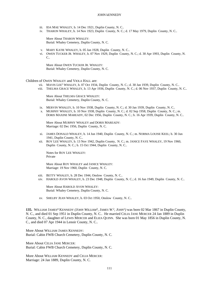- iii. IDA MAE WHALEY, b. 14 Dec 1921, Duplin County, N. C..
- iv. THARON WHALEY, b. 14 Nov 1923, Duplin County, N. C.; d. 17 May 1979, Duplin County, N. C..

More About THARON WHALEY: Burial: Whaley Cemetery, Duplin County, N. C.

- v. MARY KATIE WHALEY, b. 05 Jan 1928, Duplin County, N. C..
- vi. OWEN TUCKER JR. WHALEY, b. 07 Nov 1929, Duplin County, N. C.; d. 30 Apr 1993, Duplin County, N.  $C_{\cdot}$

More About OWEN TUCKER JR. WHALEY: Burial: Whaley Cemetery, Duplin County, N. C.

Children of OWEN WHALEY and VIOLA HALL are:

- vii. MAVIS LEE<sup>5</sup> WHALEY, b. 07 Oct 1934, Duplin County, N. C.; d. 30 Jan 1939, Duplin County, N. C..
- viii. THELMA GRACE WHALEY, b. 13 Apr 1936, Duplin County, N. C.; d. 06 Nov 1937, Duplin County, N. C..

More About THELMA GRACE WHALEY: Burial: Whaley Cemetery, Duplin County, N. C.

- ix. MERVIN WHALEY, b. 10 Nov 1938, Duplin County, N. C.; d. 30 Jan 1939, Duplin County, N. C..
- x. MURPHY WHALEY, b. 10 Nov 1938, Duplin County, N. C.; d. 02 Sep 1958, Duplin County, N. C.; m. DORIS MAXINE MAREADY, 02 Dec 1956, Duplin County, N. C.; b. 16 Apr 1939, Duplin County, N. C..

More About MURPHY WHALEY and DORIS MAREADY: Marriage: 02 Dec 1956, Duplin County, N. C.

- xi. JAMES DONALD WHALEY, b. 14 Jun 1940, Duplin County, N. C.; m. NORMA LOUISE KEEL; b. 30 Jun 1941, Duplin County, N. C..
- xii. ROY LEE WHALEY, b. 13 Nov 1942, Duplin County, N. C.; m. JANICE FAYE WHALEY, 19 Nov 1960, Duplin County, N. C.; b. 15 Oct 1944, Duplin County, N. C..

Notes for ROY LEE WHALEY: Private

More About ROY WHALEY and JANICE WHALEY: Marriage: 19 Nov 1960, Duplin County, N. C.

- xiii. BETTY WHALEY, b. 28 Dec 1944, Onslow County, N. C..
- xiv. HAROLD AVON WHALEY, b. 23 Dec 1948, Duplin County, N. C.; d. 16 Jun 1949, Duplin County, N. C..

More About HAROLD AVON WHALEY: Burial: Whaley Cemetery, Duplin County, N. C.

xv. SHELBY JEAN WHALEY, b. 03 Oct 1950, Onslow County, N. C..

135. WILLIAM JAMES<sup>4</sup> KENNEDY (*JOHN WILLIAM*<sup>3</sup>, *JAMES W.<sup>2</sup>, JOHN*<sup>1</sup>) was born 02 Mar 1867 in Duplin County, N. C., and died 01 Sep 1951 in Duplin County, N. C.. He married CELIA JANE MERCER 24 Jan 1889 in Duplin County, N. C., daughter of LEWIS MERCER and ELIZA QUINN. She was born 01 May 1856 in Duplin County, N. C., and died 07 Apr 1944 in Lenoir County, N. C..

More About WILLIAM JAMES KENNEDY: Burial: Cabin FWB Church Cemetery, Duplin County, N. C.

More About CELIA JANE MERCER: Burial: Cabin FWB Church Cemetery, Duplin County, N. C.

More About WILLIAM KENNEDY and CELIA MERCER: Marriage: 24 Jan 1889, Duplin County, N. C.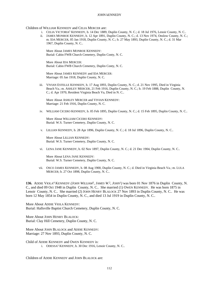## Children of WILLIAM KENNEDY and CELIA MERCER are:

- i. CELIA VICTORIA<sup>5</sup> KENNEDY, b. 14 Dec 1889, Duplin County, N. C.; d. 18 Jul 1976, Lenoir County, N. C..
- ii. JAMES MONROE KENNEDY, b. 12 Apr 1891, Duplin County, N. C.; d. 13 Nov 1974, Onslow County, N. C.; m. IDA MERCER, 05 Jan 1918, Duplin County, N. C.; b. 27 May 1893, Duplin County, N. C.; d. 31 Mar 1967, Duplin County, N. C..

More About JAMES MONROE KENNEDY: Burial: Cabin FWB Church Cemetery, Duplin Conty, N. C.

More About IDA MERCER: Burial: Cabin FWB Church Cemetery, Duplin Conty, N. C.

More About JAMES KENNEDY and IDA MERCER: Marriage: 05 Jan 1918, Duplin County, N. C.

iii. VIVIAN ESTELLE KENNEDY, b. 17 Aug 1893, Duplin County, N. C.; d. 21 Nov 1995, Died in Virginia Beach Va.; m. ASHLEY MERCER, 21 Feb 1916, Duplin County, N. C.; b. 19 Feb 1888, Duplin County, N. C.; d. Apr 1970, Resident Virginia Beach Va, Died in N. C..

More About ASHLEY MERCER and VIVIAN KENNEDY: Marriage: 21 Feb 1916, Duplin County, N. C.

iv. WILLIAM CICERO KENNEDY, b. 05 Feb 1895, Duplin County, N. C.; d. 15 Feb 1895, Duplin County, N. C..

More About WILLIAM CICERO KENNEDY: Burial: W.S. Turner Cemetery, Duplin County, N. C.

v. LILLIAN KENNEDY, b. 28 Apr 1896, Duplin County, N. C.; d. 18 Jul 1896, Duplin County, N. C..

More About LILLIAN KENNEDY: Burial: W.S. Turner Cemetery, Duplin County, N. C.

vi. LENA JANE KENNEDY, b. 02 Nov 1897, Duplin County, N. C.; d. 21 Dec 1904, Duplin County, N. C..

More About LENA JANE KENNEDY: Burial: W.S. Turner Cemetery, Duplin County, N. C.

vii. OSCO JAMES KENNEDY, b. 08 Aug 1900, Duplin County, N. C.; d. Died in Virginia Beach Va.; m. LULA MERCER; b. 27 Oct 1898, Duplin County, N. C..

**136.** ADDIE VIOLA<sup>4</sup> KENNEDY *(JOHN WILLIAM*<sup>3</sup> *, JAMES W.* 2 *, JOHN*<sup>1</sup> *)* was born 01 Nov 1876 in Duplin County, N. C., and died 09 Oct 1948 in Duplin County, N. C.. She married (1) OWEN KENNEDY. He was born 1875 in Lenoir County, N. C.. She married (2) JOHN HENRY BLALOCK 27 Nov 1893 in Duplin County, N. C.. He was born 12 May 1854 in Duplin County, N. C., and died 13 Jul 1919 in Duplin County, N. C..

More About ADDIE VIOLA KENNEDY: Burial: Hallsville Baptist Church Cemetery, Duplin County, N. C.

More About JOHN HENRY BLALOCK: Burial: Clay Hill Cemetery, Duplin County, N. C.

More About JOHN BLALOCK and ADDIE KENNEDY: Marriage: 27 Nov 1893, Duplin County, N. C.

Child of ADDIE KENNEDY and OWEN KENNEDY is: i. ODESSA<sup>5</sup> KENNEDY, b. 30 Dec 1916, Lenoir County, N. C..

Children of ADDIE KENNEDY and JOHN BLALOCK are: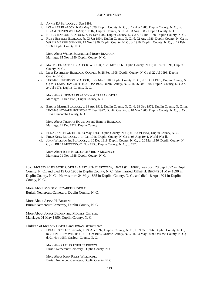- ii. ANNIE E.<sup>5</sup> BLALOCK, b. Sep 1893.
- iii. LOLA LEE BLALOCK, b. 03 May 1899, Duplin County, N. C.; d. 12 Apr 1985, Duplin County, N. C.; m. HIRAM STEVEN WILLIAMS; b. 1902, Duplin County, N. C.; d. 03 Aug 1985, Duplin County, N. C..
- iv. HENRY RANSOM BLALOCK, b. 19 Dec 1902, Duplin County, N. C.; d. 30 Jun 1978, Duplin County, N. C..
- v. RUBY ESTELLE BLALOCK, b. 03 Jan 1904, Duplin County, N. C.; d. 02 Aug 1986, Duplin County, N. C.; m. WILLIS MARTIN SUMNER, 15 Nov 1930, Duplin County, N. C.; b. 1910, Duplin County, N. C.; d. 12 Feb 1956, Duplin County, N. C..

More About WILLIS SUMNER and RUBY BLALOCK: Marriage: 15 Nov 1930, Duplin County, N. C.

- vi. MATTIE ELIZABETH BLALOCK, WINNER, b. 23 Mar 1906, Duplin County, N. C.; d. 18 Jul 1996, Duplin County, N. C..
- vii. LINA KATHLEEN BLALOCK, COOPER, b. 28 Feb 1908, Duplin County, N. C.; d. 22 Jul 1993, Duplin County, N. C..
- viii. THOMAS JEFFERSON BLALOCK, b. 27 Mar 1910, Duplin County, N. C.; d. 19 Oct 1979, Duplin County, N. C.; m. CLARA DAY COTTLE, 31 Dec 1926, Dupin County, N. C.; b. 26 Oct 1908, Duplin County, N. C.; d. 24 Jul 1971, Duplin County, N. C..

More About THOMAS BLALOCK and CLARA COTTLE: Marriage: 31 Dec 1926, Dupin County, N. C.

ix. BERTIE MARIE BLALOCK, b. 14 Apr 1912, Duplin County, N. C.; d. 28 Dec 1972, Duplin County, N. C.; m. THOMAS EDWARD HOUSTON, 21 Dec 1922, Duplin County; b. 10 Mar 1900, Duplin County, N. C.; d. Oct 1974, Buncombs County, N. C..

More About THOMAS HOUSTON and BERTIE BLALOCK: Marriage: 21 Dec 1922, Duplin County

- x. ELIZA JANE BLALOCK, b. 23 May 1913, Duplin County, N. C.; d. 18 Oct 1954, Duplin County, N. C..
- xi. FRED KING BLALOCK, b. 14 Jan 1916, Duplin County, N. C.; d. 06 Aug 1944, World War ll.
- xii. JOHN WILLIAM JR. BLALOCK, b. 10 Dec 1918, Duplin County, N. C.; d. 20 Mar 1956, Duplin County, N. C.; m. RILLA MOZINGO, 01 Nov 1938, Duplin County, N. C.; b. 1920.

More About JOHN BLALOCK and RILLA MOZINGO: Marriage: 01 Nov 1938, Duplin County, N. C.

**137.** MOLSEY ELIZABETH<sup>4</sup> COTTLE *(MARY SUSAN*<sup>3</sup>  *KENNEDY, JAMES W.* 2 *, JOHN*<sup>1</sup> *)* was born 29 Sep 1872 in Duplin County, N. C., and died 19 Oct 1955 in Duplin County, N. C. She married JONAS H. BROWN 01 May 1890 in Duplin County, N. C.. He was born 24 May 1865 in Duplin County, N. C., and died 18 Apr 1921 in Duplin County, N. C..

More About MOLSEY ELIZABETH COTTLE: Burial: Nethercutt Cemetery, Duplin County, N. C.

More About JONAS H. BROWN: Burial: Nethercutt Cemetery, Duplin County, N. C.

More About JONAS BROWN and MOLSEY COTTLE: Marriage: 01 May 1890, Duplin County, N. C.

Children of MOLSEY COTTLE and JONAS BROWN are:

i. LELAR ESTELLE<sup>5</sup> BROWN, b. 24 Apr 1892, Duplin County, N. C.; d. 09 Oct 1976, Duplin County, N. C.; m. JOHN RILEY WILLIFORD, 10 Oct 1910, Onslow County, N. C.; b. 04 May 1879, Onslow County, N. C.; d. 01 Nov 1957, Onslow County, N. C..

More About LELAR ESTELLE BROWN: Burial: Nethercutt Cemetery, Duplin County, N. C.

More About JOHN RILEY WILLIFORD: Burial: Nethercutt Cemetery, Duplin County, N. C.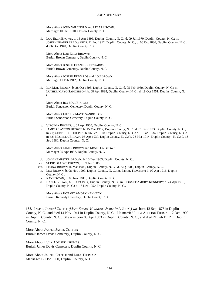More About JOHN WILLIFORD and LELAR BROWN: Marriage: 10 Oct 1910, Onslow County, N. C.

ii. LOU ELLA BROWN, b. 18 Apr 1896, Duplin County, N. C.; d. 09 Jul 1970, Duplin County, N. C.; m. JOSEPH FRANKLIN EDWARDS, 11 Feb 1912, Duplin County, N. C.; b. 06 Oct 1886, Duplin County, N. C.; d. 06 Dec 1940, Duplin County, N. C..

More About LOU ELLA BROWN: Burial: Brown Cemetery, Duplin County, N. C.

More About JOSEPH FRANKLIN EDWARDS: Burial: Brown Cemetery, Duplin County, N. C.

More About JOSEPH EDWARDS and LOU BROWN: Marriage: 11 Feb 1912, Duplin County, N. C.

iii. IDA MAE BROWN, b. 28 Oct 1898, Duplin County, N. C.; d. 05 Feb 1989, Duplin County, N. C.; m. LUTHER MAYO SANDERSON; b. 08 Apr 1898, Duplin County, N. C.; d. 19 Oct 1951, Duplin County, N. C..

More About IDA MAE BROWN: Burial: Sanderson Cemetery, Duplin County, N. C.

More About LUTHER MAYO SANDERSON: Burial: Sanderson Cemetery, Duplin County, N. C.

- iv. VIRGINIA BROWN, b. 05 Apr 1900, Duplin County, N. C..
- v. JAMES CLAYTON BROWN, b. 15 Mar 1912, Duplin County, N. C.; d. 01 Feb 1983, Duplin County, N. C.; m. (1) GERTRUDE THIGPEN; b. 06 Feb 1910, Duplin County, N. C.; d. 16 Jan 1934, Duplin County, N. C.; m. (2) MOZELLA BROWN, 05 Apr 1937, Duplin County, N. C.; b. 28 Mar 1914, Duplin County, N. C.; d. 18 Sep 1980, Duplin County, N. C..

More About JAMES BROWN and MOZELLA BROWN: Marriage: 05 Apr 1937, Duplin County, N. C.

- vi. JOHN KEMPSTER BROWN, b. 10 Dec 1903, Duplin County, N. C..
- vii. SUDIE GLADYS BROWN, b. 09 Jan 1906.
- viii. LEONA BROWN, b. Mar 1908, Duplin County, N. C.; d. Aug 1908, Duplin County, N. C..
- ix. LEO BROWN, b. 08 Nov 1909, Duplin County, N. C.; m. ETHEL TEACHEY; b. 09 Apr 1916, Duplin County, N. C..
- x. RAY BROWN, b. 06 Nov 1911, Duplin County, N. C..
- xi. HAZEL BROWN, b. 15 Oct 1914, Duplin County, N. C.; m. HOBART AMORY KENNEDY; b. 24 Apr 1915, Duplin County, N. C.; d. 16 Dec 1950, Duplin County, N. C..

More About HOBART AMORY KENNEDY: Burial: Kennedy Cemetery, Duplin County, N. C.

**138.** JASPER JAMES<sup>4</sup> COTTLE *(MARY SUSAN*<sup>3</sup>  *KENNEDY, JAMES W.* 2 *, JOHN*<sup>1</sup> *)* was born 12 Sep 1878 in Duplin County, N. C., and died 14 Nov 1941 in Duplin County, N. C.. He married LULA ADELINE THOMAS 12 Dec 1900 in Duplin County, N. C.. She was born 05 Apr 1883 in Duplin County, N. C., and died 21 Feb 1912 in Duplin County, N. C..

More About JASPER JAMES COTTLE: Burial: James Davis Cemetery, Duplin County, N. C.

More About LULA ADELINE THOMAS: Burial: James Davis Cemetery, Duplin County, N. C.

More About JASPER COTTLE and LULA THOMAS: Marriage: 12 Dec 1900, Duplin County, N. C.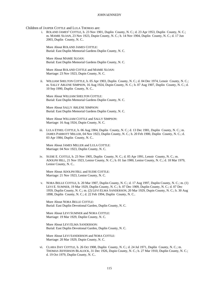Children of JASPER COTTLE and LULA THOMAS are:

i. ROLAND JAMES<sup>5</sup> COTTLE, b. 23 Nov 1901, Duplin County, N. C.; d. 23 Apr 1953, Duplin County, N. C.; m. MAMIE SLOAN, 23 Nov 1923, Dupin County, N. C.; b. 14 Nov 1904, Duplin County, N. C.; d. 17 Jun 2003, Duplin County, N. C..

More About ROLAND JAMES COTTLE: Burial: East Duplin Memorial Gardens Duplin County, N. C.

More About MAMIE SLOAN: Burial: East Duplin Memorial Gardens Duplin County, N. C.

More About ROLAND COTTLE and MAMIE SLOAN: Marriage: 23 Nov 1923, Dupin County, N. C.

ii. WILLIAM SHELTON COTTLE, b. 05 Apr 1903, Duplin County, N. C.; d. 04 Dec 1974, Lenoir County, N. C.; m. SALLY ARLENE SIMPSON, 16 Aug 1924, Dupin County, N. C.; b. 07 Aug 1907, Duplin County, N. C.; d. 10 Sep 1990, Duplin County, N. C..

More About WILLIAM SHELTON COTTLE: Burial: East Duplin Memorial Gardens Duplin County, N. C.

More About SALLY ARLENE SIMPSON: Burial: East Duplin Memorial Gardens Duplin County, N. C.

More About WILLIAM COTTLE and SALLY SIMPSON: Marriage: 16 Aug 1924, Dupin County, N. C.

iii. LULA ETHEL COTTLE, b. 06 Aug 1904, Duplin County, N. C.; d. 13 Dec 1981, Duplin County, N. C.; m. JAMES PARROTT MILLER, 04 Nov 1923, Duplin County, N. C.; b. 20 Feb 1900, Duplin County, N. C.; d. 03 Apr 1984, Duplin County, N. C..

More About JAMES MILLER and LULA COTTLE: Marriage: 04 Nov 1923, Duplin County, N. C.

iv. SUDIE E. COTTLE, b. 23 Nov 1905, Duplin County, N. C.; d. 05 Apr 1991, Lenoir County, N. C.; m. ADOLPH HILL, 21 Nov 1923, Lenior County, N. C.; b. 01 Jan 1900, Lenior County, N. C.; d. 18 Mar 1979, Lenior County, N. C..

More About ADOLPH HILL and SUDIE COTTLE: Marriage: 21 Nov 1923, Lenior County, N. C.

v. NORA BELLE COTTLE, b. 20 Mar 1907, Duplin County, N. C.; d. 17 Aug 1997, Duplin County, N. C.; m. (1) LEVI E. SUMNER, 19 Mar 1929, Duplin County, N. C.; b. 07 Dec 1909, Duplin County, N. C.; d. 07 Dec 1959, Duplin County, N. C.; m. (2) LEVI ELMA SANDERSON, 20 Mar 1929, Dupin County, N. C.; b. 30 Aug 1898, Duplin County, N. C.; d. 22 Feb 1994, Duplin County, N. C..

More About NORA BELLE COTTLE: Burial: East Duplin Devotional Garden, Duplin County, N. C.

More About LEVI SUMNER and NORA COTTLE: Marriage: 19 Mar 1929, Duplin County, N. C.

More About LEVI ELMA SANDERSON: Burial: East Duplin Devotional Garden, Duplin County, N. C.

More About LEVI SANDERSON and NORA COTTLE: Marriage: 20 Mar 1929, Dupin County, N. C.

vi. CLARA DAY COTTLE, b. 26 Oct 1908, Duplin County, N. C.; d. 24 Jul 1971, Duplin County, N. C.; m. THOMAS JEFFERSON BLALOCK, 31 Dec 1926, Dupin County, N. C.; b. 27 Mar 1910, Duplin County, N. C.; d. 19 Oct 1979, Duplin County, N. C..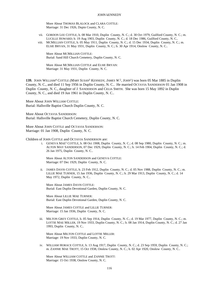More About THOMAS BLALOCK and CLARA COTTLE: Marriage: 31 Dec 1926, Dupin County, N. C.

- vii. GORDON LEE COTTLE, b. 08 Mar 1910, Duplin County, N. C.; d. 30 Oct 1979, Guilford County, N. C.; m. LUCILLE HOWARD; b. 19 Aug 1903, Duplin County, N. C.; d. 18 Dec 1986, Guilford County, N. C..
- viii. MCMILLIAN COTTLE, b. 05 May 1911, Duplin County, N. C.; d. 15 Dec 1934, Duplin County, N. C.; m. ELSIE BRYAN, 31 May 1931, Duplin County, N. C.; b. 30 Apr 1914, Onslow County, N. C..

More About MCMILLIAN COTTLE: Burial: Sand Hill Church Cemetery, Duplin County, N. C.

More About MCMILLIAN COTTLE and ELSIE BRYAN: Marriage: 31 May 1931, Duplin County, N. C.

**139.** JOHN WILLIAM<sup>4</sup> COTTLE *(MARY SUSAN*<sup>3</sup>  *KENNEDY, JAMES W.* 2 *, JOHN*<sup>1</sup> *)* was born 05 Mar 1885 in Duplin County, N. C., and died 11 Sep 1956 in Duplin County, N. C.. He married OCTAVIA SANDERSON 01 Jan 1908 in Duplin County, N. C., daughter of J. SANDERSON and CELIA SMITH. She was born 15 May 1892 in Duplin County, N. C., and died 19 Jun 1961 in Duplin County, N. C..

More About JOHN WILLIAM COTTLE: Burial: Hallsville Baptist Church Duplin County, N. C.

More About OCTAVIA SANDERSON: Burial: Hallsville Baptist Church Cemetery, Duplin County, N. C.

More About JOHN COTTLE and OCTAVIA SANDERSON: Marriage: 01 Jan 1908, Duplin County, N. C.

Children of JOHN COTTLE and OCTAVIA SANDERSON are:

i. GENEVA MAE<sup>5</sup> COTTLE, b. 08 Oct 1908, Duplin County, N. C.; d. 08 Sep 1980, Duplin County, N. C.; m. ALTON MAY SANDERSON, 07 Dec 1929, Duplin County, N. C.; b. 14 Feb 1904, Duplin County, N. C.; d. 26 Jan 1975, Duplin County, N. C..

More About ALTON SANDERSON and GENEVA COTTLE: Marriage: 07 Dec 1929, Duplin County, N. C.

ii. JAMES DAVIS COTTLE, b. 23 Feb 1912, Duplin County, N. C.; d. 05 Nov 1988, Duplin County, N. C.; m. LILLIE MAE TURNER, 15 Jan 1936, Duplin County, N. C.; b. 29 Mar 1913, Duplin County, N. C.; d. 14 May 1972, Duplin County, N. C..

More About JAMES DAVIS COTTLE: Burial: East Duplin Devotional Garden, Duplin County, N. C.

More About LILLIE MAE TURNER: Burial: East Duplin Devotional Garden, Duplin County, N. C.

More About JAMES COTTLE and LILLIE TURNER: Marriage: 15 Jan 1936, Duplin County, N. C.

iii. MILTON GREY COTTLE, b. 05 Sep 1914, Duplin County, N. C.; d. 19 Mar 1977, Duplin County, N. C.; m. LOTTIE MAE MILLER, 19 Nov 1933, Duplin County, N. C.; b. 08 Jan 1914, Duplin County, N. C.; d. 27 Jan 1993, Duplin County, N. C..

More About MILTON COTTLE and LOTTIE MILLER: Marriage: 19 Nov 1933, Duplin County, N. C.

iv. WILLIAM HORACE COTTLE, b. 13 Aug 1917, Duplin County, N. C.; d. 23 Sep 1959, Duplin County, N. C.; m. ZANNIE MAE TROTT, 15 Oct 1938, Onslow County, N. C.; b. 02 Apr 1920, Onslow County, N. C..

More About WILLIAM COTTLE and ZANNIE TROTT: Marriage: 15 Oct 1938, Onslow County, N. C.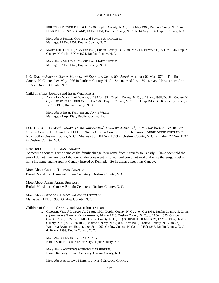v. PHILLIP RAY COTTLE, b. 06 Jul 1920, Duplin County, N. C.; d. 27 May 1960, Duplin County, N. C.; m. EUNICE IRENE STRICKLAND, 18 Dec 1951, Duplin County, N. C.; b. 14 Aug 1914, Duplin County, N. C..

More About PHILLIP COTTLE and EUNICE STRICKLAND: Marriage: 18 Dec 1951, Duplin County, N. C.

vi. MARY LOIS COTTLE, b. 27 Feb 1928, Duplin County, N. C.; m. MARION EDWARDS, 07 Dec 1946, Duplin County, N. C.; b. 15 Nov 1921, Duplin County, N. C..

More About MARION EDWARDS and MARY COTTLE: Marriage: 07 Dec 1946, Duplin County, N. C.

**140.** SALLY<sup>4</sup> JARMAN *(JAMES MIDDLETON*<sup>3</sup>  *KENNEDY, JAMES W.* 2 *, JOHN*<sup>1</sup> *)* was born 02 Mar 1879 in Duplin County, N. C., and died May 1976 in Durham County, N. C.. She married JESSE WILLIAMS. He was born Abt. 1875 in Duplin County, N. C..

Child of SALLY JARMAN and JESSE WILLIAMS is:

i. ANNIE LEE WILLIAMS<sup>5</sup> WELLS, b. 18 Mar 1921, Duplin County, N. C.; d. 28 Aug 1998, Duplin County, N. C.; m. JESSE EARL THIGPEN, 23 Apr 1993, Duplin County, N. C.; b. 03 Sep 1915, Duplin County, N. C.; d. 14 Nov 1995, Duplin County, N. C..

More About JESSE THIGPEN and ANNIE WELLS: Marriage: 23 Apr 1993, Duplin County, N. C.

**141.** GEORGE THOMAS<sup>4</sup> CANADY *(JAMES MIDDLETON*<sup>3</sup>  *KENNEDY, JAMES W.* 2 *, JOHN*<sup>1</sup> *)* was born 29 Feb 1876 in Onslow County, N. C., and died 11 Feb 1942 in Onslow County, N. C.. He married ANNIE ADDIE BRITTAIN 21 Nov 1900 in Onslow County, N. C.. She was born 04 Nov 1879 in Onslow County, N. C., and died 27 Nov 1932 in Onslow County, N. C..

Notes for GEORGE THOMAS CANADY:

 Sometime about this time some of the family change their name from Kennedy to Canady. I have been told the story I do not have any proof that one of the boys went of to war and could not read and write the Sergant asked hime his name and he spell it Canady instead of Kennedy. So he always keep it as Canady.

More About GEORGE THOMAS CANADY: Burial: Marshburn Canady-Brittain Cemetery, Onslow County, N. C.

More About ANNIE ADDIE BRITTAIN: Burial: Marshburn Canady-Brittain Cemetery, Onslow County, N. C.

More About GEORGE CANADY and ANNIE BRITTAIN: Marriage: 21 Nov 1900, Onslow County, N. C.

Children of GEORGE CANADY and ANNIE BRITTAIN are:

i. CLAUDIE VERA<sup>5</sup> CANADY, b. 22 Aug 1901, Duplin County, N. C.; d. 04 Oct 1993, Duplin County, N. C.; m. (1) ANDREWS GIBBONS MARSHBURN, 24 Mar 1918, Onslow County, N. C.; b. 12 Jun 1895, Onslow County, N. C.; d. 24 Jan 1920, Onslow County, N. C.; m. (2) HUGH H. HUMPHREY, 17 May 1936, Onslow County, N. C.; b. 12 Jun 1895, Onslow County, N. C.; d. 05 Nov 1960, Onslow County, N. C.; m. (3) WILLIAM BARTLEY HUNTER, 04 Sep 1962, Onslow County, N. C.; b. 19 Feb 1897, Duplin County, N. C.; d. 20 Mar 1993, Duplin County, N. C.

More About CLAUDIE VERA CANADY: Burial: Sand Hill Church Cemetery, Duplin County, N. C.

More About ANDREWS GIBBONS MARSHBURN: Burial: Kennedy Brittain Cemetery, Onslow County, N. C.

More About ANDREWS MARSHBURN and CLAUDIE CANADY: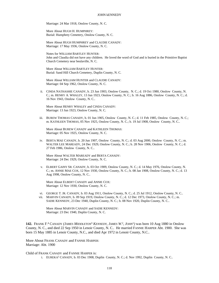Marriage: 24 Mar 1918, Onslow County, N. C.

More About HUGH H. HUMPHREY: Burial: Humphrey Cemetery, Onslow County, N. C.

More About HUGH HUMPHREY and CLAUDIE CANADY: Marriage: 17 May 1936, Onslow County, N. C.

Notes for WILLIAM BARTLEY HUNTER: John and Claudia did not have any children. He loved the word of God and is buried in the Primitive Baptist Church Cemetery near beulaville, N. C.

More About WILLIAM BARTLEY HUNTER: Burial: Sand Hill Church Cemetery, Duplin County, N. C.

More About WILLIAM HUNTER and CLAUDIE CANADY: Marriage: 04 Sep 1962, Onslow County, N. C.

ii. CINDA NATHASHIE CANADY, b. 23 Jun 1903, Onslow County, N. C.; d. 19 Oct 1980, Onslow County, N. C.; m. HENRY A. WHALEY, 13 Jun 1923, Onslow County, N. C.; b. 16 Aug 1886, Onslow County, N. C.; d. 16 Nov 1943, Onslow County, N. C..

More About HENRY WHALEY and CINDA CANADY: Marriage: 13 Jun 1923, Onslow County, N. C.

iii. BUREW THOMAS CANADY, b. 01 Jun 1905, Onslow County, N. C.; d. 11 Feb 1985, Onslow County, N. C.; m. KATHLEEN THOMAS, 05 Nov 1925, Onslow County, N. C.; b. 19 Jul 1908, Onslow County, N. C..

More About BUREW CANADY and KATHLEEN THOMAS: Marriage: 05 Nov 1925, Onslow County, N. C.

iv. BERTA MAE CANADY, b. 20 Jun 1907, Onslow County, N. C.; d. 03 Aug 2000, Onslow County, N. C.; m. WALTER LEE MAREADY, 24 Dec 1929, Onslow County, N. C.; b. 28 Nov 1906, Onslow County, N. C.; d. 27 Feb 1986, Onslow County, N. C..

More About WALTER MAREADY and BERTA CANADY: Marriage: 24 Dec 1929, Onslow County, N. C.

v. ELBERT GAINY SR. CANADY, b. 03 Oct 1909, Onslow County, N. C.; d. 14 May 1976, Onslow County, N. C.; m. ANNIE MAE COX, 12 Nov 1930, Onslow County, N. C.; b. 08 Jan 1908, Onslow County, N. C.; d. 13 Aug 1998, Onslow County, N. C..

More About ELBERT CANADY and ANNIE COX: Marriage: 12 Nov 1930, Onslow County, N. C.

- vi. GEORGE T. JR. CANADY, b. 03 Aug 1911, Onslow County, N. C.; d. 25 Jul 1912, Onslow County, N. C..
- vii. MARVIN CANADY, b. 09 Sep 1919, Onslow County, N. C.; d. 12 Dec 1973, Onslow County, N. C.; m. SADIE KENNEDY, 23 Dec 1940, Duplin County, N. C.; b. 08 Nov 1920, Duplin County, N. C..

More About MARVIN CANADY and SADIE KENNEDY: Marriage: 23 Dec 1940, Duplin County, N. C.

**142.** FRANK F. 4 CANADY *(JAMES MIDDLETON*<sup>3</sup>  *KENNEDY, JAMES W.* 2 *, JOHN*<sup>1</sup> *)* was born 10 Aug 1880 in Onslow County, N. C., and died 22 Sep 1950 in Lenoir County, N. C.. He married FANNIE HARPER Abt. 1900. She was born 15 May 1885 in Lenoir County, N.C., and died Apr 1972 in Lenoir County, N.C..

More About FRANK CANADY and FANNIE HARPER: Marriage: Abt. 1900

Child of FRANK CANADY and FANNIE HARPER is:

i. EUREKA<sup>5</sup> CANADY, b. 03 Dec 1908, Duplin County, N. C.; d. Nov 1992, Duplin County, N. C..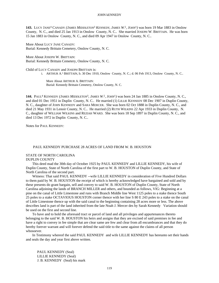**143.** LUCY JANE<sup>4</sup> CANADY *(JAMES MIDDLETON*<sup>3</sup>  *KENNEDY, JAMES W.* 2 *, JOHN*<sup>1</sup> *)* was born 19 Mar 1883 in Onslow County, N. C., and died 25 Jan 1913 in Onslow County, N. C.. She married JOSEPH W. BRITTAIN. He was born 15 Jan 1883 in Onslow County, N. C., and died 09 Apr 1947 in Onslow County, N. C..

More About LUCY JANE CANADY: Burial: Kennedy Brittain Cemetery, Onslow County, N. C.

More About JOSEPH W. BRITTAIN: Burial: Kennedy Brittain Cemetery, Onslow County, N. C.

Child of LUCY CANADY and JOSEPH BRITTAIN is:

i. ARTHUR A. 5 BRITTAIN, b. 30 Dec 1910, Onslow County, N. C.; d. 06 Feb 1913, Onslow County, N. C..

More About ARTHUR A. BRITTAIN: Burial: Kennedy Brittain Cemetery, Onslow County, N. C.

144. PAUL<sup>4</sup> KENNEDY (*JAMES MIDDLETON*<sup>3</sup>, *JAMES W.*<sup>2</sup>, *JOHN*<sup>1</sup>) was born 24 Jan 1885 in Onslow County, N. C., and died 01 Dec 1951 in Duplin County, N. C.. He married (1) LILLIE KENNEDY 08 Dec 1907 in Duplin County, N. C., daughter of JOHN KENNEDY and SARA MERCER. She was born 02 Oct 1888 in Duplin County, N. C., and died 21 May 1931 in Lenoir County, N. C.. He married (2) RUTH WILKINS 22 Apr 1933 in Duplin County, N. C., daughter of WILLIAM WILKINS and REZIAH WARD. She was born 18 Sep 1897 in Duplin County, N. C., and died 13 Dec 1972 in Duplin County, N. C..

Notes for PAUL KENNEDY:

# PAUL KENNEDY PURCHASE 28 ACRES OF LAND FROM W. B. HOUSTON

# STATE OF NORTH CAROLINA

# DUPLIN COUNTY

This deed mad the 30th day of October 1925 by PAUL KENNEDY and LILLIE KENNEDY, his wife of Duplin County, State of North Carolina of the first part to W. B. HOUSTON of Duplin County, and State of North Carolina of the second part.

Witness: That said PAUL KENNEDY --wife LILLIE KENNEDY in consideration of Five Hundred Dollars to them paid by W. B. HOUSTON the receipt of which is hereby acknowledged have bargained and sold and by these presents do grant bargain, sell and convey to said W. B. HOUSTON of Duplin County, State of North Carolina adjoining the lands of BRANCH MILLER and others, and bounded as follows, VIG: Beginning at a pine on the canal of Little Limestone and runs with Branch Middle line West 1125 poles to a stake thence South 25 poles to a stake OCTAVIOUS HOUSTON corner thence with her line S 80 E 243 poles to a stake on the canal of Little Limestone thence up with the said canal to the beginning containing 28 acres more or less. The above describes land is part of the land inherited from the late Noah J. Mercer des by Sarah Kennedy Variation should be used on the first and second line.

To have and to hold the aforesaid tract or parcel of land and all privileges and appurtenances thereto belonging to the said W. B. HOUSTON his heirs and assigns that they are excised of said premises in fee and have a right to convey in fee simple that are clear same are few and clear from all encumbrances and that they do hereby forever warrant and will forever defend the said title to the same against the claims of all person whosoever.

In Testimony whereof the said PAUL KENNEDY and wife LILLIE KENNEDY has hereunto set their hands and seals the day and year first above written.

PAUL KENNEDY (Seal) LILLIE KENNEDY (Seal) J. B. KENNEDY (Seal) his mark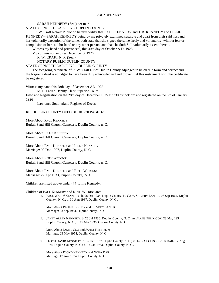# SARAH KENNEDY (Seal) her mark

STATE OF NORTH CAROLINA DUPLIN COUNTY

I R. W. Craft Notary Public do hereby certify that PAUL KENNEDY and J. B. KENNEDY and LILLIE KENNEDY---SARAH KENNEDY being by me privately examined separate and apart from their said husband her voluntarily execution of the same, doth state that she signed the same freely and voluntarily, without fear or compulsion of her said husband or any other person, and that she doth Still voluntarily assent thereto.

Witness my hand and private seal, this 30th day of October A.D. 1925

My commission expires December 3, 1926

R. W. CRAFT N. P. (Seal)

NOTARY PUBLIC DUPLIN COUNTY

## STATE OF NORTH CAROLINA---DUPLIN COUNTY

The foregoing certificate of R. W. Craft NP of Duplin County adjudged to be on due form and correct and the forgoing deed is adjudged to have been duly acknowledged and proven Let this instrument with the certificate be registered

Witness my hand this 28th day of December AD 1925

M. L. Farren Deputy Clerk Superior Court

Filed and Registration on the 28th day of December 1925 at 5:30 o'clock pm and registered on the 5th of January 1926

Lawrence Southerland Register of Deeds

# RE; DUPLIN COUNTY DEED BOOK 270 PAGE 320

More About PAUL KENNEDY: Burial: Sand Hill Church Cemetery, Duplin County, n. C.

More About LILLIE KENNEDY: Burial: Sand Hill Church Cemetery, Duplin County, n. C.

More About PAUL KENNEDY and LILLIE KENNEDY: Marriage: 08 Dec 1907, Duplin County, N. C.

More About RUTH WILKINS: Burial: Sand Hill Church Cemetery, Duplin County, n. C.

More About PAUL KENNEDY and RUTH WILKINS: Marriage: 22 Apr 1933, Duplin County, N. C.

Children are listed above under (74) Lillie Kennedy.

Children of PAUL KENNEDY and RUTH WILKINS are:

i. PAUL WARD<sup>5</sup> KENNEDY, b. 08 Oct 1934, Duplin County, N. C.; m. SILVERY LANIER, 03 Sep 1964, Duplin County, N. C.; b. 30 Aug 1937, Duplin County, N. C..

More About PAUL KENNEDY and SILVERY LANIER: Marriage: 03 Sep 1964, Duplin County, N. C.

ii. JANET ALEEN KENNEDY, b. 26 Jul 1936, Duplin County, N. C.; m. JAMES FELIX COX, 23 May 1954, Duplin County, N. C.; b. 17 Mar 1936, Onslow County, N. C..

More About JAMES COX and JANET KENNEDY: Marriage: 23 May 1954, Duplin County, N. C.

iii. FLOYD DAVID KENNEDY, b. 05 Oct 1937, Duplin County, N. C.; m. NORA LOUISE JONES DAIL, 17 Aug 1974, Duplin County, N. C.; b. 14 Jan 1933, Duplin County, N. C..

More About FLOYD KENNEDY and NORA DAIL: Marriage: 17 Aug 1974, Duplin County, N. C.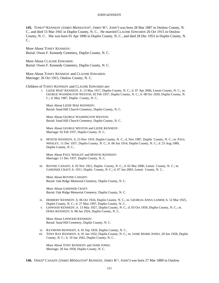**145.** TONEY<sup>4</sup> KENNEDY *(JAMES MIDDLETON*<sup>3</sup> *, JAMES W.* 2 *, JOHN*<sup>1</sup> *)* was born 28 Mar 1887 in Onslow County, N. C., and died 15 Mar 1941 in Duplin County, N. C.. He married CLAUDIE EDWARDS 26 Oct 1915 in Onslow County, N. C.. She was born 01 Apr 1896 in Duplin County, N. C., and died 28 Dec 1953 in Duplin County, N. C..

More About TONEY KENNEDY: Burial: Owen F. Kennedy Cemetery, Duplin County, N. C.

More About CLAUDIE EDWARDS: Burial: Owen F. Kennedy Cemetery, Duplin County, N. C.

More About TONEY KENNEDY and CLAUDIE EDWARDS: Marriage: 26 Oct 1915, Onslow County, N. C.

Children of TONEY KENNEDY and CLAUDIE EDWARDS are:

i. LIZZIE MAE<sup>5</sup> KENNEDY, b. 13 May 1917, Duplin County, N. C.; d. 07 Apr 2006, Lenoir County, N. C.; m. GEORGE WASHINGTON WESTON, 02 Feb 1937, Duplin County, N. C.; b. 08 Oct 1920, Duplin County, N. C.; d. May 1987, Duplin County, N. C..

More About LIZZIE MAE KENNEDY: Burial: Sand Hill Church Cemetery, Duplin County, N. C.

More About GEORGE WASHINGTON WESTON: Burial: Sand Hill Church Cemetery, Duplin County, N. C.

More About GEORGE WESTON and LIZZIE KENNEDY: Marriage: 02 Feb 1937, Duplin County, N. C.

ii. MYRTIE KENNEDY, b. 23 Nov 1919, Duplin County, N. C.; d. Nov 1987, Duplin County, N. C.; m. PAUL WHALEY, 11 Dec 1937, Duplin County, N. C.; b. 06 Jun 1914, Duplin County, N. C.; d. 25 Aug 1989, Duplin County, N. C..

More About PAUL WHALEY and MYRTIE KENNEDY: Marriage: 11 Dec 1937, Duplin County, N. C.

iii. ROVINE CANADY, b. 02 Nov 1921, Duplin County, N. C.; d. 02 Mar 2000, Lenoir County, N. C.; m. GARDNER CRAFT; b. 1911, Duplin County, N. C.; d. 07 Jun 2003, Lenoir County, N. C..

More About ROVINE CANADY: Burial: Oak Ridge Memorial Cemetery, Duplin County, N. C.

More About GARDNER CRAFT: Burial: Oak Ridge Memorial Cemetery, Duplin County, N. C.

- iv. HERBERT KENNEDY, b. 06 Oct 1924, Duplin County, N. C.; m. GEORGIA ANNA LANIER; b. 12 Mar 1925, Duplin County, N. C.; d. 27 May 1997, Duplin County, N. C..
- v. LINWOOD KENNEDY, b. 13 May 1927, Duplin County, N. C.; d. 03 Oct 1959, Duplin County, N. C.; m. DORA KENNEDY; b. 08 Jan 1924, Duplin County, N. C..

More About LINWOOD KENNEDY: Burial: Sand Hill Cemetery, Duplin County, N. C.

- vi. RAYMOND KENNEDY, b. 01 Sep 1929, Duplin County, N. C..
- vii. TONY RAY KENNEDY, b. 01 Jan 1932, Duplin County, N. C.; m. JANIE MARIE JONES, 20 Jun 1958, Duplin County, N. C.; b. 10 Jan 1942, Duplin County, N. C..

More About TONY KENNEDY and JANIE JONES: Marriage: 20 Jun 1958, Duplin County, N. C.

**146.** OWEN<sup>4</sup> CANADY *(JAMES MIDDLETON*<sup>3</sup>  *KENNEDY, JAMES W.* 2 *, JOHN*<sup>1</sup> *)* was born 27 Mar 1889 in Onslow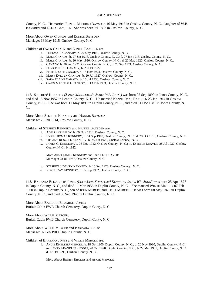County, N. C.. He married EUNICE MILDRED BAYSDEN 16 May 1915 in Onslow County, N. C., daughter of W.B. BAYSDEN and DELLA BAYSDEN. She was born Jul 1893 in Onslow County, N. C..

More About OWEN CANADY and EUNICE BAYSDEN: Marriage: 16 May 1915, Onslow County, N. C.

Children of OWEN CANADY and EUNICE BAYSDEN are:

- i. THELMA  $T^5$  CANADY, b. 29 May 1916, Onslow County, N. C..
- ii. MALE CANADY, b. 27 Jan 1918, Onslow County, N. C.; d. 27 Jan 1918, Onslow County, N. C..
- iii. MALE CANADY, b. 20 May 1920, Onslow County, N. C.; d. 20 May 1920, Onslow County, N. C..
- iv. CANADY, b. 20 Sep 1921, Onslow County, N. C.; d. 20 Sep 1921, Onslow County, N. C..
- v. EUNICE IRENE CANADY, b. 23 Oct 1922.
- vi. EFFIE LOUISE CANADY, b. 16 Nov 1924, Onslow County, N. C..
- vii. MARY EVELYN CANADY, b. 20 Jul 1927, Onslow County, N. C..
- viii. SARA ELAINE CANADY, b. 16 Jul 1930, Onslow County, N. C..
- ix. OWEN MARSHALL CANADY, b. 13 Feb 1933, Onslow County, N. C..

**147.** STEPHEN<sup>4</sup> KENNEDY *(JAMES MIDDLETON*<sup>3</sup> *, JAMES W.* 2 *, JOHN*<sup>1</sup> *)* was born 05 Sep 1890 in Jones County, N. C., and died 15 Nov 1957 in Lenoir County, N. C.. He married NANNIE MAE BAYSDEN 23 Jan 1914 in Onslow County, N. C.. She was born 11 May 1899 in Duplin County, N. C., and died 01 Dec 1981 in Jones County, N. C..

More About STEPHEN KENNEDY and NANNIE BAYSDEN: Marriage: 23 Jan 1914, Onslow County, N. C.

Children of STEPHEN KENNEDY and NANNIE BAYSDEN are:

- i. ADELL<sup>5</sup> KENNEDY, b. 09 Nov 1914, Onslow County, N. C..
- ii. BYRE THOMAS KENNEDY, b. 14 Sep 1918, Onslow County, N. C.; d. 29 Oct 1918, Onslow County, N. C..
- iii. TIFFANY ROSZELL KENNEDY, b. 25 Jun 1920, Onslow County, N. C..
- iv. JAMES C. KENNEDY, b. 06 Nov 1922, Onslow County, N. C.; m. ESTELLE DEAVER, 28 Jul 1937, Onslow County, N. C.; b. 1922.

More About JAMES KENNEDY and ESTELLE DEAVER: Marriage: 28 Jul 1937, Onslow County, N. C.

- v. STEPHEN SIDBURY KENNEDY, b. 15 Sep 1925, Onslow County, N. C..
- vi. VIRGIL RAY KENNEDY, b. 05 Sep 1932, Onslow County, N. C..

**148.** BARBARA ELIZABETH<sup>4</sup> JONES *(LUCY JANE KORNEGAY*<sup>3</sup>  *KENNEDY, JAMES W.* 2 *, JOHN*<sup>1</sup> *)* was born 25 Apr 1877 in Duplin County, N. C., and died 11 Mar 1956 in Duplin County, N. C.. She married WILLIE MERCER 07 Feb 1900 in Duplin County, N. C., son of JOHN MERCER and CELIA MERCER. He was born 08 May 1875 in Duplin County, N. C., and died 06 Sep 1945 in Duplin County, N. C..

More About BARBARA ELIZABETH JONES: Burial: Cabin FWB Church Cemetery, Duplin Conty, N. C.

More About WILLIE MERCER: Burial: Cabin FWB Church Cemetery, Duplin Conty, N. C.

More About WILLIE MERCER and BARBARA JONES: Marriage: 07 Feb 1900, Duplin County, N. C.

Children of BARBARA JONES and WILLIE MERCER are:

i. ANGIE EMELINE<sup>5</sup> MERCER, b. 18 Oct 1900, Duplin County, N. C.; d. 20 Nov 1980, Duplin County, N. C.; m. HENRY FRANKLIN RHODES, 20 Oct 1920, Duplin County, N. C.; b. 22 Mar 1901, Duplin County, N. C.; d. 17 Oct 1998, Durham County, N. C..

More About HENRY RHODES and ANGIE MERCER: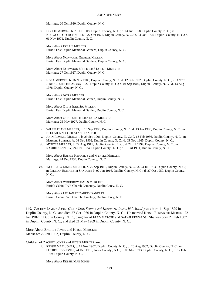Marriage: 20 Oct 1920, Duplin County, N. C.

ii. DOLLIE MERCER, b. 21 Jul 1908, Duplin County, N. C.; d. 14 Jun 1958, Duplin County, N. C.; m. NORWOOD GEORGE MILLER, 27 Oct 1927, Duplin County, N. C.; b. 04 Oct 1904, Duplin County, N. C.; d. 01 Nov 1971, Duplin County, N. C..

More About DOLLIE MERCER: Burial: East Duplin Memorial Gardens, Duplin County, N. C.

More About NORWOOD GEORGE MILLER: Burial: East Duplin Memorial Gardens, Duplin County, N. C.

More About NORWOOD MILLER and DOLLIE MERCER: Marriage: 27 Oct 1927, Duplin County, N. C.

iii. NORA MERCER, b. 16 Nov 1903, Duplin County, N. C.; d. 12 Feb 1992, Duplin County, N. C.; m. OTTIS JERE SR. MILLER, 25 May 1927, Duplin County, N. C.; b. 04 Sep 1902, Duplin County, N. C.; d. 13 Aug 1978, Duplin County, N. C..

More About NORA MERCER: Burial: East Duplin Memorial Garden, Duplin County, N. C.

More About OTTIS JERE SR. MILLER: Burial: East Duplin Memorial Garden, Duplin County, N. C.

More About OTTIS MILLER and NORA MERCER: Marriage: 25 May 1927, Duplin County, N. C.

- iv. WILLIE FLAVE MERCER, b. 15 Sep 1905, Duplin County, N. C.; d. 13 Jan 1993, Duplin County, N. C.; m. BEULAH LINDOLPH STANCIL; b. 1905.
- v. JOHN ROMMIE MERCER, b. 29 Sep 1906, Duplin County, N. C.; d. 18 Feb 1986, Duplin County, N. C.; m. MARGIE SUMNER; b. 04 Dec 1902, Duplin County, N. C.; d. 05 Nov 1965, Duplin County, N. C..
- vi. MYRTLE MERCER, b. 27 Aug 1911, Duplin County, N. C.; d. 27 Jul 1994, Duplin County, N. C.; m. RASHIE KENNEDY, 24 Dec 1934, Duplin County, N. C.; b. 15 Jul 1911, Duplin County, N. C..

More About RASHIE KENNEDY and MYRTLE MERCER: Marriage: 24 Dec 1934, Duplin County, N. C.

vii. WOODROW JAMES MERCER, b. 29 Sep 1916, Duplin County, N. C.; d. 24 Jul 1963, Duplin County, N. C.; m. LILLIAN ELIZABETH SANDLIN; b. 07 Jun 1916, Duplin County, N. C.; d. 27 Oct 1950, Duplin County, N. C..

More About WOODROW JAMES MERCER: Burial: Cabin FWB Church Cemetery, Duplin Conty, N. C.

More About LILLIAN ELIZABETH SANDLIN: Burial: Cabin FWB Church Cemetery, Duplin Conty, N. C.

149. ZACHEY JAMES<sup>4</sup> JONES (LUCY JANE KORNEGAY<sup>3</sup> KENNEDY, JAMES W.<sup>2</sup>, JOHN<sup>1</sup>) was born 11 Sep 1879 in Duplin County, N. C., and died 27 Oct 1960 in Duplin County, N. C.. He married KITSIE ELIZABETH MERCER 22 Jan 1902 in Duplin County, N. C., daughter of FRED MERCER and SARAH EDWARDS. She was born 21 Feb 1887 in Duplin County, N. C., and died 21 May 1969 in Duplin County, N. C..

More About ZACHEY JONES and KITSIE MERCER: Marriage: 22 Jan 1902, Duplin County, N. C.

Children of ZACHEY JONES and KITSIE MERCER are:

i. RESSIE MAE<sup>5</sup> JONES, b. 11 Nov 1902, Duplin County, N. C.; d. 28 Aug 1982, Duplin County, N. C.; m. LUTHER EDD JONES, 24 Dec 1919, Jones County , N.C.; b. 05 Mar 1893, Duplin County, N. C.; d. 17 Feb 1959, Duplin County, N. C..

More About RESSIE MAE JONES: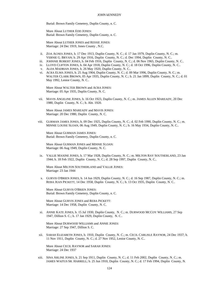Burial: Brown Family Cemetery, Duplin County, n. C.

More About LUTHER EDD JONES: Burial: Brown Family Cemetery, Duplin County, n. C.

More About LUTHER JONES and RESSIE JONES: Marriage: 24 Dec 1919, Jones County , N.C.

- ii. ZOA AGNES JONES, b. 17 Dec 1913, Duplin County, N. C.; d. 17 Jan 1979, Duplin County, N. C.; m. VERNIE G. BRYAN; b. 29 Apr 1916, Duplin County, N. C.; d. Dec 1994, Duplin County, N. C..
- iii. JOHNNIE ROBERT JONES, b. 04 Feb 1916, Duplin County, N. C.; d. 06 Nov 1965, Duplin County, N. C..
- iv. LLOYD CLIFTON JONES, b. 04 Apr 1918, Duplin County, N. C.; d. 18 Oct 1996, Duplin County, N. C..
- v. ALDA MADRIAN JONES, b. 26 May 1920, Duplin County, N. C..
- vi. ACRA ELMA JONES, b. 25 Aug 1904, Duplin County, N. C.; d. 09 Mar 1996, Duplin County, N. C.; m. WALTER CLARK BROWN, 05 Apr 1935, Duplin County, N. C.; b. 21 Jan 1899, Duplin County, N. C.; d. 01 May 1992, Lenior County, N. C..

More About WALTER BROWN and ACRA JONES: Marriage: 05 Apr 1935, Duplin County, N. C.

vii. MAVIS ANGELINE JONES, b. 16 Oct 1923, Duplin County, N. C.; m. JAMES ALLEN MAREADY, 20 Dec 1980, Duplin County, N. C.; b. Abt. 1920.

More About JAMES MAREADY and MAVIS JONES: Marriage: 20 Dec 1980, Duplin County, N. C.

viii. GURMAN JAMES JONES, b. 09 Dec 1925, Duplin County, N. C.; d. 02 Feb 1990, Duplin County, N. C.; m. MINNIE LOUISE SLOAN, 06 Aug 1949, Duplin County, N. C.; b. 16 May 1934, Duplin County, N. C..

More About GURMAN JAMES JONES: Burial: Brown Family Cemetery, Duplin County, n. C.

More About GURMAN JONES and MINNIE SLOAN: Marriage: 06 Aug 1949, Duplin County, N. C.

ix. VALLIE MAXINE JONES, b. 17 Mar 1928, Duplin County, N. C.; m. MILTON RAY SOUTHERLAND, 23 Jan 1944; b. 18 Feb 1922, Duplin County, N. C.; d. 28 Sep 1997, Duplin County, N. C..

More About MILTON SOUTHERLAND and VALLIE JONES: Marriage: 23 Jan 1944

x. GURVIS O'BRIEN JONES, b. 14 Jun 1929, Duplin County, N. C.; d. 16 Sep 1987, Duplin County, N. C.; m. REBA JEAN PICKETT, 14 Dec 1958, Duplin County, N. C.; b. 13 Oct 1935, Duplin County, N. C..

More About GURVIS O'BRIEN JONES: Burial: Brown Family Cemetery, Duplin County, n. C.

More About GURVIS JONES and REBA PICKETT: Marriage: 14 Dec 1958, Duplin County, N. C.

xi. ANNIE KATE JONES, b. 15 Jul 1930, Duplin County, N. C.; m. DURWOOD MCCOY WILLIAMS, 27 Sep 1947, Dillion S. C.; b. 17 Jan 1929, Duplin County, N. C..

More About DURWOOD WILLIAMS and ANNIE JONES: Marriage: 27 Sep 1947, Dillion S. C.

xii. SARAH ELIZABETH JONES, b. 1910, Duplin County, N. C.; m. CECIL CARLISLE RAYNOR, 24 Dec 1937; b. 11 Nov 1911, Duplin County, N. C.; d. 27 Nov 1952, Lenior County, N. C..

More About CECIL RAYNOR and SARAH JONES: Marriage: 24 Dec 1937

xiii. SINA ARLINE JONES, b. 21 Sep 1911, Duplin County, N. C.; d. 11 Feb 2002, Duplin County, N. C.; m. JAMES WAITUS SR. HARRELL; b. 25 Jun 1910, Duplin County, N. C.; d. 17 Feb 1994, Duplin County, N.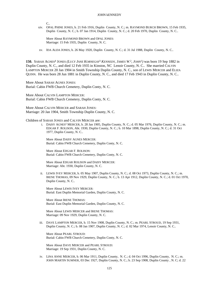$C_{\cdot}$ 

xiv. OPAL PHINE JONES, b. 21 Feb 1916, Duplin County, N. C.; m. RAYMOND BURCH BROWN, 15 Feb 1935, Duplin County, N. C.; b. 07 Jan 1914, Duplin County, N. C.; d. 20 Feb 1970, Duplin County, N. C..

More About RAYMOND BROWN and OPAL JONES: Marriage: 15 Feb 1935, Duplin County, N. C.

xv. IDA ALDA JONES, b. 26 May 1920, Duplin County, N. C.; d. 31 Jul 1988, Duplin County, N. C..

**150.** SARAH AGNES<sup>4</sup> JONES *(LUCY JANE KORNEGAY*<sup>3</sup>  *KENNEDY, JAMES W.* 2 *, JOHN*<sup>1</sup> *)* was born 19 Sep 1882 in Duplin County, N. C., and died 12 Feb 1935 in Kinston, NC Lenoir County, N. C.. She married CALVIN LAMPTON MERCER 20 Jan 1904 in Smith Township Duplin County, N. C., son of LEWIS MERCER and ELIZA QUINN. He was born 28 Jun 1881 in Duplin County, N. C., and died 17 Feb 1943 in Duplin County, N. C..

More About SARAH AGNES JONES: Burial: Cabin FWB Church Cemetery, Duplin Conty, N. C.

More About CALVIN LAMPTON MERCER: Burial: Cabin FWB Church Cemetery, Duplin Conty, N. C.

More About CALVIN MERCER and SARAH JONES: Marriage: 20 Jan 1904, Smith Township Duplin County, N. C.

Children of SARAH JONES and CALVIN MERCER are:

i. DAISY AGNES<sup>5</sup> MERCER, b. 28 Jan 1905, Duplin County, N. C.; d. 05 Mar 1976, Duplin County, N. C.; m. EDGAR F. ROLISON, Abt. 1930, Duplin County, N. C.; b. 10 Mar 1898, Duplin County, N. C.; d. 31 Oct 1977, Duplin County, N. C..

More About DAISY AGNES MERCER: Burial: Cabin FWB Church Cemetery, Duplin Conty, N. C.

More About EDGAR F. ROLISON: Burial: Cabin FWB Church Cemetery, Duplin Conty, N. C.

More About EDGAR ROLISON and DAISY MERCER: Marriage: Abt. 1930, Duplin County, N. C.

ii. LEWIS IVEY MERCER, b. 05 May 1907, Duplin County, N. C.; d. 08 Oct 1973, Duplin County, N. C.; m. IRENE THOMAS, 09 Nov 1929, Duplin County, N. C.; b. 13 Apr 1912, Duplin County, N. C.; d. 01 Oct 1970, Duplin County, N. C..

More About LEWIS IVEY MERCER: Burial: East Duplin Memorial Garden, Duplin County, N. C.

More About IRENE THOMAS: Burial: East Duplin Memorial Garden, Duplin County, N. C.

More About LEWIS MERCER and IRENE THOMAS: Marriage: 09 Nov 1929, Duplin County, N. C.

iii. DAVE LAMPTON MERCER, b. 15 Nov 1908, Duplin County, N. C.; m. PEARL STROUD, 19 Sep 1931, Duplin County, N. C.; b. 08 Jan 1907, Duplin County, N. C.; d. 02 Mar 1974, Lenoir County, N. C..

More About PEARL STROUD: Burial: Cabin FWB Church Cemetery, Duplin Conty, N. C.

More About DAVE MERCER and PEARL STROUD: Marriage: 19 Sep 1931, Duplin County, N. C.

iv. LINA ANNE MERCER, b. 06 Mar 1911, Duplin County, N. C.; d. 04 Oct 1996, Duplin County, N. C.; m. JOHN MARTIN SUMNER, 03 Dec 1927, Duplin County, N. C.; b. 23 Sep 1908, Duplin County , N. C; d. 22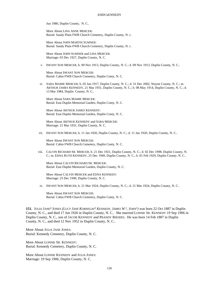Jun 1980, Duplin County, N. C..

More About LINA ANNE MERCER: Burial: Sandy Plain FWB Church Cemetery, Duplin County, N. c.

More About JOHN MARTIN SUMNER: Burial: Sandy Plain FWB Church Cemetery, Duplin County, N. c.

More About JOHN SUMNER and LINA MERCER: Marriage: 03 Dec 1927, Duplin County, N. C.

v. INFANT SON MERCER, b. 09 Nov 1913, Duplin County, N. C.; d. 09 Nov 1913, Duplin County, N. C..

More About INFANT SON MERCER: Burial: Cabin FWB Church Cemetery, Duplin Conty, N. C.

vi. SARA MAMIE MERCER, b. 05 Jun 1917, Duplin County, N. C.; d. 31 Dec 2002, Wayne County, N. C.; m. ARTHUR JAMES KENNEDY, 21 Mar 1931, Duplin County, N. C.; b. 08 May 1914, Duplin County, N. C.; d. 13 Mar 1984, Duplin County, N. C..

More About SARA MAMIE MERCER: Burial: East Duplin Memorial Garden, Duplin Conty, N. C.

More About ARTHUR JAMES KENNEDY: Burial: East Duplin Memorial Garden, Duplin Conty, N. C.

More About ARTHUR KENNEDY and SARA MERCER: Marriage: 21 Mar 1931, Duplin County, N. C.

vii. INFANT SON MERCER, b. 11 Jan 1920, Duplin County, N. C.; d. 11 Jan 1920, Duplin County, N. C..

More About INFANT SON MERCER: Burial: Cabin FWB Church Cemetery, Duplin Conty, N. C.

viii. CALVIN RICHARD SR. MERCER, b. 21 Dec 1921, Duplin County, N. C.; d. 02 Dec 1998, Duplin County, N. C.; m. EDNA RUTH KENNEDY, 25 Dec 1949, Duplin County, N. C.; b. 01 Feb 1929, Duplin County, N. C..

More About CALVIN RICHARD SR. MERCER: Burial: East Duplin Memorial Garden, Duplin County, N. C.

More About CALVIN MERCER and EDNA KENNEDY: Marriage: 25 Dec 1949, Duplin County, N. C.

ix. INFANT SON MERCER, b. 21 Mar 1924, Duplin County, N. C.; d. 21 Mar 1924, Duplin County, N. C..

More About INFANT SON MERCER: Burial: Cabin FWB Church Cemetery, Duplin Conty, N. C.

**151.** JULIA JANE<sup>4</sup> JONES *(LUCY JANE KORNEGAY*<sup>3</sup>  *KENNEDY, JAMES W.* 2 *, JOHN*<sup>1</sup> *)* was born 22 Oct 1887 in Duplin County, N. C., and died 17 Jun 1926 in Duplin County, N. C.. She married LONNIE SR. KENNEDY 19 Sep 1906 in Duplin County, N. C., son of JACOB KENNEDY and PRANDY RHODES. He was born 14 Feb 1887 in Duplin County, N. C., and died 12 Nov 1952 in Duplin County, N. C..

More About JULIA JANE JONES: Burial: Kennedy Cemetery, Duplin County, N. C.

More About LONNIE SR. KENNEDY: Burial: Kennedy Cemetery, Duplin County, N. C.

More About LONNIE KENNEDY and JULIA JONES: Marriage: 19 Sep 1906, Duplin County, N. C.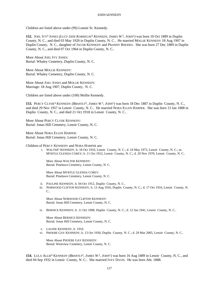Children are listed above under (99) Lonnie Sr. Kennedy.

**152.** JOEL IVY<sup>4</sup> JONES *(LUCY JANE KORNEGAY*<sup>3</sup>  *KENNEDY, JAMES W.* 2 *, JOHN*<sup>1</sup> *)* was born 10 Oct 1889 in Duplin County, N. C., and died 03 May 1920 in Duplin County, N. C.. He married MOLLIE KENNEDY 18 Aug 1907 in Duplin County, N. C., daughter of JACOB KENNEDY and PRANDY RHODES. She was born 27 Dec 1889 in Duplin County, N. C., and died 07 Oct 1964 in Duplin County, N. C..

More About JOEL IVY JONES: Burial: Whaley Cemetery, Duplin County, N. C.

More About MOLLIE KENNEDY: Burial: Whaley Cemetery, Duplin County, N. C.

More About JOEL JONES and MOLLIE KENNEDY: Marriage: 18 Aug 1907, Duplin County, N. C.

Children are listed above under (100) Mollie Kennedy.

**153.** PERCY CLYDE<sup>4</sup> KENNEDY *(BRANTLY*<sup>3</sup>, *JAMES W*.<sup>2</sup>, *JOHN*<sup>1</sup>) was born 18 Dec 1887 in Duplin County, N. C., and died 29 Nov 1957 in Lenoir County, N. C.. He married NORA ELLEN HARPER. She was born 13 Jan 1888 in Duplin County, N. C., and died 21 Oct 1918 in Lenoir County, N. C..

More About PERCY CLYDE KENNEDY: Burial: Jonas Hill Cemetery, Lenoir County, N. C.

More About NORA ELLEN HARPER: Burial: Jonas Hill Cemetery, Lenoir County, N. C.

Children of PERCY KENNEDY and NORA HARPER are:

i. WALTER<sup>5</sup> KENNEDY, b. 18 Oct 1910, Lenoir County, N. C.; d. 24 May 1973, Lenoir County, N. C.; m. MYRTLE GLENDA COREY; b. 11 Oct 1912, Lenoir County, N. C.; d. 20 Nov 1970, Lenoir County, N. C..

More About WALTER KENNEDY: Burial: Pinelawn Cemetery, Lenoir County, N. C.

More About MYRTLE GLENDA COREY: Burial: Pinelawn Cemetery, Lenoir County, N. C.

- ii. PAULINE KENNEDY, b. 04 Oct 1912, Duplin County, N. C..
- iii. NORWOOD CLIFTON KENNEDY, b. 13 Aug 1916, Duplin County, N. C.; d. 17 Oct 1916, Lenoir County, N.  $C_{\cdot}$

More About NORWOOD CLIFTON KENNEDY: Burial: Jonas Hill Cemetery, Lenoir County, N. C.

iv. BERNICE KENNEDY, b. 11 Oct 1908, Duplin County, N. C.; d. 12 Jun 1941, Lenoir County, N. C..

More About BERNICE KENNEDY: Burial: Jonas Hill Cemetery, Lenoir County, N. C.

- v. LAUINE KENNEDY, b. 1910.
- vi. PHOEBE GAY KENNEDY, b. 13 Oct 1930, Duplin County, N. C.; d. 29 Mar 2005, Lenoir County, N. C..

More About PHOEBE GAY KENNEDY: Burial: Westview Cemetery, Lenoir County, N. C.

**154.** LULA ALLIE<sup>4</sup> KENNEDY (*BRANTLY*<sup>3</sup>, *JAMES W*.<sup>2</sup>, *JOHN*<sup>1</sup>) was born 16 Aug 1889 in Lenoir County, N. C., and died 04 Sep 1932 in Lenoir County, N. C.. She married IVEY DAVIS. He was born Abt. 1888.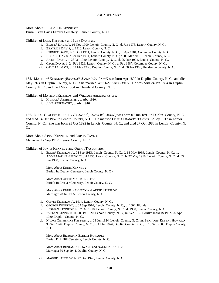More About LULA ALLIE KENNEDY: Burial: Ivey Davis Family Cemetery, Lenoir County, N. C.

Children of LULA KENNEDY and IVEY DAVIS are:

- i. BLAND<sup>5</sup> DAVIS, b. 16 Nov 1909, Lenoir County, N. C.; d. Jun 1978, Lenoir County, N. C..
- ii. BEATRICE DAVIS, b. 1910, Lenoir County, N. C..
- iii. BERNICE DAVIS, b. 13 Oct 1911, Lenoir County, N. C.; d. Apr 1981, Columbus County, N. C..
- iv. HORACE DAVIS, b. 29 Dec 1914, Lenoir County, N. C.; d. 09 Mar 2001, Lenoir County, N. C..
- v. JOSEPH DAVIS, b. 28 Jan 1920, Lenoir County, N. C.; d. 05 Dec 1992, Lenoir County, N. C..
- vi. CECIL DAVIS, b. 24 Feb 1929, Lenoir County, N. C.; d. Feb 1987, Columbus County, N. C..
- vii. ORVILLE DAVIS, b. 24 May 1933, Duplin County, N. C.; d. 30 Jan 1986, Henderson county, N. C..

**155.** MATILDA<sup>4</sup> KENNEDY (*BRANTLY*<sup>3</sup>, *JAMES W*.<sup>2</sup>, *JOHN*<sup>1</sup>) was born Apr 1890 in Duplin County, N. C., and died May 1974 in Duplin County, N. C.. She married WILLIAM ABERNATHY. He was born 24 Jan 1894 in Duplin County, N. C., and died May 1964 in Cleveland County, N. C..

Children of MATILDA KENNEDY and WILLIAM ABERNATHY are:

- i. HAROLD<sup>5</sup> ABERNATHY, b. Abt. 1910.
- ii. JUNE ABERNATHY, b. Abt. 1910.

**156.** JONAS CLAUDE<sup>4</sup> KENNEDY (*BRANTLY*<sup>3</sup>, *JAMES W*.<sup>2</sup>, *JOHN*<sup>1</sup>) was born 07 Jun 1891 in Duplin County, N. C., and died 14 Oct 1957 in Lenoir County, N. C.. He married ORPHA FRANCES TAYLOR 12 Sep 1912 in Lenior County, N. C.. She was born 25 Oct 1892 in Lenoir County, N. C., and died 27 Oct 1983 in Lenoir County, N. C..

More About JONAS KENNEDY and ORPHA TAYLOR: Marriage: 12 Sep 1912, Lenior County, N. C.

Children of JONAS KENNEDY and ORPHA TAYLOR are:

i. EDDIE<sup>5</sup> KENNEDY, b. 04 Sep 1913, Lenoir County, N. C.; d. 14 May 1989, Lenoir County, N. C.; m. ADDIE MAE KENNEDY, 28 Jul 1935, Lenoir County, N. C.; b. 27 May 1918, Lenoir County, N. C.; d. 03 Jun 1998, Lenoir County, N. C..

More About EDDIE KENNEDY: Burial: Ira Deaver Cemetery, Lenoir County, N. C>

More About ADDIE MAE KENNEDY: Burial: Ira Deaver Cemetery, Lenoir County, N. C.

More About EDDIE KENNEDY and ADDIE KENNEDY: Marriage: 28 Jul 1935, Lenoir County, N. C.

- ii. OLIVIA KENNEDY, b. 1914, Lenoir County, N. C..
- iii. GEORGE KENNEDY, b. 03 Sep 1916, Lenoir County, N. C.; d. 2002, Florida.
- iv. HERMAN KENNEDY, b. 07 Oct 1918, Lenoir County, N. C.; d. 1960, Lenoir County, N. C..
- v. EVELYN KENNEDY, b. 08 Oct 1920, Lenoir County, N. C.; m. WALTER LARRY HARDISON; b. 26 Apr 1930, Duplin County, N. C..
- vi. NAOMI CATHERINE KENNEDY, b. 23 Jun 1924, Lenoir County, N. C.; m. BENJAMIN ELBERT HOWARD, 30 Sep 1944, Duplin County, N. C.; b. 11 Jul 1926, Duplin County, N. C.; d. 13 Sep 2000, Duplin County, N. C..

More About BENJAMIN ELBERT HOWARD: Burial: Pink Hill Cemetery, Lenoir County, N. C.

More About BENJAMIN HOWARD and NAOMI KENNEDY: Marriage: 30 Sep 1944, Duplin County, N. C.

vii. MAGGIE KENNEDY, b. 22 Dec 1926, Lenoir County, N. C..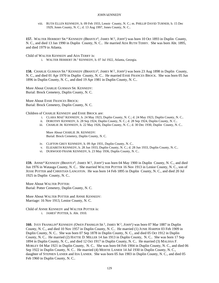viii. RUTH ELLEN KENNEDY, b. 09 Feb 1933, Lenoir County, N. C.; m. PHILLIP DAVID TURNER; b. 15 Dec 1929, Jones County, N. C.; d. 13 Aug 1997, Jones County, N. C..

**157.** WALTER HERBERT SR.<sup>4</sup> KENNEDY (BRANTLY<sup>3</sup>, JAMES W.<sup>2</sup>, JOHN<sup>1</sup>) was born 10 Oct 1893 in Duplin County, N. C., and died 13 Jan 1990 in Duplin County, N. C.. He married ADA RUTH TERRY. She was born Abt. 1895, and died 1979 in Atlanta.

Child of WALTER KENNEDY and ADA TERRY is:

i. WALTER HERBERT JR.<sup>5</sup> KENNEDY, b. 07 Jul 1922, Atlanta, Georgia.

158. CHARLIE GURMAN SR.<sup>4</sup> KENNEDY (*BRANTLY*<sup>3</sup>, *JAMES W*.<sup>2</sup>, *JOHN*<sup>1</sup>) was born 23 Aug 1898 in Duplin County, N. C., and died 01 Apr 1970 in Duplin County, N. C.. He married ESSIE FRANCES BROCK. She was born 05 Jun 1896 in Duplin County, N. C., and died 19 Apr 1981 in Duplin County, N. C..

More About CHARLIE GURMAN SR. KENNEDY: Burial: Brock Cemetery, Duplin County, N. C.

More About ESSIE FRANCES BROCK: Burial: Brock Cemetery, Duplin County, N. C.

Children of CHARLIE KENNEDY and ESSIE BROCK are:

- i. CLARA MAE<sup>5</sup> KENNEDY, b. 24 May 1923, Duplin County, N. C.; d. 24 May 1923, Duplin County, N. C..
- ii. DOROTHY KENNEDY, b. 28 Sep 1924, Duplin County, N. C.; d. 28 Sep 1924, Duplin County, N. C..
- iii. CHARLIE JR. KENNEDY, b. 22 May 1926, Duplin County, N. C.; d. 30 Dec 1930, Duplin County, N. C..

More About CHARLIE JR. KENNEDY: Burial: Brock Cemetery, Duplin County, N. C.

- iv. CLIFTON GREY KENNEDY, b. 09 Apr 1931, Duplin County, N. C..
- v. ELIZABETH KENNEDY, b. 28 Jun 1933, Duplin County, N. C.; d. 28 Jun 1933, Duplin County, N. C..
- vi. DURWOOD FRANK KENNEDY, b. 23 May 1936, Duplin County, N. C..

**159.** ANNIE<sup>4</sup> KENNEDY *(BRANTLY*<sup>3</sup> *, JAMES W.* 2 *, JOHN*<sup>1</sup> *)* was born 04 May 1900 in Duplin County, N. C., and died Jun 1976 in Watauga County, N. C.. She married WALTER POTTER 16 Nov 1913 in Lenior County, N. C., son of JESSE POTTER and CHRISTIAN LANGSTON. He was born 14 Feb 1895 in Duplin County, N. C., and died 20 Jul 1925 in Duplin County, N. C..

More About WALTER POTTER: Burial: Potter Cemetery, Duplin County, N. C.

More About WALTER POTTER and ANNIE KENNEDY: Marriage: 16 Nov 1913, Lenior County, N. C.

Child of ANNIE KENNEDY and WALTER POTTER is: i. JAMES<sup>5</sup> POTTER, b. Abt. 1910.

**160.** IVEY FRANKLIN<sup>4</sup> KENNEDY *(OWEN FRANKLIN SR.*<sup>3</sup> *, JAMES W.* 2 *, JOHN*<sup>1</sup> *)* was born 07 Mar 1887 in Duplin County, N. C., and died 10 Nov 1957 in Duplin County, N. C.. He married (1) JUNIE HARPER 03 Feb 1909 in Duplin County, N. C.. She was born 07 Sep 1878 in Duplin County, N. C., and died 05 Oct 1912 in Duplin County, N. C.. He married (2) HATTIE D. MILLER 14 Jan 1913 in Duplin County, N. C.. She was born 17 Sep 1894 in Duplin County, N. C., and died 12 Oct 1917 in Duplin County, N. C.. He married (3) MALISSA F. MOBLEY 04 Mar 1921 in Duplin County, N. C.. She was born 04 Feb 1904 in Duplin County, N. C., and died 06 Sep 1922 in Duplin County, N. C.. He married (4) MERTIE LANIER 14 Jul 1930 in Duplin County, N. C., daughter of STEPHEN LANIER and IDA LANIER. She was born 05 Jun 1903 in Duplin County, N. C., and died 05 Feb 1960 in Duplin County, N. C..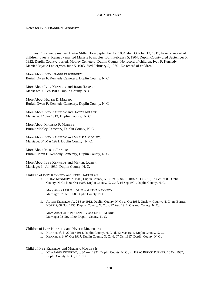Notes for IVEY FRANKLIN KENNEDY:

Ivey F. Kennedy married Hattie Miller Born September 17, 1894, died October 12, 1917, have no record of children. Ivey F. Kennedy married Malasie F. mobley, Born February 5, 1904, Duplin County died September 5, 1922, Duplin County, buried: Mobley Cemetery, Duplin County, No record of children. Ivey F. Kennedy Married Myrtie Lanier,vorn June 5, 1903, died February 5, 1960. No record of children.

More About IVEY FRANKLIN KENNEDY: Burial: Owen F. Kennedy Cemetery, Duplin County, N. C.

More About IVEY KENNEDY and JUNIE HARPER: Marriage: 03 Feb 1909, Duplin County, N. C.

More About HATTIE D. MILLER: Burial: Owen F. Kennedy Cemetery, Duplin County, N. C.

More About IVEY KENNEDY and HATTIE MILLER: Marriage: 14 Jan 1913, Duplin County, N. C.

More About MALISSA F. MOBLEY: Burial: Mobley Cemetery, Duplin County, N. C.

More About IVEY KENNEDY and MALISSA MOBLEY: Marriage: 04 Mar 1921, Duplin County, N. C.

More About MERTIE LANIER: Burial: Owen F. Kennedy Cemetery, Duplin County, N. C.

More About IVEY KENNEDY and MERTIE LANIER: Marriage: 14 Jul 1930, Duplin County, N. C.

# Children of IVEY KENNEDY and JUNIE HARPER are:

i. ETHA<sup>5</sup> KENNEDY, b. 1906, Duplin County, N. C.; m. LESLIE THOMAS HORNE, 07 Oct 1928, Duplin County, N. C.; b. 06 Oct 1906, Duplin County, N. C.; d. 16 Sep 1991, Duplin County, N. C..

More About LESLIE HORNE and ETHA KENNEDY: Marriage: 07 Oct 1928, Duplin County, N. C.

ii. ALTON KENNEDY, b. 28 Sep 1912, Duplin County, N. C.; d. Oct 1985, Onslow County, N. C.; m. ETHEL NORRIS, 08 Nov 1930, Duplin County, N. C.; b. 27 Aug 1911, Onslow County, N. C..

More About ALTON KENNEDY and ETHEL NORRIS: Marriage: 08 Nov 1930, Duplin County, N. C.

# Children of IVEY KENNEDY and HATTIE MILLER are:

- iii. KENNEDY<sup>5</sup>, b. 22 Mar 1914, Duplin County, N. C.; d. 22 Mar 1914, Duplin County, N. C..
- iv. KENNEDY, b. 07 Oct 1917, Duplin County, N. C.; d. 07 Oct 1917, Duplin County, N. C..

# Child of IVEY KENNEDY and MALISSA MOBLEY is:

v. IOLA JANE<sup>5</sup> KENNEDY, b. 30 Aug 1922, Duplin County, N. C.; m. ISSAC BRUCE TURNER, 16 Oct 1937, Duplin County, N. C.; b. 1919.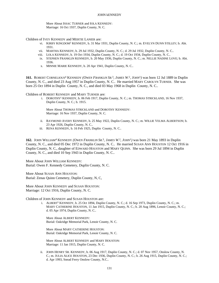More About ISSAC TURNER and IOLA KENNEDY: Marriage: 16 Oct 1937, Duplin County, N. C.

Children of IVEY KENNEDY and MERTIE LANIER are:

- vi. KIRBY KINGDOM<sup>5</sup> KENNEDY, b. 31 Mar 1931, Duplin County, N. C.; m. EVELYN DUNN STILLEY; b. Abt. 1931.
- vii. MARTHA KENNEDY, b. 29 Jul 1932, Duplin County, N. C.; d. 29 Jul 1932, Duplin County, N. C..
- viii. LOLA KENNEDY, b. 19 Oct 1934, Duplin County, N. C.; d. 19 Oct 1934, Duplin County, N. C..
- ix. STEPHEN FRANKLIN KENNEDY, b. 20 May 1936, Duplin County, N. C.; m. NELLIE NADINE LOVE; b. Abt. 1936.
- x. MINNIE MARIE KENNEDY, b. 20 Apr 1941, Duplin County, N. C..

**161.** ROBERT CORNELIOUS<sup>4</sup> KENNEDY *(OWEN FRANKLIN SR.*<sup>3</sup> *, JAMES W.* 2 *, JOHN*<sup>1</sup> *)* was born 12 Jul 1889 in Duplin County, N. C., and died 23 Aug 1957 in Duplin County, N. C.. He married MARY CAROLYN TURNER. She was born 25 Oct 1894 in Duplin County, N. C., and died 03 May 1968 in Duplin County, N. C..

Children of ROBERT KENNEDY and MARY TURNER are:

i. DOROTHY<sup>5</sup> KENNEDY, b. 06 Feb 1917, Duplin County, N. C.; m. THOMAS STRICKLAND, 16 Nov 1937, Duplin County, N. C.; b. 1915.

More About THOMAS STRICKLAND and DOROTHY KENNEDY: Marriage: 16 Nov 1937, Duplin County, N. C.

- ii. RAYMOND AVERY KENNEDY, b. 25 May 1922, Duplin County, N. C.; m. WILLIE VELMA ALBERTSON; b. 23 Apr 1926, Duplin County, N. C..
- iii. RENA KENNEDY, b. 16 Feb 1925, Duplin County, N. C..

**162.** JOHN WILLIAM<sup>4</sup> KENNEDY *(OWEN FRANKLIN SR.*<sup>3</sup> *, JAMES W.* 2 *, JOHN*<sup>1</sup> *)* was born 21 May 1893 in Duplin County, N. C., and died 05 Dec 1972 in Duplin County, N. C.. He married SUSAN ANN HOUSTON 12 Oct 1916 in Duplin County, N. C., daughter of EDWARD HOUSTON and MARY QUINN. She was born 29 Jul 1894 in Duplin County, N. C., and died 10 Sep 1943 in Duplin County, N. C..

More About JOHN WILLIAM KENNEDY: Burial: Owen F. Kennedy Cemetery, Duplin County, N. C.

More About SUSAN ANN HOUSTON: Burial: Zenas Quinn Cemetery, Duplin County, N, C,

More About JOHN KENNEDY and SUSAN HOUSTON: Marriage: 12 Oct 1916, Duplin County, N. C.

Children of JOHN KENNEDY and SUSAN HOUSTON are:

i. ALBERT<sup>5</sup> KENNEDY, b. 25 Oct 1894, Duplin County, N. C.; d. 16 Sep 1973, Duplin County, N. C.; m. MARY CATHERINE HOUSTON, 11 Jan 1915, Duplin County, N. C.; b. 20 Aug 1896, Lenoir County, N. C.; d. 05 Apr 1974, Duplin County, N. C..

More About ALBERT KENNEDY: Burial: Oakridge Memorial Park, Lenoir County, N. C.

More About MARY CATHERINE HOUSTON: Burial: Oakridge Memorial Park, Lenoir County, N. C.

More About ALBERT KENNEDY and MARY HOUSTON: Marriage: 11 Jan 1915, Duplin County, N. C.

ii. JOHN HENRY SR. KENNEDY, b. 06 Aug 1917, Duplin County, N. C.; d. 07 Nov 1957, Onslow County, N. C.; m. JULIA ALICE HOUSTON, 23 Dec 1936, Duplin County, N. C.; b. 26 Aug 1915, Duplin County, N. C.; d. Apr 1993, Snead Ferry Onslow County, N.C..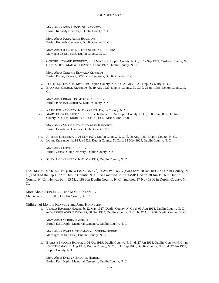More About JOHN HENRY SR. KENNEDY: Burial: Kennedy Cemetery, Duplin County, N. C.

More About JULIA ALICE HOUSTON: Burial: Kennedy Cemetery, Duplin County, N. C.

More About JOHN KENNEDY and JULIA HOUSTON: Marriage: 23 Dec 1936, Duplin County, N. C.

iii. GERTHIE EDWARD KENNEDY, b. 02 Mar 1919, Duplin County, N. C.; d. 17 Sep 1974, Onslow County, N. C.; m. VERTIE MAE WILLIAMS; b. 17 Jul 1927, Duplin County, N. C..

More About GERTHIE EDWARD KENNEDY: Burial: Foster, Kennedy, Williams Cemetery, Duplin County, N. C.

- iv. LOU KENNEDY, b. 02 Mar 1919, Duplin County, N. C.; d. 29 May 1929, Duplin County, N. C..
- v. BRAXTON GEORGE KENNEDY, b. 19 Aug 1920, Duplin County, N. C.; d. 25 Jun 1995, Lenoir County, N.  $\mathcal{C}$

More About BRAXTON GEORGE KENNEDY: Burial: Pinelawn Cemetery, Lenoir County, N. C.

- vi. KATHLENE KENNEDY, b. 31 Oct 1921, Duplin County, N. C..
- vii. MARY ELIZA ELIZABETH KENNEDY, b. 04 Sep 1924, Duplin County, N. C.; d. 05 Jun 2005, Duplin County, N. C.; m. MURPHY CLIFTON FOUNTAIN; b. Abt. 1920.

More About MARY ELIZA ELIZABETH KENNEDY: Burial: Devotional Gardens, Duplin County, N. C.

viii. ARTHUR KENNEDY, b. 01 May 1927, Duplin County, N. C.; d. 09 Aug 1993, Duplin County, N. C.. ix. LOVIE KENNEDY, b. 14 Jan 1929, Duplin County, N. C.; d. 18 May 1929, Duplin County, N. C..

More About LOVIE KENNEDY: Burial: Zenas Quinn Cemetery, Duplin County, N, C,

x. RUBY ANN KENNEDY, b. 02 Mar 1932, Duplin County, N. C..

**163.** MATTIE S. 4 KENNEDY *(OWEN FRANKLIN SR.*<sup>3</sup> *, JAMES W.* 2 *, JOHN*<sup>1</sup> *)* was born 28 Jan 1895 in Duplin County, N. C., and died 04 Sep 1972 in Duplin County, N. C.. She married JOHN DAVID HORNE 28 Jun 1916 in Duplin County, N. C.. He was born 15 May 1896 in Duplin County, N. C., and died 17 Nov 1966 in Duplin County, N. C..

More About JOHN HORNE and MATTIE KENNEDY: Marriage: 28 Jun 1916, Duplin County, N. C.

Children of MATTIE KENNEDY and JOHN HORNE are:

i. VERDIA RACHEL<sup>5</sup> HORNE, b. 22 May 1917, Duplin County, N. C.; d. 09 Aug 1968, Duplin County, N. C.; m. WARREN AVERY THOMAS, 08 Dec 1935, Duplin County, N. C.; b. 27 Apr 1906, Duplin County, N. C..

More About VERDIA RACHEL HORNE: Burial: East Duplin Memorial Cemetery, Duplin County, N. C.

More About WARREN THOMAS and VERDIA HORNE: Marriage: 08 Dec 1935, Duplin County, N. C.

ii. EVELYN ENDORIS HORNE, b. 01 Oct 1919, Duplin County, N. C.; d. 27 Jan 1968, Duplin County, N. C.; m. JOHN THOMAS, 12 Aug 1944, Duplin County, N. C.; b. 11 Sep 1911, Duplin County, N. C.; d. 27 Jan 1968, Duplin County, N. C..

More About EVELYN ENDORIS HORNE: Burial: East Duplin Memorial Cemetery, Duplin County, N. C.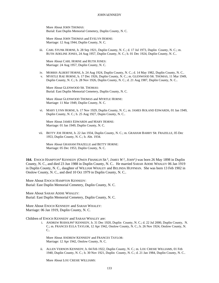More About JOHN THOMAS: Burial: East Duplin Memorial Cemetery, Duplin County, N. C.

More About JOHN THOMAS and EVELYN HORNE: Marriage: 12 Aug 1944, Duplin County, N. C.

iii. CARL STUNK HORNE, b. 28 Sep 1921, Duplin County, N. C.; d. 17 Jul 1973, Duplin County, N. C.; m. RUTH ADELINE JONES, 24 Aug 1957, Duplin County, N. C.; b. 01 Dec 1924, Duplin County, N. C..

More About CARL HORNE and RUTH JONES: Marriage: 24 Aug 1957, Duplin County, N. C.

- iv. MORRIS ALBERT HORNE, b. 24 Aug 1924, Duplin County, N. C.; d. 14 May 1982, Duplin County, N. C.. v. MYRTLE RAE HORNE, b. 17 Dec 1926, Duplin County, N. C.; m. GLENWOOD SR. THOMAS, 11 Mar 1949,
	- Duplin County, N. C.; b. 28 Nov 1926, Duplin County, N. C.; d. 21 Aug 1987, Duplin County, N. C..

More About GLENWOOD SR. THOMAS: Burial: East Duplin Memorial Cemetery, Duplin County, N. C.

More About GLENWOOD THOMAS and MYRTLE HORNE: Marriage: 11 Mar 1949, Duplin County, N. C.

vi. MARY LYNN HORNE, b. 17 Nov 1929, Duplin County, N. C.; m. JAMES ROLAND EDWARDS, 01 Jan 1949, Duplin County, N. C.; b. 25 Aug 1927, Dupin County, N. C..

More About JAMES EDWARDS and MARY HORNE: Marriage: 01 Jan 1949, Duplin County, N. C.

vii. BETTY JOE HORNE, b. 22 Jan 1934, Duplin County, N. C.; m. GRAHAM BARRY SR. FRAZELLE, 05 Dec 1953, Duplin County, N. C.; b. Abt. 1934.

More About GRAHAM FRAZELLE and BETTY HORNE: Marriage: 05 Dec 1953, Duplin County, N. C.

**164.** ENOCH HAMPTON<sup>4</sup> KENNEDY *(OWEN FRANKLIN SR.*<sup>3</sup> *, JAMES W.* 2 *, JOHN*<sup>1</sup> *)* was born 26 May 1898 in Duplin County, N. C., and died 23 Jun 1988 in Duplin County, N. C.. He married SARAH ADDIE WHALEY 06 Jan 1919 in Duplin County, N. C., daughter of WILLIAM WHALEY and BELINDA HUFFMAN. She was born 13 Feb 1902 in Onslow County, N. C., and died 10 Oct 1979 in Duplin County, N. C..

More About ENOCH HAMPTON KENNEDY: Burial: East Duplin Memorial Cemetery, Duplin County, N. C.

More About SARAH ADDIE WHALEY: Burial: East Duplin Memorial Cemetery, Duplin County, N. C.

More About ENOCH KENNEDY and SARAH WHALEY: Marriage: 06 Jan 1919, Duplin County, N. C.

Children of ENOCH KENNEDY and SARAH WHALEY are:

i. ANDREW RODOLPH<sup>5</sup> KENNEDY, b. 31 Dec 1920, Duplin County, N. C.; d. 22 Jul 2000, Duplin County, N. C.; m. FRANCES EULA TAYLOR, 12 Apr 1942, Onslow County, N. C.; b. 26 Nov 1924, Onslow County, N.  $\mathcal{C}$ 

More About ANDREW KENNEDY and FRANCES TAYLOR: Marriage: 12 Apr 1942, Onslow County, N. C.

ii. ALLEN VERNON KENNEDY, b. 04 Feb 1922, Duplin County, N. C.; m. LOU CRESIE WILLIAMS, 01 Feb 1940, Duplin County, N. C.; b. 30 Nov 1921, Duplin County, N. C.; d. 21 Jan 1984, Duplin County, N. C..

More About LOU CRESIE WILLIAMS: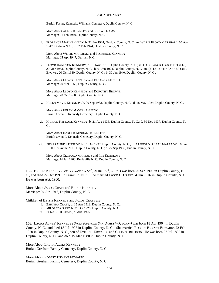Burial: Foster, Kennedy, Williams Cemetery, Duplin County, N. C.

More About ALLEN KENNEDY and LOU WILLIAMS: Marriage: 01 Feb 1940, Duplin County, N. C.

iii. FLORENCE MAE KENNEDY, b. 31 Jan 1924, Onslow County, N. C.; m. WILLIE FLOYD MARSHALL, 05 Apr 1947, Durham N.C.; b. 02 Feb 1924, Onslow County, N. C..

More About WILLIE MARSHALL and FLORENCE KENNEDY: Marriage: 05 Apr 1947, Durham N.C.

iv. LLOYD HAMPTON KENNEDY, b. 09 Nov 1931, Duplin County, N. C.; m. (1) ELEANOR GRACE FUTRELL, 20 Mar 1953, Duplin County, N. C.; b. 01 Jan 1924, Duplin County, N. C.; m. (2) DOROTHY JANE MOORE BROWN, 20 Oct 1980, Duplin County, N. C.; b. 30 Jan 1940, Duplin County, N. C..

More About LLOYD KENNEDY and ELEANOR FUTRELL: Marriage: 20 Mar 1953, Duplin County, N. C.

More About LLOYD KENNEDY and DOROTHY BROWN: Marriage: 20 Oct 1980, Duplin County, N. C.

v. HELEN MAVIS KENNEDY, b. 09 Sep 1933, Duplin County, N. C.; d. 18 May 1934, Duplin County, N. C..

More About HELEN MAVIS KENNEDY: Burial: Owen F. Kennedy Cemetery, Duplin County, N. C.

vi. HAROLD KENDALL KENNEDY, b. 21 Aug 1936, Duplin County, N. C.; d. 30 Dec 1937, Duplin County, N.  $C_{\cdot}$ 

More About HAROLD KENDALL KENNEDY: Burial: Owen F. Kennedy Cemetery, Duplin County, N. C.

vii. IRIS AZALINE KENNEDY, b. 31 Oct 1937, Duplin County, N. C.; m. CLIFFORD O'NEAL MAREADY, 16 Jan 1960, Beulaville N. C. Duplin County, N. C.; b. 27 Sep 1932, Duplin County, N. C..

More About CLIFFORD MAREADY and IRIS KENNEDY: Marriage: 16 Jan 1960, Beulaville N. C. Duplin County, N. C.

**165.** BETSIE<sup>4</sup> KENNEDY *(OWEN FRANKLIN SR.*<sup>3</sup> *, JAMES W.* 2 *, JOHN*<sup>1</sup> *)* was born 20 Sep 1900 in Duplin County, N. C., and died 27 Oct 1991 in Frankllin, N.C.. She married JACOB C. CRAFT 04 Jun 1916 in Duplin County, N. C.. He was born Abt. 1900.

More About JACOB CRAFT and BETSIE KENNEDY: Marriage: 04 Jun 1916, Duplin County, N. C.

Children of BETSIE KENNEDY and JACOB CRAFT are:

- i. BERTHA<sup>5</sup> CRAFT, b. 15 Apr 1918, Duplin County, N. C..
- ii. MILDRED CRAFT, b. 31 Oct 1920, Duplin County, N. C..
- iii. ELIZABETH CRAFT, b. Abt. 1925.

**166.** LAURA AGNES<sup>4</sup> KENNEDY *(OWEN FRANKLIN SR.*<sup>3</sup> *, JAMES W.* 2 *, JOHN*<sup>1</sup> *)* was born 18 Apr 1904 in Duplin County, N. C., and died 18 Jul 1997 in Duplin County, N. C.. She married ROBERT BRYANT EDWARDS 22 Feb 1920 in Duplin County, N. C., son of EVERETT EDWARDS and CELIA ALBERTSON. He was born 27 Jul 1895 in Duplin County, N. C., and died 15 Mar 1980 in Duplin County, N. C..

More About LAURA AGNES KENNEDY: Burial: Gresham Family Cemetery, Duplin County, N. C.

More About ROBERT BRYANT EDWARDS: Burial: Gresham Family Cemetery, Duplin County, N. C.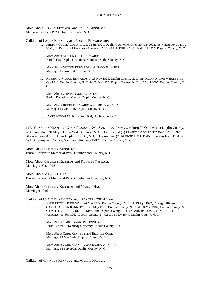More About ROBERT EDWARDS and LAURA KENNEDY: Marriage: 22 Feb 1920, Duplin County, N. C.

Children of LAURA KENNEDY and ROBERT EDWARDS are:

i. MILTON ODELL<sup>5</sup> EDWARDS, b. 28 Jul 1921, Duplin County, N. C.; d. 20 Mar 2003, New Hanover County, N. C.; m. FRANKIE MADONNA LANIER, 15 Nov 1942, Dillion S. C.; b. 01 Jul 1925, Duplin County, N. C..

More About MILTON ODELL EDWARDS: Burial: East Duplin Devotional Garden, Duplin County, N. C.

More About MILTON EDWARDS and FRANKIE LANIER: Marriage: 15 Nov 1942, Dillion S. C.

ii. ROBERT LINWOOD EDWARDS, b. 23 Nov 1925, Duplin County, N. C.; m. ORPHA NAOMI WHALEY, 16 Oct 1946, Duplin County, N. C.; b. 03 Oct 1926, Duplin County, N. C; d. 25 Jul 2005, Duplin County, N. C..

More About ORPHA NAOMI WHALEY: Burial: Devotional Garden, Duplin County, N. C.

More About ROBERT EDWARDS and ORPHA WHALEY: Marriage: 16 Oct 1946, Duplin County, N. C.

iii. JAMES EDWARDS, b. 13 Dec 1934, Duplin County, N. C..

167. CHANCEY<sup>4</sup> KENNEDY (OWEN FRANKLIN SR.<sup>3</sup>, JAMES W.<sup>2</sup>, JOHN<sup>1</sup>) was born 03 Oct 1911 in Duplin County, N. C., and died 20 May 1972 in Wake County, N. C.. He married (1) FRANCES ADELLE TYNDALL Abt. 1925. She was born Abt. 1915 in Duplin County, N. C.. He married (2) MARGIE HALL 1946. She was born 17 Aug 1911 in Sampson County, N.C., and died Sep 1987 in Wake County, N. C..

More About CHANCEY KENNEDY: Burial: Lafayette Memorial Park, Cumberland County, N. C.

More About CHANCEY KENNEDY and FRANCES TYNDALL: Marriage: Abt. 1925

More About MARGIE HALL: Burial: Lafayette Memorial Park, Cumberland County, N. C.

More About CHANCEY KENNEDY and MARGIE HALL: Marriage: 1946

Children of CHANCEY KENNEDY and FRANCES TYNDALL are:

- i. ESSIE RUTH<sup>5</sup> KENNEDY, b. 26 Mar 1927, Duplin County, N. C.; d. 13 Apr 1992, Chicago, Illiness.
- ii. CARL FRANKLIN KENNEDY, b. 28 May 1928, Duplin County, N. C.; d. 08 Mar 1982, Duplin County, N. C.; m. (1) BERNICE COLE, 19 Mar 1949, Duplin County, N. C.; b. Abt. 1930; m. (2) LAURA BELLE WHALEY, 16 Sep 1962, Duplin County, N. C.; b. 11 May 1944, Duplin County, N. C..

More About CARL FRANKLIN KENNEDY: Burial: Owen F. Kennedy Cemetery, Duplin County, N. C.

More About CARL KENNEDY and BERNICE COLE: Marriage: 19 Mar 1949, Duplin County, N. C.

More About CARL KENNEDY and LAURA WHALEY: Marriage: 16 Sep 1962, Duplin County, N. C.

Children of CHANCEY KENNEDY and MARGIE HALL are: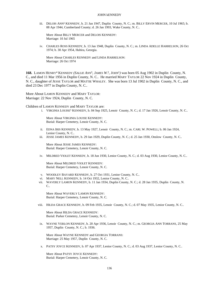iii. DELOIS ANN<sup>5</sup> KENNEDY, b. 21 Jan 1947, Duplin County, N. C.; m. BILLY ERVIN MERCER, 10 Jul 1965; b. 08 Apr 1944, Cumberland County; d. 26 Jan 1993, Wake County, N. C..

More About BILLY MERCER and DELOIS KENNEDY: Marriage: 10 Jul 1965

iv. CHARLES ROSS KENNEDY, b. 13 Jan 1948, Duplin County, N. C.; m. LINDA ADELLE HARRELSON, 26 Oct 1974; b. 30 Apr 1954, Hahira, Georgia.

More About CHARLES KENNEDY and LINDA HARRELSON: Marriage: 26 Oct 1974

168. LAMON HENRY<sup>4</sup> KENNEDY (SALLIE ANN<sup>3</sup>, JAMES W.<sup>2</sup>, JOHN<sup>1</sup>) was born 05 Aug 1902 in Duplin County, N. C., and died 11 Mar 1956 in Duplin County, N. C.. He married MARY TAYLOR 22 Nov 1924 in Duplin County, N. C., daughter of JESSE TAYLOR and MATTIE WHALEY. She was born 13 Jul 1902 in Duplin County, N. C., and died 23 Dec 1977 in Duplin County, N. C..

More About LAMON KENNEDY and MARY TAYLOR: Marriage: 22 Nov 1924, Duplin County, N. C.

Children of LAMON KENNEDY and MARY TAYLOR are:

i. VIRGINIA LOUISE<sup>5</sup> KENNEDY, b. 04 Sep 1925, Lenoir County, N. C.; d. 17 Jan 1926, Lenoir County, N. C..

More About VIRGINIA LOUISE KENNEDY: Burial: Harper Cemetery, Lenoir County, N. C.

- ii. EDNA IRIS KENNEDY, b. 13 May 1927, Lenoir County, N. C.; m. CARL W. POWELL; b. 06 Jan 1924, Lenior County, N. C..
- iii. JESSE JAMES KENNEDY, b. 29 Jan 1929, Duplin County, N. C.; d. 25 Jan 1930, Onslow County, N. C..

More About JESSE JAMES KENNEDY: Burial: Harper Cemetery, Lenoir County, N. C.

iv. MILDRED VIOLET KENNEDY, b. 18 Jun 1930, Lenior County, N. C.; d. 03 Aug 1930, Lenior County, N. C..

More About MILDRED VIOLET KENNEDY: Burial: Harper Cemetery, Lenoir County, N. C.

- v. WOODLEY BAYARD KENNEDY, b. 27 Oct 1931, Lenior County, N. C..
- vi. MARY NELL KENNEDY, b. 14 Oct 1932, Lenior County, N. C..
- vii. WAVERLY LAMON KENNEDY, b. 11 Jan 1934, Duplin County, N. C.; d. 28 Jan 1935, Duplin County, N.  $\mathcal{C}$

More About WAVERLY LAMON KENNEDY: Burial: Harper Cemetery, Lenoir County, N. C.

viii. HILDA GRACE KENNEDY, b. 09 Feb 1935, Lenoir County, N. C.; d. 07 May 1935, Lenior County, N. C..

More About HILDA GRACE KENNEDY: Burial: Parker Cemetery, Lenoir County, N. C.

ix. WAYNE VERLON KENNEDY, b. 20 Apr 1936, Lenoir County, N. C.; m. GEORGIA ANN TORRANS, 25 May 1957, Duplin County, N. C.; b. 1936.

More About WAYNE KENNEDY and GEORGIA TORRANS: Marriage: 25 May 1957, Duplin County, N. C.

x. PATSY JOYCE KENNEDY, b. 07 Apr 1937, Lenior County, N. C.; d. 03 Aug 1937, Lenior County, N. C..

More About PATSY JOYCE KENNEDY: Burial: Harper Cemetery, Lenoir County, N. C.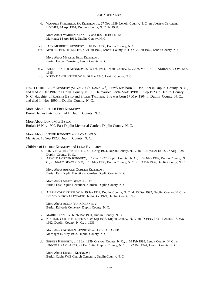xi. WARREN FREDERICK SR. KENNEDY, b. 27 Nov 1939, Lenoir County, N. C.; m. JOSEPH GERLENE HOLMES, 14 Apr 1961, Duplin County, N. C.; b. 1938.

More About WARREN KENNEDY and JOSEPH HOLMES: Marriage: 14 Apr 1961, Duplin County, N. C.

- xii. JACK MURRIELL KENNEDY, b. 10 Dec 1939, Duplin County, N. C..
- xiii. MYRTLE BELL KENNEDY, b. 21 Jul 1942, Lenoir County, N. C.; d. 22 Jul 1942, Lenoir County, N. C..

More About MYRTLE BELL KENNEDY: Burial: Harper Cemetery, Lenoir County, N. C.

- xiv. WILLARD KEITH KENNEDY, b. 05 Feb 1944, Lenoir County, N. C.; m. MARGARET ADRENIA COOMBS; b. 1945.
- xv. KIRBY DANIEL KENNEDY, b. 06 Mar 1945, Lenior County, N. C..

**169.** LUTHER ERIC<sup>4</sup> KENNEDY (SALLIE ANN<sup>3</sup>, JAMES W.<sup>2</sup>, JOHN<sup>1</sup>) was born 09 Dec 1899 in Duplin County, N. C., and died 29 Oct 1987 in Duplin County, N. C.. He married LONA MAE BYRD 13 Sep 1923 in Duplin County, N. C., daughter of ROBERT BYRD and SALLIE THIGPEN. She was born 17 May 1904 in Duplin County, N. C., and died 14 Nov 1990 in Duplin County, N. C..

More About LUTHER ERIC KENNEDY: Burial: James Batchlor's Field , Duplin County, N. C.

More About LONA MAE BYRD: Burial: 16 Nov 1990, East Duplin Memorial Garden, Duplin County, N. C.

More About LUTHER KENNEDY and LONA BYRD: Marriage: 13 Sep 1923, Duplin County, N. C.

Children of LUTHER KENNEDY and LONA BYRD are:

- i. LILLY BEATRICE<sup>5</sup> KENNEDY, b. 14 Aug 1924, Duplin County, N. C.; m. BEN WHALEY; b. 27 Aug 1928, Duplin County, N. C..
- ii. ARNOLD GORDEN KENNEDY, b. 17 Jan 1927, Duplin County, N. C.; d. 09 May 1992, Duplin County, N. C.; m. MARY GRACE COLE; b. 15 May 1935, Duplin County, N. C.; d. 03 Feb 1996, Duplin County, N. C..

More About ARNOLD GORDEN KENNEDY: Burial: East Duplin Devotional Garden, Duplin County, N. C.

More About MARY GRACE COLE: Burial: East Duplin Devotional Garden, Duplin County, N. C.

iii. ALLEN YORK KENNEDY, b. 19 Jan 1929, Duplin County, N. C.; d. 13 Dec 1999, Duplin County, N. C.; m. DELSEY VERONA EDWARDS; b. 04 Dec 1929, Duplin County, N. C..

More About ALLEN YORK KENNEDY: Burial: Edwards Cemetery, Duplin County, N. C.

- iv. MARIE KENNEDY, b. 26 Mar 1931, Duplin County, N. C..
- v. NORMAN CURTIS KENNEDY, b. 05 Sep 1933, Duplin County, N. C.; m. DONNA FAYE LANIER, 15 May 1962, Duplin County, N. C.; b. 1933.

More About NORMAN KENNEDY and DONNA LANIER: Marriage: 15 May 1962, Duplin County, N. C.

vi. ERNEST KENNEDY, b. 18 Jan 1939, Onslow County, N. C.; d. 03 Feb 1999, Lenoir County, N. C.; m. JENNIFER KAY BAKER, 22 Dec 1962, Duplin County, N. C.; b. 22 Dec 1944, Lenoir County, N. C..

More About ERNEST KENNEDY: Burial: Cabin FWB Church Cemetery, Duplin County, N. C.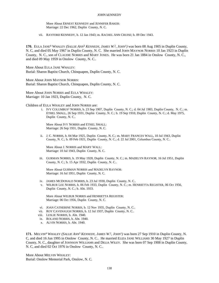More About ERNEST KENNEDY and JENNIFER BAKER: Marriage: 22 Dec 1962, Duplin County, N. C.

vii. RAYFORD KENNEDY, b. 12 Jan 1943; m. RACHEL ANN CRUISE; b. 09 Dec 1943.

**170.** EULA JANE<sup>4</sup> WHALEY *(SALLIE ANN*<sup>3</sup>  *KENNEDY, JAMES W.* 2 *, JOHN*<sup>1</sup> *)* was born 08 Aug 1905 in Duplin County, N. C, and died 05 May 1967 in Duplin County, N. C. She married JOHN MAYNOR NORRIS 10 Jan 1923 in Duplin County, N. C., son of CLAUDIE NORRIS and MARY JONES. He was born 21 Jan 1884 in Onslow County, N. C., and died 09 May 1959 in Onslow County, N. C..

More About EULA JANE WHALEY: Burial: Sharon Baptist Church, Chinquapen, Duplin County, N. C.

More About JOHN MAYNOR NORRIS: Burial: Sharon Baptist Church, Chinquapen, Duplin County, N. C.

More About JOHN NORRIS and EULA WHALEY: Marriage: 10 Jan 1923, Duplin County, N. C.

Children of EULA WHALEY and JOHN NORRIS are:

i. IVY COLUMBUS<sup>5</sup> NORRIS, b. 23 Sep 1907, Duplin County, N. C.; d. 04 Jul 1983, Duplin County, N. C.; m. ETHEL SMALL, 26 Sep 1931, Duplin County, N. C.; b. 19 Sep 1910, Duplin County, N. C.; d. May 1975, Duplin County, N. C..

More About IVY NORRIS and ETHEL SMALL: Marriage: 26 Sep 1931, Duplin County, N. C.

ii. J. C. NORRIS, b. 04 Mar 1925, Duplin County, N. C.; m. MARY FRANCES WALL, 10 Jul 1943, Duplin County, N. C.; b. 09 Feb 1921, Duplin County, N. C.; d. 22 Jul 2001, Columbus County, N. C..

More About J. NORRIS and MARY WALL: Marriage: 10 Jul 1943, Duplin County, N. C.

iii. GURMAN NORRIS, b. 19 May 1928, Duplin County, N. C.; m. MADELYN RAYNOR, 16 Jul 1951, Duplin County, N. C.; b. 15 Apr 1932, Duplin County, N. C..

More About GURMAN NORRIS and MADELYN RAYNOR: Marriage: 16 Jul 1951, Duplin County, N. C.

- iv. JAMES MCDONALD NORRIS, b. 23 Jul 1930, Duplin County, N. C..
- v. WILBUR LEE NORRIS, b. 06 Feb 1933, Duplin County, N. C.; m. HENRIETTA REGISTER, 06 Oct 1956, Duplin County, N. C.; b. Abt. 1933.

More About WILBUR NORRIS and HENRIETTA REGISTER: Marriage: 06 Oct 1956, Duplin County, N. C.

- vi. JOAN CATHERINE NORRIS, b. 12 Nov 1935, Duplin County, N. C..
- vii. ROY CAVENAUGH NORRIS, b. 12 Jul 1937, Duplin County, N. C..
- viii. LESLIE NORRIS, b. Abt. 1940.
- ix. ROLAND NORRIS, b. Abt. 1940.
- x. ALVIN NORRIS, b. Abt. 1940.

**171.** MELVIN<sup>4</sup> WHALEY *(SALLIE ANN*<sup>3</sup>  *KENNEDY, JAMES W.* 2 *, JOHN*<sup>1</sup> *)* was born 27 Sep 1910 in Duplin County, N. C, and died 16 Jun 1995 in Onslow County, N. C.. He married ELIZA JANE WILLIAMS 30 May 1927 in Duplin County, N. C., daughter of JOHNSON WILLIAMS and DELIA WILEY. She was born 07 Sep 1908 in Duplin County, N. C, and died 02 Oct 1976 in Onslow County, N. C..

More About MELVIN WHALEY: Burial: Onslow Memorial Park, Onslow, N. C.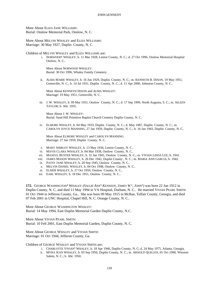More About ELIZA JANE WILLIAMS: Burial: Onslow Memorial Park, Onslow, N. C.

More About MELVIN WHALEY and ELIZA WILLIAMS: Marriage: 30 May 1927, Duplin County, N. C.

Children of MELVIN WHALEY and ELIZA WILLIAMS are:

i. NORWOOD<sup>5</sup> WHALEY, b. 11 Mar 1928, Lenior County, N. C.; d. 27 Oct 1996, Onslow Memorial Hospital Onslow, N. C..

More About NORWOOD WHALEY: Burial: 30 Oct 1996, Whaley Family Cemetery

ii. ALMA MARIE WHALEY, b. 16 Jun 1929, Duplin County, N. C.; m. KENNETH B. DIXON, 19 May 1951, Greenville, N. C.; b. 14 Jul 1931, Duplin County, N. C.; d. 11 Apr 2000, Johnston County, N. C..

More About KENNETH DIXON and ALMA WHALEY: Marriage: 19 May 1951, Greenville, N. C.

iii. J. W. WHALEY, b. 09 Mar 1931, Onslow County, N. C.; d. 17 Sep 1999, North Augusta, S. C.; m. AILEEN TAYLOR; b. Abt. 1935.

More About J. W. WHALEY: Burial: Sand Hill Primitive Baptist Church Cemetry Duplin County, N. C.

iv. ELMORE WHALEY, b. 04 May 1933, Duplin County, N. C.; d. May 1987, Duplin County, N. C.; m. CAROLYN JOYCE MANNING, 27 Jan 1959, Duplin County, N. C.; b. 16 Jan 1943, Duplin County, N. C..

More About ELMORE WHALEY and CAROLYN MANNING: Marriage: 27 Jan 1959, Duplin County, N. C.

- v. MARY SHIRLEY WHALEY, b. 13 May 1936, Lenior County, N. C..
- vi. MAVIS CLARA WHALEY, b. 04 Mar 1938, Onslow County, N. C..
- vii. MAXFUL BUSTER WHALEY, b. 31 Jan 1941, Onslow County, N. C.; m. VIVIAN LINDA LEE; b. 1941.
- viii. JAMES MASON WHALEY, b. 26 Dec 1942, Duplin County , N. C.; m. MARIA ANN GARCIA; b. 1942.
- ix. PATSY JANE WHALEY, b. 20 Sep 1945, Onslow County, N. C..
- x. MELVIN DANIEL WHALEY, b. 04 Oct 1948, Onslow County, N. C..
- xi. ELMER WHALEY, b. 27 Oct 1950, Onslow County, N. C..
- xii. EARL WHALEY, b. 18 Dec 1951, Onslow County, N. C..

**172.** GEORGE WASHINGTON<sup>4</sup> WHALEY *(SALLIE ANN*<sup>3</sup>  *KENNEDY, JAMES W.* 2 *, JOHN*<sup>1</sup> *)* was born 22 Jun 1912 in Duplin County, N. C, and died 11 May 1994 in VA Hospital, Durham, N. C.. He married VIVIAN PEARL SMITH 01 Oct 1944 in Jefferon County, Ga.. She was born 09 May 1915 in McRae, Telfair County, Georgia, and died 07 Feb 2001 in UNC Hospital, Chapel Hill, N. C. Orange County, N. C..

More About GEORGE WASHINGTON WHALEY: Burial: 14 May 1994, East Duplin Memorial Garden Duplin County, N.C.

More About VIVIAN PEARL SMITH: Burial: 10 Feb 2001, East Duplin Memorial Garden, Duplin County, N. C.

More About GEORGE WHALEY and VIVIAN SMITH: Marriage: 01 Oct 1944, Jefferon County, Ga.

Children of GEORGE WHALEY and VIVIAN SMITH are:

- i. CHARLOTTE VIVIAN<sup>5</sup> WHALEY, b. 18 Apr 1946, Duplin County, N. C; d. 24 May 1975, Atlanta, Georgia.
- ii. MYRA JEAN WHALEY, b. 03 Sep 1950, Duplin County, N. C.; m. ARNOLD QUILLEN, 01 Oct 1990, Winston Salem, N. C.; b. Abt. 1950.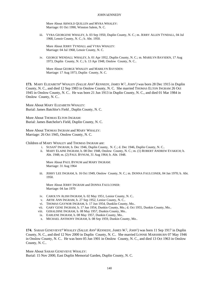More About ARNOLD QUILLEN and MYRA WHALEY: Marriage: 01 Oct 1990, Winston Salem, N. C.

iii. VYRA GEORGENE WHALEY, b. 03 Sep 1950, Duplin County, N. C.; m. JERRY ALLEN TYNDALL, 04 Jul 1968, Lenoir County, N. C.; b. Abt. 1950.

More About JERRY TYNDALL and VYRA WHALEY: Marriage: 04 Jul 1968, Lenoir County, N. C.

iv. GEORGE WENDALL WHALEY, b. 01 Apr 1952, Duplin County, N. C.; m. MARILYN BAYSDEN, 17 Aug 1973, Duplin County, N. C.; b. 13 Apr 1948, Onslow County, N. C..

More About GEORGE WHALEY and MARILYN BAYSDEN: Marriage: 17 Aug 1973, Duplin County, N. C.

**173.** MARY ELIZABETH<sup>4</sup> WHALEY *(SALLIE ANN*<sup>3</sup>  *KENNEDY, JAMES W.* 2 *, JOHN*<sup>1</sup> *)* was born 28 Dec 1915 in Duplin County, N. C., and died 12 Sep 1983 in Onslow County, N. C. She married THOMAS ELTON INGRAM 26 Oct 1945 in Onslow County, N. C.. He was born 21 Jun 1913 in Duplin County, N. C., and died 01 Mar 1984 in Onslow County, N. C..

More About MARY ELIZABETH WHALEY: Burial: James Batchlor's Field , Duplin County, N. C.

More About THOMAS ELTON INGRAM: Burial: James Batchelor's Field, Duplin County, N. C.

More About THOMAS INGRAM and MARY WHALEY: Marriage: 26 Oct 1945, Onslow County, N. C.

Children of MARY WHALEY and THOMAS INGRAM are:

- i. SUSAN<sup>5</sup> INGRAM, b. Dec 1946, Duplin County, N. C.; d. Dec 1946, Duplin County, N. C..
- ii. MARY ELAINE INGRAM, b. 08 Dec 1948, Onslow County, N. C.; m. (1) ROBERT ANDREW EVAKICH; b. Abt. 1948; m. (2) PAUL BYNUM, 31 Aug 1964; b. Abt. 1948.

More About PAUL BYNUM and MARY INGRAM: Marriage: 31 Aug 1964

iii. JERRY LEE INGRAM, b. 16 Oct 1949, Onslow County, N. C.; m. DONNA FAULCONER, 04 Jan 1970; b. Abt. 1950.

More About JERRY INGRAM and DONNA FAULCONER: Marriage: 04 Jan 1970

- iv. CAROLYN ALISH INGRAM, b. 02 May 1951, Lenior County, N. C..
- v. ARTIE ANN INGRAM, b. 27 Sep 1952, Lenior County, N. C..
- vi. THOMAS GAYNOR INGRAM, b. 17 Jun 1954, Dunklin County, Mo..
- vii. GARY GENE INGRAM, b. 17 Jun 1954, Dunkin County, Mo.; d. Oct 1955, Dunkin County, Mo..
- viii. GERALDINE INGRAM, b. 08 May 1957, Dunkin County, Mo..
- ix. EARLENE INGRAM, b. 08 May 1957, Dunkin County, Mo..
- x. MICHAEL ANTHONY INGRAM, b. 08 Sep 1959, Dunkin County, Mo..

**174.** SARAH GENEVIEVE<sup>4</sup> WHALEY *(SALLIE ANN*<sup>3</sup>  *KENNEDY, JAMES W.* 2 *, JOHN*<sup>1</sup> *)* was born 11 Sep 1917 in Duplin County, N. C., and died 12 Nov 2000 in Duplin County, N. C.. She married LONNIE MARSHBURN 07 May 1946 in Onslow County, N. C.. He was born 05 Jun 1901 in Onslow County, N. C., and died 13 Oct 1963 in Onslow County, N. C..

More About SARAH GENEVIEVE WHALEY:

Burial: 15 Nov 2000, East Duplin Memorial Garden, Duplin County, N. C.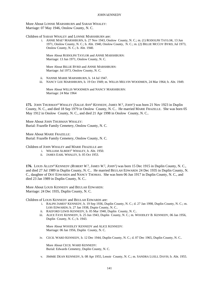More About LONNIE MARSHBURN and SARAH WHALEY: Marriage: 07 May 1946, Onslow County, N. C.

Children of SARAH WHALEY and LONNIE MARSHBURN are:

i. ANNIE MAE<sup>5</sup> MARSHBURN, b. 27 Nov 1943, Onslow County, N. C.; m. (1) RODOLPH TAYLOR, 13 Jun 1971, Onslow County, N. C.; b. Abt. 1940, Onslow County, N. C.; m. (2) BILLIE MCCOY BYRD, Jul 1973, Onslow County, N. C.; b. Abt. 1940.

More About RODOLPH TAYLOR and ANNIE MARSHBURN: Marriage: 13 Jun 1971, Onslow County, N. C.

More About BILLIE BYRD and ANNIE MARSHBURN: Marriage: Jul 1973, Onslow County, N. C.

- ii. NANNIE MARIE MARSHBURN, b. 14 Jul 1947.
- iii. NANCY LEE MARSHBURN, b. 19 Oct 1949; m. WILLIS MELVIN WOODMEN, 24 Mar 1964; b. Abt. 1949.

More About WILLIS WOODMEN and NANCY MARSHBURN: Marriage: 24 Mar 1964

**175.** JOHN THURMAN<sup>4</sup> WHALEY *(SALLIE ANN*<sup>3</sup>  *KENNEDY, JAMES W.* 2 *, JOHN*<sup>1</sup> *)* was born 21 Nov 1923 in Duplin County, N. C., and died 18 Sep 1979 in Onslow County, N. C.. He married MARIE FRAZELLE. She was born 05 May 1912 in Onslow County, N. C., and died 21 Apr 1998 in Onslow County, N. C..

More About JOHN THURMAN WHALEY: Burial: Frazelle Family Cemetery, Onslow County, N. C.

More About MARIE FRAZELLE: Burial: Frazelle Family Cemetery, Onslow County, N. C.

Children of JOHN WHALEY and MARIE FRAZELLE are:

- i. WILLIAM ALBERT<sup>5</sup> WHALEY, b. Abt. 1950.
- ii. JAMES EARL WHALEY, b. 05 Oct 1953.

**176.** LOUIS ALLEN<sup>4</sup> KENNEDY (ROBERT W.<sup>3</sup>, JAMES W.<sup>2</sup>, JOHN<sup>1</sup>) was born 15 Dec 1915 in Duplin County, N. C., and died 27 Jul 1989 in Duplin County, N. C.. He married BEULAH EDWARDS 24 Dec 1935 in Duplin County, N. C., daughter of DOT EDWARDS and NANCY THOMAS. She was born 06 Jun 1917 in Duplin County, N. C., and died 23 Jan 1989 in Duplin County, N. C..

More About LOUIS KENNEDY and BEULAH EDWARDS: Marriage: 24 Dec 1935, Duplin County, N. C.

Children of LOUIS KENNEDY and BEULAH EDWARDS are:

- i. RALPH JAMES<sup>5</sup> KENNEDY, b. 19 Sep 1936, Duplin County, N. C.; d. 27 Jan 1998, Duplin County, N. C.; m. LOIS EDWARDS; b. 27 Jan 1938, Dupin County, N. C..
- ii. RAEFORD LEWIS KENNEDY, b. 05 Mar 1940, Duplin County, N. C..
- iii. ALICE FAYE KENNEDY, b. 25 Jun 1943, Duplin County, N. C.; m. WOODLEY B. KENNEDY, 06 Jan 1956, Duplin County, N. C.; b. 1943.

More About WOODLEY KENNEDY and ALICE KENNEDY: Marriage: 06 Jan 1956, Duplin County, N. C.

iv. CECIL WARD KENNEDY, b. 12 Dec 1944, Duplin County, N. C.; d. 07 Dec 1965, Duplin County, N. C..

More About CECIL WARD KENNEDY: Burial: Edwards Cemetery, Duplin County, N. C.

v. JIMMIE DEAN KENNEDY, b. 08 Apr 1955, Lenoir County, N. C.; m. SANDRA LUELL DAVIS; b. Abt. 1955.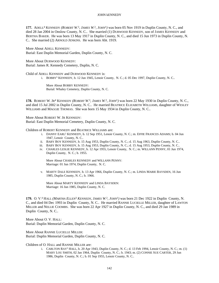**177.** ADELL<sup>4</sup> KENNEDY *(ROBERT W.* 3 *, JAMES W.* 2 *, JOHN*<sup>1</sup> *)* was born 05 Nov 1919 in Duplin County, N. C., and died 28 Jan 2004 in Onslow County, N. C.. She married (1) DURWOOD KENNEDY, son of JAMES KENNEDY and BERTHA BAKER. He was born 13 May 1917 in Duplin County, N. C., and died 15 Jun 1973 in Duplin County, N. C.. She married (2) ARNOLD JENKINS. He was born Abt. 1919.

More About ADELL KENNEDY: Burial: East Duplin Memorial Garden, Duplin County, N. C.

More About DURWOOD KENNEDY: Burial: James R. Kennedy Cemetery, Duplin, N. C.

Child of ADELL KENNEDY and DURWOOD KENNEDY is:

i. BOBBY<sup>5</sup> KENNEDY, b. 12 Jun 1945, Lenoir County, N. C.; d. 05 Dec 1997, Duplin County, N. C..

More About BOBBY KENNEDY: Burial: Whaley Cemetery, Duplin County, N. C.

**178.** ROBERT W. JR<sup>4</sup> KENNEDY (ROBERT W.<sup>3</sup>, JAMES W.<sup>2</sup>, JOHN<sup>1</sup>) was born 22 May 1930 in Duplin County, N. C., and died 15 Jul 2002 in Duplin County, N. C.. He married BEATRICE ELIZABETH WILLIAMS, daughter of WESLEY WILLIAMS and MAGGIE THOMAS. She was born 15 May 1934 in Duplin County, N. C..

More About ROBERT W. JR KENNEDY: Burial: East Duplin Memorial Cemetery, Duplin County, N. C.

Children of ROBERT KENNEDY and BEATRICE WILLIAMS are:

- i. DANNY EARL<sup>5</sup> KENNEDY, b. 12 Sep 1951, Lenoir County, N. C.; m. EFFIE FRANCES ADAMS; b. 04 Jun 1947, Lenoir County, N. C..
- ii. BABY BOY KENNEDY, b. 15 Aug 1953, Duplin County, N. C.; d. 15 Aug 1963, Duplin County, N. C..
- iii. BABY BOY KENNEDY, b. 15 Aug 1953, Duplin County, N. C.; d. 15 Aug 1953, Duplin County, N. C..
- iv. CHARLES LESLIE KENNEDY, b. 12 Apr 1955, Lenoir County, N. C.; m. WILLANN PENNY, 01 Jun 1974, Duplin County, N. C.; b. 1955.

More About CHARLES KENNEDY and WILLANN PENNY: Marriage: 01 Jun 1974, Duplin County, N. C.

v. MARTY DALE KENNEDY, b. 13 Apr 1966, Duplin County, N. C.; m. LINDA MARIE BAYSDEN, 16 Jun 1985, Duplin County, N. C.; b. 1966.

More About MARTY KENNEDY and LINDA BAYSDEN: Marriage: 16 Jun 1985, Duplin County, N. C.

**179.** O. V. 4 HALL *(MARTHA ELLEN*<sup>3</sup>  *KENNEDY, JAMES W.* 2 *, JOHN*<sup>1</sup> *)* was born 21 Dec 1922 in Duplin County, N. C., and died 04 Dec 1993 in Duplin County, N. C.. He married RANNIE LUCIELLE MILLER, daughter of LAWTON MILLER and NELLIE COOMBS. She was born 22 Apr 1927 in Duplin County, N. C., and died 29 Jan 1989 in Duplin County, N. C..

More About O. V. HALL: Burial: Duplin Memorial Garden, Duplin County, N. C.

More About RANNIE LUCIELLE MILLER: Burial: Duplin Memorial Garden, Duplin County, N. C.

Children of O. HALL and RANNIE MILLER are:

i. CARLTON RAY<sup>5</sup> HALL, b. 20 Apr 1943, Duplin County, N. C.; d. 13 Feb 1994, Lenoir County, N. C.; m. (1) MARY LOU SMITH, 02 Jan 1964, Duplin County, N. C.; b. 1943; m. (2) CONNIE SUE CARTER, 29 Jun 1986, Duplin County, N. C.; b. 01 Sep 1955, Lenoir County, N. C..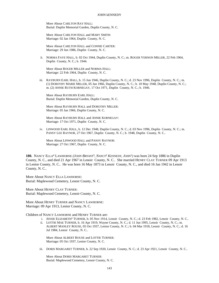More About CARLTON RAY HALL: Burial: Duplin Memorial Garden, Duplin County, N. C.

More About CARLTON HALL and MARY SMITH: Marriage: 02 Jan 1964, Duplin County, N. C.

More About CARLTON HALL and CONNIE CARTER: Marriage: 29 Jun 1986, Duplin County, N. C.

ii. NORMA FAYE HALL, b. 02 Oct 1944, Duplin County, N. C.; m. ROGER VERNON MILLER, 22 Feb 1964, Duplin County, N. C.; b. 1944.

More About ROGER MILLER and NORMA HALL: Marriage: 22 Feb 1964, Duplin County, N. C.

iii. RAYBURN EARL HALL, b. 15 Jun 1946, Duplin County, N. C.; d. 23 Nov 1996, Duplin County, N. C.; m. (1) DOROTHY MARIE MILLER, 05 Jan 1966, Duplin County, N. C.; b. 10 May 1948, Duplin County, N. C.; m. (2) ANNIE RUTH KORNEGAY, 17 Oct 1971, Duplin County, N. C.; b. 1946.

More About RAYBURN EARL HALL: Burial: Duplin Memorial Garden, Duplin County, N. C.

More About RAYBURN HALL and DOROTHY MILLER: Marriage: 05 Jan 1966, Duplin County, N. C.

More About RAYBURN HALL and ANNIE KORNEGAY: Marriage: 17 Oct 1971, Duplin County, N. C.

iv. LINWOOD EARL HALL, b. 12 Dec 1948, Duplin County, N. C.; d. 03 Nov 1996, Duplin County, N. C.; m. PANSY LEE RAYNOR, 27 Oct 1967, Duplin County, N. C.; b. 1948, Duplin County, N. C..

More About LINWOOD HALL and PANSY RAYNOR: Marriage: 27 Oct 1967, Duplin County, N. C.

**180.** NANCY ELLA<sup>4</sup> LAWHORNE *(JOHN BRYANT*<sup>3</sup> *, NANCY*<sup>2</sup>  *KENNEDY, JOHN*<sup>1</sup> *)* was born 24 Sep 1886 in Duplin County, N. C., and died 21 Apr 1967 in Lenoir County, N. C.. She married HENRY CLAY TURNER 09 Apr 1913 in Lenior County, N. C.. He was born 16 May 1873 in Lenoir County, N. C., and died 16 Jan 1942 in Lenoir County, N. C..

More About NANCY ELLA LAWHORNE: Burial: Maplewood Cemetery, Lenoir County, N. C.

More About HENRY CLAY TURNER: Burial: Maplewood Cemetery, Lenoir County, N. C.

More About HENRY TURNER and NANCY LAWHORNE: Marriage: 09 Apr 1913, Lenior County, N. C.

Children of NANCY LAWHORNE and HENRY TURNER are:

- i. JESSIE ELIZABETH<sup>5</sup> TURNER, b. 05 Nov 1914, Lenoir County, N. C.; d. 23 Feb 1982, Lenoir County, N. C..
- ii. LOTTIE MAE TURNER, b. 16 Apr 1919, Wayne County, N. C.; d. 11 Jun 1995, Lenoir County, N. C.; m. ALBERT MANLEY ROUSE, 05 Oct 1937, Lenior County, N. C.; b. 04 Mar 1918, Lenoir County, N. C.; d. 16 Jul 1984, Lenoir County, N. C..

More About ALBERT ROUSE and LOTTIE TURNER: Marriage: 05 Oct 1937, Lenior County, N. C.

iii. DORIS MARGARET TURNER, b. 22 Sep 1920, Lenoir County, N. C.; d. 23 Apr 1921, Lenoir County, N. C..

More About DORIS MARGARET TURNER: Burial: Maplewood Cemetery, Lenoir County, N. C.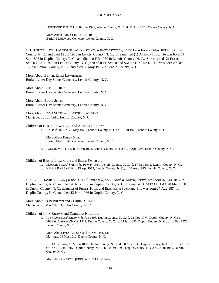iv. THEODORE TURNER, b. 02 Jun 1925, Wayne County, N. C.; d. 21 Aug 1925, Wayne County, N. C..

More About THEODORE TURNER: Burial: Maplewood Cemetery, Lenoir County, N. C.

**181.** BERTIE ELIZA<sup>4</sup> LAWHORNE *(JOHN BRYANT*<sup>3</sup> *, NANCY*<sup>2</sup>  *KENNEDY, JOHN*<sup>1</sup> *)* was born 22 May 1890 in Duplin County, N. C., and died 12 Jul 1955 in Lenoir County, N. C.. She married (1) ARTHUR HILL. He was born 09 Sep 1893 in Duplin County, N. C., and died 10 Feb 1960 in Lenoir County, N. C.. She married (2) EDDIE SMITH 25 Jun 1910 in Lenior County, N. C., son of JOBE SMITH and SAMANTHA HEATH. He was born 20 Oct 1887 in Lenoir County, N. C., and died 08 May 1916 in Lenoir County, N. C..

More About BERTIE ELIZA LAWHORNE: Burial: Latter Day Saints Cemetery, Lenoir County, N. C.

More About ARTHUR HILL: Burial: Latter Day Saints Cemetery, Lenoir County, N. C.

More About EDDIE SMITH: Burial: Latter Day Saints Cemetery, Lenoir County, N. C.

More About EDDIE SMITH and BERTIE LAWHORNE: Marriage: 25 Jun 1910, Lenior County, N. C.

Children of BERTIE LAWHORNE and ARTHUR HILL are:

i. RALPH<sup>5</sup> HILL, b. 20 May 1920, Lenoir County, N. C.; d. 19 Jul 1920, Lenoir County, N. C..

More About RALPH HILL: Burial: Mark Smith Cemetery, Lenoir County, N. C.

ii. FANNIE MAE HILL, b. 14 Jan 1924, Lenoir County, N. C.; d. 27 Apr 1998, Lenoir County, N. C..

Children of BERTIE LAWHORNE and EDDIE SMITH are:

- iii. MAGGIE ELIZA<sup>5</sup> SMITH, b. 16 May 1911, Lenoir County, N. C.; d. 17 Dec 1912, Lenoir County, N. C..
- iv. NELLIE RAE SMITH, b. 13 Apr 1913, Lenoir County, N. C.; d. 13 Aug 1913, Lenoir County, N. C..

**182.** JOHN DAVID<sup>4</sup> BROWN *(MARTHA JANE*<sup>3</sup>  *HOUSTON, MARY ANN*<sup>2</sup>  *KENNEDY, JOHN*<sup>1</sup> *)* was born 07 Aug 1872 in Duplin County, N. C, and died 26 Nov 1936 in Duplin County, N. C. He married CORRILLA HALL 28 Mar 1890 in Duplin County, N. C., daughter of FRANK HALL and ELIZABETH SUMNER. She was born 27 Aug 1874 in Duplin County, N. C, and died 13 Nov 1966 in Duplin County, N. C.

More About JOHN BROWN and CORRILLA HALL: Marriage: 28 Mar 1890, Duplin County, N. C.

Children of JOHN BROWN and CORRILLA HALL are:

i. IVEY JACKSON<sup>5</sup> BROWN, b. Jun 1893, Duplin County, N. C.; d. 22 Nov 1974, Duplin County, N. C.; m. MINNIE BISHOP, 09 Mar 1912, Duplin County, N. C.; b. 04 Jun 1896, Duplin County, N. C.; d. 10 Feb 1978, Lenoir County, N. C..

More About IVEY BROWN and MINNIE BISHOP: Marriage: 09 Mar 1912, Duplin County, N. C.

ii. DELLA BROWN, b. 22 Jun 1898, Duplin County, N. C.; d. 30 Aug 1930, Duplin County, N. C.; m. SHOCK H. QUINN, 10 Jan 1915, Duplin County, N. C.; b. 10 Oct 1890, Duplin County, N. C.; d. 27 Jul 1960, Duplin County, N. C..

More About SHOCK QUINN and DELLA BROWN: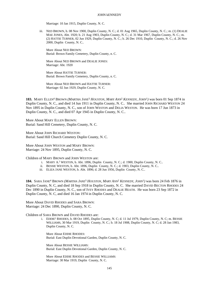Marriage: 10 Jan 1915, Duplin County, N. C.

iii. NED BROWN, b. 08 Nov 1900, Duplin County, N. C.; d. 01 Aug 1965, Duplin County, N. C.; m. (1) DEALIE MAE JONES, Abt. 1920; b. 21 Aug 1903, Duplin County, N. C.; d. 31 Mar 1967, Duplin County, N. C.; m. (2) HATTIE TURNER, 02 Jun 1929, Duplin County, N. C.; b. 26 Dec 1910, Duplin County, N. C.; d. 26 Nov 2000, Duplin County, N. C..

More About NED BROWN: Burial: Brown Family Cemetery, Duplin County, n. C.

More About NED BROWN and DEALIE JONES: Marriage: Abt. 1920

More About HATTIE TURNER: Burial: Brown Family Cemetery, Duplin County, n. C.

More About NED BROWN and HATTIE TURNER: Marriage: 02 Jun 1929, Duplin County, N. C.

**183.** MARY ELLEN<sup>4</sup> BROWN (MARTHA JANE<sup>3</sup> HOUSTON, MARY ANN<sup>2</sup> KENNEDY, JOHN<sup>1</sup>) was born 01 Sep 1874 in Duplin County, N. C., and died 14 Jun 1911 in Duplin County, N. C.. She married JOHN RICHARD WESTON 24 Nov 1895 in Duplin County, N. C., son of JOHN WESTON and DELIA WESTON. He was born 17 Jun 1873 in Duplin County, N. C., and died 07 Apr 1945 in Duplin County, N. C..

More About MARY ELLEN BROWN: Burial: Sand Hill Cemetery, Duplin County, N. C.

More About JOHN RICHARD WESTON: Burial: Sand Hill Church Cemetery Duplin County, N. C.

More About JOHN WESTON and MARY BROWN: Marriage: 24 Nov 1895, Duplin County, N. C.

Children of MARY BROWN and JOHN WESTON are:

- i. MARY A. 5 WESTON, b. Abt. 1896, Duplin County, N. C.; d. 1900, Duplin County, N. C..
- ii. BESSIE WESTON, b. Abt. 1896, Duplin County, N. C.; d. 1903, Duplin County, N. C..
- iii. ELIZA JANE WESTON, b. Abt. 1896; d. 28 Jun 1956, Duplin County, N. C..

**184.** SARA JANE<sup>4</sup> BROWN *(MARTHA JANE*<sup>3</sup>  *HOUSTON, MARY ANN*<sup>2</sup>  *KENNEDY, JOHN*<sup>1</sup> *)* was born 24 Feb 1876 in Duplin County, N. C, and died 18 Sep 1918 in Duplin County, N. C. She married DAVID BECTON RHODES 24 Dec 1890 in Duplin County, N. C., son of IVEY RHODES and DEALIE HEATH. He was born 23 Sep 1872 in Duplin County, N. C, and died 16 Jan 1974 in Duplin County, N. C.

More About DAVID RHODES and SARA BROWN: Marriage: 24 Dec 1890, Duplin County, N. C.

Children of SARA BROWN and DAVID RHODES are:

i. EDDIE<sup>5</sup> RHODES, b. 08 Oct 1895, Duplin County, N. C; d. 11 Jul 1979, Duplin County, N. C; m. BESSIE WILLIAMS, 30 Mar 1919, Duplin County, N. C.; b. 18 Jul 1908, Duplin County, N. C; d. 28 Jan 1983, Duplin County, N. C.

More About EDDIE RHODES: Burial: East Duplin Devotional Garden, Duplin County, N. C.

More About BESSIE WILLIAMS: Burial: East Duplin Devotional Garden, Duplin County, N. C.

More About EDDIE RHODES and BESSIE WILLIAMS: Marriage: 30 Mar 1919, Duplin County, N. C.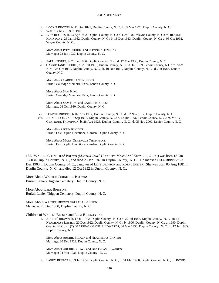- ii. DOCKIE RHODES, b. 11 Dec 1897, Duplin County, N. C; d. 05 Mar 1970, Duplin County, N. C.
- iii. WALTER RHODES, b. 1900.
- iv. IVEY RHODES, b. 03 Apr 1902, Duplin County, N. C.; d. Dec 1980, Wayne County, N. C.; m. ROVINE KORNEGAY, 23 Jan 1932, Duplin County, N. C.; b. 18 Dec 1913, Duplin County, N. C.; d. 08 Oct 1992, Wayne County, N. C..

More About IVEY RHODES and ROVINE KORNEGAY: Marriage: 23 Jan 1932, Duplin County, N. C.

- v. PAUL RHODES, b. 20 Jan 1906, Duplin County, N. C; d. 17 Mar 1936, Duplin County, N. C.
- vi. CARRIE JANE RHODES, b. 25 Jul 1913, Duplin County, N. C.; d. Jul 1989, Lenoir County, N.C.; m. SAM KING, 26 Oct 1930, Duplin County, N. C.; b. 10 Dec 1910, Duplin County, N. C.; d. Jun 1985, Lenoir County, N.C..

More About CARRIE JANE RHODES: Burial: Oakridge Memorial Park, Lenoir County, N. C.

More About SAM KING: Burial: Oakridge Memorial Park, Lenoir County, N. C.

More About SAM KING and CARRIE RHODES: Marriage: 26 Oct 1930, Duplin County, N. C.

- vii. TOMMIE RHODES, b. 02 Nov 1917, Duplin County, N. C.; d. 02 Nov 1917, Duplin County, N. C..
- viii. JOHN RHODES, b. 18 Sep 1918, Duplin County, N. C; d. 13 Jun 1996, Lenoir County, N. C.; m. MARY GERTRUDE THOMPSON; b. 28 Aug 1923, Duplin County, N. C.; d. 05 Nov 2000, Lenior County, N. C..

More About JOHN RHODES: Burial: East Duplin Devotional Garden, Duplin County, N. C.

More About MARY GERTRUDE THOMPSON: Burial: East Duplin Devotional Garden, Duplin County, N. C.

185. WALTER CORNELIUS<sup>4</sup> BROWN (MARTHA JANE<sup>3</sup> HOUSTON, MARY ANN<sup>2</sup> KENNEDY, JOHN<sup>1</sup>) was born 18 Jan 1880 in Duplin County, N. C., and died 20 Jan 1946 in Duplin County, N. C.. He married LELA BRINSON 23 Dec 1900 in Duplin County, N. C., daughter of LOTT BRINSON and ROSA HUNTER. She was born 05 Aug 1881 in Duplin County, N. C., and died 12 Oct 1952 in Duplin County, N. C..

More About WALTER CORNELIUS BROWN: Burial: Lanier-Thigpen Cemetery, Duplin County, N. C.

More About LELA BRINSON: Burial: Lanier-Thigpen Cemetery, Duplin County, N. C.

More About WALTER BROWN and LELA BRINSON: Marriage: 23 Dec 1900, Duplin County, N. C.

Children of WALTER BROWN and LELA BRINSON are:

i. ARCHIE<sup>5</sup> BROWN, b. 17 Jul 1902, Duplin County, N. C.; d. 22 Jul 1987, Duplin County, N. C.; m. (1) NEALIEMAY LANIER, 20 Dec 1922, Duplin County, N. C.; b. 1906, Duplin County, N. C.; d. 1990, Duplin County, N. C.; m. (2) BEATREAS GAYNELL EDWARDS, 04 Mar 1936, Duplin County, N. C.; b. 12 Jul 1905, Duplin County, N. C..

More About ARCHIE BROWN and NEALIEMAY LANIER: Marriage: 20 Dec 1922, Duplin County, N. C.

More About ARCHIE BROWN and BEATREAS EDWARDS: Marriage: 04 Mar 1936, Duplin County, N. C.

ii. LARRY BROWN, b. 03 Jul 1904, Duplin County, N. C.; d. 31 Mar 1980, Duplin County, N. C.; m. ROXIE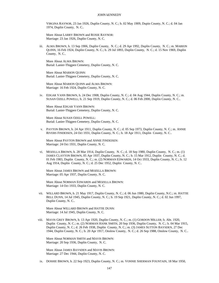VIRGINA RAYNOR, 23 Jan 1926, Duplin County, N. C.; b. 02 May 1909, Dupin County, N. C.; d. 04 Jan 1974, Duplin County, N. C..

More About LARRY BROWN and ROXIE RAYNOR: Marriage: 23 Jan 1926, Duplin County, N. C.

iii. ALMA BROWN, b. 13 Sep 1906, Duplin County, N. C.; d. 29 Apr 1992, Duplin County, N. C.; m. MARION QUINN, 16 Feb 1924, Duplin County, N. C.; b. 29 Jul 1893, Duplin County, N. C.; d. 15 Nov 1969, Duplin County, N. C..

More About ALMA BROWN: Burial: Lanier-Thigpen Cemetery, Duplin County, N. C.

More About MARION QUINN: Burial: Lanier-Thigpen Cemetery, Duplin County, N. C.

More About MARION QUINN and ALMA BROWN: Marriage: 16 Feb 1924, Duplin County, N. C.

iv. EDGAR VANN BROWN, b. 24 Dec 1908, Duplin County, N. C.; d. 04 Aug 1944, Duplin County, N. C.; m. SUSAN OZELL POWELL; b. 21 Sep 1919, Duplin County, N. C.; d. 06 Feb 2000, Duplin County, N. C..

More About EDGAR VANN BROWN: Burial: Lanier-Thigpen Cemetery, Duplin County, N. C.

More About SUSAN OZELL POWELL: Burial: Lanier-Thigpen Cemetery, Duplin County, N. C.

v. PAYTON BROWN, b. 24 Apr 1911, Duplin County, N. C.; d. 05 Sep 1973, Duplin County, N. C.; m. ANNIE RIVERS FINDEISEN, 24 Oct 1931, Duplin County, N. C.; b. 18 Apr 1911, Duplin County, N. C..

More About PAYTON BROWN and ANNIE FINDEISEN: Marriage: 24 Oct 1931, Duplin County, N. C.

vi. MOZELLA BROWN, b. 28 Mar 1914, Duplin County, N. C.; d. 18 Sep 1980, Duplin County, N. C.; m. (1) JAMES CLAYTON BROWN, 05 Apr 1937, Duplin County, N. C.; b. 15 Mar 1912, Duplin County, N. C.; d. 01 Feb 1983, Duplin County, N. C.; m. (2) NORMAN EDWARDS, 14 Oct 1933, Duplin County, N. C.; b. 12 Aug 1914, Duplin County, N. C.; d. 25 Dec 1952, Duplin County, N. C..

More About JAMES BROWN and MOZELLA BROWN: Marriage: 05 Apr 1937, Duplin County, N. C.

More About NORMAN EDWARDS and MOZELLA BROWN: Marriage: 14 Oct 1933, Duplin County, N. C.

vii. WILLARD BROWN, b. 21 May 1917, Duplin County, N. C.; d. 06 Jun 1980, Duplin County, N.C.; m. HATTIE BELL DUNN, 14 Jul 1945, Duplin County, N. C.; b. 19 Sep 1921, Duplin County, N. C.; d. 02 Jun 1997, Duplin County, N. C..

More About WILLARD BROWN and HATTIE DUNN: Marriage: 14 Jul 1945, Duplin County, N. C.

viii. MAVIS GREY BROWN, b. 13 Apr 1920, Duplin County, N. C.; m. (1) GORDON MILLER; b. Abt. 1920, Duplin County, N. C.; m. (2) NORMAN HANK SMITH, 20 Sep 1936, Duplin County, N. C.; b. 04 Mar 1915, Duplin County, N. C.; d. 26 Feb 1938, Duplin County, N. C.; m. (3) JAMES SUTTON BAYSDEN, 27 Dec 1944, Duplin County, N. C.; b. 20 Apr 1917, Onslow County, N. C.; d. 26 Sep 1988, Onslow County, N. C..

More About NORMAN SMITH and MAVIS BROWN: Marriage: 20 Sep 1936, Duplin County, N. C.

More About JAMES BAYSDEN and MAVIS BROWN: Marriage: 27 Dec 1944, Duplin County, N. C.

ix. DOSHIE BROWN, b. 22 Sep 1923, Duplin County, N. C.; m. VONNIE SHERMAN FOUNTAIN, 18 Mar 1950,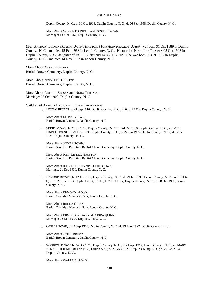Duplin County, N. C.; b. 30 Oct 1914, Duplin County, N. C.; d. 06 Feb 1998, Duplin County, N. C..

More About VONNIE FOUNTAIN and DOSHIE BROWN: Marriage: 18 Mar 1950, Duplin County, N. C.

**186.** ARTHUR<sup>4</sup> BROWN *(MARTHA JANE*<sup>3</sup>  *HOUSTON, MARY ANN*<sup>2</sup>  *KENNEDY, JOHN*<sup>1</sup> *)* was born 31 Oct 1889 in Duplin County, N. C., and died 15 Feb 1968 in Lenoir County, N. C.. He married NORA LEE THIGPEN 05 Oct 1908 in Duplin County, N. C., daughter of JOS. THIGPEN and DORA THIGPEN. She was born 26 Oct 1890 in Duplin County, N. C., and died 14 Nov 1962 in Lenoir County, N. C..

More About ARTHUR BROWN: Burial: Brown Cemetery, Duplin County, N. C.

More About NORA LEE THIGPEN: Burial: Brown Cemetery, Duplin County, N. C.

More About ARTHUR BROWN and NORA THIGPEN: Marriage: 05 Oct 1908, Duplin County, N. C.

Children of ARTHUR BROWN and NORA THIGPEN are:

i. LEONA<sup>5</sup> BROWN, b. 23 Sep 1910, Duplin County, N. C.; d. 04 Jul 1912, Duplin County, N. C..

More About LEONA BROWN: Burial: Brown Cemetery, Duplin County, N. C.

ii. SUDIE BROWN, b. 25 Jul 1913, Duplin County, N. C.; d. 24 Oct 1988, Duplin County, N. C.; m. JOHN LINDER HOUSTON, 21 Dec 1930, Duplin County, N. C.; b. 27 Jun 1909, Duplin County, N. C.; d. 17 Feb 1984, Duplin County, N. C..

More About SUDIE BROWN: Burial: Sand Hill Primitive Baptist Church Cemetery, Duplin County, N. C.

More About JOHN LINDER HOUSTON: Burial: Sand Hill Primitive Baptist Church Cemetery, Duplin County, N. C.

More About JOHN HOUSTON and SUDIE BROWN: Marriage: 21 Dec 1930, Duplin County, N. C.

iii. EDMOND BROWN, b. 12 Jun 1915, Duplin County, N. C.; d. 29 Jun 1999, Lenoir County, N. C.; m. RHODA QUINN, 22 Dec 1933, Duplin County, N. C.; b. 28 Jul 1917, Duplin County, N. C.; d. 28 Dec 1993, Lenior County, N. C..

More About EDMOND BROWN: Burial: Oakridge Memorial Park, Lenoir County, N. C.

More About RHODA QUINN: Burial: Oakridge Memorial Park, Lenoir County, N. C.

More About EDMOND BROWN and RHODA QUINN: Marriage: 22 Dec 1933, Duplin County, N. C.

iv. OZELL BROWN, b. 24 Sep 1918, Duplin County, N. C.; d. 19 May 1922, Duplin County, N. C..

More About OZELL BROWN: Burial: Brown Cemetery, Duplin County, N. C.

v. WARREN BROWN, b. 04 Oct 1920, Duplin County, N. C.; d. 21 Apr 1997, Lenoir County, N. C.; m. MARY ELIZABETH JONES, 01 Feb 1938, Dillion S. C.; b. 21 May 1921, Duplin County, N. C.; d. 22 Jan 2004, Duplin County, N. C..

More About WARREN BROWN: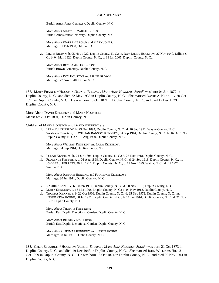Burial: Amos Jones Cemetery, Duplin County, N. C.

More About MARY ELIZABETH JONES: Burial: Amos Jones Cemetery, Duplin County, N. C.

More About WARREN BROWN and MARY JONES: Marriage: 01 Feb 1938, Dillion S. C.

vi. LILLIE BROWN, b. 05 Nov 1922, Duplin County, N. C.; m. ROY JAMES HOUSTON, 27 Nov 1940, Dillion S. C.; b. 04 May 1920, Duplin County, N. C.; d. 18 Jan 2005, Duplin County, N. C..

More About ROY JAMES HOUSTON: Burial: Brown Cemetery, Duplin County, N. C.

More About ROY HOUSTON and LILLIE BROWN: Marriage: 27 Nov 1940, Dillion S. C.

**187.** MARY FRANCES<sup>4</sup> HOUSTON *(JOESPH THOMAS*<sup>3</sup> *, MARY ANN*<sup>2</sup>  *KENNEDY, JOHN*<sup>1</sup> *)* was born 04 Jun 1872 in Duplin County, N. C., and died 22 May 1935 in Duplin County, N. C.. She married DAVID A. KENNEDY 20 Oct 1891 in Duplin County, N. C.. He was born 19 Oct 1871 in Duplin County, N. C., and died 17 Dec 1929 in Duplin County, N. C..

More About DAVID KENNEDY and MARY HOUSTON: Marriage: 20 Oct 1891, Duplin County, N. C.

Children of MARY HOUSTON and DAVID KENNEDY are:

i. LULA  $K$ <sup>5</sup> KENNEDY, b. 29 Dec 1894, Duplin County, N. C.; d. 10 Sep 1971, Wayne County, N. C. Westview Cemetery; m. WILLIAN RANSOM KENNEDY, 04 Sep 1914, Duplin County, N. C.; b. 16 Oct 1895, Duplin County, N. C.; d. 12 Aug 1960, Duplin County, N. C..

More About WILLIAN KENNEDY and LULA KENNEDY: Marriage: 04 Sep 1914, Duplin County, N. C.

- ii. LOLAR KENNEDY, b. 24 Jun 1896, Duplin County, N. C.; d. 25 Nov 1918, Duplin County, N. C..
- iii. FLORENCE KENNEDY, b. 01 Aug 1898, Duplin County, N. C.; d. 24 Sep 1918, Duplin County, N. C.; m. JOHNNIE J. HERRING, 30 Jul 1911, Duplin County, N. C.; b. 11 Nov 1899, Watha, N. C.; d. Jul 1976, Wartha, N. C..

More About JOHNNIE HERRING and FLORENCE KENNEDY: Marriage: 30 Jul 1911, Duplin County, N. C.

- iv. RASHIE KENNEDY, b. 10 Jan 1900, Duplin County, N. C.; d. 28 Nov 1910, Duplin County, N. C..
- v. MARY KENNEDY, b. 18 Mar 1908, Duplin County, N. C.; d. 04 Nov 1918, Duplin County, N. C..
- vi. THOMAS KENNEDY, b. 22 Oct 1909, Duplin County, N. C.; d. 25 Dec 1972, Duplin County, N. C.; m. BESSIE VIVA HORNE, 08 Jul 1931, Duplin County, N. C.; b. 11 Jan 1914, Duplin County, N. C.; d. 21 Nov 1987, Duplin County, N. C..

More About THOMAS KENNEDY: Burial: East Duplin Devotional Garden, Duplin County, N. C.

More About BESSIE VIVA HORNE: Burial: East Duplin Devotional Garden, Duplin County, N. C.

More About THOMAS KENNEDY and BESSIE HORNE: Marriage: 08 Jul 1931, Duplin County, N. C.

**188.** CELIA ELIZABETH<sup>4</sup> HOUSTON *(JOESPH THOMAS*<sup>3</sup> *, MARY ANN*<sup>2</sup>  *KENNEDY, JOHN*<sup>1</sup> *)* was born 21 Oct 1873 in Duplin County, N. C., and died 19 Dec 1943 in Duplin County, N. C.. She married JOHN WILLIAMS HILL 31 Oct 1909 in Duplin County, N. C.. He was born 16 Oct 1874 in Duplin County, N. C., and died 30 Nov 1941 in Duplin County, N. C..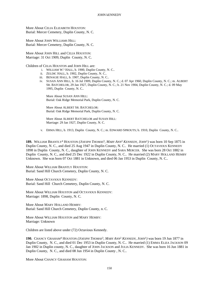More About CELIA ELIZABETH HOUSTON: Burial: Mercer Cemetery, Duplin County, N. C.

More About JOHN WILLIAMS HILL: Burial: Mercer Cemetery, Duplin County, N. C.

More About JOHN HILL and CELIA HOUSTON: Marriage: 31 Oct 1909, Duplin County, N. C.

Children of CELIA HOUSTON and JOHN HILL are:

- i. WILLIAM W. 5 HALL, b. 1900, Duplin County, N. C..
- ii. ZELDIC HALL, b. 1902, Duplin County, N. C..
- iii. BENAGIE HALL, b. 1907, Duplin County, N. C..
- iv. SUSAN ANN HILL, b. 16 Jul 1909, Duplin County, N. C.; d. 07 Apr 1960, Duplin County, N. C.; m. ALBERT SR. BATCHELOR, 29 Jan 1927, Duplin County, N. C.; b. 21 Nov 1904, Duplin County, N. C.; d. 09 May 1995, Duplin County, N. C..

More About SUSAN ANN HILL: Burial: Oak Ridge Memorial Park, Duplin County, N. C.

More About ALBERT SR. BATCHELOR: Burial: Oak Ridge Memorial Park, Duplin County, N. C.

More About ALBERT BATCHELOR and SUSAN HILL: Marriage: 29 Jan 1927, Duplin County, N. C.

v. ERMA HILL, b. 1913, Duplin County, N. C.; m. EDWARD SPROUTS; b. 1910, Duplin County, N. C..

**189.** WILLIAM BRANTLY<sup>4</sup> HOUSTON *(JOESPH THOMAS*<sup>3</sup> *, MARY ANN*<sup>2</sup>  *KENNEDY, JOHN*<sup>1</sup> *)* was born 10 Sep 1875 in Duplin County, N. C., and died 25 Aug 1947 in Duplin County, N. C.. He married (1) OCTAVIOUS KENNEDY 1898 in Duplin County, N. C., daughter of JOHN KENNEDY and SARA MERCER. She was born 28 Oct 1882 in Duplin County, N. C., and died 25 Dec 1922 in Duplin County, N. C.. He married (2) MARY HOLLAND HEMBY Unknown. She was born 07 Oct 1881 in Unknown, and died 06 Jan 1953 in Duplin County, N. C..

More About WILLIAM BRANTLY HOUSTON: Burial: Sand Hill Church Cemetery, Duplin County, N. C.

More About OCTAVIOUS KENNEDY: Burial: Sand Hill Church Cemetery, Duplin County, N. C.

More About WILLIAM HOUSTON and OCTAVIOUS KENNEDY: Marriage: 1898, Duplin County, N. C.

More About MARY HOLLAND HEMBY: Burial: Sand Hill Church Cemetery, Duplin County, n. C.

More About WILLIAM HOUSTON and MARY HEMBY: Marriage: Unknown

Children are listed above under (72) Octavious Kennedy.

**190.** CHANCY GRAHAM<sup>4</sup> HOUSTON *(JOESPH THOMAS*<sup>3</sup> *, MARY ANN*<sup>2</sup>  *KENNEDY, JOHN*<sup>1</sup> *)* was born 19 Jun 1877 in Duplin County, N. C., and died 01 Dec 1953 in Duplin County, N. C.. He married (1) EMMA ELIZA JACKSON 09 Jan 1902 in Duplin county, N. C., daughter of JOHN JACKSON and JULIA KENNEDY. She was born 16 Jun 1881 in Duplin County, N. C., and died 08 Jun 1954 in Duplin County , N. C..

More About CHANCY GRAHAM HOUSTON: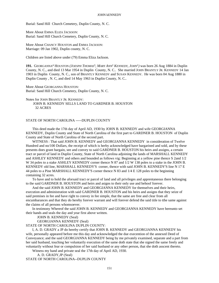Burial: Sand Hill Church Cemetery, Duplin County, N. C.

More About EMMA ELIZA JACKSON: Burial: Sand Hill Church Cemetery, Duplin County, N. C.

More About CHANCY HOUSTON and EMMA JACKSON: Marriage: 09 Jan 1902, Duplin county, N. C.

Children are listed above under (79) Emma Eliza Jackson.

**191.** GEORGANNA<sup>4</sup> HOUSTON *(JOESPH THOMAS*<sup>3</sup> *, MARY ANN*<sup>2</sup>  *KENNEDY, JOHN*<sup>1</sup> *)* was born 26 Aug 1884 in Duplin County, N. C., and died 13 Mar 1954 in Duplin County, N. C.. She married JOHN BRANTLY JR. KENNEDY 14 Jan 1903 in Duplin County, N. C., son of BRANTLY KENNEDY and SUSAN KENNEDY. He was born 04 Aug 1880 in Duplin County , N. C, and died 14 May 1963 in Duplin County, N. C..

More About GEORGANNA HOUSTON: Burial: Sand Hill Church Cemetery, Duplin County, N. C.

Notes for JOHN BRANTLY JR. KENNEDY: JOHN B. KENNEDY SELLS LAND TO GARDNER B. HOUSTON 32 ACRES

# STATE OF NORTH CAROLINA -----DUPLIN COUNTY

This deed made the 17th day of April AD, 1930 by JOHN B. KENNEDY and wife GEORGIANNA KENNEDY, Duplin County and State of North Carolina of the first part to GARDNER B. HOUSTON of Duplin County and State of North Carolina of the second part.

WITNESS : That said JOHN B. KENNEDY and GEORGIANNA KENNEDY in consideration of Twelve Hundred and no/100 Dollars, the receipt of which is herby acknowledged have bargarined and sold, and by these presents does grant bargain, see and convey to said GARDNER B. HOUSTON his heirs and assigns, a certain tract or parcel of land in Duplin County, State of North Carolina adjoining the lands of MARSHALL KENNEDY and ASHLEY KENNEDY and others and bounded as follows vig: Beginning at a yellow pine thence S 2and 1/2 W 34 poles to a stake ASHLEY KENNEDY corner thence N 87 and  $1/2$  W 138 poles to a stake in the JOHN B. KENNEDY old line, MARSHALL KENNEDY'S corner, thence with said JOHN B. KENNEDY'S line N 17 E 44 poles to a Pine MARSHALL KENNEDY'S corner thence N 83 and 1/4 E 128 poles to the beginning containing 32 acres.

To have and to hold the aforsaid tract or parcel of land and all privileges and apprentaneous there belonging to the said GARDNER B. HOUSTON and heirs and asigns to their only use and behoof forever.

And the said JOHN B. KENNEDY and GEORGIANNA KENNEDY for themselves and their heirs, execution and administration with said GARDNER B. HOUSTON and his heirs and assigns that they seize of said premises in fee and have right to convey in fee simple, that the same are free and clear from all encumbarances and that they do hereby forever warrant and will forever defend the said title to tthe same against the claims of all persons whomsoever.

In testimony Whereof the said JOHN B. KENNEDY and GEORGIANNA KENNEDY have hereunto set their hands and seals the day and year first above written.

JOHN B. KENNEDY (Seal)

GEORGIANNA KENNEDY (Seal)

STATE OF NORTH CAROLINA DUPLIN COUNTY:

I, A. D. GRADY a JP do hereby certify that JOHN B. KENNEDY and GEORGIANNA KENNEDY his wife, personally appeared before me this day and acknowledged the due execention of the annexed Deed of Conveyance; and the said GEORGIANNA KENNEDY being by me privately examined, separate and a part from her said husband, touching her voluntarily execution of the same doth state that she signed the same freely and voluntarily without fear or compulsion of her said husband or any other person, that she doth asscent thereto.

Witness my hand and private seal the 17th day of April AD, 1930.

A. D. GRADY,JP (Seal) STATE OF NORTH CAROLINA--DUPLIN COUNTY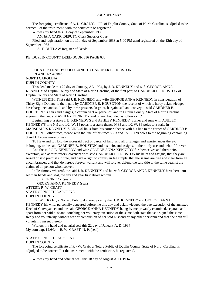The foregoing certificate of A. D. GRADY, a J.P. of Duplin County, State of North Carolina is adjuded to be correct. Let the instrument, with the certificate be registered.

Witness my hand this 11 day of September, 1933

ANNA A CARR, DEPUTY Clerk Superior Court

Filed and registeration on the 11th day of September 1933 at 5:00 PM aand registered on the 12th day of September 1933

A. T. OUTLAW Register of Deeds

RE; DUPLIN COUNTY DEED BOOK 316 PAGE 636

JOHN B. KENNEDY SOLD LAND TO GARDNER B. HOUSTON 9 AND 1/2 ACRES NORTH CAROLINA DUPLIN COUNTY

This deed made this 22 day of January, AD 1934, by J. B. KENNEDY and wife GEORGE ANNA KENNEDY of Duplin County and State of North Carolina, of the first part, to GARDNER B. HOUSTON of Duplin County and State of North Carolina.

WITNESSETH; That said J. B. KENNEDY and wife GEORGE ANNA KENNEDY in consideration of Thirty Eight Dollars, to them paid by GARDNER B. HOUSDTON the receipt of which is herby acknowledged, have bargained and sold, and by these presents do grant, bargain, sell and convey to said GARDNER B. HOUSTON his heirs and assigns, a certain tract or parcel of land in Duplin County, State of North Carolina, adjoining the lands of ASHLEY KENNEDY and others, bounded as follows vig"

Beginnning at a stake J. B. KENNEDY'S and ASHLEY KENNEDY corner and runs with ASHLEY KENNEDY'S line N 9 and 1/2 W. 14 poles to a stake thence N 83 and 1/2 W. 86 poles to a stake in MARSHALL'S KENNEDY 'S LINE 46 links from his corner, thence with his line to the corner of GARDNER B. HOUSTON'S other tract, thence with the line of this tract S. 83 and 1/2 E. 128 poles to the beginning containing 9 and 1/2 acres more or less.

To Have and to Hold the aforesaid tract or parcel of land, and all privileges and apurtenances thereto belonging, to the said GARDNER B. HOUSTON and his heirs and assigns, to their only use and behoof forever.

And the said J. B. KENNEDY and wife GEORGE ANNA KENNEDY for themselves and theri heirs executors, and adminstrators, covenant with said GARDNER B. HOUSTON his heirs and assigns, that they are seized of said premises in free, and have a right to convey in fee simple' that the saame are free and clear from all encumbrances, and that do hereby forever warrant and will forever defend the said title to the same against the claims of all person whomsoever.

In Testimony whereof, the said J. B. KENNEDY and his wife GEORGE ANNA KENNEDY have hereunto set their hands and seal, the day and year first above written.

J. B. KENNEDY (seal)

GEORGIANNA KENNEDY (seal)

## ATTEST; R. W. CRAFT STATE OF NORTH CAROLINA DUPLIN COUNTY

I, R. W. CRAFT, a Nottary Public, do hereby cerify that J. B. KENNEDY and GEORGE ANNA KENNEDY his wife, personally appeared before me this day and acknowledged the due execution of the annexed Deed of Conveyance; and the said GEORGE ANNA KENNEDY being by me privately examined, separate and apart from her said husband, touching her voluntary execution of the same doth state that she signed the same freely and voluntarily, without fear or compulsion of her said husband or any other personm and that she doth still voluntatily assent thereto.

Witness my hand and notarial seal this 22 day of January A. D. 1934 My com exp. 12/6/34 R. W. CRAFT, N. P. (seal)

# STATE OF NORTH CAROLINA

#### DUPLIN COUNTY

The foregoing certificate of R> W. Craft, a Notary Public of Duplin County, State of North Carolina, is adjudged to be correct. Let the instrument, with the certificate, be registered.

Witness my hand and official seal, this 18 day of August A. D. 1934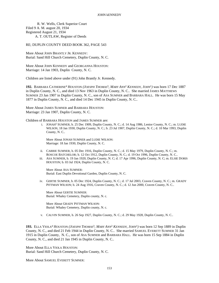R. W. Wells, Clerk Superior Court Filed 9 A. M. august 20, 1934 Registered August 21, 1934 A. T. OUTLAW, Register of Deeds

RE; DUPLIN COUNTY DEED BOOK 362, PAGE 543

More About JOHN BRANTLY JR. KENNEDY: Burial: Sand Hill Church Cemetery, Duplin County, N. C.

More About JOHN KENNEDY and GEORGANNA HOUSTON: Marriage: 14 Jan 1903, Duplin County, N. C.

Children are listed above under (91) John Brantly Jr. Kennedy.

**192.** BARBARA CATHERINE<sup>4</sup> HOUSTON *(JOESPH THOMAS*<sup>3</sup> *, MARY ANN*<sup>2</sup>  *KENNEDY, JOHN*<sup>1</sup> *)* was born 17 Dec 1887 in Duplin County, N. C., and died 13 Nov 1963 in Duplin County, N. C.. She married JAMES MATTHEWS SUMNER 23 Jan 1907 in Duplin County, N. C., son of ASA SUMNER and BARBARA HALL. He was born 15 May 1877 in Duplin County, N. C., and died 14 Dec 1945 in Duplin County, N. C..

More About JAMES SUMNER and BARBARA HOUSTON: Marriage: 23 Jan 1907, Duplin County, N. C.

Children of BARBARA HOUSTON and JAMES SUMNER are:

i. JONAH<sup>5</sup> SUMNER, b. 25 Dec 1909, Duplin County, N. C.; d. 14 Aug 1986, Lenior County, N. C.; m. LUDIE WILSON, 18 Jan 1930, Duplin County, N. C.; b. 23 Jul 1907, Duplin County, N. C.; d. 10 Mar 1993, Duplin County, N. C..

More About JONAH SUMNER and LUDIE WILSON: Marriage: 18 Jan 1930, Duplin County, N. C.

- ii. CARRIE SUMNER, b. 05 Dec 1916, Duplin County, N. C.; d. 15 May 1979, Duplin County, N. C.; m. ROSCOE BATCHELOR; b. 12 Oct 1912, Duplin County, N. C.; d. 19 Oct 1996, Duplin County, N. C..
- iii. ASA SUMNER, b. 19 Jan 1920, Duplin County, N. C; d. 17 Apr 1996, Duplin County, N. C; m. ELSIE DORIS HOUSTON; b. 03 Jul 1924, Duplin County, N. C.

More About ASA SUMNER: Burial: East Duplin Devotional Garden, Duplin County, N. C.

iv. GERTIE SUMNER, b. 05 Dec 1924, Duplin County, N. C.; d. 17 Jul 2003, Craven County, N. C.; m. GRADY PITTMAN WILSON; b. 24 Aug 1916, Craven County, N. C.; d. 12 Jun 2000, Craven County, N. C..

More About GERTIE SUMNER: Burial: Whaley Cemetery, Duplin county, N. c.

More About GRADY PITTMAN WILSON: Burial: Whaley Cemetery, Duplin county, N. c.

v. CALVIN SUMNER, b. 26 Sep 1927, Duplin County, N. C.; d. 29 May 1928, Duplin County, N. C..

**193.** ELLA VIOLA<sup>4</sup> HOUSTON *(JOESPH THOMAS*<sup>3</sup> *, MARY ANN*<sup>2</sup>  *KENNEDY, JOHN*<sup>1</sup> *)* was born 12 Sep 1889 in Duplin County, N. C., and died 21 Feb 1944 in Duplin County, N. C.. She married SAMUEL EVERETT SUMNER 31 Jan 1915 in Duplin County, N. C., son of ASA SUMNER and BARBARA HALL. He was born 15 Sep 1884 in Duplin County, N. C., and died 21 Jan 1945 in Duplin County, N. C..

More About ELLA VIOLA HOUSTON: Burial: Sand Hill Church Cemetery, Duplin County, N. C.

More About SAMUEL EVERETT SUMNER: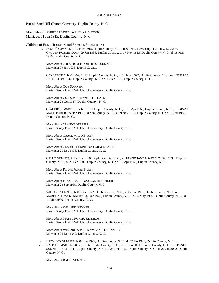Burial: Sand Hill Church Cemetery, Duplin County, N. C.

More About SAMUEL SUMNER and ELLA HOUSTON: Marriage: 31 Jan 1915, Duplin County, N. C.

Children of ELLA HOUSTON and SAMUEL SUMNER are:

i. DESSIE<sup>5</sup> SUMNER, b. 12 Nov 1915, Duplin County, N. C.; d. 01 Nov 1995, Duplin County, N. C.; m. GROVER ROBERT DUFF, 09 Jan 1938, Duplin County,; b. 17 Nov 1913, Duplin County, N. C.; d. 19 May 1979, Duplin County, N. C..

More About GROVER DUFF and DESSIE SUMNER: Marriage: 09 Jan 1938, Duplin County,

ii. COY SUMNER, b. 07 May 1917, Duplin County, N. C.; d. 23 Nov 1972, Duplin County, N. C.; m. EFFIE LEE HALL, 23 Oct 1937, Duplin County, N. C.; b. 15 Jan 1913, Duplin County, N. C..

More About COY SUMNER: Burial: Sandy Plain FWB Church Cemetery, Duplin County, N. C.

More About COY SUMNER and EFFIE HALL: Marriage: 23 Oct 1937, Duplin County, N. C.

iii. CLAUDIE SUMNER, b. 05 Jun 1919, Duplin County, N. C.; d. 18 Apr 1965, Duplin County, N. C.; m. GRACE MAUD BAKER, 25 Dec 1936, Duplin County, N. C.; b. 09 Nov 1916, Duplin County, N. C.; d. 16 Jul 1985, Duplin County, N. C..

More About CLAUDIE SUMNER: Burial: Sandy Plain FWB Church Cemetery, Duplin County, N. C.

More About GRACE MAUD BAKER: Burial: Sandy Plain FWB Church Cemetery, Duplin County, N. C.

More About CLAUDIE SUMNER and GRACE BAKER: Marriage: 25 Dec 1936, Duplin County, N. C.

iv. CALLIE SUMNER, b. 12 Dec 1920, Duplin County, N. C.; m. FRANK JAMES BAKER, 23 Sep 1939, Duplin County, N. C.; b. 23 Sep 1909, Duplin County, N. C.; d. 02 Apr 1966, Duplin County, N. C..

More About FRANK JAMES BAKER: Burial: Sandy Plain FWB Church Cemetery, Duplin County, N. C.

More About FRANK BAKER and CALLIE SUMNER: Marriage: 23 Sep 1939, Duplin County, N. C.

v. WILLARD SUMNER, b. 09 Dec 1922, Duplin County, N. C.; d. 02 Jan 1981, Duplin County, N. C.; m. MABEL NORMA KENNEDY, 26 Dec 1947, Duplin County, N. C.; b. 05 May 1930, Duplin County, N. C.; d. 11 Mar 2006, Lenoir County, N. C..

More About WILLARD SUMNER: Burial: Sandy Plain FWB Church Cemetery, Duplin County, N. C.

More About MABEL NORMA KENNEDY: Burial: Sandy Plain FWB Church Cemetery, Duplin County, N. C.

More About WILLARD SUMNER and MABEL KENNEDY: Marriage: 26 Dec 1947, Duplin County, N. C.

- vi. BABY BOY SUMNER, b. 02 Jan 1925, Duplin County, N. C.; d. 02 Jan 1925, Duplin County, N. C..
- vii. RALPH SUMNER, b. 28 Sep 1926, Duplin County, N. C.; d. 13 Jun 2001, Lenoir County, N. C.; m. JEANIE SUMNER, 17 Jan 1947, Duplin County, N. C.; b. 23 Dec 1923, Duplin County, N. C.; d. 22 Jan 2002, Duplin County, N. C..

More About RALPH SUMNER: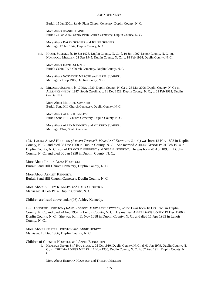Burial: 15 Jun 2001, Sandy Plain Church Cemetery, Duplin County, N. C.

More About JEANIE SUMNER: Burial: 24 Jan 2002, Sandy Plain Church Cemetery, Duplin County, N. C.

More About RALPH SUMNER and JEANIE SUMNER: Marriage: 17 Jan 1947, Duplin County, N. C.

viii. HAZEL SUMNER, b. 19 Jan 1928, Duplin County, N. C.; d. 10 Jun 1997, Lenoir County, N. C.; m. NORWOOD MERCER, 21 Sep 1945, Duplin County, N. C.; b. 18 Feb 1924, Duplin County, N. C..

More About HAZEL SUMNER: Burial: Cabin FWB Church Cemetery, Duplin County, N. C.

More About NORWOOD MERCER and HAZEL SUMNER: Marriage: 21 Sep 1945, Duplin County, N. C.

ix. MILDRED SUMNER, b. 17 May 1930, Duplin County, N. C.; d. 23 Mar 2006, Duplin County, N. C.; m. ALLEN KENNEDY, 1947, South Carolina; b. 11 Dec 1923, Duplin County, N. C.; d. 22 Feb 1982, Duplin County, N. C..

More About MILDRED SUMNER: Burial: Sand Hill Church Cemetery, Duplin County, N. C.

More About ALLEN KENNEDY: Burial: Sand Hill Church Cemetery, Duplin County, N. C.

More About ALLEN KENNEDY and MILDRED SUMNER: Marriage: 1947, South Carolina

**194.** LAURA ALMA<sup>4</sup> HOUSTON *(JOESPH THOMAS*<sup>3</sup> *, MARY ANN*<sup>2</sup>  *KENNEDY, JOHN*<sup>1</sup> *)* was born 12 Nov 1893 in Duplin County, N. C., and died 08 Dec 1968 in Duplin County, N. C.. She married ASHLEY KENNEDY 01 Feb 1914 in Duplin County, N. C., son of BRANTLY KENNEDY and SUSAN KENNEDY. He was born 20 Apr 1893 in Duplin County, N. C., and died 06 Jan 1958 in Duplin County, N. C..

More About LAURA ALMA HOUSTON: Burial: Sand Hill Church Cemetery, Duplin County, N. C.

More About ASHLEY KENNEDY: Burial: Sand Hill Church Cemetery, Duplin County, N. C.

More About ASHLEY KENNEDY and LAURA HOUSTON: Marriage: 01 Feb 1914, Duplin County, N. C.

Children are listed above under (96) Ashley Kennedy.

**195.** CHESTER<sup>4</sup> HOUSTON *(JAMES ROBERT*<sup>3</sup> *, MARY ANN*<sup>2</sup>  *KENNEDY, JOHN*<sup>1</sup> *)* was born 18 Oct 1879 in Duplin County, N. C., and died 24 Feb 1957 in Lenoir County, N. C.. He married ANNIE DAVIS BONEY 19 Dec 1906 in Duplin County, N. C.. She was born 11 Nov 1888 in Duplin County, N. C., and died 11 Apr 1933 in Lenoir County, N. C..

More About CHESTER HOUSTON and ANNIE BONEY: Marriage: 19 Dec 1906, Duplin County, N. C.

Children of CHESTER HOUSTON and ANNIE BONEY are:

i. HERMAN DAVID SR.<sup>5</sup> HOUSTON, b. 05 Oct 1910, Duplin County, N. C.; d. 01 Jan 1979, Duplin County, N. C.; m. THELMA LOUISE MILLER, 11 Nov 1930, Duplin County, N. C.; b. 07 Aug 1914, Duplin County, N. C..

More About HERMAN HOUSTON and THELMA MILLER: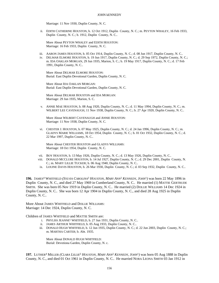Marriage: 11 Nov 1930, Duplin County, N. C.

ii. EDITH CATHERINE HOUSTON, b. 12 Oct 1912, Duplin County, N. C.; m. PEYTON WHALEY, 16 Feb 1933, Duplin County, N. C.; b. 1912, Duplin County, N. C..

More About PEYTON WHALEY and EDITH HOUSTON: Marriage: 16 Feb 1933, Duplin County, N. C.

- iii. AARON JAMES HOUSTON, b. 05 Oct 1914, Duplin County, N. C.; d. 08 Jun 1917, Duplin County, N. C..
- iv. DELMAR ELMORE HOUSTON, b. 19 Jun 1917, Duplin County, N. C.; d. 29 Sep 1972, Duplin County, N. C.; m. IDA OAKLAN MORGAN, 29 Jun 1935, Marion, S. C.; b. 19 May 1917, Duplin County, N. C.; d. 17 Feb 1991, Duplin County, N. C..

More About DELMAR ELMORE HOUSTON: Burial: East Duplin Devotional Garden, Duplin County, N. C.

More About IDA OAKLAN MORGAN: Burial: East Duplin Devotional Garden, Duplin County, N. C.

More About DELMAR HOUSTON and IDA MORGAN: Marriage: 29 Jun 1935, Marion, S. C.

v. ANNIE MAE HOUSTON, b. 08 Aug 1920, Duplin County, N. C.; d. 11 May 1994, Duplin County, N. C.; m. WILBERT LEE CAVENAUGH, 11 Nov 1938, Duplin County, N. C.; b. 27 Apr 1920, Duplin County, N. C..

More About WILBERT CAVENAUGH and ANNIE HOUSTON: Marriage: 11 Nov 1938, Duplin County, N. C.

vi. CHESTER J. HOUSTON, b. 07 May 1925, Duplin County, N. C.; d. 24 Jan 1996, Duplin County, N. C.; m. GLADYS MARIE WILLIAMS, 18 Oct 1954, Duplin County, N. C.; b. 01 Oct 1932, Duplin County, N. C.; d. 22 Mar 1997, Duplin County, N. C..

More About CHESTER HOUSTON and GLADYS WILLIAMS: Marriage: 18 Oct 1954, Duplin County, N. C.

- vii. BOY HOUSTON, b. 13 May 1926, Duplin County, N. C.; d. 13 May 1926, Duplin County, N. C..
- viii. DONALD MCCLURE HOUSTON, b. 14 Jul 1927, Duplin County, N. C.; d. 29 Dec 2001, Duplin County, N. C.; m. MARY LILLIE TUCKER; b. 06 Aug 1940, Duplin County, N. C..
- ix. LOUINE DAVIS HOUSTON, b. 26 Mar 1930, Duplin County, N. C.; d. 03 Sep 1932, Duplin County, N. C..

**196.** JAMES<sup>4</sup> WHITFIELD *(SYLVIA CAROLINA*<sup>3</sup>  *HOUSTON, MARY ANN*<sup>2</sup>  *KENNEDY, JOHN*<sup>1</sup> *)* was born 22 May 1896 in Duplin County, N. C., and died 27 May 1969 in Cumberland County, N. C.. He married (1) MATTIE GERTRUDE SMITH. She was born 05 Nov 1919 in Duplin County, N. C.. He married (2) DOLLIE WILLIAMS 14 Dec 1924 in Duplin County, N. C.. She was born 12 Apr 1904 in Duplin County, N. C., and died 28 Aug 1925 in Duplin County, N. C..

More About JAMES WHITFIELD and DOLLIE WILLIAMS: Marriage: 14 Dec 1924, Duplin County, N. C.

Children of JAMES WHITFIELD and MATTIE SMITH are:

- i. PHYLISS JEANNE<sup>5</sup> WHITFIELD, b. 27 Jun 1931, Duplin County, N. C..
- ii. JAMES ARTHUR WHITFIELD, b. 05 Aug 1933, Duplin County, N. C..
- iii. DONALD HUGH WHITFIELD, b. 12 Jun 1935, Duplin County, N. C.; d. 22 Jun 2003, Duplin County, N. C.; m. MARTHA CARTER; b. Abt. 1935.

More About DONALD HUGH WHITFIELD: Burial: Devotiona Garden, Duplin County, N. c.

**197.** LUTHER<sup>4</sup> MILLER *(CLARA LILLIE*<sup>3</sup>  *HOUSTON, MARY ANN*<sup>2</sup>  *KENNEDY, JOHN*<sup>1</sup> *)* was born 05 Aug 1888 in Duplin County, N. C., and died 01 Oct 1961 in Duplin County, N. C.. He married NORA LEONA SMITH 03 Jan 1912 in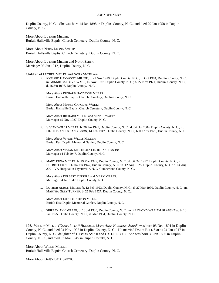Duplin County, N. C.. She was born 14 Jan 1898 in Duplin County, N. C., and died 29 Jan 1958 in Duplin County, N. C..

More About LUTHER MILLER: Burial: Hallsville Baptist Church Cemetery, Duplin County, N. C.

More About NORA LEONA SMITH: Burial: Hallsville Baptist Church Cemetery, Duplin County, N. C.

More About LUTHER MILLER and NORA SMITH: Marriage: 03 Jan 1912, Duplin County, N. C.

### Children of LUTHER MILLER and NORA SMITH are:

i. RICHARD HAYWOOD<sup>5</sup> MILLER, b. 21 Nov 1919, Duplin County, N. C.; d. Oct 1984, Duplin County, N. C.; m. MINNIE CAROLYN WADE, 15 Nov 1937, Duplin County, N. C.; b. 27 Nov 1921, Duplin County, N. C.; d. 16 Jan 1996, Duplin County, N. C..

More About RICHARD HAYWOOD MILLER: Burial: Hallsville Baptist Church Cemetery, Duplin County, N. C.

More About MINNIE CAROLYN WADE: Burial: Hallsville Baptist Church Cemetery, Duplin County, N. C.

More About RICHARD MILLER and MINNIE WADE: Marriage: 15 Nov 1937, Duplin County, N. C.

ii. VIVIAN WELLS MILLER, b. 26 Jan 1927, Duplin County, N. C.; d. 04 Oct 2004, Duplin County, N. C.; m. LILLIE FRANCES SANDERSON, 14 Feb 1947, Duplin County, N. C.; b. 09 Nov 1929, Duplin County, N. C..

More About VIVIAN WELLS MILLER: Burial: East Duplin Memorial Garden, Duplin County, N. C.

More About VIVIAN MILLER and LILLIE SANDERSON: Marriage: 14 Feb 1947, Duplin County, N. C.

iii. MARY EDNA MILLER, b. 19 Mar 1929, Duplin County, N. C.; d. 06 Oct 1957, Duplin County, N. C.; m. DELBERT FUTRELL, 04 Jun 1947, Duplin County, N. C.; b. 12 Aug 1925, Duplin County, N. C.; d. 04 Aug 2001, VA Hospital in Fayetteville, N. C. Cumberland County, N. C..

More About DELBERT FUTRELL and MARY MILLER: Marriage: 04 Jun 1947, Duplin County, N. C.

iv. LUTHOR ADRON MILLER, b. 12 Feb 1923, Duplin County, N. C.; d. 27 Mar 1990, Duplin County, N. C.; m. MARTHA GREY TURNER; b. 25 Feb 1927, Duplin County, N. C..

More About LUTHOR ADRON MILLER: Burial: East Duplin Memorial Garden, Duplin County, N. C.

v. SHIRLEY ANN MILLER, b. 18 Jul 1935, Duplin County, N. C.; m. RAYMOND WILLIAM BRADSHAW; b. 13 Jan 1925, Duplin County, N. C.; d. Mar 1984, Duplin County, N. C..

**198.** WILLIE<sup>4</sup> MILLER *(CLARA LILLIE*<sup>3</sup>  *HOUSTON, MARY ANN*<sup>2</sup>  *KENNEDY, JOHN*<sup>1</sup> *)* was born 03 Dec 1891 in Duplin County, N. C., and died 04 Nov 1938 in Duplin County, N. C.. He married DAISY BELL SMITH 24 Jan 1917 in Duplin County, N. C., daughter of THOMAS SMITH and CALLIE ROUSE. She was born 30 Jan 1896 in Duplin County, N. C., and died 03 Mar 1945 in Duplin County, N. C..

More About WILLIE MILLER: Burial: Hallsville Baptist Church Cemetery, Duplin County, N. C.

More About DAISY BELL SMITH: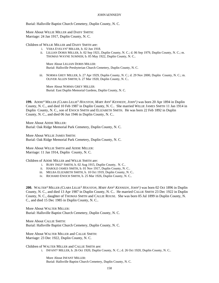Burial: Hallsville Baptist Church Cemetery, Duplin County, N. C.

More About WILLIE MILLER and DAISY SMITH: Marriage: 24 Jan 1917, Duplin County, N. C.

Children of WILLIE MILLER and DAISY SMITH are:

- i. VERA EVELYN<sup>5</sup> MILLER, b. 02 Jun 1918.
- ii. LILLIAN DORIS MILLER, b. 02 Sep 1921, Duplin County, N. C.; d. 06 Sep 1979, Duplin County, N. C.; m. THOMAS WAYNE SUMNER; b. 05 May 1922, Duplin County, N. C..

More About LILLIAN DORIS MILLER: Burial: Hallsville Presbyterian Church Cemetery, Duplin County, N. C.

iii. NORMA GREY MILLER, b. 27 Apr 1929, Duplin County, N. C.; d. 29 Nov 2000, Duplin County, N. C.; m. OLIVER ALLEN SMITH; b. 27 Mar 1920, Duplin County, N. C..

More About NORMA GREY MILLER: Burial: East Duplin Memorial Gardens, Duplin County, N. C.

**199.** ADDIE<sup>4</sup> MILLER *(CLARA LILLIE*<sup>3</sup>  *HOUSTON, MARY ANN*<sup>2</sup>  *KENNEDY, JOHN*<sup>1</sup> *)* was born 20 Apr 1894 in Duplin County, N. C., and died 10 Feb 1987 in Duplin County, N. C.. She married WILLIE JAMES SMITH 11 Jan 1914 in Duplin County, N. C., son of ENOCH SMITH and ELIZABETH SMITH. He was born 22 Feb 1892 in Duplin County, N. C., and died 06 Jun 1946 in Duplin County, N. C..

More About ADDIE MILLER: Burial: Oak Ridge Memorial Park Cemetery, Duplin County, N. C.

More About WILLIE JAMES SMITH: Burial: Oak Ridge Memorial Park Cemetery, Duplin County, N. C.

More About WILLIE SMITH and ADDIE MILLER: Marriage: 11 Jan 1914, Duplin County, N. C.

Children of ADDIE MILLER and WILLIE SMITH are:

- i. RUBY INEZ<sup>5</sup> SMITH, b. 02 Aug 1915, Duplin County, N. C..
- ii. HAROLD JAMES SMITH, b. 01 Nov 1917, Duplin County, N. C..
- iii. MELBA ELIZABETH SMITH, b. 10 Oct 1919, Duplin County, N. C..
- iv. RICHARD ENOCH SMITH, b. 25 Mar 1926, Duplin County, N. C..

**200.** WALTER<sup>4</sup> MILLER *(CLARA LILLIE*<sup>3</sup>  *HOUSTON, MARY ANN*<sup>2</sup>  *KENNEDY, JOHN*<sup>1</sup> *)* was born 02 Oct 1896 in Duplin County, N. C., and died 13 Apr 1987 in Duplin County, N. C.. He married CALLIE SMITH 23 Dec 1922 in Duplin County, N. C., daughter of THOMAS SMITH and CALLIE ROUSE. She was born 05 Jul 1899 in Duplin County, N. C., and died 15 Dec 1985 in Duplin County, N. C..

More About WALTER MILLER: Burial: Hallsville Baptist Church Cemetery, Duplin County, N. C.

More About CALLIE SMITH: Burial: Hallsville Baptist Church Cemetery, Duplin County, N. C.

More About WALTER MILLER and CALLIE SMITH: Marriage: 23 Dec 1922, Duplin County, N. C.

Children of WALTER MILLER and CALLIE SMITH are:

i. INFANT<sup>5</sup> MILLER, b. 26 Oct 1920, Duplin County, N. C.; d. 26 Oct 1920, Duplin County, N. C..

More About INFANT MILLER: Burial: Hallsville Baptist Church Cemetery, Duplin County, N. C.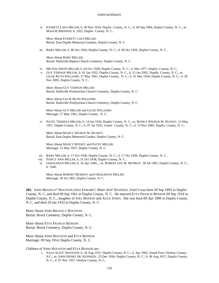ii. EVERETT LAFA MILLER, b. 09 Nov 1924, Duplin County, N. C.; d. 09 Sep 1994, Duplin County, N. C.; m. MAGGIE BRINSON; b. 1925, Duplin County, N. C..

More About EVERETT LAFA MILLER: Burial: East Duplin Memorial Gardens, Duplin County, N. C.

iii. BABY MILLER, b. 06 Oct 1926, Duplin County, N. C.; d. 06 Oct 1926, Duplin County, N. C..

More About BABY MILLER: Burial: Hallsville Baptist Church Cemetery, Duplin County, N. C.

- iv. MILTON SMITH MILLER, b. 03 Oct 1928, Duplin County, N. C.; d. Mar 1977, Duplin County, N. C..
- v. GUY VERNON MILLER, b. 01 Jan 1932, Duplin County, N. C.; d. 15 Jan 2002, Duplin County, N. C.; m. LILLIE RUTH WILLIAMS, 27 May 1961, Duplin County, N. C.; b. 31 Mar 1934, Duplin County, N. C.; d. 20 Nov 2005, Duplin County, N. C..

More About GUY VERNON MILLER: Burial: Hallsville Presbyertian Church Cemetery, Duplin County, N. C.

More About LILLIE RUTH WILLIAMS: Burial: Hallsville Presbyertian Church Cemetery, Duplin County, N. C.

More About GUY MILLER and LILLIE WILLIAMS: Marriage: 27 May 1961, Duplin County, N. C.

vi. PATSY THERESA MILLER, b. 14 Jan 1934, Duplin County, N. C.; m. MANLY WILBUR JR. HUSSEY, 13 May 1957, Duplin County, N. C.; b. 07 Jul 1933, Lenoir County, N. C.; d. 13 Nov 2005, Duplin County, N. C..

More About MANLY WILBUR JR. HUSSEY: Burial: East Duplin Memorial Garden, Duplin County, N. C.

More About MANLY HUSSEY and PATSY MILLER: Marriage: 13 May 1957, Duplin County, N. C.

- vii. BABY MILLER, b. 17 Oct 1936, Duplin County, N. C.; d. 17 Oct 1936, Duplin County, N. C..
- viii. NANCY ANN MILLER, b. 31 Oct 1938, Duplin County, N. C..
- ix. GERALDEAN MILLER, b. 16 Apr 1940, ,; m. ROBERT LEE JR. MURRAY, 30 Jul 1965, Duplin County, N. C.; b. 1940.

More About ROBERT MURRAY and GERALDEAN MILLER: Marriage: 30 Jul 1965, Duplin County, N. C.

**201.** JOHN BRANTLY<sup>4</sup> HOUSTON *(JESS EDWARD*<sup>3</sup> *, MARY ANN*<sup>2</sup>  *KENNEDY, JOHN*<sup>1</sup> *)* was born 20 Sep 1893 in Duplin County, N. C, and died 09 Sep 1961 in Duplin County, N. C. He married ETTA FRANCIS BENSON 09 Sep 1914 in Duplin County, N. C., daughter of JOEL BENSON and ALICE JONES. She was born 09 Apr 1896 in Duplin County, N. C, and died 20 Jan 1933 in Duplin County, N. C.

More About JOHN BRANTLY HOUSTON: Burial: Brock Cemetery, Duplin County, N. C.

More About ETTA FRANCIS BENSON: Burial: Brock Cemetery, Duplin County, N. C.

More About JOHN HOUSTON and ETTA BENSON: Marriage: 09 Sep 1914, Duplin County, N. C.

Children of JOHN HOUSTON and ETTA BENSON are:

i. JULIA ALICE<sup>5</sup> HOUSTON, b. 26 Aug 1915, Duplin County, N. C.; d. Apr 1993, Snead Ferry Onslow County, N.C.; m. JOHN HENRY SR. KENNEDY, 23 Dec 1936, Duplin County, N. C.; b. 06 Aug 1917, Duplin County, N. C.; d. 07 Nov 1957, Onslow County, N. C..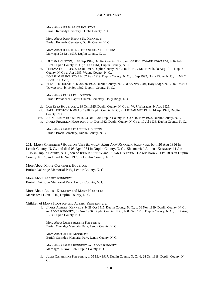More About JULIA ALICE HOUSTON: Burial: Kennedy Cemetery, Duplin County, N. C.

More About JOHN HENRY SR. KENNEDY: Burial: Kennedy Cemetery, Duplin County, N. C.

More About JOHN KENNEDY and JULIA HOUSTON: Marriage: 23 Dec 1936, Duplin County, N. C.

- ii. LILLIAN HOUSTON, b. 18 Sep 1916, Duplin County, N. C.; m. JOESPH EDWARD EDWARDS; b. 02 Feb 1879, Duplin County, N. C.; d. Feb 1964, Duplin County, N. C..
- iii. THELMA HOUSTON, b. 12 Jul 1917, Duplin County, N. C.; m. HENRY SUTTON; b. 08 Aug 1911, Duplin County, N. C.; d. Apr 1985, Wayne County, N. C..
- iv. DOLLIE MAE HOUSTON, b. 07 Aug 1919, Duplin County, N. C.; d. Sep 1992, Holly Ridge, N. C.; m. MAC DONALD DAVIS; b. 1919.
- v. ELLA LEE HOUSTON, b. 30 Jan 1923, Duplin County, N. C.; d. 05 Nov 2004, Holy Ridge, N. C.; m. DAVID TOWNSEND; b. 19 Sep 1892, Duplin County, N. C..

More About ELLA LEE HOUSTON: Burial: Providence Baptist Church Cemetery, Holly Ridge, N. C.

- vi. LUE ETTA HOUSTON, b. 19 Oct 1925, Duplin County, N. C.; m. W. J. WILKENS; b. Abt. 1925.
- vii. PAUL HOUSTON, b. 06 Apr 1928, Duplin County, N. C.; m. LILLIAN MILLER; b. 14 Apr 1927, Duplin County, N. C..
- viii. JOHN PINKEY HOUSTON, b. 23 Oct 1930, Duplin County, N. C.; d. 07 Nov 1973, Duplin County, N. C..
- ix. JAMES FRANKLIN HOUSTON, b. 14 Dec 1932, Duplin County, N. C.; d. 17 Jul 1933, Duplin County, N. C..

More About JAMES FRANKLIN HOUSTON: Burial: Brock Cemetery, Duplin County, N. C.

**202.** MARY CATHERINE<sup>4</sup> HOUSTON *(JESS EDWARD*<sup>3</sup> *, MARY ANN*<sup>2</sup>  *KENNEDY, JOHN*<sup>1</sup> *)* was born 20 Aug 1896 in Lenoir County, N. C., and died 05 Apr 1974 in Duplin County, N. C.. She married ALBERT KENNEDY 11 Jan 1915 in Duplin County, N. C., son of JOHN KENNEDY and SUSAN HOUSTON. He was born 25 Oct 1894 in Duplin County, N. C., and died 16 Sep 1973 in Duplin County, N. C..

More About MARY CATHERINE HOUSTON: Burial: Oakridge Memorial Park, Lenoir County, N. C.

More About ALBERT KENNEDY: Burial: Oakridge Memorial Park, Lenoir County, N. C.

More About ALBERT KENNEDY and MARY HOUSTON: Marriage: 11 Jan 1915, Duplin County, N. C.

Children of MARY HOUSTON and ALBERT KENNEDY are:

i. JAMES ALBERT<sup>5</sup> KENNEDY, b. 28 Oct 1915, Duplin County, N. C.; d. 06 Nov 1989, Duplin County, N. C.; m. ADDIE KENNEDY, 06 Nov 1936, Duplin County, N. C.; b. 08 Sep 1918, Duplin County, N. C.; d. 02 Aug 1983, Duplin County, N. C..

More About JAMES ALBERT KENNEDY: Burial: Oakridge Memorial Park, Lenoir County, N. C.

More About ADDIE KENNEDY: Burial: Oakridge Memorial Park, Lenoir County, N. C.

More About JAMES KENNEDY and ADDIE KENNEDY: Marriage: 06 Nov 1936, Duplin County, N. C.

ii. JULIA CATHERINE KENNEDY, b. 05 May 1917, Duplin County, N. C.; d. 24 Oct 1918, Duplin County, N. C..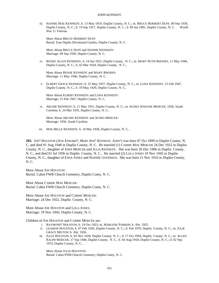iii. NANNIE MAE KENNEDY, b. 13 May 1919, Duplin County, N. C.; m. BRUCE HERBERT DUFF, 09 Sep 1939, Duplin County, N. C.; b. 19 Sep 1917, Duplin County, N. C.; d. 09 Jan 1981, Duplin County, N. C. World War 11 Veteran.

More About BRUCE HERBERT DUFF: Burial: East Duplin Devotional Garden, Duplin County, N. C.

More About BRUCE DUFF and NANNIE KENNEDY: Marriage: 09 Sep 1939, Duplin County, N. C.

iv. RESSIE ALLEN KENNEDY, b. 14 Jun 1921, Duplin County, N. C.; m. MARY RUTH RHODES, 11 May 1946, Duplin County, N. C.; b. 02 Mar 1924, Duplin County, N. C..

More About RESSIE KENNEDY and MARY RHODES: Marriage: 11 May 1946, Duplin County, N. C.

v. ELBERT GRACE KENNEDY, b. 25 May 1927, Duplin County, N. C.; m. LONA KENNEDY, 15 Feb 1947, Duplin County, N. C.; b. 19 May 1929, Duplin County, N. C..

More About ELBERT KENNEDY and LONA KENNEDY: Marriage: 15 Feb 1947, Duplin County, N. C.

vi. ARCHIE KENNEDY, b. 11 May 1931, Duplin County, N. C.; m. AGNES JENEANE MERCER, 1956, South Carolina; b. 24 Mar 1935, Duplin County, N. C..

More About ARCHIE KENNEDY and AGNES MERCER: Marriage: 1956, South Carolina

vii. MAE BELLE KENNEDY, b. 10 Mar 1938, Duplin County, N. C..

**203.** JOE<sup>4</sup> HOUSTON *(JESS EDWARD*<sup>3</sup> *, MARY ANN*<sup>2</sup>  *KENNEDY, JOHN*<sup>1</sup> *)* was born 07 Oct 1899 in Duplin County, N. C, and died 01 Aug 1948 in Duplin County, N. C. He married (1) CARRIE MAE MERCER 24 Dec 1922 in Duplin County, N. C., daughter of JOHN MERCER and JULIA KENNEDY. She was born 26 Dec 1906 in Duplin County, N. C., and died 01 Jul 1936 in Duplin County, N. C.. He married (2) LOLA JONES 19 Nov 1945 in Duplin County, N. C., daughter of ENOS JONES and HADDIE GOODMAN. She was born 21 Nov 1916 in Duplin County, N. C.

More About JOE HOUSTON: Burial: Cabin FWB Church Cemetery, Duplin Conty, N. C.

More About CARRIE MAE MERCER: Burial: Cabin FWB Church Cemetery, Duplin Conty, N. C.

More About JOE HOUSTON and CARRIE MERCER: Marriage: 24 Dec 1922, Duplin County, N. C.

More About JOE HOUSTON and LOLA JONES: Marriage: 19 Nov 1945, Duplin County, N. C.

Children of JOE HOUSTON and CARRIE MERCER are:

- i. RAYMOND<sup>5</sup> HOUSTON, b. 19 Oct 1923; m. MARLENE PARKER; b. Abt. 1925.
- ii. LEAMON HOUSTON, b. 07 Feb 1926, Duplin County, N. C.; d. Feb 1970, Duplin County, N. C.; m. JULIE GRACE MILTON; b. Abt. 1926.
- iii. JULIA HOUSTON, b. 03 Nov 1928, Duplin County, N. C.; d. 17 Oct 1994, Duplin County, N. C.; m. ALLEN RALPH MERCER, 17 Sep 1946, Duplin County, N. C.; b. 04 Aug 1918, Duplin County, N. C.; d. 02 Sep 1974, Duplin County, N. C..

More About JULIA HOUSTON: Burial: Cabin FWB Church Cemetery, Duplin Conty, N. C.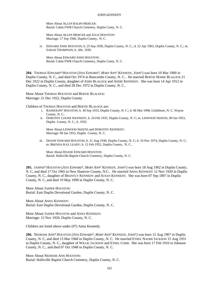More About ALLEN RALPH MERCER: Burial: Cabin FWB Church Cemetery, Duplin Conty, N. C.

More About ALLEN MERCER and JULIA HOUSTON: Marriage: 17 Sep 1946, Duplin County, N. C.

iv. EDWARD JOHN HOUSTON, b. 25 Sep 1930, Duplin County, N. C.; d. 22 Apr 1965, Duplin County, N. C.; m. SARAH THOMPSON; b. Abt. 1930.

More About EDWARD JOHN HOUSTON: Burial: Cabin FWB Church Cemetery, Duplin Conty, N. C.

**204.** THOMAS EDWARD<sup>4</sup> HOUSTON *(JESS EDWARD*<sup>3</sup> *, MARY ANN*<sup>2</sup>  *KENNEDY, JOHN*<sup>1</sup> *)* was born 10 Mar 1900 in Duplin County, N. C., and died Oct 1974 in Buncombs County, N. C.. He married BERTIE MARIE BLALOCK 21 Dec 1922 in Duplin County, daughter of JOHN BLALOCK and ADDIE KENNEDY. She was born 14 Apr 1912 in Duplin County, N. C., and died 28 Dec 1972 in Duplin County, N. C..

More About THOMAS HOUSTON and BERTIE BLALOCK: Marriage: 21 Dec 1922, Duplin County

Children of THOMAS HOUSTON and BERTIE BLALOCK are:

- i. RANDOLPH<sup>5</sup> HOUSTON, b. 30 Sep 1933, Duplin County, N. C.; d. 06 Mar 1998, Goldsbore, N. C. Wayne County, N. C..
- ii. DOROTHY LOUISE KENNEDY, b. 24 Feb 1935, Duplin County, N. C; m. LINWOOD SKEENS, 09 Jan 1953, Duplin County, N. C.; b. 1935.

More About LINWOOD SKEENS and DOROTHY KENNEDY: Marriage: 09 Jan 1953, Duplin County, N. C.

iii. DOANE EDWARD HOUSTON, b. 21 Aug 1938, Duplin County, N. C; d. 10 Nov 1974, Duplin County, N. C; m. BRENDA KAY LEARY; b. 12 Feb 1952, Duplin County, N. C..

More About DOANE EDWARD HOUSTON: Burial: Hallsville Baptist Church Cemetery, Duplin County, N. C.

**205.** JASPER<sup>4</sup> HOUSTON *(JESS EDWARD*<sup>3</sup> *, MARY ANN*<sup>2</sup>  *KENNEDY, JOHN*<sup>1</sup> *)* was born 18 Aug 1902 in Duplin County, N. C, and died 17 Oct 1965 in New Hanover County, N.C.. He married ANNA KENNEDY 12 Nov 1920 in Duplin County, N. C., daughter of BRANTLY KENNEDY and SUSAN KENNEDY. She was born 07 Sep 1897 in Duplin County, N. C, and died 19 May 1990 in Duplin County, N. C.

More About JASPER HOUSTON: Burial: East Duplin Devotional Garden, Duplin County, N. C.

More About ANNA KENNEDY: Burial: East Duplin Devotional Garden, Duplin County, N. C.

More About JASPER HOUSTON and ANNA KENNEDY: Marriage: 12 Nov 1920, Duplin County, N. C.

Children are listed above under (97) Anna Kennedy.

**206.** NEDHAM ANN<sup>4</sup> HOUSTON *(JESS EDWARD*<sup>3</sup> *, MARY ANN*<sup>2</sup>  *KENNEDY, JOHN*<sup>1</sup> *)* was born 12 Aug 1907 in Duplin County, N. C, and died 13 Mar 1968 in Duplin County, N. C. He married ETHEL NAOMI JACKSON 15 Aug 1931 in Duplin County, N. C., daughter of WILLIE JACKSON and ETHEL COBB. She was born 17 Feb 1910 in Johnson County, N. C., and died 07 Oct 1948 in Duplin County, N. C.

More About NEDHAM ANN HOUSTON: Burial: Hallsville Baptist Church Cemetery, Duplin County, N. C.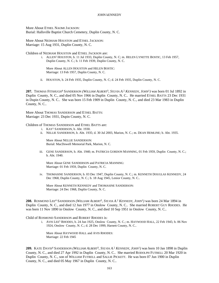More About ETHEL NAOMI JACKSON: Burial: Hallsville Baptist Church Cemetery, Duplin County, N. C.

More About NEDHAM HOUSTON and ETHEL JACKSON: Marriage: 15 Aug 1931, Duplin County, N. C.

Children of NEDHAM HOUSTON and ETHEL JACKSON are:

i. ALLEN<sup>5</sup> HOUSTON, b. 11 Jul 1933, Duplin County, N. C; m. HELEN LYNETTE BOSTIC, 13 Feb 1957, Duplin County, N. C.; b. 11 Feb 1939, Duplin County, N. C.

More About ALLEN HOUSTON and HELEN BOSTIC: Marriage: 13 Feb 1957, Duplin County, N. C.

ii. HOUSTON, b. 24 Feb 1935, Duplin County, N. C; d. 24 Feb 1935, Duplin County, N. C.

**207.** THOMAS FITSHUGH<sup>4</sup> SANDERSON *(WILLIAM ALBERT*<sup>3</sup> *, SYLVIA A.* 2  *KENNEDY, JOHN*<sup>1</sup> *)* was born 01 Jul 1892 in Duplin County, N. C., and died 05 Nov 1966 in Duplin County, N. C.. He married ETHEL BATTS 23 Dec 1931 in Dupin County, N. C.. She was born 15 Feb 1909 in Duplin County, N. C., and died 23 Mar 1983 in Duplin County, N. C..

More About THOMAS SANDERSON and ETHEL BATTS: Marriage: 23 Dec 1931, Dupin County, N. C.

Children of THOMAS SANDERSON and ETHEL BATTS are:

- i. KAY<sup>5</sup> SANDERSON, b. Abt. 1930.
- ii. NELLIE SANDERSON, b. Abt. 1935; d. 30 Jul 2003, Marion, N. C.; m. DEAN HEMLINE; b. Abt. 1935.

More About NELLIE SANDERSON: Burial: MacDowell Memorial Park, Marion, N. C.

iii. GENE SANDERSON, b. Abt. 1940; m. PATRICIA GORDON MANNING, 01 Feb 1959, Duplin County, N. C.; b. Abt. 1940.

More About GENE SANDERSON and PATRICIA MANNING: Marriage: 01 Feb 1959, Duplin County, N. C.

iv. THOMASINE SANDERSON, b. 03 Dec 1947, Duplin County, N. C.; m. KENNETH DOUGLAS KENNEDY, 24 Dec 1968, Duplin County, N. C.; b. 18 Aug 1945, Lenior County, N. C..

More About KENNETH KENNEDY and THOMASINE SANDERSON: Marriage: 24 Dec 1968, Duplin County, N. C.

**208.** ROSMOND LEE<sup>4</sup> SANDERSON *(WILLIAM ALBERT*<sup>3</sup> *, SYLVIA A.* 2  *KENNEDY, JOHN*<sup>1</sup> *)* was born 24 Mar 1894 in Duplin County, N. C., and died 12 Jun 1977 in Onslow County, N. C.. She married ROBERT GUY RHODES. He was born 11 Nov 1890 in Onslow County, N. C., and died 10 Sep 1951 in Onslow County, N. C..

Child of ROSMOND SANDERSON and ROBERT RHODES is:

i. AVIS LEE<sup>5</sup> RHODES, b. 24 Jun 1925, Onslow County, N. C.; m. HAYWOOD HALL, 22 Feb 1945; b. 06 Nov 1924, Onslow County, N. C.; d. 28 Dec 1999, Harnett County, N. C..

More About HAYWOOD HALL and AVIS RHODES: Marriage: 22 Feb 1945

**209.** KATE DAVIS<sup>4</sup> SANDERSON *(WILLIAM ALBERT*<sup>3</sup> *, SYLVIA A.* 2  *KENNEDY, JOHN*<sup>1</sup> *)* was born 10 Jan 1898 in Duplin County, N. C., and died 27 Apr 1992 in Duplin County, N. C.. She married RODOLPH FUTRELL 20 Mar 1920 in Duplin County, N. C., son of WILLIAM FUTRELL and SALLIE PICKETT. He was born 07 Jun 1900 in Duplin County, N. C., and died 05 May 1967 in Duplin County, N. C..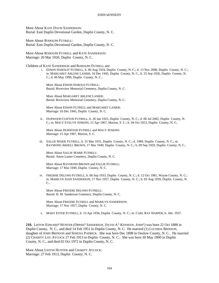More About KATE DAVIS SANDERSON: Burial: East Duplin Devotional Garden, Duplin County, N. C.

More About RODOLPH FUTRELL: Burial: East Duplin Devotional Garden, Duplin County, N. C.

More About RODOLPH FUTRELL and KATE SANDERSON: Marriage: 20 Mar 1920, Duplin County, N. C.

Children of KATE SANDERSON and RODOLPH FUTRELL are:

i. EDWIN HAROLD<sup>5</sup> FUTRELL, b. 06 Aug 1924, Duplin County, N. C.; d. 13 Nov 2000, Duplin County, N. C.; m. MARGARET ARLENE LANIER, 16 Dec 1945, Duplin County, N. C.; b. 25 Sep 1926, Duplin County, N. C.; d. 06 May 1999, Duplin County, N. C..

More About EDWIN HAROLD FUTRELL: Burial: Riverview Memorial Cemetery, Duplin County, N. C.

More About MARGARET ARLENE LANIER: Burial: Riverview Memorial Cemetery, Duplin County, N. C.

More About EDWIN FUTRELL and MARGARET LANIER: Marriage: 16 Dec 1945, Duplin County, N. C.

ii. DURWOOD CLIFTON FUTRELL, b. 26 Jan 1925, Duplin County, N. C.; d. 06 Jul 2002, Duplin County, N. C.; m. MACY EVELYN JENKINS, 15 Apr 1967, Marion, S. C.; b. 04 Oct 1923, Duplin County, N. C..

More About DURWOOD FUTRELL and MACY JENKINS: Marriage: 15 Apr 1967, Marion, S. C.

iii. SALLIE MARIE FUTRELL, b. 31 Mar 1931, Duplin County, N. C.; d. 1989, Duplin County, N. C.; m. RAYMOND ARDELL BROWN, 17 Mar 1949, Duplin County, N. C.; b. 09 Sep 1929, Duplin County, N. C..

More About SALLIE MARIE FUTRELL: Burial: Amos Lanier Cemetery, Duplin County, N. C.

More About RAYMOND BROWN and SALLIE FUTRELL: Marriage: 17 Mar 1949, Duplin County, N. C.

iv. FREDDIE DELONO FUTRELL, b. 06 Sep 1933, Duplin County, N. C.; d. 12 Oct 1981, Wayne County, N. C.; m. MARILYN JOAN SANDERSON, 17 Nov 1957, Duplin County, N. C.; b. 03 Aug 1939, Duplin County, N. C..

More About FREDDIE DELONO FUTRELL: Burial: H. M. Sanderson Cemetery, Duplin County, N. C.

More About FREDDIE FUTRELL and MARILYN SANDERSON: Marriage: 17 Nov 1957, Duplin County, N. C.

v. MARY ESTER FUTRELL, b. 13 Apr 1936, Duplin County, N. C.; m. CARL RAY HARPER; b. Abt. 1937.

**210.** LISTON EDWARD<sup>4</sup> HUNTER *(ORPHA*<sup>3</sup>  *SANDERSON, SYLVIA A.* 2  *KENNEDY, JOHN*<sup>1</sup> *)* was born 22 Oct 1888 in Duplin County, N. C., and died 14 Feb 1951 in Duplin County, N. C. He married (1) LUCINDA BRINSON, daughter of JOHN BRINSON and SERENA PADRICK. She was born Dec 1898 in Onslow County, N. C.. He married (2) CHARITY LOU AYCOCK 27 Feb 1913 in Duplin County, N. C.. She was born 30 May 1890 in Duplin County, N. C., and died 02 Oct 1972 in Duplin County, N. C.

More About LISTON HUNTER and CHARITY AYCOCK: Marriage: 27 Feb 1913, Duplin County, N. C.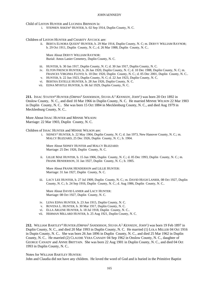Child of LISTON HUNTER and LUCINDA BRINSON is:

i. STEPHEN ASKEW<sup>5</sup> HUNTER, b. 02 Sep 1914, Duplin County, N. C.

Children of LISTON HUNTER and CHARITY AYCOCK are:

ii. BERTA ELNORA QUEEN<sup>5</sup> HUNTER, b. 29 Mar 1914, Duplin County, N. C; m. DERVY WILLIAM RAYNOR; b. 29 Oct 1911, Duplin County, N. C.; d. 26 Mar 1988, Duplin County, N. C..

More About DERVY WILLIAM RAYNOR: Burial: Amos Lanier Cemetery, Duplin County, N. C.

- iii. HUNTER, b. 30 Jan 1917, Duplin County, N. C; d. 30 Jan 1917, Duplin County, N. C.
- iv. ELTON FRENCH HUNTER, b. 26 Jan 1920, Duplin County, N. C; d. 10 Dec 1988, Duplin County, N. C; m. FRANCES VIRGINIA FLOYD; b. 10 Dec 1920, Duplin County, N. C.; d. 05 Dec 2001, Duplin County, N. C..
- v. HUNTER, b. 22 Jun 1923, Duplin County, N. C; d. 22 Jun 1923, Duplin County, N. C.
- vi. BERTHA ESTELLE HUNTER, b. 28 Jun 1926, Duplin County, N. C.
- vii. EDNA MYRTLE HUNTER, b. 06 Jul 1929, Duplin County, N. C.

**211.** ISSAC STATEN<sup>4</sup> HUNTER *(ORPHA*<sup>3</sup>  *SANDERSON, SYLVIA A.* 2  *KENNEDY, JOHN*<sup>1</sup> *)* was born 20 Oct 1892 in Onslow County, N. C., and died 10 Mar 1966 in Duplin County, N. C. He married MINNIE WILSON 22 Mar 1903 in Duplin County, N. C.. She was born 15 Oct 1884 in Mecklenburg County, N. C., and died Aug 1979 in Mecklenburg County, N. C..

More About ISSAC HUNTER and MINNIE WILSON: Marriage: 22 Mar 1903, Duplin County, N. C.

Children of ISSAC HUNTER and MINNIE WILSON are:

i. SIDNEY<sup>5</sup> HUNTER, b. 22 May 1904, Duplin County, N. C; d. Jan 1973, New Hanover County, N. C.; m. MALCY BLIZZARD, 25 Dec 1926, Duplin County, N. C.; b. 1904.

More About SIDNEY HUNTER and MALCY BLIZZARD: Marriage: 25 Dec 1926, Duplin County, N. C.

ii. LILLIE MAE HUNTER, b. 15 Jun 1906, Duplin County, N. C.; d. 05 Dec 1993, Duplin County, N. C.; m. FRANK HENDERSON, 31 Jan 1927, Duplin County, N. C.; b. 1905.

More About FRANK HENDERSON and LILLIE HUNTER: Marriage: 31 Jan 1927, Duplin County, N. C.

iii. LACY LEE HUNTER, b. 27 Jul 1909, Duplin County, N. C.; m. DAVID HUGH LANIER, 08 Oct 1927, Duplin County, N. C.; b. 24 Sep 1916, Duplin County, N. C.; d. Aug 1986, Duplin County, N. C..

More About DAVID LANIER and LACY HUNTER: Marriage: 08 Oct 1927, Duplin County, N. C.

- iv. LENA EDNA HUNTER, b. 23 Jun 1915, Duplin County, N. C.
- v. ROVENA L. HUNTER, b. 30 Mar 1917, Duplin County, N. C.
- vi. ELLA ARLENE HUNTER, b. 18 Jul 1918, Duplin County, N. C..
- vii. HERMAN MILLARD HUNTER, b. 25 Aug 1921, Duplin County, N. C.

212. WILLIAM BARTLEY<sup>4</sup> HUNTER (ORPHA<sup>3</sup> SANDERSON, SYLVIA A.<sup>2</sup> KENNEDY, JOHN<sup>1</sup>) was born 19 Feb 1897 in Duplin County, N. C., and died 20 Mar 1993 in Duplin County, N. C. He married (1) LOLA MILLER 04 Oct 1916 in Dupin County, N. C.. She was born 26 Jun 1896 in Duplin County, N. C., and died 25 Mar 1962 in Duplin County, N. C.. He married (2) CLAUDIE VERA CANADY 04 Sep 1962 in Onslow County, N. C., daughter of GEORGE CANADY and ANNIE BRITTAIN. She was born 22 Aug 1901 in Duplin County, N. C., and died 04 Oct 1993 in Duplin County, N. C..

Notes for WILLIAM BARTLEY HUNTER:

John and Claudia did not have any children. He loved the word of God and is buried in the Primitive Baptist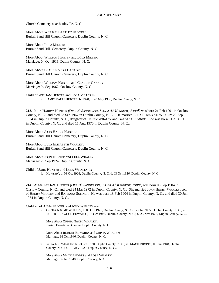Church Cemetery near beulaville, N. C.

More About WILLIAM BARTLEY HUNTER: Burial: Sand Hill Church Cemetery, Duplin County, N. C.

More About LOLA MILLER: Burial: Sand Hill Cemetery, Duplin County, N. C.

More About WILLIAM HUNTER and LOLA MILLER: Marriage: 04 Oct 1916, Dupin County, N. C.

More About CLAUDIE VERA CANADY: Burial: Sand Hill Church Cemetery, Duplin County, N. C.

More About WILLIAM HUNTER and CLAUDIE CANADY: Marriage: 04 Sep 1962, Onslow County, N. C.

Child of WILLIAM HUNTER and LOLA MILLER is: i. JAMES PAUL<sup>5</sup> HUNTER, b. 1920; d. 20 May 1980, Duplin County, N. C.

213. JOHN HARRY<sup>4</sup> HUNTER *(ORPHA<sup>3</sup> SANDERSON, SYLVIA A.<sup>2</sup> KENNEDY, JOHN<sup>1</sup>) was born 21 Feb 1901 in Onslow* County, N. C., and died 23 Sep 1967 in Duplin County, N. C.. He married LULA ELIZABETH WHALEY 29 Sep 1924 in Duplin County, N. C., daughter of HENRY WHALEY and BARBARA SUMNER. She was born 31 Aug 1906 in Duplin County, N. C., and died 11 Aug 1975 in Duplin County, N. C..

More About JOHN HARRY HUNTER: Burial: Sand Hill Church Cemetery, Duplin County, N. C.

More About LULA ELIZABETH WHALEY: Burial: Sand Hill Church Cemetery, Duplin County, N. C.

More About JOHN HUNTER and LULA WHALEY: Marriage: 29 Sep 1924, Duplin County, N. C.

Child of JOHN HUNTER and LULA WHALEY is:

i. HUNTER<sup>5</sup>, b. 03 Oct 1926, Duplin County, N. C; d. 03 Oct 1926, Duplin County, N. C.

**214.** ALMA LILLIAN<sup>4</sup> HUNTER *(ORPHA*<sup>3</sup>  *SANDERSON, SYLVIA A.* 2  *KENNEDY, JOHN*<sup>1</sup> *)* was born 06 Sep 1904 in Onslow County, N. C., and died 24 Mar 1972 in Duplin County, N. C.. She married JOHN HENRY WHALEY, son of HENRY WHALEY and BARBARA SUMNER. He was born 13 Feb 1904 in Duplin County, N. C., and died 30 Jun 1974 in Duplin County, N. C..

# Children of ALMA HUNTER and JOHN WHALEY are:

i. ORPHA NAOMI<sup>5</sup> WHALEY, b. 03 Oct 1926, Duplin County, N. C; d. 25 Jul 2005, Duplin County, N. C.; m. ROBERT LINWOOD EDWARDS, 16 Oct 1946, Duplin County, N. C.; b. 23 Nov 1925, Duplin County, N. C..

More About ORPHA NAOMI WHALEY: Burial: Devotional Garden, Duplin County, N. C.

More About ROBERT EDWARDS and ORPHA WHALEY: Marriage: 16 Oct 1946, Duplin County, N. C.

ii. ROSA LEE WHALEY, b. 23 Feb 1930, Duplin County, N. C.; m. MACK RHODES, 06 Jun 1948, Duplin County, N. C.; b. 10 May 1929, Duplin County, N. C..

More About MACK RHODES and ROSA WHALEY: Marriage: 06 Jun 1948, Duplin County, N. C.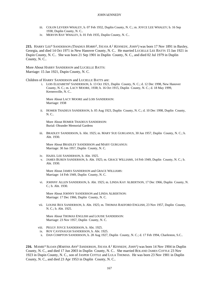- iii. COLON LEVERN WHALEY, b. 07 Feb 1932, Duplin County, N. C.; m. JOYCE LEE WHALEY; b. 16 Sep 1938, Duplin County, N. C..
- iv. MERVIN RAY WHALEY, b. 01 Feb 1935, Duplin County, N. C..

215. HARRY LEE<sup>4</sup> SANDERSON (THADIUS HORRY<sup>3</sup>, SYLVIA A.<sup>2</sup> KENNEDY, JOHN<sup>1</sup>) was born 17 Nov 1891 in Baxley, Georgia, and died 14 Oct 1971 in New Hanover County, N. C.. He married LUCIELLE LEE BATTS 15 Jan 1921 in Dupin County, N. C.. She was born 21 Sep 1901 in Duplin County, N. C., and died 02 Jul 1979 in Duplin County, N. C..

More About HARRY SANDERSON and LUCIELLE BATTS: Marriage: 15 Jan 1921, Dupin County, N. C.

Children of HARRY SANDERSON and LUCIELLE BATTS are:

i. LOIS ELIZABETH<sup>5</sup> SANDERSON, b. 13 Oct 1921, Duplin County, N. C.; d. 12 Dec 1998, New Hanover County, N. C.; m. LACY MOORE, 1938; b. 16 Oct 1915, Duplin County, N. C.; d. 18 May 1999, Kernersville, N. C..

More About LACY MOORE and LOIS SANDERSON: Marriage: 1938

ii. HOMER THADEUS SANDERSON, b. 05 Aug 1923, Duplin County, N. C.; d. 10 Dec 1998, Duplin County, N. C..

More About HOMER THADEUS SANDERSON: Burial: Oleander Memorial Gardens

iii. BRADLEY SANDERSON, b. Abt. 1925; m. MARY SUE GURGANUS, 30 Jun 1957, Duplin County, N. C.; b. Abt. 1930.

More About BRADLEY SANDERSON and MARY GURGANUS: Marriage: 30 Jun 1957, Duplin County, N. C.

- iv. HAZEL LEE SANDERSON, b. Abt. 1925.
- v. JAMES BUREN SANDERSON, b. Abt. 1925; m. GRACE WILLIAMS, 14 Feb 1949, Duplin County, N. C.; b. Abt. 1930.

More About JAMES SANDERSON and GRACE WILLIAMS: Marriage: 14 Feb 1949, Duplin County, N. C.

vi. JOHNNY ALLEN SANDERSON, b. Abt. 1925; m. LINDA KAY ALBERTSON, 17 Dec 1966, Duplin County, N. C.; b. Abt. 1930.

More About JOHNNY SANDERSON and LINDA ALBERTSON: Marriage: 17 Dec 1966, Duplin County, N. C.

vii. LOUISE REX SANDERSON, b. Abt. 1925; m. THOMAS RAEFORD ENGLISH, 23 Nov 1957, Duplin County, N. C.; b. Abt. 1925.

More About THOMAS ENGLISH and LOUISE SANDERSON: Marriage: 23 Nov 1957, Duplin County, N. C.

- viii. PEGGY JOYCE SANDERSON, b. Abt. 1925.
- ix. ROY CAVENAUGH SANDERSON, b. Abt. 1925.
- x. DAN COMPTON SANDERSON, b. 28 Aug 1927, Duplin County, N. C.; d. 17 Feb 1994, Charleston, S.C..

**216.** MAMIE<sup>4</sup> SLOAN *(MARTHA ANN*<sup>3</sup>  *SANDERSON, SYLVIA A.* 2  *KENNEDY, JOHN*<sup>1</sup> *)* was born 14 Nov 1904 in Duplin County, N. C., and died 17 Jun 2003 in Duplin County, N. C.. She married ROLAND JAMES COTTLE 23 Nov 1923 in Dupin County, N. C., son of JASPER COTTLE and LULA THOMAS. He was born 23 Nov 1901 in Duplin County, N. C., and died 23 Apr 1953 in Duplin County, N. C..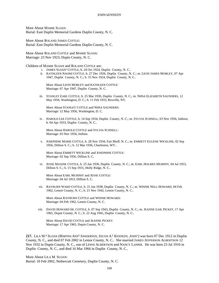More About MAMIE SLOAN: Burial: East Duplin Memorial Gardens Duplin County, N. C.

More About ROLAND JAMES COTTLE: Burial: East Duplin Memorial Gardens Duplin County, N. C.

More About ROLAND COTTLE and MAMIE SLOAN: Marriage: 23 Nov 1923, Dupin County, N. C.

Children of MAMIE SLOAN and ROLAND COTTLE are:

i. JAMES SLOAN<sup>5</sup> COTTLE, b. 24 Oct 1924, Duplin County, N. C..

ii. KATHLEEN NAOMI COTTLE, b. 27 Dec 1926, Duplin County, N. C.; m. LEON JAMES MOBLEY, 07 Apr 1947, Duplin County, N. C.; b. 15 Nov 1924, Duplin County, N. C..

More About LEON MOBLEY and KATHLEEN COTTLE: Marriage: 07 Apr 1947, Duplin County, N. C.

iii. STANLEY EARL COTTLE, b. 25 Mar 1930, Duplin County, N. C.; m. NIINA ELIZABETH SAUNDERS, 12 May 1956, Washington, D. C.; b. 11 Feb 1933, Rexville, NY.

More About STANLEY COTTLE and NIINA SAUNDERS: Marriage: 12 May 1956, Washington, D. C.

iv. HAROLD LEE COTTLE, b. 14 Sep 1934, Duplin County, N. C.; m. SYLVIA SCHNELL, 03 Nov 1956, Indinia; b. 04 Apr 1933, Duplin County, N. C..

More About HAROLD COTTLE and SYLVIA SCHNELL: Marriage: 03 Nov 1956, Indinia

v. JOSEPHINE MARIE COTTLE, b. 28 Nov 1934, Fair Bluff, N. C.; m. EMMETT EUGENE WICKLINE, 02 Sep 1956, Dillion S. C.; b. 12 Mar 1936, Charleston, WV..

More About EMMETT WICKLINE and JOSEPHINE COTTLE: Marriage: 02 Sep 1956, Dillion S. C.

vi. JESSE MAXINE COTTLE, b. 25 Jan 1936, Duplin County, N. C.; m. EARL HOLMES MURPHY, 04 Jul 1953, Dillion S. C.; b. 15 Sep 1931, Holly Ridge, N. C..

More About EARL MURPHY and JESSE COTTLE: Marriage: 04 Jul 1953, Dillion S. C.

vii. RAYBURN WARD COTTLE, b. 21 Jan 1938, Duplin County, N. C.; m. WINNIE NELL HOWARD, 04 Feb 1962, Lenoir County, N. C.; b. 21 Nov 1942, Lenior County, N. C..

More About RAYBURN COTTLE and WINNIE HOWARD: Marriage: 04 Feb 1962, Lenoir County, N. C.

viii. DAVID HOWARD SR. COTTLE, b. 07 Sep 1943, Duplin County, N. C.; m. JEANNE GAIL PICKET, 17 Apr 1965, Dupin County, N. C.; b. 22 Aug 1945, Duplin County, N. C..

More About DAVID COTTLE and JEANNE PICKET: Marriage: 17 Apr 1965, Dupin County, N. C.

**217.** LILA M. 4 SLOAN *(MARTHA ANN*<sup>3</sup>  *SANDERSON, SYLVIA A.* 2  *KENNEDY, JOHN*<sup>1</sup> *)* was born 07 Dec 1912 in Duplin County, N. C., and died 07 Feb 2002 in Lenior County, N. C.. She married JAMES JEFFERSON ALBERTSON 12 Nov 1932 in Dupin County, N. C., son of LEWIS ALBERTSON and NANCY LANIER. He was born 23 Jul 1910 in Duplin County, N. C., and died 16 Mar 1966 in Duplin County, N. C..

More About LILA M. SLOAN: Burial: 10 Feb 2002, Nethercutt Cemetery, Duplin County, N. C.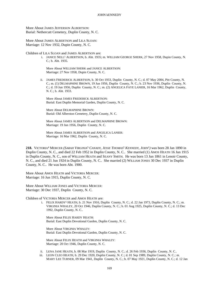More About JAMES JEFFERSON ALBERTSON: Burial: Nethercutt Cemetery, Duplin County, N. C.

More About JAMES ALBERTSON and LILA SLOAN: Marriage: 12 Nov 1932, Dupin County, N. C.

Children of LILA SLOAN and JAMES ALBERTSON are:

i. JANICE NELL<sup>5</sup> ALBERTSON, b. Abt. 1935; m. WILLIAM GEORGE SHERK, 27 Nov 1958, Dupin County, N. C.; b. Abt. 1935.

More About WILLIAM SHERK and JANICE ALBERTSON: Marriage: 27 Nov 1958, Dupin County, N. C.

ii. JAMES FREDERICK ALBERTSON, b. 30 Oct 1933, Duplin County, N. C.; d. 07 May 2004, Pitt County, N. C.; m. (1) DELMAPHINE BROWN, 19 Jun 1956, Duplin County, N. C.; b. 23 Nov 1936, Duplin County, N. C.; d. 19 Jun 1956, Duplin County, N. C.; m. (2) ANGELICA FAYE LANIER, 16 Mar 1962, Duplin County, N. C.; b. Abt. 1933.

More About JAMES FREDERICK ALBERTSON: Burial: East Duplin Memorial Garden, Duplin County, N. C.

More About DELMAPHINE BROWN: Burial: Old Alberston Cemetery, Duplin County, N. C.

More About JAMES ALBERTSON and DELMAPHINE BROWN: Marriage: 19 Jun 1956, Duplin County, N. C.

More About JAMES ALBERTSON and ANGELICA LANIER: Marriage: 16 Mar 1962, Duplin County, N. C.

**218.** VICTORIA<sup>4</sup> MERCER *(SARAH VIRGINIA*<sup>3</sup>  *CANADY, JESSE THOMAS*<sup>2</sup>  *KENNEDY, JOHN*<sup>1</sup> *)* was born 28 Jan 1890 in Duplin County, N. C., and died 22 Feb 1952 in Duplin County, N. C.. She married (1) AMOS HEATH 16 Jun 1915 in Duplin County, N. C., son of WILLIAM HEATH and SEANY SMITH. He was born 13 Jun 1861 in Lenoir County, N. C., and died 21 Jun 1924 in Duplin County, N. C.. She married (2) WILLIAM JONES 30 Dec 1937 in Duplin County, N. C.. He was born Abt. 1900.

More About AMOS HEATH and VICTORIA MERCER: Marriage: 16 Jun 1915, Duplin County, N. C.

More About WILLIAM JONES and VICTORIA MERCER: Marriage: 30 Dec 1937, Duplin County, N. C.

Children of VICTORIA MERCER and AMOS HEATH are:

i. FELIX HARDY<sup>5</sup> HEATH, b. 21 Nov 1916, Duplin County, N. C.; d. 22 Jan 1973, Duplin County, N. C.; m. VIRGINIA WHALEY, 20 Oct 1946, Duplin County, N. C.; b. 01 Aug 1925, Duplin County, N. C.; d. 13 Dec 1992, Duplin County, N. C..

More About FELIX HARDY HEATH: Burial: East Duplin Devotional Garden, Duplin County, N. C.

More About VIRGINIA WHALEY: Burial: East Duplin Devotional Garden, Duplin County, N. C.

More About FELIX HEATH and VIRGINIA WHALEY: Marriage: 20 Oct 1946, Duplin County, N. C.

- ii. LENA JANE HEATH, b. 08 Mar 1919, Duplin County, N. C.; d. 26 Feb 1936, Duplin County, N. C..
- iii. LEON CLEO HEATH, b. 29 Dec 1920, Duplin County, N. C.; d. 01 Sep 1989, Duplin County, N. C.; m. MARY LEE TURNER, 09 Mar 1941, Duplin County, N. C.; b. 07 May 1921, Duplin County, N. C.; d. 12 Jan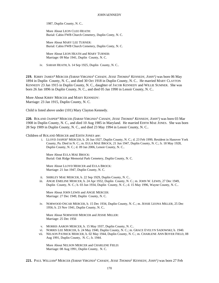1987, Duplin County, N. C..

More About LEON CLEO HEATH: Burial: Cabin FWB Church Cemetery, Duplin Conty, N. C.

More About MARY LEE TURNER: Burial: Cabin FWB Church Cemetery, Duplin Conty, N. C.

More About LEON HEATH and MARY TURNER: Marriage: 09 Mar 1941, Duplin County, N. C.

iv. SARAH HEATH, b. 14 Sep 1925, Duplin County, N. C..

**219.** KIRBY JAMES<sup>4</sup> MERCER *(SARAH VIRGINIA*<sup>3</sup>  *CANADY, JESSE THOMAS*<sup>2</sup>  *KENNEDY, JOHN*<sup>1</sup> *)* was born 06 May 1894 in Duplin County, N. C., and died 30 Oct 1918 in Duplin County, N. C.. He married MARY CLAYTON KENNEDY 23 Jan 1915 in Duplin County, N. C., daughter of JACOB KENNEDY and WILLIE SUMNER. She was born 26 Jan 1896 in Duplin County, N. C., and died 05 Jan 1990 in Lenoir County, N. C..

More About KIRBY MERCER and MARY KENNEDY: Marriage: 23 Jan 1915, Duplin County, N. C.

Child is listed above under (101) Mary Clayton Kennedy.

**220.** ROLAND JASPER<sup>4</sup> MERCER *(SARAH VIRGINIA*<sup>3</sup>  *CANADY, JESSE THOMAS*<sup>2</sup>  *KENNEDY, JOHN*<sup>1</sup> *)* was born 03 Mar 1908 in Duplin County, N. C., and died 10 Aug 1985 in Maryland. He married EDITH MAE JONES. She was born 28 Sep 1909 in Duplin County, N. C., and died 23 May 1994 in Lenoir County, N. C..

Children of ROLAND MERCER and EDITH JONES are:

i. LLOYD JASPER<sup>5</sup> MERCER, b. 26 Jun 1927, Duplin County, N. C.; d. 23 Feb 1999, Resident in Hanover York County, Pa. Died in N. C.; m. EULA MAE BROCK, 21 Jun 1947, Duplin County, N. C.; b. 18 May 1928, Duplin County, N. C.; d. 09 Jan 2006, Lenoir County, N. C..

More About EULA MAE BROCK: Burial: Oak Ridge Memorial Park Cemetery, Duplin County, N. C.

More About LLOYD MERCER and EULA BROCK: Marriage: 21 Jun 1947, Duplin County, N. C.

- ii. SHIRLEY MAE MERCER, b. 22 Sep 1929, Duplin County, N. C..
- iii. ANGIE EMELINE MERCER, b. 24 Apr 1932, Duplin County, N. C.; m. JOHN W. LEWIS, 27 Dec 1949, Duplin County, N. C.; b. 03 Jun 1934, Duplin County, N. C.; d. 15 May 1996, Wayne County, N. C..

More About JOHN LEWIS and ANGIE MERCER: Marriage: 27 Dec 1949, Duplin County, N. C.

iv. NORWOOD OSCAR MERCER, b. 15 Dec 1934, Duplin County, N. C.; m. JESSIE LEONA MILLER, 25 Dec 1956; b. 23 Nov 1941, Duplin County, N. C..

More About NORWOOD MERCER and JESSIE MILLER: Marriage: 25 Dec 1956

- v. MORRIS AARON MERCER, b. 15 May 1937, Duplin County, N. C..
- vi. NORRIS LEE MERCER, b. 24 May 1940, Duplin County, N. C.; m. GRACE EVELYN SADOWSKI; b. 1940.
- vii. NELSON PATRICK MERCER, b. 02 May 1944, Duplin County, N. C.; m. CHARLENE ANN BOYER FIELD, 08 Aug 1991, Duplin County, N. C.; b. 1944.

More About NELSON MERCER and CHARLENE FIELD: Marriage: 08 Aug 1991, Duplin County, N. C.

**221.** PAUL WILLIAM<sup>4</sup> MERCER *(SARAH VIRGINIA*<sup>3</sup>  *CANADY, JESSE THOMAS*<sup>2</sup>  *KENNEDY, JOHN*<sup>1</sup> *)* was born 27 Feb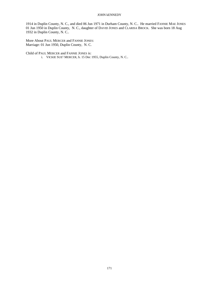1914 in Duplin County, N. C., and died 06 Jun 1971 in Durham County, N. C.. He married FANNIE MAE JONES 01 Jun 1950 in Duplin County, N. C., daughter of DAVID JONES and CLARISA BROCK. She was born 18 Aug 1932 in Duplin County, N. C..

More About PAUL MERCER and FANNIE JONES: Marriage: 01 Jun 1950, Duplin County, N. C.

Child of PAUL MERCER and FANNIE JONES is: i. VICKIE SUE<sup>5</sup> MERCER, b. 15 Dec 1955, Duplin County, N. C..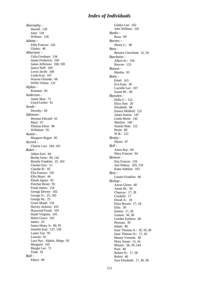# *Index of Individuals*

*Abernathy -* Harold: 128 June: 128 William: 128 *Adams -* Effie Frances: 142 Gladys: 46 *Albertson -* Celia Gresham: 134 James Frederick: 169 James Jefferson: 168, 169 Janice Nell: 169 Lewis Jacob: 168 Linda Kay: 167 Warren Orlando: 68 Willie Velma: 131 *Alphin -* Rommie: 95 *Anderson -* Annie May: 71 Lloyd Lester: 61 *Arndt -* Dorothy: 69 *Atkinson -* Herman Edward: 61 Mary: 67 Thomas Elton: 89 Willalean: 95 *Austin -* Margaret Regan: 85 *Aycock -* Charity Lou: 164, 165 *Baker -* Albert Earl: 94 Bertha Irene: 90, 142 Brantly Franklin: 25, 103 Charles Eric: 51 Claudie B.: 95 Ella Frances: 102 Ellis Maye: 44 Fletah Agnes: 95 Fletcher Brent: 95 Frank James: 154 George Dewey: 102 George Jr.: 25, 102 George M.: 25 Grace Maud: 154 Harvey Jackson: 103 Haywood Frank: 103 Hazel Virginia: 103 Helen Grace: 103 James: 25 James Henry Jr: 90, 95 Jennifer Kay: 137, 138 Laster Tue: 95 Lawton: 91 Lura Nye , Alphin, Shipp: 95 Margaret: 102 Margie Lee: 71 Tunk: 91 *Ball -* Elbert: 89

Gladys Lee: 102 John William: 102 *Banks -* Rosa: 69 *Barnes -* Henry C.: 48 *Bass -* Bernice Cleveland: 55, 56 *Batchelor -* Albert Sr.: 150 Roscoe: 153 *Batson -* Martha: 93 *Batts -* Ethel: 163 Eva Eula: 36 Lucielle Lee: 167 Susan M.: 40 *Baysden -* Della C.: 122 Eliza Ann: 28 Elizabeth: 88 Eunice Mildred: 122 James Sutton: 147 Linda Marie: 142 Marilyn: 140 Nannie Mae: 122 Penie: 89 W.B.: 122 *Beatty -* Hayes: 67 *Bell -* Amos Ray: 84 Mary Frances: 94 *Benson -* Etta Francis: 159 Joel Pinkey: 103, 159 Katie Adeline: 103 *Best -* Linster Franklin: 46 *Bishop -* Aaron Glenn: 40 Annie M.: 39 Chancey: 17, 39 Cordella: 17 Dorah A.: 18 Eliza Bryant: 17, 18 Ellis: 39 Emma: 17, 39 Gaston: 36, 38 Gorden Eurbern: 40 Herman: 39 Infant: 40 Issac Thomas Jr.: 18, 39, 40 Issac Thomas Sr.: 17, 30 Mamie Verenda: 40 Mary Susan: 15, 16 Minnie: 38, 39, 144 Paul: 40 Robert H.: 17, 38 Rubin: 40 Sara Elizabeth: 17, 30, 38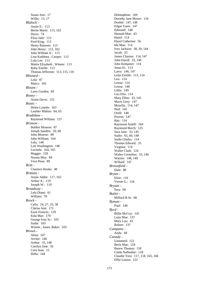Susan Ann: 17 Willis: 15, 17 *Blalock -* Annie E.: 113 Bertie Marie: 113, 162 Davis: 74 Eliza Jane: 113 Fred King: 113 Henry Ransom: 113 John Henry: 112, 162 John William Jr.: 113 Lina Kathleen , Cooper: 113 Lola Lee: 113 Mattie Elizabeth , Winner: 113 Ruby Estelle: 113 Thomas Jefferson: 113, 115, 116 *Blizzard -* Lola: 87 Malcy: 165 *Blount -* Larry Gorden: 69 *Boney -* Annie Davis: 155 *Bostic -* Helen Lynette: 163 Lauther Malton: 64, 65 *Bradshaw -* Raymond William: 157 *Brinson -* Bobbie Monroe: 87 Joesph Sandlin: 59, 60 John Monroe: 89 John William: 164 Lela: 146 Lott Washington: 146 Lucinda: 164, 165 Maggie: 159 Nornia May: 84 Vera Pena: 89 *Britt -* Clarence Hooks: 48 *Brittain -* Annie Addie: 117, 165 Arthur A.: 119 Joseph W.: 119 *Broadway -* Lela Diane: 61 William: 70 *Brock -* Celia: 24, 27, 33, 38 Clarisa Ann: 171 Essie Frances: 129 Eula Mae: 170 George Ivey Sr.: 103 Sudie: 103 Winnie , Jones, Baker: 103 *Brown -* Alma: 147 Archie: 146 Arthur: 33, 148 Carolyn Jane: 92 Cora Jean: 15 Della: 144

Delmaphine: 169 Dorothy Jane Moore: 134 Doshie: 147, 148 Edgar Vann: 147 Edmond: 148 Hannah Mae: 43 Hazel: 114 Hazel Catherine: 56 Ida Mae: 114 Ivey Jackson: 38, 39, 144 Jacob: 33 James Clayton: 114, 147 John David: 33, 144 John Kempster: 114 Jonas H.: 113 Larry: 146, 147 Lelar Estelle: 113, 114 Leo: 114 Leona: 114 Leona: 148 Lillie: 149 Lou Ella: 114 Mary Ellen: 33, 145 Mavis Grey: 147 Mozella: 114, 147 Ned: 145 Ozell: 148 Payton: 147 Ray: 114 Raymond Ardell: 164 Raymond Burch: 125 Sara Jane: 33, 145 Sudie: 65, 66, 148 Sudie Gladys: 114 Thomas Edward: 33 Virginia: 114 Walter Clark: 124 Walter Cornelius: 33, 146 Warren: 148, 149 Willard: 147 *Brownfield -* Dale: 88 *Bryan -* Elsie: 116 Vernie G.: 124 *Bryant -* Sara: 60 *Butler -* Milford B Sr: 68 *Bynum -* Paul: 140 *Byrd -* Billie McCoy: 141 Lona Mae: 137 Mary Lou: 43 Robert: 137 *Campano -* Andy: 68 *Canady -* Unnamed: 122 Berta Mae: 118 Burew Thomas: 118 Cinda Nathashie: 118 Claudie Vera: 117, 118, 165, 166 Effie Louise: 122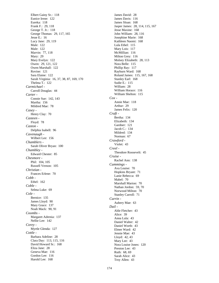Elbert Gainy Sr.: 118 Eunice Irene: 122 Eureka: 118 Frank F.: 29, 118 George T. Jr.: 118 George Thomas: 29, 117, 165 Jesse E.: 16 Lucy Jane: 29, 119 Male: 122 Male: 122 Marvin: 77, 118 Mary: 29 Mary Evelyn: 122 Owen: 29, 121, 122 Owen Marshall: 122 Rovine: 121 Sara Elaine: 122 Sarah Virginia: 16, 37, 38, 87, 169, 170 Thelma T.: 122 *Carmichael -* Carroll Douglas: 44 *Carter -* Connie Sue: 142, 143 Martha: 156 Mildred Mae: 78 *Casey -* Henry Clay: 70 *Casteen -* Floyd: 78 *Caston -* Delphia Isabell: 96 *Cavenaugh -* Wilbert Lee: 156 *Chamblers -* Sarah Oliver Bryan: 100 *Chambley -* Edward Chester: 85 *Chesmore -* Phil: 104, 105 Russell Vernon: 105 *Christian -* Frances Erlene: 70 *Cobb -* Ethel: 162 *Coble -* Selma Luke: 69 *Cole -* Bernice: 135 James Lloyd: 90 Mary Grace: 137 Noah Mack: 90, 91 *Coombs -* Margaret Adrenia: 137 Nellie Lee: 142 *Corey -* Myrtle Glenda: 127 *Cottle -* Barbara Adeline: 28 Clara Day: 113, 115, 116 David Howard Sr.: 168 Eliza Jane: 28 Geneva Mae: 116 Gordon Lee: 116 Harold Lee: 168

James David: 28 James Davis: 116 James Sloan: 168 Jasper James: 28, 114, 115, 167 Jesse Maxine: 168 John William: 28, 116 Josephine Marie: 168 Kathleen Naomi: 168 Lula Ethel: 115 Mary Lois: 117 McMillian: 116 Milton Grey: 116 Molsey Elizabeth: 28, 113 Nora Belle: 115 Phillip Ray: 117 Rayburn Ward: 168 Roland James: 115, 167, 168 Stanley Earl: 168 Sudie E.: 115 William: 28 William Horace: 116 William Shelton: 115 *Cox -* Annie Mae: 118 Arthur: 29 James Felix: 120 *Craft -* Bertha: 134 Elizabeth: 134 Gardner: 121 Jacob C.: 134 Mildred: 134 Norman: 67 *Crawford -* Violet: 43 *Creel -* Theodore Roosevelt: 45 *Cruise -* Rachel Ann: 138 *Cummings -* Ava Louise: 70 Hopkins Bryant: 71 Lanie Rebecca: 69 Mabel: 70 Marshall Marion: 70 Nathan Jordon: 59, 70 Norwood Milton: 70 Stanley Carroll: 71 *Currin -* Aubery Mae: 63 *Dail -* Able Fletcher: 43 Alice: 39 Anna Lula: 43 Daniel Walter: 42 Daniel Worth: 43 Elmer Ward: 42 Jennie Mae: 43 Lloyd: 42, 43 Mary Lee: 43 Nora Louise Jones: 120 Preston Lee: 43 Ruth: 68, 69 Sarah Alice: 43 Troy Allen: 43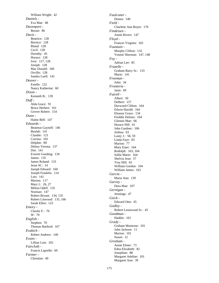William Wright: 42 *Daniels -* Eva Mae: 48 *Davenport -* Bessie: 86 *Davis -* Beatrice: 128 Bernice: 128 Bland: 128 Cecil: 128 Dorothy: 45 Horace: 128 Ivey: 127, 128 Joseph: 128 Mac Donald: 160 Orville: 128 Sandra Luell: 141 *Deaver -* Estelle: 122 Nancy Katherine: 60 *Dixon -* Kenneth B.: 139 *Duff -* Alda Grace: 91 Bruce Herbert: 161 Grover Robert: 154 *Dunn -* Hattie Bell: 147 *Edwards -* Beatreas Gaynell: 146 Beulah: 141 Claudie: 121 Corrina: 102 Delphie: 89 Delsey Verona: 137 Dot: 141 Everett Gooding: 134 James: 135 James Roland: 133 Jesse W.: 14 Joesph Edward: 160 Joseph Franklin: 114 Lois: 141 Marion: 117 Mary I.: 26, 27 Milton Odell: 135 Norman: 147 Robert Bryant: 134, 135 Robert Linwood: 135, 166 Sarah Ellen: 123 *Emory -* Charlie F.: 70 W: 70 *English -* Stephen: 70 Thomas Raeford: 167 *Evakich -* Robert Andrew: 140 *Evans -* Lillian Lois: 102 *Faircloth -* Francis Laprelle: 69 *Farmer -* Christine: 49

*Faulconer -* Donna: 140 *Field -* Charlene Ann Boyer: 170 *Findeisen -* Annie Rivers: 147 *Floyd -* Frances Virginia: 165 *Fountain -* Murphy Clifton: 132 Vonnie Sherman: 147, 148 *Foy -* Adrian Lee: 85 *Frazelle -* Graham Barry Sr.: 133 Marie: 141 *Freeman -* John: 34 *Fronteria -* Jasie: 69 *Futrell -* Albert: 50 Delbert: 157 Durwood Clifton: 164 Edwin Harold: 164 Eleanor Grace: 134 Freddie Delono: 164 Glennie Mae: 66 Horace Hill: 61 John Gardner: 106 Joshua: 63 Lauty J.: 58, 59 Linda Faye: 83 Marion: 77 Mary Ester: 164 Rodolph: 163, 164 Sallie Marie: 164 Shelvia Jean: 57 Troy Hill: 65 William Gordon: 104 William James: 163 *Garcia -* Maria Ann: 139 *Garvey -* Dora Mae: 107 *Gernigan -* Jennings: 47 *Gieck -* Edward Otto: 45 *Godley -* Robert Leonwood Sr.: 45 *Goodman -* Haddie: 161 *Grady -* Graham Montrose: 101 John Jackson: 11 Marion: 101 Susan: 12 *Gresham -* Annie Elmer: 73 Edna Elizabeth: 82 Josephine: 88 Margaret Adeline: 101 Margaret Ann: 39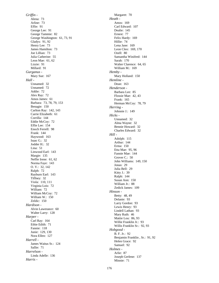*Griffin -* Alena: 73 Arline: 73 Effie: 91 George Lee: 91 George Tammie: 82 George Washington: 61, 73, 91 Gladys: 91, 92 Henry Lee: 73 James Hamilton: 73 Joe Lillian: 73 Julia Catherine: 55 Leon Mae: 61, 62 Lizzie: 91 Millard: 91 *Gurganus -* Mary Sue: 167 *Hall -* Unnamed: 32 Unnamed: 72 Addie: 72 Alex Ray: 72 Amos James: 61 Barbara: 73, 78, 79, 153 Benagie: 150 Carlton Ray: 142, 143 Carrie Elizabeth: 61 Corrilla: 144 Eddie McCoy: 72 Effie Lee: 154 Enoch Ferrell: 98 Frank: 144 Haywood: 163 Isaac G.: 32 Jodder H.: 32 Lina: 51 Linwood Earl: 143 Margie: 135 Neffie Irene: 61, 62 Norma Faye: 143 O. V.: 32, 142 Ralph: 72 Rayburn Earl: 143 Tiffney: 32 Viola: 110, 111 Virginia Lois: 72 William: 72 William McCoy: 72 William W.: 150 Zeldic: 150 *Hardison -* Alvin Lawerance: 60 Walter Larry: 128 *Harper -* Carl Ray: 164 Ethie Edith: 71 Fannie: 118 Junie: 129, 130 Nora Ellen: 127 *Harrell -* James Waitus Sr.: 124 Sallie: 71 *Harrelson -* Linda Adelle: 136 *Harris -*

Margaret: 70 *Heath -* Amos: 169 Carl Edward: 107 Dealie: 145 Ernest: 77 Felix Hardy: 169 Hillie: 74 Lena Jane: 169 Leon Cleo: 169, 170 Ozell: 80 Samantha Winifred: 144 Sarah: 170 Walter Clarence: 64, 65 William M.: 169 *Hemby -* Mary Holland: 150 *Hemline -* Dean: 163 *Henderson -* Barbara Lee: 85 Flossie Mae: 42, 43 Frank: 165 Herman McCoy: 78, 79 *Herring -* Johnnie J.: 149 *Hicks -* Unnamed: 32 Alma Wayne: 32 Bennie Howard: 32 Charles Edward: 32 *Hill -* Adolph: 115 Arthur: 144 Erma: 150 Etta Mae: 95, 96 Fannie Mae: 144 Grover C.: 50 John Williams: 149, 150 Jonas: 29 Julia Bell: 29 Kitty J.: 39 Ralph: 144 Susan Ann: 150 William Jr.: 88 Zedick James: 109 *Hinson -* Betty: 48, 49 Delanie: 93 Larry Gordon: 93 Lewis Henry: 93 Lindell Lathan: 93 Mary Ruth: 46 Mattie Lou: 86, 93 Willie Franklin Jr.: 93 Willis Franklin Sr.: 92, 93 *Hobgood -* B. F. Jr.: 92 Benjamin Franklin , Sr.: 91, 92 Helen Grace: 92 Samuel: 92 *Holmes -* Arlie: 87 Joseph Gerlene: 137 Minnie: 71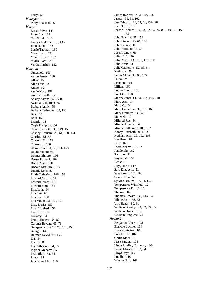Perry: 50 *Honeycutt -* Mary Elizabeth: 5 *Horne -* Bessie Viva: 149 Betty Joe: 133 Carl Stunk: 133 Evelyn Endoris: 132, 133 John David: 132 Leslie Thomas: 130 Mary Lynn: 133 Morris Albert: 133 Myrtle Rae: 133 Verdia Rachel: 132 *Houston -* Unnamed: 163 Aaron James: 156 Allen: 163 Allie Fair: 53 Annie: 82 Annie Mae: 156 Ardolia Estelle: 86 Ashley Alton: 54, 55, 82 Azalina Catherine: 55 Barbara Annie: 53 Barbara Catherine: 33, 153 Ben: 82 Boy: 156 Brantly: 14 Cagie Hampton: 66 Celia Elizabeth: 33, 149, 150 Chancy Graham: 33, 64, 150, 151 Charles: 51, 55 Chester: 34, 155 Chester J.: 156 Clara Lillie: 14, 35, 156-158 David Simon: 66 Delmar Elmore: 156 Doane Edward: 162 Dollie Mae: 160 Donald McClure: 156 Dunnie Lois: 81 Edith Catherine: 106, 156 Edward Ann: 9, 14 Edward James: 131 Edward John: 162 Elizabeth: 14 Ella Lee: 65 Ella Lee: 160 Ella Viola: 33, 153, 154 Elsie Doris: 153 Eula Elizabeth: 52 Eva Eliza: 65 Exavery: 34 Fernie Hubert: 54, 82 Gardner Bryant: 65, 78 Georganna: 33, 74, 76, 151, 153 George: 14 Herman David Sr.: 155 Ida: 34 Ida: 54, 82 Ina Catherine: 64, 65 Ingram Graham: 65 Issac (Ike): 53, 54 James: 81 James Franklin: 160

James Robert: 14, 33, 34, 155 Jasper: 35, 81, 162 Jess Edward: 14, 35, 81, 159-162 Joe: 35, 98, 161 Joesph Thomas: 14, 33, 52, 64, 74, 80, 149-151, 153, 155 John Brantly: 35, 159 John Linder: 65, 66, 148 John Pinkey: 160 John William: 14, 34 Joseph Oney: 66 Julia: 161, 162 Julia Alice: 131, 132, 159, 160 Julia Ardi: 93 Julia Catherine: 52, 83, 84 Kathleen: 55 Laura Alma: 33, 80, 155 Laura Lee: 65 Leamon: 161 Lillian: 160 Louine Davis: 156 Lue Etta: 160 Martha Jane: 14, 33, 144-146, 148 Mary Ann: 14 Mary C.: 34 Mary Catherine: 35, 131, 160 Mary Frances: 33, 149 Maxwell: 12 Mildred Rae: 94 Minnie Alberta: 66 Minnie Catherine: 106, 107 Nancy Elizabeth: 9, 11, 21 Nedham Ann: 35, 162, 163 Needham: 81 Paul: 160 Pozie Adams: 66, 67 Randolph: 162 Ransom: 81 Raymond: 161 Rena: 51 Roy James: 149 Sara Elizabeth: 51 Susan Ann: 131, 160 Susan Ellen: 55 Sylvia Carolina: 14, 34, 156 Temperance Winifred: 12 Temperence E.: 12, 13 Thelma: 160 Thomas Edward: 35, 113, 162 Tibbie Jean: 52, 53 Vira Hazel: 80, 81 William Brantly: 33, 52, 83, 150 William Dixon: 106 William Simpson: 53 *Howard -* Benjamin Elbert: 128 Blanche Lucille: 104 Doris Christine: 104 Enoch: 103, 104 Gertie Mae: 104 Jesse Sargett: 103 Linda Adelle , Kornegay: 104 Lizzie Elizabeth: 83, 84 Lloyd Ray: 104 Lucille: 116 Winnie Nell: 168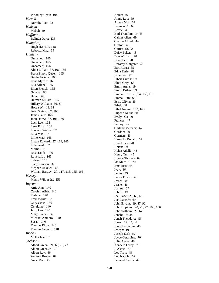Woodley Cecil: 104 *Howell -* Dorothy Rae: 93 *Hudson -* Mabel: 40 *Huffman -* Belinda Dora: 133 *Humphrey -* Hugh H.: 117, 118 Rebecca May: 69 *Hunter -* Unnamed: 165 Unnamed: 165 Unnamed: 166 Alma Lillian: 37, 106, 166 Berta Elnora Queen: 165 Bertha Estelle: 165 Edna Myrtle: 165 Ella Arlene: 165 Elton French: 165 Geneva: 60 Henry: 60 Herman Millard: 165 Hillery William: 36, 37 Hosea W.: 13, 14 Issac Staten: 37, 165 James Paul: 166 John Harry: 37, 106, 166 Lacy Lee: 165 Lena Edna: 165 Leonard Walter: 37 Lilla Mae: 37 Lillie Mae: 165 Liston Edward: 37, 164, 165 Lula Pearl: 37 Mollie: 37 Rosa Linda: 146 Rovena L.: 165 Sidney: 165 Stacy Lawson: 37 Stephen Askew: 165 William Bartley: 37, 117, 118, 165, 166 *Hussey -* Manly Wilbur Jr.: 159 *Ingram -* Artie Ann: 140 Carolyn Alish: 140 Earlene: 140 Fred Morris: 62 Gary Gene: 140 Geraldine: 140 Jerry Lee: 140 Mary Elaine: 140 Michael Anthony: 140 Susan: 140 Thomas Elton: 140 Thomas Gaynor: 140 *Ipock -* Melba Jean: 70 *Jackson -* Albert Green: 21, 69, 70, 72 Albert Green Jr.: 70 Albert Ray: 46 Andrew Brown: 67 Anne Mae: 45

Annie: 46 Annie Lou: 69 Arlean Mur: 67 Beaman C.: 69 Bessie: 46 Burl Franklin: 19, 48 Calvin Allen: 69 Charlie Alfred: 44 Clifton: 48 Curtis: 18, 92 Daisy Baker: 45 Don William: 70 Doris Lee: 70 Dorothy Margaret: 45 Earl Rufus: 85 Edna Earle: 69 Effie Lee: 47 Elbert Curtis: 69 Elnor Gray: 68 Emily Anna: 19 Emily Esther: 69 Emma Eliza: 21, 64, 150, 151 Emma Ruth: 69 Essie Olivia: 45 Ethel: 48 Ethel Naomi: 162, 163 Eugene Keith: 70 Evelyn C.: 70 Frances: 47 Furney: 47 Garland Melachi: 44 Gordon: 49 Gurman: 46 Harry McDonald: 67 Hazel Inez: 70 Helen: 69 Helen Adelle: 48 Henry Tull: 45 Horace Thomas: 69 Ida Mae: 21, 70 Irma Inez: 45 Ivey: 46 James: 49 James Edwin: 46 Jesse: 108 Jessie: 46 Joanne: 67 Job S.: 19 Joel Lane: 21, 68, 69 Joel Lane Jr: 69 John Bryant: 19, 47, 92 John Hopkins: 20, 21, 72, 100, 150 John William: 21, 67 Jonah: 19, 44 Jonah Theodore: 45 Jonas: 19, 45, 46 Jones Benjamin: 46 Joseph: 19 Joseph Earl: 69 Joyce Geraldine: 70 Julia Alene: 48 Kenneth Leroy: 70 L Alene: 70 Lee Troy: 48 Leo Napole: 67 Leonard Curtis: 47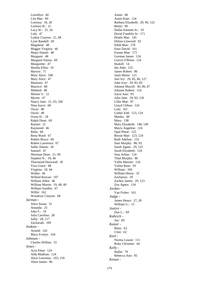Lewellyn: 44 Lila Mae: 69 Lorenza: 18, 20 Lorenzo B.: 21 Lucy W.: 25, 26 Lula: 47 Luthor Clayton: 21, 68 Lynn Randall: 69 Magalene: 48 Maggie Virginia: 46 Major Daniel: 48 Margaret: 48 Margaret Elaine: 69 Margarette: 47 Martha Ellen: 19 Marvin: 71 Mary Alice: 108 Mary Alice: 47 Maureen: 67 Maurice: 68 Mildred: 48 Minnie S.: 21 Myrtie: 47 Nancy Jane: 21, 63, 100 Nina Joyce: 68 Oscar: 48 Owen: 48 Owen H.: 18 Ralph Dean: 69 Rannie: 21 Raymond: 46 Reba: 68 Rena Ward: 67 Robert Bruce: 69 Robert Lawrence: 67 Sallie Aleene: 45 Samuel: 47 Sherman Dean: 21, 69 Stephen N.: 19, 46 Thurmond Durwood: 45 Vera Grace: 68 Virginia: 18, 44 Walter: 46 Willard Roscoe: 107 William Allen: 46 William Martin: 19, 48, 49 William Sandlin: 67 Willie: 162 Woodrow Clayton: 68 *Jarman -* Alice Susan: 31 Amanda: 25 John F.: 19 Julia Carolina: 28 Sally: 28, 117 Zackariah: 109 *Jenkins -* Arnold: 142 Macy Evelyn: 164 *Johnson -* Charles Willian: 55 *Jones -* Acra Elma: 124 Alda Madrian: 124 Alice Louvenia: 103, 159 Alton James: 86

Annie: 86 Annie Kate: 124 Barbara Elizabeth: 29, 94, 122 Bettie: 99 Dallas Emmett Sr.: 19 David Franklin Sr: 171 Dealie Mae: 145 Delma Linwood: 92 Edith Mae: 170 Enos David: 161 Fannie Mae: 171 Gurman James: 124 Gurvis O'Brien: 124 Haskill: 14 Ida Alda: 125 James Robert: 86 Janie Marie: 121 Joel Ivy: 29, 85, 86, 127 John Ivey: 29, 83, 85 Johnnie Murrill: 49, 86, 87 Johnnie Robert: 124 Joyce Ann: 93 Julia Jane: 29, 83, 126 Lillie Mae: 87 Lloyd Clifton: 124 Lola: 161 Luther Edd: 123, 124 Martha: 48 Mary: 138 Mary Elizabeth: 148, 149 Mavis Angeline: 124 Opal Phine: 125 Ressie Mae: 123, 124 Ruth Adeline: 133 Sam Murphy: 86, 93 Sarah Agnes: 29, 125 Sarah Elizabeth: 124 Sina Arline: 124 Thad Murphy: 86 Vallie Maxine: 124 Velma Rose: 93 William: 169 William Henry: 32 Zacharius: 29 Zachey James: 29, 123 Zoa Agnes: 124 *Jordon -* Van Fisher: 101 *Judge -* James Henry: 27, 28 William G.: 15 *Justice -* Dan L.: 69 *Kabrich -* Joy: 69 *Kaizer -* Betty: 63 Clint: 62 *Keel -* Norma Louise: 111 Ruby Christine: 44 *Kelly -* Hallie: 79 Rebecca Ann: 85 *Kenan -*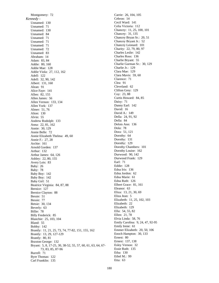Montgomery: 72 *Kennedy -* Unnamed: 130 Unnamed: 71 Unnamed: 130 Unnamed: 84 Unnamed: 71 Unnamed: 71 Unnamed: 71 Unnamed: 72 Unnamed: 83 Abraham: 14 Adam: 83, 84 Addie: 80, 160 Addie Mae: 128 Addie Viola: 27, 112, 162 Adell: 122 Adell: 32, 90, 142 Albert: 131, 160 Alean: 91 Alice Faye: 141 Allen: 82, 155 Allen James: 56 Allen Vernon: 133, 134 Allen York: 137 Almer: 51, 76 Alton: 130 Alvin: 55 Andrew Rodolph: 133 Anna: 22, 81, 162 Annie: 30, 129 Annie Belle: 72 Annie Elizabeth Thelma: 49, 60 Annie F.: 27, 28 Archie: 161 Arnold Gorden: 137 Arthur: 132 Arthur James: 64, 126 Ashley: 22, 80, 155 Avery Lois: 83 Baby: 26 Baby: 78 Baby Boy: 142 Baby Boy: 142 Baby Girl: 51 Beatrice Virginia: 84, 87, 88 Bernice: 127 Bernice Clayton: 88 Bessie: 51 Bessie: 77 Betsie: 30, 134 Beverly: 63 Billie: 78 Billy Frederick: 85 Blanchie: 25, 103, 104 Bland: 55 Bobby: 142 Brantly: 11, 21, 25, 73, 74, 77-82, 151, 155, 162 Brantly: 13, 29, 127-129 Brantly: 80, 81 Braxton George: 132 Bryant: 5, 8, 17-25, 30, 38-52, 55, 57, 60, 61, 63, 64, 67- 73, 83, 85, 87-96 Burrell: 71 Byre Thomas: 122 Carl Franklin: 135

Carrie: 26, 104, 105 Cebron: 14 Cecil Ward: 141 Celia Victoria: 112 Chancey: 11, 25, 100, 101 Chancey: 31, 135 Chancey Bryan Sr.: 20, 51 Chancey Bryant Jr.: 52 Chancey Leonard: 101 Charity: 22, 79, 80, 97 Charles Leslie: 142 Charles Ross: 136 Charlie Bryant: 55 Charlie Gurman Sr.: 30, 129 Charlie Jr.: 129 Clara Mae: 129 Clara Mavis: 59, 60 Clarence: 71 Clea: 91 Cleveland: 62 Clifton Grey: 129 Coy: 23, 88 Curtis Howard: 84, 85 Daisy: 71 Danny Earl: 142 David: 16 David A.: 149 Della: 24, 91, 92 Della: 84 Delois Ann: 136 Dola: 78 Dora: 51, 121 Dorothy: 64 Dorothy: 131 Dorothy: 129 Dorothy Chambers: 101 Dorothy Louise: 162 Durwood: 90, 142 Durwood Frank: 129 Earl: 71 Eddie: 128 Edna Iris: 136 Edna Jordon: 62 Edna Marie: 61 Edna Ruth: 126 Elbert Grace: 81, 161 Eleanor: 63 Eliza: 13, 21, 30, 69 Eliza Jean: 5 Elizabeth: 11, 25, 102, 103 Elizabeth: 22 Elizabeth: 129 Ella: 54, 55, 82 Ellen: 21, 78 Elvia Linda: 58, 76 Emily Carolina: 9, 24, 47, 92-95 Emily Irene: 61 Emmer Elizabeth: 20, 50, 106 Enoch Hampton: 30, 133 Ernest: 80 Ernest: 137, 138 Esley Vernon: 32 Essie Ruth: 135 Etha: 130 Ethel M.: 99 Etta: 63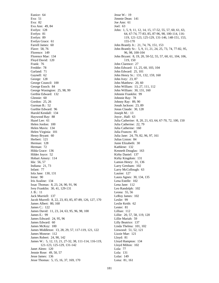Eunice: 64 Eva: 51 Eva: 82 Eva Ann: 49, 84 Evelyn: 128 Evelyn: 81 Evelyn: 89 Evelyn Grace: 61 Farrell James: 60 Flave: 58, 76 Florence: 149 Florence Mae: 134 Floyd David: 120 Frank: 76 Freddie: 78 Garland: 71 Gaynell: 62 George: 128 George Council: 100 George Enoch: 84 George Wasington: 25, 98, 99 Gerthie Edward: 132 Glennie: 60 Gordon: 25, 26 Gurman B.: 52 Gurthie Edward: 96 Harold Kendall: 134 Haywood Ray: 88 Hazel Lee: 61 Helen Jordon: 100 Helen Mavis: 134 Helen Virginia: 101 Henry Bryant: 60 Herbert: 121 Herman: 128 Herman: 72 Hilda Grace: 136 Hilder Joyce: 52 Hobart Amory: 114 Ida: 56, 57 Indiana: 21, 73 Infant: 77 Iola Jane: 130, 131 Irene: 90 Iris Azaline: 134 Issac Thomas: 8, 23, 24, 90, 91, 96 Ivey Franklin: 30, 41, 129-131 J. B.: 11 Jack Murriell: 137 Jacob Murrell: 8, 22, 23, 83, 85, 87-89, 126, 127, 170 James Albert: 80, 160 James C.: 122 James David: 11, 23, 24, 63, 95, 96, 98, 100 James E.: 99 James Edward: 24, 95, 96 James Edward: 60 James McKoy: 100 James Middleton: 13, 28, 29, 57, 117-119, 121, 122 James Monroe: 112 James Robert: 24, 90, 142 James W.: 5, 12, 13, 21, 27-32, 38, 111-114, 116-119, 121-123, 125-129, 131-142 Janet Aleen: 120 Jennie Rose: 49, 50, 57 Jesse James: 136 Jesse Thomas: 5, 15, 16, 37, 169, 170

Jesse W.: 19 Jimmie Dean: 141 Joe Ann: 61 Joel: 63 John: 1, 5, 9, 11, 12, 14, 15, 17-52, 55, 57, 60, 61, 63, 64, 67-74, 77-83, 85, 87-96, 98, 100-114, 116- 119, 121-123, 125-129, 131-146, 148-151, 153, 155-170 John Brantly Jr.: 21, 74, 76, 151, 153 John Brantly Sr.: 5, 9, 11, 21, 24, 25, 73, 74, 77-82, 95, 96, 98, 100-104 John Bryant: 8, 19, 20, 50-52, 55, 57, 60, 61, 104, 106, 119, 150 John Clarence: 27 John Edward: 11, 25, 60, 103, 104 John Edward: 25, 101 John Henry Sr.: 131, 132, 159, 160 John Ivey: 23, 87 John Matthew: 20, 60 John William: 13, 27, 111, 112 John William: 30, 131, 160 Johnnie Franklin: 99 Johnnie Ray: 78 Johnny Ray: 89, 90 Jonah Jackson: 23, 89 Jonas Claude: 30, 128 Joseph M.: 13 Joyce , Hall: 63 Julia Catherine: 8, 20, 21, 63, 64, 67-70, 72, 100, 150 Julia Catherine: 22, 79 Julia Catherine: 160 Julia Frances: 85 Julia Jane: 24, 79, 82, 96, 97, 161 Julias Liston: 84 Junie Elizabeth: 30 Kathlene: 132 Kenneth Douglas: 163 Kirby Daniel: 137 Kirby Kingdom: 131 Lamon Henry: 31, 136 Larry Gresham: 102 Larry McCollough: 63 Lauine: 127 Laura Agnes: 30, 134, 135 Lena Estelle: 102 Lena Jane: 112 Leo Randolph: 102 Leona: 55, 56 LeRoy James: 102 Leslie: 99 Leslie Keith: 62 Lester: 81 Lillian: 112 Lillie: 20, 57, 58, 119, 120 Lillie Mariah: 59 Lilly Beatrice: 137 Linda Thelma: 101, 102 Linwood: 51, 52, 121 Lizzie Mae: 121 Lloyd: 81 Lloyd Hampton: 134 Lloyd Milton: 102 Lola: 77 Lola: 131 Lolar: 149 Lona: 81, 161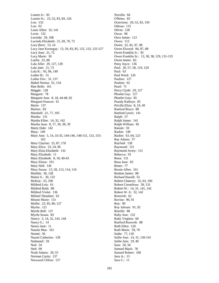Lonnie Jr.: 85 Lonnie Sr.: 23, 52, 83, 84, 126 Lou: 132 Lou: 62 Louis Allen: 32, 141 Lovie: 132 Lucinda: 59, 108 Lucinda Elizabeth: 21, 69, 70, 72 Lucy Beve: 13, 14 Lucy Jane Kornegay: 13, 29, 83, 85, 122, 123, 125-127 Lucy Jean: 21, 72 Lucy Marie: 30 Luella: 23, 88 Lula Allie: 29, 127, 128 Lula Jane: 21, 73 Lula K.: 95, 96, 149 Luther B.: 51 Luther Eric: 31, 137 Mabel Norma: 61, 154 Mae Belle: 161 Maggie: 128 Margaret: 78 Margaret Ann: 8, 18, 44-48, 92 Margaret Frances: 61 Marie: 137 Marlon: 83 Marshall: 21, 77, 105 Martha: 131 Martha Ellen: 14, 32, 142 Martha Jean: 8, 17, 30, 38, 39 Marty Dale: 142 Mary: 149 Mary Ann: 5, 14, 33-35, 144-146, 148-151, 153, 155- 162 Mary Clayton: 23, 87, 170 Mary Eliza: 23, 24, 96 Mary Eliza Elizabeth: 132 Mary Elizabeth: 11 Mary Elizabeth: 8, 18, 40-43 Mary Eloise: 101 Mary Nell: 136 Mary Susan: 13, 28, 113, 114, 116 Matilda: 30, 128 Mattie S.: 30, 132 McKoy: 25, 100 Mildred Lois: 61 Mildred Ruth: 88 Mildred Violet: 136 Millard Theodare: 63 Minnie Marie: 131 Mollie: 23, 85, 86, 127 Myrtie: 121 Myrtle Bell: 137 Myrtle Susan: 83 Nancy: 5, 14, 32, 143, 144 Nancy G.: 14 Nancy Jane: 11 Nannie Mae: 161 Naomi: 56 Naomi Catherine: 128 Nathaniel: 59 Ned: 24 Ned: 99 Noah Adams: 20, 55 Norman Curtis: 137 Norwood Clifton: 127

Novella: 84 O'Brien: 83 Octavious: 20, 52, 83, 150 Odessa: 112 Olivia: 128 Oscar: 96 Osco James: 112 Owen: 112 Owen: 22, 82, 97, 98 Owen Elwood: 84, 87, 88 Owen Franklin Jr.: 30 Owen Franklin Sr.: 13, 30, 38, 129, 131-135 Owen James: 83 Patsy Joyce: 136 Paul: 29, 57, 58, 119, 120 Paul: 63 Paul Ward: 120 Pauline: 127 Pauline: 62 Pearl: 71 Percy Clyde: 29, 127 Phoebe Gay: 127 Phoebe Gray: 85 Prandy Kathryn: 85 Pricilla Eliza: 8, 19, 49 Raeford Bruce: 88 Raeford Lewis: 141 Ralph: 57 Ralph James: 141 Ralph William: 85 Rannie: 59 Rashie: 149 Rashie: 63, 64, 123 Ray Adams: 57 Rayford: 138 Raymond: 121 Raymond Avery: 131 Rebecca: 33 Rena: 131 Rena Jane: 83 Rener: 77 Ressie Allen: 161 Reuban James: 88 Richard Harold: 61 Robert Chancey: 25, 63, 100 Robert Cornelious: 30, 131 Robert W.: 14, 31, 141, 142 Robert W. Jr: 32, 142 Roosvelt: 62 Rovine: 90, 91 Roy: 99 Roy Advant: 91, 92 Rozelle: 88 Ruby Ann: 132 Ruby Virginia: 60 Rueford Rossvelt: 88 Ruth Ellen: 129 Ruth Marie: 59, 70 Sadie: 77, 118 Sallie Ann: 14, 31, 136-141 Sallie Ann: 19, 49 Sam: 50, 56 Samuel Mack: 78 Samuel Robert: 100 Sara A.: 13 Sara C.: 11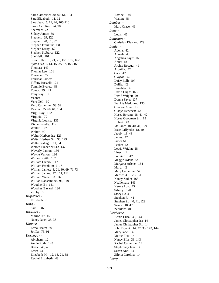Sara Catherine: 20, 60, 61, 104 Sara Elizabeth: 11, 12 Sara Jean: 5, 11, 26, 105-110 Sarah Caroline: 24, 98 Sherman: 72 Sidney James: 59 Stephen: 29, 122 Stephen: 20, 61, 62 Stephen Franklin: 131 Stephen Leroy: 62 Stephen Sidbury: 122 Sue Neil: 101 Susan Ellen: 8, 21, 25, 151, 155, 162 Sylvia A.: 5, 14, 15, 35-37, 163-168 Thomas: 149 Thomas Lee: 101 Thurman: 72 Thurman James: 51 Tiffany Roszell: 122 Tommie Everett: 83 Toney: 29, 121 Tony Ray: 121 Veona: 91 Vera Nell: 90 Vero Catherine: 58, 59 Veston: 25, 60, 61, 104 Virgil Ray: 122 Virginia: 72 Virginia Louise: 136 Vivian Estelle: 112 Walter: 127 Walter: 90 Walter Herbert Jr.: 129 Walter Herbert Sr.: 30, 129 Walter Raleigh: 61, 94 Warren Frederick Sr.: 137 Waverly Lamon: 136 Wayne Verlon: 136 Willard Keith: 137 William Cicero: 112 William Franklin: 21, 71 William James: 8, 21, 30, 69, 71-73 William James: 27, 111, 112 William Walter: 31, 32 Willian Ransom: 95, 96, 149 Woodley B.: 141 Woodley Bayard: 136 Zilphy: 5 *Kilpatrick -* Elizabeth: 5 *King -* Sam: 146 *Knowles -* Marion Jr.: 45 Nancy Jane: 35, 36 *Koonce -* Erma Heath: 86 Jolilla: 73, 91 *Kornegay -* Abraham: 12 Annie Ruth: 143 Bertie: 48, 49 Effie: 44 Elizabeth M.: 12, 13, 21, 38 Rachel Elizabeth: 48

Rovine: 146 Walter: 48 *Lambert -* Mary Grace: 49 *Lane -* Louis: 46 *Langston -* Christian Eleanor: 129 *Lanier -* Adella: 42 Admah: 40 Angelica Faye: 169 Anna: 18 Archie Roscue: 41 Arquilla: 42 Carr: 42 Clayton: 42 Daisy Bell: 107 Dallie: 42 Daughter: 41 David Hugh: 165 David Wright: 29 Donna Faye: 137 Frankie Madonna: 135 Georgia Anna: 121 Gladys Rebecca: 42 Hosea Bryant: 18, 41, 42 Hosea Goodman Sr.: 18 Hubert: 43 Ida Jane: 18, 40, 41, 129 Issac Laffyetle: 18, 40 Jacob: 18, 43 James: 42 James M.: 18 Leslie: 42 Lewis Wright: 18 Liner: 41 Lonnie T.: 42 Maggie Adell: 72 Margaret Arlene: 164 Mary: 42 Mary Catherine: 57 Mertie: 41, 129-131 Nancy Zodie: 168 Nealiemay: 146 Nernie Lou: 43 Silvery: 120 Stacy L.: 41 Stephen R.: 41 Stephen S.: 40, 41, 129 Susan: 18, 42 Zebulon: 40 *Lawhorne -* Bertie Eliza: 33, 144 James Christopher Jr.: 14 James Christopher Sr.: 14 John Bryant: 14, 32, 33, 143, 144 Mary Jane: 14 Mattie Eliz: 14 Nancy Ella: 33, 143 Rachel Catherine: 14 Stephroney Jane: 33 Susan Ann: 14 Zilpha Carolina: 14 *Leary -*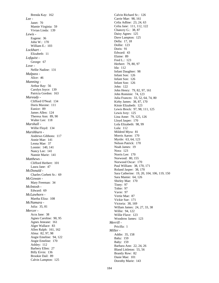Brenda Kay: 162 *Lee -* Janet: 70 Mamie Virginia: 59 Vivian Linda: 139 *Lewis -* Eugene: 36 John W.: 170 William E.: 103 *Lockhart -* Elizabeth: 11 *Lofquist -* George: 67 *Love -* Nellie Nadine: 131 *Malpass -* Alice: 46 *Manning -* Arthur Ray: 56 Carolyn Joyce: 139 Patricia Gordon: 163 *Maready -* Clifford O'Neal: 134 Doris Maxine: 111 Eunice: 89 James Allen: 124 Theresa Ann: 89, 90 Walter Lee: 118 *Marshall -* Willie Floyd: 134 *Marshburn -* Andrews Gibbons: 117 Annie Mae: 141 Leona Mae: 37 Lonnie: 140, 141 Nancy Lee: 141 Nannie Marie: 141 *Matthews -* Clifford Herbert: 101 Laura Jane: 47 *McDonald -* Charles Corbett Sr.: 69 *McGowan -* Mary Freeman: 34 *McIntosh -* Edward: 69 *McLawhorn -* Martha Eliza: 108 *McNamara -* Julia: 35, 81 *Mercer -* Acra Jane: 38 Agnes Caroline: 90, 95 Agnes Jeneane: 161 Alger Wallace: 83 Allen Ralph: 161, 162 Alma: 82, 97, 98 Angie Emeline: 94, 122 Angie Emeline: 170 Ashley: 112 Barbery Ellen: 27 Billy Ervin: 136 Brookie Dail: 89 Calvin Lampton: 125

Calvin Richard Sr.: 126 Carrie Mae: 98, 161 Celia Adline: 23, 24, 63 Celia Jane: 111, 112, 122 Chancey G.: 38, 87 Daisy Agnes: 125 Dave Lampton: 125 Della: 17, 18 Dollie: 123 Doris: 91 Edward: 43 Elaine: 89 Fred L.: 123 Herbert: 79, 80, 97 Ida: 112 Infant Daughter: 98 Infant Son: 126 Infant Son: 126 Infant Son: 126 John: 122 John Henry: 79, 82, 97, 161 John Rommie: 74, 123 Julia Frances: 33, 52, 64, 74, 80 Kirby James: 38, 87, 170 Kitsie Elizabeth: 123 Lewis Brock: 97, 98, 111, 125 Lewis Ivey: 125 Lina Anne: 79, 125, 126 Lloyd Jasper: 170 Lola Elizabeth: 98, 99 Lula: 112 Mildred Myra: 81 Morris Aaron: 170 Myrtle: 63, 64, 123 Nelson Patrick: 170 Noah James: 19 Nora: 123 Norris Lee: 170 Norwood: 80, 155 Norwood Oscar: 170 Paul William: 38, 170, 171 Roland Jasper: 38, 170 Sara Catherine: 19, 20, 104, 106, 119, 150 Sara Mamie: 64, 126 Shirley Mae: 170 Tiney: 97 Tobie: 97 Vavie: 97 Vertie Mae: 87 Vickie Sue: 171 Victoria: 38, 169 Willam James: 24, 27, 33, 38 Willie: 94, 122 Willie Flave: 123 Woodrow James: 123 *Merrill -* Pricilla: 1 *Miller -* Addie: 35, 158 Baby: 159 Baby: 159 Barbara Ann: 22, 24, 26 Bland Littleton: 55, 56 Brantly Row: 82 Dasie Mae: 101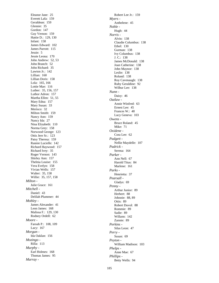Eleanor Jane: 25 Everett Lafa: 159 Geraldean: 159 Glennie: 35 Gordon: 147 Guy Vernon: 159 Hattie D.: 129, 130 Infant: 158 James Edward: 102 James Parrott: 115 Jessie: 5 Jessie Leona: 170 John Andrew: 52, 53 John Branch: 52 John Richard: 35 Lawton Jr.: 142 Lillian: 160 Lillian Doris: 158 Lola: 165, 166 Lottie Mae: 116 Luther: 35, 156, 157 Luthor Adron: 157 Martha Ellen: 51, 55 Mary Edna: 157 Mary Susan: 33 Merisco: 32 Milton Smith: 159 Nancy Ann: 159 Nancy Ida: 27 Nina Elizabeth: 110 Norma Grey: 158 Norwood George: 123 Ottis Jere Sr.: 123 Patsy Theresa: 159 Rannie Lucielle: 142 Richard Haywood: 157 Richard Ivey: 35 Roger Vernon: 143 Shirley Ann: 157 Thelma Louise: 155 Vera Evelyn: 158 Vivian Wells: 157 Walter: 35, 158 Willie: 35, 157, 158 *Milton -* Julie Grace: 161 *Mitchell -* Daniel: 43 Delilah Plummer: 44 *Mobley -* James Alexander: 41 Leon James: 168 Malissa F.: 129, 130 Rodney Ordell: 62 *Moore -* Faroah P.: 108, 109 Lacy: 167 *Morgan -* Ida Oaklan: 156 *Mozingo -* Rilla: 113 *Murphy -* Earl Holmes: 168 Thomas James: 95 *Murray -*

Robert Lee Jr.: 159 *Myers -* Anthelene: 45 *Noble -* Hugh: 44 *Norris -* Alvin: 138 Claudie Columbus: 138 Ethel: 130 Gurman: 138 Ivy Columbus: 138 J. C.: 138 James McDonald: 138 Joan Catherine: 138 John Maynor: 138 Leslie: 138 Roland: 138 Roy Cavenaugh: 138 Ruby Geraldine: 92 Wilbur Lee: 138 *Nunn -* Daisy: 46 *Outlaw -* Annie Winfred: 63 Ernest Lee: 45 Frances W.: 48 Lucy Geneva: 103 *Owens -* Bruce Roland: 45 Mike: 71 *Oxidene -* Cora Lee: 62 *Padgett -* Nellie Maydelle: 107 *Padrick -* Serena: 164 *Parker -* Ann Nell: 67 Harold Titus: 84 Marlene: 161 *Parks -* Henrietta: 37 *Pearsall -* Gladys: 69 *Penny -* Arthur Junior: 89 Herbert: 88 Johnnie: 88, 89 Ottis: 89 Robert Duvol: 88 Rommie: 89 Sadie: 89 Willann: 142 Zannie: 89 *Perkins -* Silas Leon: 47 *Perry -* Susan: 69 *Peyton -* William Madison: 103 *Phelps -* Anne Mae: 67 *Phillips -* Betty Wells: 94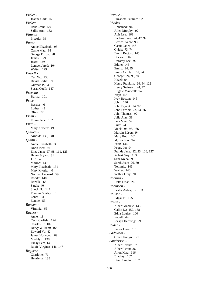*Picket -* Jeanne Gail: 168 *Pickett -* Reba Jean: 124 Sallie Ann: 163 *Pittman -* Piccola: 99 *Potter -* Annie Elizabeth: 98 Carrie Mae: 98 George Dixon: 98 James: 129 Jesse: 129 Lemuel Jared: 104 Walter: 129 *Powell -* Carl W.: 136 David Bertie: 39 Gurman P.: 39 Susan Ozell: 147 *Prevette -* Burma: 101 *Price -* Bessie: 46 Luther: 48 Olive: 72 *Pruitt -* Emma Jane: 102 *Pugh -* Mary Armeta: 49 *Quillen -* Arnold: 139, 140 *Quinn -* Annie Elizabeth: 38 Doris Inez: 66 Eliza Jane: 97, 98, 111, 125 Henry Bryant: 31 J. C.: 40 Marion: 147 Mary Elizabeth: 131 Mary Myrtie: 40 Norman Leonard: 59 Rhoda: 148 Rozella: 66 Sarah: 40 Shock H.: 144 Thomas Shirley: 81 Zenas: 31 Zennie: 53 *Ransom -* Virginia: 66 *Raynor -* Anne: 18 Cecil Carlisle: 124 Charles L.: 107 Dervy William: 165 Edward V.: 42 James Norwood: 69 Madelyn: 138 Pansy Lee: 143 Roxie Virgina: 146, 147 *Register -* Charlotte: 71 Henrietta: 138

*Revelle -* Elizabeth Pauline: 92 *Rhodes -* Unnamed: 94 Allen Murphy: 92 Avis Lee: 163 Barbara Jane: 24, 47, 92 Bettie: 24, 92, 93 Carrie Jane: 146 Cylde: 73, 74 David Becton: 145 Dockie: 146 Dorothy Lee: 92 Eddie: 145 Emily: 24, 95 Emily Carolyn: 61, 94 George: 24, 93, 94 Hazel: 94 Henry Franklin: 24, 94, 122 Henry Swinson: 24, 47 Hughie Maxwell: 94 Ivey: 146 Ivey Becton: 145 John: 146 John Bryant: 24, 92 John Farrior: 22, 24, 26 John Thomas: 92 Julia Ann: 39 Lela Mae: 59 Lula: 24 Mack: 94, 95, 166 Marvin Edson: 94 Mary Ruth: 161 Myrna Lou: 94 Paul: 146 Peggy Jo: 94 Prandy Jane: 22, 23, 126, 127 Robert Guy: 163 Sam Kreba: 95 Sarah Jean: 26, 50 Tommie: 146 Walter: 146 Wilbur Gray: 94 *Robbins -* Delta Frost: 26 *Robinson -* Lester Aubery Sr.: 53 *Rolison -* Edgar F.: 125 *Rouse -* Albert Manley: 143 Callie D.: 157, 158 Edna Louise: 100 Iredell: 44 Joesph Herrring: 59 *Ryder -* James Leon: 101 *Sadowski -* Grace Evelyn: 170 *Sanderson -* Albert Evens: 37 Albert Leon: 36 Alton May: 116 Bradley: 167 Dan Compton: 167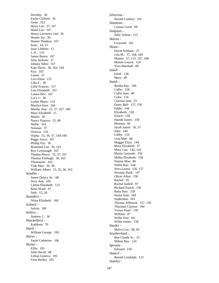Dorothy: 36 Earlie Clifford: 36 Gene: 163 Harry Lee: 37, 167 Hazel Lee: 167 Henry Lawrence 2nd: 36 Homer Jay: 36 Homer Thadeus: 167 Issac: 14, 15 Issac Libbans: 15 J. D.: 116 James Buren: 167 John Jackson: 37 Johnny Allen: 167 Kate Davis: 36, 163, 164 Kay: 163 Leana: 15 Levi Elma: 115 Lilla F.: 36 Lillie Frances: 157 Lois Elizabeth: 167 Louise Rex: 167 Lucy J.: 36 Luther Mayo: 114 Marilyn Joan: 164 Martha Ann: 15, 37, 167, 168 Mary Elizabeth: 15 Mattie: 36 Nancy Frances: 25, 60 Nellie: 163 Norman: 37 Octavia: 116 Orpha: 15, 36, 37, 164-166 Peggy Joyce: 167 Phillip Fay: 36 Rosmond Lee: 36, 163 Roy Cavenaugh: 167 Thadius Horry: 15, 37, 167 Thomas Fitshugh: 36, 163 Thomasine: 163 Vida May: 36, 38 William Albert: 15, 35, 36, 163 *Sandlin -* James Delacy Sr.: 68 Jerry Ann: 105 Lillian Elizabeth: 123 Rena Ward: 67 Seth: 12, 26 *Saunders -* Niina Elizabeth: 168 *Schnell -* Sylvia: 168 *Sellers -* Andrew J.: 36 *Shackelford -* Kathleen: 70 *Sherk -* William George: 169 *Shiver -* Sarah Catherine: 106 *Sholar -* Effie: 105 John David: 68 Lillian Geneva: 105 Vera Bertha: 105

*Silverton -* Harold Lindsey: 101 *Simmons -* Connie Carol: 69 *Simpson -* Sally Arlene: 115 *Skeens -* Linwood: 162 *Sloan -* David William: 37 Lila M.: 37, 168, 169 Mamie: 37, 115, 167, 168 Minnie Louise: 124 Vera Marshall: 68 *Small -* Ethel: 138 Mary: 60 *Smith -* Bertha Ray: 100 Callie: 158 Callie Jean: 40 Celia: 116 Clarissa Jane: 25 Daisy Bell: 157, 158 Eddie: 144 Elizabeth: 158 Enoch: 158 Harold James: 158 Herman: 66 Jacob James: 56, 57 Jobe: 144 Libby: 110 Lina Mae: 68 Maggie Eliza: 144 Mary Elizabeth: 37 Mary Lou: 142, 143 Mattie Gertrude: 156 Melba Elizabeth: 158 Nannie Mae: 86 Nellie Rae: 144 Nora Leona: 156, 157 Norman Hank: 147 Oliver Allen: 158 Rachel: 95 Rachel Isabell: 87 Richard Enoch: 158 Ruby Inez: 158 Seany Jean: 169 Sophronia: 103 Thomas Jefferson: 157, 158 Thurman Clayton: 104 Vivian Pearl: 139 William: 87 Willie Ivey: 64 Willie James: 158 *Snyder -* Melva Cox: 68, 69 *Southerland -* Ben Claude Sr.: 47 Milton Ray: 124 *Sprouts -* Edward: 150 *Stancil -* Beulah Lindolph: 123 *Stanley -*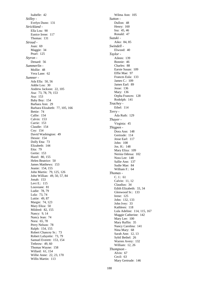Isabelle: 42 *Stilley -* Evelyn Dunn: 131 *Strickland -* Ella Lou: 90 Eunice Irene: 117 Thomas: 131 *Stroud -* Joan: 69 Maggie: 34 Pearl: 125 *Styron -* Denard: 56 *Summerlin -* Mollie: 48 Vera Lane: 62 *Sumner -* Ada Ella: 50, 56 Addie Lou: 30 Andrew Jackson: 22, 105 Asa: 73, 78, 79, 153 Asa: 153 Baby Boy: 154 Barbara Ann: 29 Barbara Elizabeth: 77, 105, 166 Bettie: 74 Callie: 154 Calvin: 153 Carrie: 153 Claudie: 154 Coy: 154 David Washington: 49 Dessie: 154 Dolly Etta: 73 Elizabeth: 144 Etta: 79 Gertie: 153 Hazel: 80, 155 Helen Beatrice: 50 James Matthews: 153 Jeanie: 154, 155 John Martin: 79, 125, 126 John Willian: 49, 50, 57, 84 Jonah: 153 Levi E.: 115 Louveane: 81 Ludie: 78, 79 Lula: 73, 74 Luttie: 49, 87 Margie: 74, 123 Mary Eliza: 50 Mildred: 82, 155 Nancy: 9, 14 Nancy Jean: 74 Nora: 65, 78 Perry Nelson: 78 Ralph: 154, 155 Robert Chancey Sr.: 73 Robert Lafayette: 73, 79 Samuel Everett: 153, 154 Tethrow: 49, 60 Thomas Wayne: 158 Willard: 61, 154 Willie Anne: 22, 23, 170 Willis Martin: 113

Wilma Ann: 105 *Sutton -* Dullon: 48 Henry: 160 Ina: 45, 46 Ronald: 47 *Suzuki -* Aiko: 84, 85 *Swindell -* Elwood: 40 *Taylor -* Aileen: 139 Bonnie: 46 Charles: 88 Earsie Susan: 109 Effie Mae: 97 Frances Eula: 133 James C.: 109 James Earl: 89 Jesse: 136 Mary: 136 Orpha Frances: 128 Rodolph: 141 *Teachey -* Ethel: 114 *Terry -* Ada Ruth: 129 *Thayer -* Virginia: 45 *Thigpen -* Dora Ann: 148 Gertrude: 114 Jesse Earl: 117 John: 108 Jos. H.: 148 Mary Eliza: 109 Nernia Odessa: 102 Nora Lee: 148 Sallie Ann: 137 Sudie Mae: 84 William F.: 64 *Thomas -* C. J.: 61 Calvin: 11, 12 Claudius: 34 Edith Elizabeth: 33, 34 Glenwood Sr.: 133 Irene: 125 John: 132, 133 John Ivey: 33 Kathleen: 118 Lula Adeline: 114, 115, 167 Maggie Catherine: 142 Mary Lee: 100 Mary Ruffin: 35 Nancy Carolina: 141 Nina Mary: 68 Sarah Ann: 12, 13 Sybil Bethel: 26 Warren Avery: 132 William: 12, 26 *Thompson -* Alvin: 67 Cecil: 63 Mary Gertrude: 146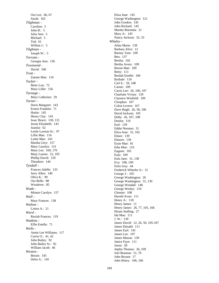Ora Lee: 66, 67 Sarah: 162 *Tilghman -* Caroline: 5 John B.: 5 Julia Ann: 5 Michael: 5 Ted: 61 Willian J.: 5 *Tilghnan -* Joseph W.: 5 *Torrans -* Georgia Ann: 136 *Townsend -* David: 160 *Trott -* Zannie Mae: 116 *Tucker -* Betty Lou: 72 Mary Lillie: 156 *Turnage -* Mary Catherine: 29 *Turner -* Doris Margaret: 143 Ernest Franklin: 71 Hattie: 145 Henry Clay: 143 Issac Bruce: 130, 131 Jessie Elizabeth: 143 Juanita: 62 Leslie Lawton Sr.: 97 Lillie Mae: 116 Lottie Mae: 143 Martha Grey: 157 Mary Carolyn: 131 Mary Lee: 169, 170 Mary Louise: 22, 105 Phillip David: 129 Theodore: 144 *Tyndall -* Frances Adelle: 135 Jerry Allen: 140 Olive K.: 99 Ora Belle: 88 Woodrow: 85 *Wade -* Minnie Carolyn: 157 *Wall -* Mary Frances: 138 *Walton -* Liston A.: 21 *Ward -* Reziah Frances: 119 *Watkins -* Effie Estelle: 71 *Wells -* Annie Lee Williams: 117 Carrie O.: 41, 42 John Bailey: 92 John Bailey Sr.: 92 William Jacob: 46 *Weston -* Bessie: 145 Delia A.: 145

Eliza Jane: 145 George Washington: 121 John Gordon: 145 John Richard: 145 Martha Marenda: 31 Mary A.: 145 Nancy Jackson: 32, 33 *Whaley -* Alma Marie: 139 Barbara Alice: 12 Barney Tom: 109 Ben: 137 Bertha: 102 Bertha Avery: 109 Bessie Mae: 109 Betty: 111 Beulah Estelle: 106 Bythale: 110 Carl E.: 59, 108 Carnie: 109 Carris Lee: 26, 106, 107 Charlotte Vivian: 139 Clarence Winfield: 109 Cleophas: 107 Colon Levern: 167 Dave Hugh: 26, 50, 106 David Jackson: 105 Della: 26, 107, 108 Deulin: 110 Earl: 139 Eddie Norman: 31 Eliza Jean: 31, 102 Elmer: 139 Elmore: 139 Essie Mae: 81 Etha Mae: 110 Eugene: 105 Eula: 109 Eula Jane: 31, 138 Eva: 108, 109 Felix Ivey: 44 Frederick Wheeler Jr.: 31 George J.: 105 George Washington: 26 George Washington: 31, 139 George Wendall: 140 George Wesley: 110 Glennie: 108 Harold Avon: 111 Henry A.: 118 Henry James: 11 Henry James: 26, 77, 105, 166 Hiram Stalling: 27 Ida Mae: 111 J. W.: 139 James David: 12, 26, 50, 105-107 James Donald: 111 James Earl: 141 James Lee: 107 James Mason: 139 Janice Faye: 111 Jason: 28 Jeptha Thomas: 26, 109 Joel Beaman: 51, 76 John Bryant: 17 John Henry: 106, 166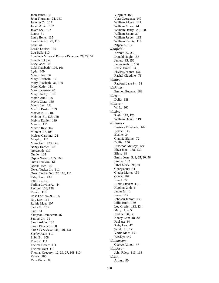John James: 39 John Thurman: 31, 141 Johnnie C.: 108 Jonah Alvin: 107 Joyce Lee: 167 Laura: 31 Laura Belle: 135 Lewis David: 27, 110 Lola: 44 Lossie Louise: 109 Lou Bell: 110 Loucinda Missouri Balzora Rebecca: 28, 29, 57 Louella: 39, 40 Lucy Jane: 107 Lula Elizabeth: 106, 166 Lyda: 109 Mary Edna: 56 Mary Elizabeth: 12 Mary Elizabeth: 31, 140 Mary Katie: 111 Mary Lacrease: 61 Mary Shirley: 139 Mattie Ann: 136 Mavis Clara: 139 Mavis Lee: 111 Maxful Buster: 139 Maxwell: 31, 102 Melvin: 31, 138, 139 Melvin Daniel: 139 Mervin: 111 Mervin Ray: 167 Minnie: 77, 105 Molsey Caroline: 28 Murphy: 111 Myra Jean: 139, 140 Nancy Hattie: 102 Norwood: 139 Onnie: 105 Orpha Naomi: 135, 166 Orvis Franklin: 61 Oscar: 109, 110 Owen Tucker Jr.: 111 Owen Tucker Sr.: 27, 110, 111 Patsy Jane: 139 Paul: 77, 121 Perlina Lovina A.: 44 Peyton: 106, 156 Ressie: 110 Rosa Lee: 94, 95, 166 Roy Lee: 111 Ruthie Mae: 107 Sadie C.: 107 Sam: 51 Sampson Democrat: 46 Samuel Jr.: 11 Sarah Addie: 133 Sarah Elizabeth: 50 Sarah Genevieve: 31, 140, 141 Shelby Jean: 111 Sybil B.: 108 Tharon: 111 Thelma Grace: 111 Thelma Mae: 110 Thomas Gregory: 12, 26, 27, 108-110 Vance: 106 Vera Diane: 83

Virginia: 169 Vyra Georgene: 140 William Albert: 141 William Amos: 44 William Henry: 26, 108 William Jason: 31 William Jasper: 133 William Kernis: 110 Zilpha A.: 12 *Whitfield -* Arthur: 34, 35 Donald Hugh: 156 James: 35, 156 James Arthur: 156 Jessie James: 34 Phyliss Jeanne: 156 Rachel Claudine: 78 *Whitley -* Raeford Lane Sr.: 63 *Wickline -* Emmett Eugene: 168 *Wiley -* Delia: 138 *Wilkens -* W. J.: 160 *Wilkins -* Ruth: 119, 120 William David: 119 *Williams -* Beatrice Elizabeth: 142 Bessie: 145 Blaine: 34 Cynthia Elaine: 72 Dollie: 156 Durwood McCoy: 124 Eliza Jane: 138, 139 Ellen: 88 Emily Jean: 5, 8, 25, 30, 96 Emma: 102 Ethel Marie: 93, 94 Georgianna: 34 Gladys Marie: 156 Grace: 167 Hazel: 72 Hiram Steven: 113 Hopkins 2nd: 5 James Sr.: 1 Jesse: 117 Johnson Junior: 138 Lillie Ruth: 159 Lou Cresie: 133, 134 Mary: 1, 4, 5 Nadine: 34, 35 Nancy Ann: 18, 20 Paul A.: 34 Ruby Lee: 47 Sarah: 15, 17 Vertie Mae: 132 Wesley: 142 *Williamson -* George Almon: 47 *Williford -* John Riley: 113, 114 *Wilson -* Arthur: 90